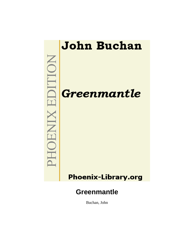

Buchan, John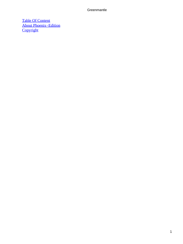[Table Of Content](#page-207-0) [About Phoenix−Edition](#page-209-0) **[Copyright](#page-210-0)**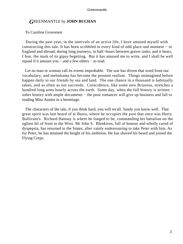### *G*REENMANTLE by **JOHN BUCHAN**

#### To Caroline Grosvenor

 During the past year, in the intervals of an active life, I have amused myself with constructing this tale. It has been scribbled in every kind of odd place and moment − in England and abroad, during long journeys, in half−hours between graver tasks; and it bears, I fear, the mark of its gipsy begetting. But it has amused me to write, and I shall be well repaid if it amuses you − and a few others − to read.

Let no man or woman call its events improbable. The war has driven that word from our vocabulary, and melodrama has become the prosiest realism. Things unimagined before happen daily to our friends by sea and land. The one chance in a thousand is habitually taken, and as often as not succeeds. Coincidence, like some new Briareus, stretches a hundred long arms hourly across the earth. Some day, when the full history is written − sober history with ample documents – the poor romancer will give up business and fall to reading Miss Austen in a hermitage.

 The characters of the tale, if you think hard, you will recall. Sandy you know well. That great spirit was last heard of at Basra, where he occupies the post that once was Harry Bullivant's. Richard Hannay is where he longed to be, commanding his battalion on the ugliest bit of front in the West. Mr John S. Blenkiron, full of honour and wholly cured of dyspepsia, has returned to the States, after vainly endeavouring to take Peter with him. As for Peter, he has attained the height of his ambition. He has shaved his beard and joined the Flying Corps.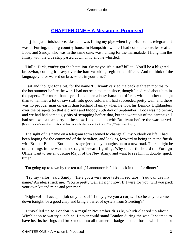# **[CHAPTER ONE − A Mission is Proposed](#page-207-0)**

*I* had just finished breakfast and was filling my pipe when I got Bullivant's telegram. It was at Furling, the big country house in Hampshire where I had come to convalesce after Loos, and Sandy, who was in the same case, was hunting for the marmalade. I flung him the flimsy with the blue strip pasted down on it, and he whistled.

 'Hullo, Dick, you've got the battalion. Or maybe it's a staff billet. You'll be a blighted brass−hat, coming it heavy over the hard−working regimental officer. And to think of the language you've wasted on brass−hats in your time!'

 I sat and thought for a bit, for the name 'Bullivant' carried me back eighteen months to the hot summer before the war. I had not seen the man since, though I had read about him in the papers. For more than a year I had been a busy battalion officer, with no other thought than to hammer a lot of raw stuff into good soldiers. I had succeeded pretty well, and there was no prouder man on earth than Richard Hannay when he took his Lennox Highlanders over the parapets on that glorious and bloody 25th day of September. Loos was no picnic, and we had had some ugly bits of scrapping before that, but the worst bit of the campaign I had seen was a tea−party to the show I had been in with Bullivant before the war started. [Major Hannay's narrative of this affair has been published under the title of *The \_Thirty−nine* Steps.]

 The sight of his name on a telegram form seemed to change all my outlook on life. I had been hoping for the command of the battalion, and looking forward to being in at the finish with Brother Boche. But this message jerked my thoughts on to a new road. There might be other things in the war than straightforward fighting. Why on earth should the Foreign Office want to see an obscure Major of the New Army, and want to see him in double−quick time?

'I'm going up to town by the ten train,' I announced; 'I'll be back in time for dinner.'

 'Try my tailor,' said Sandy. 'He's got a very nice taste in red tabs. You can use my name.' An idea struck me. 'You're pretty well all right now. If I wire for you, will you pack your own kit and mine and join me?'

 'Right−o! I'll accept a job on your staff if they give you a corps. If so be as you come down tonight, be a good chap and bring a barrel of oysters from Sweeting's.'

 I travelled up to London in a regular November drizzle, which cleared up about Wimbledon to watery sunshine. I never could stand London during the war. It seemed to have lost its bearings and broken out into all manner of badges and uniforms which did not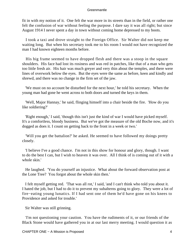fit in with my notion of it. One felt the war more in its streets than in the field, or rather one felt the confusion of war without feeling the purpose. I dare say it was all right; but since August 1914 I never spent a day in town without coming home depressed to my boots.

 I took a taxi and drove straight to the Foreign Office. Sir Walter did not keep me waiting long. But when his secretary took me to his room I would not have recognized the man I had known eighteen months before.

 His big frame seemed to have dropped flesh and there was a stoop in the square shoulders. His face had lost its rosiness and was red in patches, like that of a man who gets too little fresh air. His hair was much greyer and very thin about the temples, and there were lines of overwork below the eyes. But the eyes were the same as before, keen and kindly and shrewd, and there was no change in the firm set of the jaw.

 'We must on no account be disturbed for the next hour,' he told his secretary. When the young man had gone he went across to both doors and turned the keys in them.

 'Well, Major Hannay,' he said, flinging himself into a chair beside the fire. 'How do you like soldiering?'

 'Right enough,' I said, 'though this isn't just the kind of war I would have picked myself. It's a comfortless, bloody business. But we've got the measure of the old Boche now, and it's dogged as does it. I count on getting back to the front in a week or two.'

 'Will you get the battalion?' he asked. He seemed to have followed my doings pretty closely.

 'I believe I've a good chance. I'm not in this show for honour and glory, though. I want to do the best I can, but I wish to heaven it was over. All I think of is coming out of it with a whole skin.'

 He laughed. 'You do yourself an injustice. What about the forward observation post at the Lone Tree? You forgot about the whole skin then.'

 I felt myself getting red. 'That was all rot,' I said, 'and I can't think who told you about it. I hated the job, but I had to do it to prevent my subalterns going to glory. They were a lot of fire−eating young lunatics. If I had sent one of them he'd have gone on his knees to Providence and asked for trouble.'

Sir Walter was still grinning.

 'I'm not questioning your caution. You have the rudiments of it, or our friends of the Black Stone would have gathered you in at our last merry meeting. I would question it as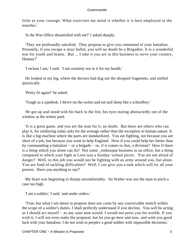little as your courage. What exercises my mind is whether it is best employed in the trenches.'

'Is the War Office dissatisfied with me?' I asked sharply.

 'They are profoundly satisfied. They propose to give you command of your battalion. Presently, if you escape a stray bullet, you will no doubt be a Brigadier. It is a wonderful war for youth and brains. But ... I take it you are in this business to serve your country, Hannay?'

'I reckon I am,' I said. 'I am certainly not in it for my health.'

 He looked at my leg, where the doctors had dug out the shrapnel fragments, and smiled quizzically.

'Pretty fit again?' he asked.

'Tough as a sjambok. I thrive on the racket and eat and sleep like a schoolboy.'

 He got up and stood with his back to the fire, his eyes staring abstractedly out of the window at the wintry park.

 'It is a great game, and you are the man for it, no doubt. But there are others who can play it, for soldiering today asks for the average rather than the exception in human nature. It is like a big machine where the parts are standardized. You are fighting, not because you are short of a job, but because you want to help England. How if you could help her better than by commanding a battalion − or a brigade − or, if it comes to that, a division? How if there is a thing which you alone can do? Not some \_embusque business in an office, but a thing compared to which your fight at Loos was a Sunday−school picnic. You are not afraid of danger? Well, in this job you would not be fighting with an army around you, but alone. You are fond of tackling difficulties? Well, I can give you a task which will try all your powers. Have you anything to say?'

 My heart was beginning to thump uncomfortably. Sir Walter was not the man to pitch a case too high.

'I am a soldier,' I said, 'and under orders.'

 'True; but what I am about to propose does not come by any conceivable stretch within the scope of a soldier's duties. I shall perfectly understand if you decline. You will be acting as I should act myself − as any sane man would. I would not press you for worlds. If you wish it, I will not even make the proposal, but let you go here and now, and wish you good luck with your battalion. I do not wish to perplex a good soldier with impossible decisions.'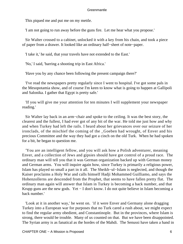This piqued me and put me on my mettle.

'I am not going to run away before the guns fire. Let me hear what you propose.'

 Sir Walter crossed to a cabinet, unlocked it with a key from his chain, and took a piece of paper from a drawer. It looked like an ordinary half−sheet of note−paper.

'I take it,' he said, that your travels have not extended to the East.'

'No,' I said, 'barring a shooting trip in East Africa.'

'Have you by any chance been following the present campaign there?'

 'I've read the newspapers pretty regularly since I went to hospital. I've got some pals in the Mesopotamia show, and of course I'm keen to know what is going to happen at Gallipoli and Salonika. I gather that Egypt is pretty safe.'

 'If you will give me your attention for ten minutes I will supplement your newspaper reading.'

 Sir Walter lay back in an arm−chair and spoke to the ceiling. It was the best story, the clearest and the fullest, I had ever got of any bit of the war. He told me just how and why and when Turkey had left the rails. I heard about her grievances over our seizure of her ironclads, of the mischief the coming of the \_Goeben had wrought, of Enver and his precious Committee and the way they had got a cinch on the old Turk. When he had spoken for a bit, he began to question me.

 'You are an intelligent fellow, and you will ask how a Polish adventurer, meaning Enver, and a collection of Jews and gipsies should have got control of a proud race. The ordinary man will tell you that it was German organization backed up with German money and German arms. You will inquire again how, since Turkey is primarily a religious power, Islam has played so small a part in it all. The Sheikh−ul−Islam is neglected, and though the Kaiser proclaims a Holy War and calls himself Hadji Mohammed Guilliamo, and says the Hohenzollerns are descended from the Prophet, that seems to have fallen pretty flat. The ordinary man again will answer that Islam in Turkey is becoming a back number, and that Krupp guns are the new gods. Yet − I don't know. I do not quite believe in Islam becoming a back number.'

 'Look at it in another way,' he went on. 'if it were Enver and Germany alone dragging Turkey into a European war for purposes that no Turk cared a rush about, we might expect to find the regular army obedient, and Constantinople. But in the provinces, where Islam is strong, there would be trouble. Many of us counted on that. But we have been disappointed. The Syrian army is as fanatical as the hordes of the Mahdi. The Senussi have taken a hand in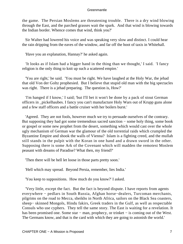the game. The Persian Moslems are threatening trouble. There is a dry wind blowing through the East, and the parched grasses wait the spark. And that wind is blowing towards the Indian border. Whence comes that wind, think you?'

 Sir Walter had lowered his voice and was speaking very slow and distinct. I could hear the rain dripping from the eaves of the window, and far off the hoot of taxis in Whitehall.

'Have you an explanation, Hannay?' he asked again.

 'It looks as if Islam had a bigger hand in the thing than we thought,' I said. 'I fancy religion is the only thing to knit up such a scattered empire.'

 'You are right,' he said. 'You must be right. We have laughed at the Holy War, the jehad that old Von der Goltz prophesied. But I believe that stupid old man with the big spectacles was right. There is a jehad preparing. The question is, How?'

 'I'm hanged if I know,' I said; 'but I'll bet it won't be done by a pack of stout German officers in \_pickelhaubes. I fancy you can't manufacture Holy Wars out of Krupp guns alone and a few staff officers and a battle cruiser with her boilers burst.'

 'Agreed. They are not fools, however much we try to persuade ourselves of the contrary. But supposing they had got some tremendous sacred sanction − some holy thing, some book or gospel or some new prophet from the desert, something which would cast over the whole ugly mechanism of German war the glamour of the old torrential raids which crumpled the Byzantine Empire and shook the walls of Vienna? Islam is a fighting creed, and the mullah still stands in the pulpit with the Koran in one hand and a drawn sword in the other. Supposing there is some Ark of the Covenant which will madden the remotest Moslem peasant with dreams of Paradise? What then, my friend?'

'Then there will be hell let loose in those parts pretty soon.'

'Hell which may spread. Beyond Persia, remember, lies India.'

'You keep to suppositions. How much do you know?' I asked.

 'Very little, except the fact. But the fact is beyond dispute. I have reports from agents everywhere − pedlars in South Russia, Afghan horse−dealers, Turcoman merchants, pilgrims on the road to Mecca, sheikhs in North Africa, sailors on the Black Sea coasters, sheep− skinned Mongols, Hindu fakirs, Greek traders in the Gulf, as well as respectable Consuls who use cyphers. They tell the same story. The East is waiting for a revelation. It has been promised one. Some star − man, prophecy, or trinket − is coming out of the West. The Germans know, and that is the card with which they are going to astonish the world.'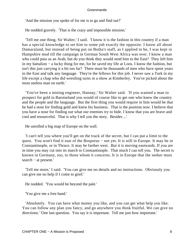'And the mission you spoke of for me is to go and find out?'

He nodded gravely. 'That is the crazy and impossible mission.'

 'Tell me one thing, Sir Walter,' I said. 'I know it is the fashion in this country if a man has a special knowledge to set him to some job exactly the opposite. I know all about Damaraland, but instead of being put on Botha's staff, as I applied to be, I was kept in Hampshire mud till the campaign in German South West Africa was over. I know a man who could pass as an Arab, but do you think they would send him to the East? They left him in my battalion − a lucky thing for me, for he saved my life at Loos. I know the fashion, but isn't this just carrying it a bit too far? There must be thousands of men who have spent years in the East and talk any language. They're the fellows for this job. I never saw a Turk in my life except a chap who did wrestling turns in a show at Kimberley. You've picked about the most useless man on earth.'

 'You've been a mining engineer, Hannay,' Sir Walter said. 'If you wanted a man to prospect for gold in Barotseland you would of course like to get one who knew the country and the people and the language. But the first thing you would require in him would be that he had a nose for finding gold and knew his business. That is the position now. I believe that you have a nose for finding out what our enemies try to hide. I know that you are brave and cool and resourceful. That is why I tell you the story. Besides ...'

He unrolled a big map of Europe on the wall.

 'I can't tell you where you'll get on the track of the secret, but I can put a limit to the quest. You won't find it east of the Bosporus – not yet. It is still in Europe. It may be in Constantinople, or in Thrace. It may be farther west. But it is moving eastwards. If you are in time you may cut into its march to Constantinople. That much I can tell you. The secret is known in Germany, too, to those whom it concerns. It is in Europe that the seeker must search − at present.'

 'Tell me more,' I said. 'You can give me no details and no instructions. Obviously you can give me no help if I come to grief.'

He nodded. 'You would be beyond the pale.'

'You give me a free hand.'

 'Absolutely. You can have what money you like, and you can get what help you like. You can follow any plan you fancy, and go anywhere you think fruitful. We can give no directions.' 'One last question. You say it is important. Tell me just how important.'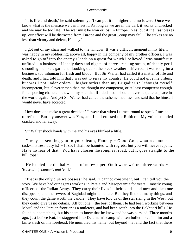'It is life and death,' he said solemnly. 'I can put it no higher and no lower. Once we know what is the menace we can meet it. As long as we are in the dark it works unchecked and we may be too late. The war must be won or lost in Europe. Yes; but if the East blazes up, our effort will be distracted from Europe and the great \_coup may fail. The stakes are no less than victory and defeat, Hannay.'

 I got out of my chair and walked to the window. It was a difficult moment in my life. I was happy in my soldiering; above all, happy in the company of my brother officers. I was asked to go off into the enemy's lands on a quest for which I believed I was manifestly unfitted − a business of lonely days and nights, of nerve− racking strain, of deadly peril shrouding me like a garment. Looking out on the bleak weather I shivered. It was too grim a business, too inhuman for flesh and blood. But Sir Walter had called it a matter of life and death, and I had told him that I was out to serve my country. He could not give me orders, but was I not under orders – higher orders than my Brigadier's? I thought myself incompetent, but cleverer men than me thought me competent, or at least competent enough for a sporting chance. I knew in my soul that if I declined I should never be quite at peace in the world again. And yet Sir Walter had called the scheme madness, and said that he himself would never have accepted.

 How does one make a great decision? I swear that when I turned round to speak I meant to refuse. But my answer was Yes, and I had crossed the Rubicon. My voice sounded cracked and far away.

Sir Walter shook hands with me and his eyes blinked a little.

 'I may be sending you to your death, Hannay − Good God, what a damned task−mistress duty is! − If so, I shall be haunted with regrets, but you will never repent. Have no fear of that. You have chosen the roughest road, but it goes straight to the hill−tops.'

He handed me the half–sheet of note–paper. On it were written three words – '*Kasredin', 'cancer', and 'v.* I.'

 'That is the only clue we possess,' he said. 'I cannot construe it, but I can tell you the story. We have had our agents working in Persia and Mesopotamia for years − mostly young officers of the Indian Army. They carry their lives in their hands, and now and then one disappears, and the sewers of Baghdad might tell a tale. But they find out many things, and they count the game worth the candle. They have told us of the star rising in the West, but they could give us no details. All but one − the best of them. He had been working between Mosul and the Persian frontier as a muleteer, and had been south into the Bakhtiari hills. He found out something, but his enemies knew that he knew and he was pursued. Three months ago, just before Kut, he staggered into Delamain's camp with ten bullet holes in him and a knife slash on his forehead. He mumbled his name, but beyond that and the fact that there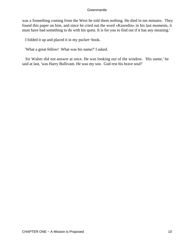was a Something coming from the West he told them nothing. He died in ten minutes. They found this paper on him, and since he cried out the word «Kasredin» in his last moments, it must have had something to do with his quest. It is for you to find out if it has any meaning.'

I folded it up and placed it in my pocket−book.

'What a great fellow! What was his name?' I asked.

 Sir Walter did not answer at once. He was looking out of the window. 'His name,' he said at last, 'was Harry Bullivant. He was my son. God rest his brave soul!'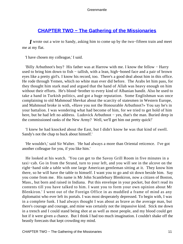## **[CHAPTER TWO − The Gathering of the Missionaries](#page-207-0)**

*I* wrote out a wire to Sandy, asking him to come up by the two–fifteen train and meet me at my flat.

'I have chosen my colleague,' I said.

 'Billy Arbuthnot's boy? His father was at Harrow with me. I know the fellow − Harry used to bring him down to fish − tallish, with a lean, high−boned face and a pair of brown eyes like a pretty girl's. I know his record, too. There's a good deal about him in this office. He rode through Yemen, which no white man ever did before. The Arabs let him pass, for they thought him stark mad and argued that the hand of Allah was heavy enough on him without their efforts. He's blood−brother to every kind of Albanian bandit. Also he used to take a hand in Turkish politics, and got a huge reputation. Some Englishman was once complaining to old Mahmoud Shevkat about the scarcity of statesmen in Western Europe, and Mahmoud broke in with, «Have you not the Honourable Arbuthnot?» You say he's in your battalion. I was wondering what had become of him, for we tried to get hold of him here, but he had left no address. Ludovick Arbuthnot – yes, that's the man. Buried deep in the commissioned ranks of the New Army? Well, we'll get him out pretty quick!'

 'I knew he had knocked about the East, but I didn't know he was that kind of swell. Sandy's not the chap to buck about himself.'

 'He wouldn't,' said Sir Walter. 'He had always a more than Oriental reticence. I've got another colleague for you, if you like him.'

 He looked at his watch. 'You can get to the Savoy Grill Room in five minutes in a taxi−cab. Go in from the Strand, turn to your left, and you will see in the alcove on the right−hand side a table with one large American gentleman sitting at it. They know him there, so he will have the table to himself. I want you to go and sit down beside him. Say you come from me. His name is Mr John Scantlebury Blenkiron, now a citizen of Boston, Mass., but born and raised in Indiana. Put this envelope in your pocket, but don't read its contents till you have talked to him. I want you to form your own opinion about Mr Blenkiron.' I went out of the Foreign Office in as muddled a frame of mind as any diplomatist who ever left its portals. I was most desperately depressed. To begin with, I was in a complete funk. I had always thought I was about as brave as the average man, but there's courage and courage, and mine was certainly not the impassive kind. Stick me down in a trench and I could stand being shot at as well as most people, and my blood could get hot if it were given a chance. But I think I had too much imagination. I couldn't shake off the beastly forecasts that kept crowding my mind.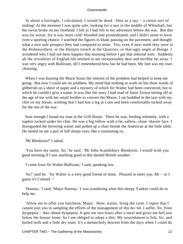In about a fortnight, I calculated, I would be dead. Shot as a spy − a rotten sort of ending! At the moment I was quite safe, looking for a taxi in the middle of Whitehall, but the sweat broke on my forehead. I felt as I had felt in my adventure before the war. But this was far worse, for it was more cold−blooded and premeditated, and I didn't seem to have even a sporting chance. I watched the figures in khaki passing on the pavement, and thought what a nice safe prospect they had compared to mine. Yes, even if next week they were in the Hohenzollern, or the Hairpin trench at the Quarries, or that ugly angle at Hooge. I wondered why I had not been happier that morning before I got that infernal wire. Suddenly all the trivialities of English life seemed to me inexpressibly dear and terribly far away. I was very angry with Bullivant, till I remembered how fair he had been. My fate was my own choosing.

 When I was hunting the Black Stone the interest of the problem had helped to keep me going. But now I could see no problem. My mind had nothing to work on but three words of gibberish on a sheet of paper and a mystery of which Sir Walter had been convinced, but to which he couldn't give a name. It was like the story I had read of Saint Teresa setting off at the age of ten with her small brother to convert the Moors. I sat huddled in the taxi with my chin on my breast, wishing that I had lost a leg at Loos and been comfortably tucked away for the rest of the war.

 Sure enough I found my man in the Grill Room. There he was, feeding solemnly, with a napkin tucked under his chin. He was a big fellow with a fat, sallow, clean−shaven face. I disregarded the hovering waiter and pulled up a chair beside the American at the little table. He turned on me a pair of full sleepy eyes, like a ruminating ox.

'Mr Blenkiron?' I asked.

 'You have my name, Sir,' he said. 'Mr John Scantlebury Blenkiron. I would wish you good morning if I saw anything good in this darned British weather.'

'I come from Sir Walter Bullivant,' I said, speaking low.

 'So?' said he. 'Sir Walter is a very good friend of mine. Pleased to meet you, Mr − or I guess it's Colonel −'

 'Hannay,' I said; 'Major Hannay.' I was wondering what this sleepy Yankee could do to help me.

 'Allow me to offer you luncheon, Major. Here, waiter, bring the carte. I regret that I cannot join you in sampling the efforts of the management of this ho−tel. I suffer, Sir, from dyspepsia − duo−denal dyspepsia. It gets me two hours after a meal and gives me hell just below the breast−bone. So I am obliged to adopt a diet. My nourishment is fish, Sir, and boiled milk and a little dry toast. It's a melancholy descent from the days when I could do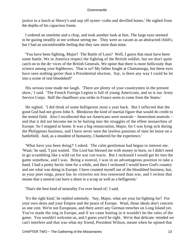justice to a lunch at Sherry's and sup off oyster−crabs and devilled bones.' He sighed from the depths of his capacious frame.

 I ordered an omelette and a chop, and took another look at him. The large eyes seemed to be gazing steadily at me without seeing me. They were as vacant as an abstracted child's; but I had an uncomfortable feeling that they saw more than mine.

 'You have been fighting, Major? The Battle of Loos? Well, I guess that must have been some battle. We in America respect the fighting of the British soldier, but we don't quite catch on to the de−vices of the British Generals. We opine that there is more bellicosity than science among your highbrows. That is so? My father fought at Chattanooga, but these eyes have seen nothing gorier than a Presidential election. Say, is there any way I could be let into a scene of real bloodshed?'

 His serious tone made me laugh. 'There are plenty of your countrymen in the present show,' I said. 'The French Foreign Legion is full of young Americans, and so is our Army Service Corps. Half the chauffeurs you strike in France seem to come from the States.'

 He sighed. 'I did think of some belligerent stunt a year back. But I reflected that the good God had not given John S. Blenkiron the kind of martial figure that would do credit to the tented field. Also I recollected that we Americans were nootrals – benevolent nootrals – and that it did not become me to be butting into the struggles of the effete monarchies of Europe. So I stopped at home. It was a big renunciation, Major, for I was lying sick during the Philippines business, and I have never seen the lawless passions of men let loose on a battlefield. And, as a stoodent of humanity, I hankered for the experience.'

 'What have you been doing?' I asked. The calm gentleman had begun to interest me. 'Waal,' he said, 'I just waited. The Lord has blessed me with money to burn, so I didn't need to go scrambling like a wild cat for war con tracts. But I reckoned I would get let into the game somehow, and I was. Being a nootral, I was in an advantageous position to take a hand. I had a pretty hectic time for a while, and then I reckoned I would leave God's country and see what was doing in Europe. I have counted myself out of the bloodshed business, but, as your poet sings, peace has its victories not less renowned than war, and I reckon that means that a nootral can have a share in a scrap as well as a belligerent.'

'That's the best kind of neutrality I've ever heard of,' I said.

 'It's the right kind,' he replied solemnly. 'Say, Major, what are your lot fighting for? For your own skins and your Empire and the peace of Europe. Waal, those ideals don't concern us one cent. We're not Europeans, and there aren't any German trenches on Long Island yet. You've made the ring in Europe, and if we came butting in it wouldn't be the rules of the game. You wouldn't welcome us, and I guess you'd be right. We're that delicate−minded we can't interfere and that was what my friend, President Wilson, meant when he opined that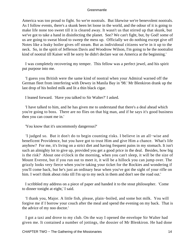America was too proud to fight. So we're nootrals. But likewise we're benevolent nootrals. As I follow events, there's a skunk been let loose in the world, and the odour of it is going to make life none too sweet till it is cleared away. It wasn't us that stirred up that skunk, but we've got to take a hand in disinfecting the planet. See? We can't fight, but, by God! some of us are going to sweat blood to sweep the mess up. Officially we do nothing except give off Notes like a leaky boiler gives off steam. But as individooal citizens we're in it up to the neck. So, in the spirit of Jefferson Davis and Woodrow Wilson, I'm going to be the nootralist kind of nootral till Kaiser will be sorry he didn't declare war on America at the beginning.'

 I was completely recovering my temper. This fellow was a perfect jewel, and his spirit put purpose into me.

 'I guess you British were the same kind of nootral when your Admiral warned off the German fleet from interfering with Dewey in Manila Bay in '98.' Mr Blenkiron drank up the last drop of his boiled milk and lit a thin black cigar.

I leaned forward. 'Have you talked to Sir Walter?' I asked.

 'I have talked to him, and he has given me to understand that there's a deal ahead which you're going to boss. There are no flies on that big man, and if he says it's good business then you can count me in.'

'You know that it's uncommonly dangerous?'

 'I judged so. But it don't do to begin counting risks. I believe in an all−wise and beneficent Providence, but you have got to trust Him and give Him a chance. What's life anyhow? For me, it's living on a strict diet and having frequent pains in my stomach. It isn't such an almighty lot to give up, provided you get a good price in the deal. Besides, how big is the risk? About one o'clock in the morning, when you can't sleep, it will be the size of Mount Everest, but if you run out to meet it, it will be a hillock you can jump over. The grizzly looks very fierce when you're taking your ticket for the Rockies and wondering if you'll come back, but he's just an ordinary bear when you've got the sight of your rifle on him. I won't think about risks till I'm up to my neck in them and don't see the road out.'

 I scribbled my address on a piece of paper and handed it to the stout philosopher. 'Come to dinner tonight at eight,' I said.

 'I thank you, Major. A little fish, please, plain−boiled, and some hot milk. You will forgive me if I borrow your couch after the meal and spend the evening on my back. That is the advice of my noo doctor.'

 I got a taxi and drove to my club. On the way I opened the envelope Sir Walter had given me. It contained a number of jottings, the dossier of Mr Blenkiron. He had done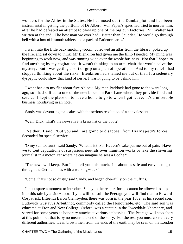wonders for the Allies in the States. He had nosed out the Dumba plot, and had been instrumental in getting the portfolio of Dr Albert. Von Papen's spies had tried to murder him, after he had defeated an attempt to blow up one of the big gun factories. Sir Walter had written at the end: 'The best man we ever had. Better than Scudder. He would go through hell with a box of bismuth tablets and a pack of Patience cards.'

 I went into the little back smoking−room, borrowed an atlas from the library, poked up the fire, and sat down to think. Mr Blenkiron had given me the fillip I needed. My mind was beginning to work now, and was running wide over the whole business. Not that I hoped to find anything by my cogitations. It wasn't thinking in an arm−chair that would solve the mystery. But I was getting a sort of grip on a plan of operations. And to my relief I had stopped thinking about the risks. Blenkiron had shamed me out of that. If a sedentary dyspeptic could show that kind of nerve, I wasn't going to be behind him.

 I went back to my flat about five o'clock. My man Paddock had gone to the wars long ago, so I had shifted to one of the new blocks in Park Lane where they provide food and service. I kept the place on to have a home to go to when I got leave. It's a miserable business holidaying in an hotel.

Sandy was devouring tea−cakes with the serious resolution of a convalescent.

'Well, Dick, what's the news? Is it a brass hat or the boot?'

 'Neither,' I said. 'But you and I are going to disappear from His Majesty's forces. Seconded for special service.'

 'O my sainted aunt!' said Sandy. 'What is it? For Heaven's sake put me out of pain. Have we to tout deputations of suspicious neutrals over munition works or take the shivering journalist in a motor−car where he can imagine he sees a Boche?'

 'The news will keep. But I can tell you this much. It's about as safe and easy as to go through the German lines with a walking−stick.'

'Come, that's not so dusty,' said Sandy, and began cheerfully on the muffins.

 I must spare a moment to introduce Sandy to the reader, for he cannot be allowed to slip into this tale by a side−door. If you will consult the Peerage you will find that to Edward Cospatrick, fifteenth Baron Clanroyden, there was born in the year 1882, as his second son, Ludovick Gustavus Arbuthnot, commonly called the Honourable, etc. The said son was educated at Eton and New College, Oxford, was a captain in the Tweeddale Yeomanry, and served for some years as honorary attache at various embassies. The Peerage will stop short at this point, but that is by no means the end of the story. For the rest you must consult very different authorities. Lean brown men from the ends of the earth may be seen on the London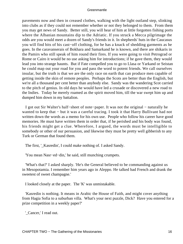pavements now and then in creased clothes, walking with the light outland step, slinking into clubs as if they could not remember whether or not they belonged to them. From them you may get news of Sandy. Better still, you will hear of him at little forgotten fishing ports where the Albanian mountains dip to the Adriatic. If you struck a Mecca pilgrimage the odds are you would meet a dozen of Sandy's friends in it. In shepherds' huts in the Caucasus you will find bits of his cast−off clothing, for he has a knack of shedding garments as he goes. In the caravanserais of Bokhara and Samarkand he is known, and there are shikaris in the Pamirs who still speak of him round their fires. If you were going to visit Petrograd or Rome or Cairo it would be no use asking him for introductions; if he gave them, they would lead you into strange haunts. But if Fate compelled you to go to Llasa or Yarkand or Seistan he could map out your road for you and pass the word to potent friends. We call ourselves insular, but the truth is that we are the only race on earth that can produce men capable of getting inside the skin of remote peoples. Perhaps the Scots are better than the English, but we're all a thousand per cent better than anybody else. Sandy was the wandering Scot carried to the pitch of genius. In old days he would have led a crusade or discovered a new road to the Indies. Today he merely roamed as the spirit moved him, till the war swept him up and dumped him down in my battalion.

 I got out Sir Walter's half−sheet of note−paper. It was not the original − naturally he wanted to keep that − but it was a careful tracing. I took it that Harry Bullivant had not written down the words as a memo for his own use. People who follow his career have good memories. He must have written them in order that, if he perished and his body was found, his friends might get a clue. Wherefore, I argued, the words must be intelligible to somebody or other of our persuasion, and likewise they must be pretty well gibberish to any Turk or German that found them.

The first, '\_Kasredin', I could make nothing of. I asked Sandy.

'You mean Nasr−ed−din,' he said, still munching crumpets.

 'What's that?' I asked sharply. 'He's the General believed to be commanding against us in Mesopotamia. I remember him years ago in Aleppo. He talked bad French and drank the sweetest of sweet champagne.'

I looked closely at the paper. The 'K' was unmistakable.

 'Kasredin is nothing. It means in Arabic the House of Faith, and might cover anything from Hagia Sofia to a suburban villa. What's your next puzzle, Dick? Have you entered for a prize competition in a weekly paper?'

'\_Cancer,' I read out.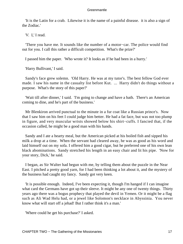'It is the Latin for a crab. Likewise it is the name of a painful disease. it is also a sign of the Zodiac.'

'*V.* I,' I read.

 'There you have me. It sounds like the number of a motor−car. The police would find out for you. I call this rather a difficult competition. What's the prize?'

I passed him the paper. 'Who wrote it? It looks as if he had been in a hurry.'

'Harry Bullivant,' I said.

 Sandy's face grew solemn. 'Old Harry. He was at my tutor's. The best fellow God ever made. I saw his name in the casualty list before Kut. ... Harry didn't do things without a purpose. What's the story of this paper?'

 'Wait till after dinner,' I said. 'I'm going to change and have a bath. There's an American coming to dine, and he's part of the business.'

 Mr Blenkiron arrived punctual to the minute in a fur coat like a Russian prince's. Now that I saw him on his feet I could judge him better. He had a fat face, but was not too plump in figure, and very muscular wrists showed below his shirt−cuffs. I fancied that, if the occasion called, he might be a good man with his hands.

 Sandy and I ate a hearty meal, but the American picked at his boiled fish and sipped his milk a drop at a time. When the servant had cleared away, he was as good as his word and laid himself out on my sofa. I offered him a good cigar, but he preferred one of his own lean black abominations. Sandy stretched his length in an easy chair and lit his pipe. 'Now for your story, Dick,' he said.

 I began, as Sir Walter had begun with me, by telling them about the puzzle in the Near East. I pitched a pretty good yarn, for I had been thinking a lot about it, and the mystery of the business had caught my fancy. Sandy got very keen.

 'It is possible enough. Indeed, I've been expecting it, though I'm hanged if I can imagine what card the Germans have got up their sleeve. It might be any one of twenty things. Thirty years ago there was a bogus prophecy that played the devil in Yemen. Or it might be a flag such as Ali Wad Helu had, or a jewel like Solomon's necklace in Abyssinia. You never know what will start off a jehad! But I rather think it's a man.'

'Where could he get his purchase?' I asked.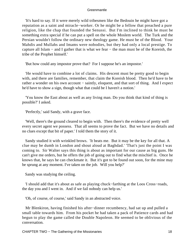'It's hard to say. If it were merely wild tribesmen like the Bedouin he might have got a reputation as a saint and miracle−worker. Or he might be a fellow that preached a pure religion, like the chap that founded the Senussi. But I'm inclined to think he must be something extra special if he can put a spell on the whole Moslem world. The Turk and the Persian wouldn't follow the ordinary new theology game. He must be of the Blood. Your Mahdis and Mullahs and Imams were nobodies, but they had only a local prestige. To capture all Islam − and I gather that is what we fear − the man must be of the Koreish, the tribe of the Prophet himself.'

'But how could any impostor prove that? For I suppose he's an impostor.'

 'He would have to combine a lot of claims. His descent must be pretty good to begin with, and there are families, remember, that claim the Koreish blood. Then he'd have to be rather a wonder on his own account – saintly, eloquent, and that sort of thing. And I expect he'd have to show a sign, though what that could be I haven't a notion.'

 'You know the East about as well as any living man. Do you think that kind of thing is possible?' I asked.

'Perfectly,' said Sandy, with a grave face.

 'Well, there's the ground cleared to begin with. Then there's the evidence of pretty well every secret agent we possess. That all seems to prove the fact. But we have no details and no clues except that bit of paper.' I told them the story of it.

 Sandy studied it with wrinkled brows. 'It beats me. But it may be the key for all that. A clue may be dumb in London and shout aloud at Baghdad.' 'That's just the point I was coming to. Sir Walter says this thing is about as important for our cause as big guns. He can't give me orders, but he offers the job of going out to find what the mischief is. Once he knows that, he says he can checkmate it. But it's got to be found out soon, for the mine may be sprung at any moment. I've taken on the job. Will you help?'

Sandy was studying the ceiling.

 'I should add that it's about as safe as playing chuck−farthing at the Loos Cross−roads, the day you and I went in. And if we fail nobody can help us.'

'Oh, of course, of course,' said Sandy in an abstracted voice.

 Mr Blenkiron, having finished his after−dinner recumbency, had sat up and pulled a small table towards him. From his pocket he had taken a pack of Patience cards and had begun to play the game called the Double Napoleon. He seemed to be oblivious of the conversation.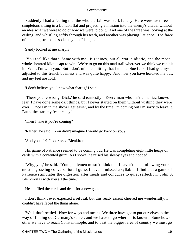Suddenly I had a feeling that the whole affair was stark lunacy. Here were we three simpletons sitting in a London flat and projecting a mission into the enemy's citadel without an idea what we were to do or how we were to do it. And one of the three was looking at the ceiling, and whistling softly through his teeth, and another was playing Patience. The farce of the thing struck me so keenly that I laughed.

Sandy looked at me sharply.

 'You feel like that? Same with me. It's idiocy, but all war is idiotic, and the most whole−hearted idiot is apt to win. We're to go on this mad trail wherever we think we can hit it. Well, I'm with you. But I don't mind admitting that I'm in a blue funk. I had got myself adjusted to this trench business and was quite happy. And now you have hoicked me out, and my feet are cold.'

'I don't believe you know what fear is,' I said.

 'There you're wrong, Dick,' he said earnestly. 'Every man who isn't a maniac knows fear. I have done some daft things, but I never started on them without wishing they were over. Once I'm in the show I get easier, and by the time I'm coming out I'm sorry to leave it. But at the start my feet are icy.'

'Then I take it you're coming?'

'Rather,' he said. 'You didn't imagine I would go back on you?'

'And you, sir?' I addressed Blenkiron.

 His game of Patience seemed to be coming out. He was completing eight little heaps of cards with a contented grunt. As I spoke, he raised his sleepy eyes and nodded.

 'Why, yes,' he said. 'You gentlemen mustn't think that I haven't been following your most engrossing conversation. I guess I haven't missed a syllable. I find that a game of Patience stimulates the digestion after meals and conduces to quiet reflection. John S. Blenkiron is with you all the time.'

He shuffled the cards and dealt for a new game.

 I don't think I ever expected a refusal, but this ready assent cheered me wonderfully. I couldn't have faced the thing alone.

 'Well, that's settled. Now for ways and means. We three have got to put ourselves in the way of finding out Germany's secret, and we have to go where it is known. Somehow or other we have to reach Constantinople, and to beat the biggest area of country we must go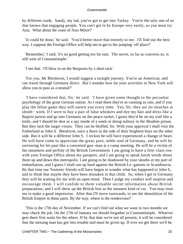by different roads. Sandy, my lad, you've got to get into Turkey. You're the only one of us that knows that engaging people. You can't get in by Europe very easily, so you must try Asia. What about the coast of Asia Minor?'

 'It could be done,' he said. 'You'd better leave that entirely to me. I'll find out the best way. I suppose the Foreign Office will help me to get to the jumping−off place?'

 'Remember,' I said, 'it's no good getting too far east. The secret, so far as concerns us, is still west of Constantinople.'

'I see that. I'll blow in on the Bosporus by a short tack.'

 'For you, Mr Blenkiron, I would suggest a straight journey. You're an American, and can travel through Germany direct. But I wonder how far your activities in New York will allow you to pass as a neutral?'

 'I have considered that, Sir,' he said. 'I have given some thought to the pecooliar psychology of the great German nation. As I read them they're as cunning as cats, and if you play the feline game they will outwit you every time. Yes, Sir, they are no slouches at sleuth− work. If I were to buy a pair of false whiskers and dye my hair and dress like a Baptist parson and go into Germany on the peace racket, I guess they'd be on my trail like a knife, and I should be shot as a spy inside of a week or doing solitary in the Moabite prison. But they lack the larger vision. They can be bluffed, Sir. With your approval I shall visit the Fatherland as John S. Blenkiron, once a thorn in the side of their brightest boys on the other side. But it will be a different John S. I reckon he will have experienced a change of heart. He will have come to appreciate the great, pure, noble soul of Germany, and he will be sorrowing for his past like a converted gun−man at a camp meeting. He will be a victim of the meanness and perfidy of the British Government. I am going to have a first−class row with your Foreign Office about my passport, and I am going to speak harsh words about them up and down this metropolis. I am going to be shadowed by your sleuths at my port of embarkation, and I guess I shall run up hard against the British Le−gations in Scandinavia. By that time our Teutonic friends will have begun to wonder what has happened to John S., and to think that maybe they have been mistaken in that child. So, when I get to Germany they will be waiting for me with an open mind. Then I judge my conduct will surprise and encourage them. I will confide to them valuable secret information about British preparations, and I will show up the British lion as the meanest kind of cur. You may trust me to make a good impression. After that I'll move eastwards, to see the demolition of the British Empire in those parts. By the way, where is the rendezvous?'

 'This is the 17th day of November. If we can't find out what we want in two months we may chuck the job. On the 17th of January we should forgather in Constantinople. Whoever gets there first waits for the others. If by that date we're not all present, it will be considered that the missing man has got into trouble and must be given up. If ever we get there we'll be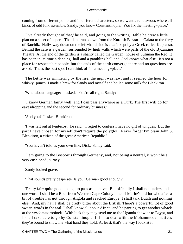coming from different points and in different characters, so we want a rendezvous where all kinds of odd folk assemble. Sandy, you know Constantinople. You fix the meeting−place.'

 'I've already thought of that,' he said, and going to the writing− table he drew a little plan on a sheet of paper. 'That lane runs down from the Kurdish Bazaar in Galata to the ferry of Ratchik. Half− way down on the left−hand side is a cafe kept by a Greek called Kuprasso. Behind the cafe is a garden, surrounded by high walls which were parts of the old Byzantine Theatre. At the end of the garden is a shanty called the Garden−house of Suliman the Red. It has been in its time a dancing−hall and a gambling hell and God knows what else. It's not a place for respectable people, but the ends of the earth converge there and no questions are asked. That's the best spot I can think of for a meeting−place.'

 The kettle was simmering by the fire, the night was raw, and it seemed the hour for whisky−punch. I made a brew for Sandy and myself and boiled some milk for Blenkiron.

'What about language?' I asked. 'You're all right, Sandy?'

 'I know German fairly well; and I can pass anywhere as a Turk. The first will do for eavesdropping and the second for ordinary business.'

'And you?' I asked Blenkiron.

 'I was left out at Pentecost,' he said. 'I regret to confess I have no gift of tongues. But the part I have chosen for myself don't require the polyglot. Never forget I'm plain John S. Blenkiron, a citizen of the great American Republic.'

'You haven't told us your own line, Dick,' Sandy said.

 'I am going to the Bosporus through Germany, and, not being a neutral, it won't be a very cushioned journey.'

Sandy looked grave.

'That sounds pretty desperate. Is your German good enough?'

 'Pretty fair; quite good enough to pass as a native. But officially I shall not understand one word. I shall be a Boer from Western Cape Colony: one of Maritz's old lot who after a bit of trouble has got through Angola and reached Europe. I shall talk Dutch and nothing else. And, my hat! I shall be pretty bitter about the British. There's a powerful lot of good swear−words in the taal. I shall know all about Africa, and be panting to get another whack at the *verdommt* rooinek. With luck they may send me to the Uganda show or to Egypt, and I shall take care to go by Constantinople. If I'm to deal with the Mohammedan natives they're bound to show me what hand they hold. At least, that's the way I look at it.'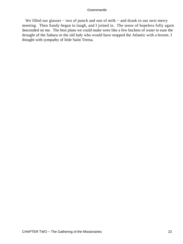We filled our glasses – two of punch and one of milk – and drank to our next merry meeting. Then Sandy began to laugh, and I joined in. The sense of hopeless folly again descended on me. The best plans we could make were like a few buckets of water to ease the drought of the Sahara or the old lady who would have stopped the Atlantic with a broom. I thought with sympathy of little Saint Teresa.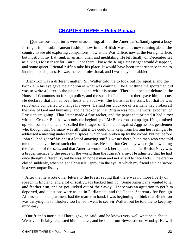### **[CHAPTER THREE − Peter Pienaar](#page-207-0)**

*O*ur various departures were unassuming, all but the American's. Sandy spent a busy fortnight in his subterranean fashion, now in the British Museum, now running about the country to see old exploring companions, now at the War Office, now at the Foreign Office, but mostly in my flat, sunk in an arm−chair and meditating. He left finally on December 1st as a King's Messenger for Cairo. Once there I knew the King's Messenger would disappear, and some queer Oriental ruffian take his place. It would have been impertinence in me to inquire into his plans. He was the real professional, and I was only the dabbler.

 Blenkiron was a different matter. Sir Walter told me to look out for squalls, and the twinkle in his eye gave me a notion of what was coming. The first thing the sportsman did was to write a letter to the papers signed with his name. There had been a debate in the House of Commons on foreign policy, and the speech of some idiot there gave him his cue. He declared that he had been heart and soul with the British at the start, but that he was reluctantly compelled to change his views. He said our blockade of Germany had broken all the laws of God and humanity, and he reckoned that Britain was now the worst exponent of Prussianism going. That letter made a fine racket, and the paper that printed it had a row with the Censor. But that was only the beginning of Mr Blenkiron's campaign. He got mixed up with some mountebanks called the League of Democrats against Aggression, gentlemen who thought that Germany was all right if we could only keep from hurting her feelings. He addressed a meeting under their auspices, which was broken up by the crowd, but not before John S. had got off his chest a lot of amazing stuff. I wasn't there, but a man who was told me that he never heard such clotted nonsense. He said that Germany was right in wanting the freedom of the seas, and that America would back her up, and that the British Navy was a bigger menace to the peace of the world than the Kaiser's army. He admitted that he had once thought differently, but he was an honest man and not afraid to face facts. The oration closed suddenly, when he got a brussels− sprout in the eye, at which my friend said he swore in a very unpacifist style.

 After that he wrote other letters to the Press, saying that there was no more liberty of speech in England, and a lot of scallywags backed him up. Some Americans wanted to tar and feather him, and he got kicked out of the Savoy. There was an agitation to get him deported, and questions were asked in Parliament, and the Under−Secretary for Foreign Affairs said his department had the matter in hand. I was beginning to think that Blenkiron was carrying his tomfoolery too far, so I went to see Sir Walter, but he told me to keep my mind easy.

 'Our friend's motto is «Thorough»,' he said, 'and he knows very well what he is about. We have officially requested him to leave, and he sails from Newcastle on Monday. He will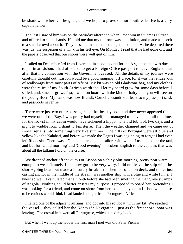be shadowed wherever he goes, and we hope to provoke more outbreaks. He is a very capable fellow.'

 The last I saw of him was on the Saturday afternoon when I met him in St james's Street and offered to shake hands. He told me that my uniform was a pollution, and made a speech to a small crowd about it. They hissed him and he had to get into a taxi. As he departed there was just the suspicion of a wink in his left eye. On Monday I read that he had gone off, and the papers observed that our shores were well quit of him.

 I sailed on December 3rd from Liverpool in a boat bound for the Argentine that was due to put in at Lisbon. I had of course to get a Foreign Office passport to leave England, but after that my connection with the Government ceased. All the details of my journey were carefully thought out. Lisbon would be a good jumping−off place, for it was the rendezvous of scallywags from most parts of Africa. My kit was an old Gladstone bag, and my clothes were the relics of my South African wardrobe. I let my beard grow for some days before I sailed, and, since it grows fast, I went on board with the kind of hairy chin you will see on the young Boer. My name was now Brandt, Cornelis Brandt − at least so my passport said, and passports never lie.

 There were just two other passengers on that beastly boat, and they never appeared till we were out of the Bay. I was pretty bad myself, but managed to move about all the time, for the frowst in my cabin would have sickened a hippo. The old tub took two days and a night to waddle from Ushant to Finisterre. Then the weather changed and we came out of snow−squalls into something very like summer. The hills of Portugal were all blue and yellow like the Kalahari, and before we made the Tagus I was beginning to forget I had ever left Rhodesia. There was a Dutchman among the sailors with whom I used to patter the taal, and but for 'Good morning' and 'Good evening' in broken English to the captain, that was about all the talking I did on the cruise.

We dropped anchor off the quays of Lisbon on a shiny blue morning, pretty near warm enough to wear flannels. I had now got to be very wary. I did not leave the ship with the shore−going boat, but made a leisurely breakfast. Then I strolled on deck, and there, just casting anchor in the middle of the stream, was another ship with a blue and white funnel I knew so well. I calculated that a month before she had been smelling the mangrove swamps of Angola. Nothing could better answer my purpose. I proposed to board her, pretending I was looking for a friend, and come on shore from her, so that anyone in Lisbon who chose to be curious would think I had landed straight from Portuguese Africa.

 I hailed one of the adjacent ruffians, and got into his rowboat, with my kit. We reached the vessel − they called her the *Henry the* Navigator − just as the first shore−boat was leaving. The crowd in it were all Portuguese, which suited my book.

But when I went up the ladder the first man I met was old Peter Pienaar.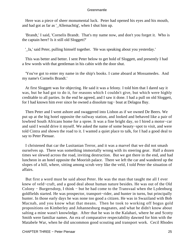Here was a piece of sheer monumental luck. Peter had opened his eyes and his mouth, and had got as far as '\_Allemachtig', when I shut him up.

 'Brandt,' I said, 'Cornelis Brandt. That's my name now, and don't you forget it. Who is the captain here? Is it still old Sloggett?'

'\_Ja,' said Peter, pulling himself together. 'He was speaking about you yesterday.'

 This was better and better. I sent Peter below to get hold of Sloggett, and presently I had a few words with that gentleman in his cabin with the door shut.

 'You've got to enter my name in the ship's books. I came aboard at Mossamedes. And my name's Cornelis Brandt.'

 At first Sloggett was for objecting. He said it was a felony. I told him that I dared say it was, but he had got to do it, for reasons which I couldn't give, but which were highly creditable to all parties. In the end he agreed, and I saw it done. I had a pull on old Sloggett, for I had known him ever since he owned a dissolute tug− boat at Delagoa Bay.

 Then Peter and I went ashore and swaggered into Lisbon as if we owned De Beers. We put up at the big hotel opposite the railway station, and looked and behaved like a pair of lowbred South Africans home for a spree. It was a fine bright day, so I hired a motor−car and said I would drive it myself. We asked the name of some beauty−spot to visit, and were told Cintra and shown the road to it. I wanted a quiet place to talk, for I had a good deal to say to Peter Pienaar.

 I christened that car the Lusitanian Terror, and it was a marvel that we did not smash ourselves up. There was something immortally wrong with its steering gear. Half a dozen times we slewed across the road, inviting destruction. But we got there in the end, and had luncheon in an hotel opposite the Moorish palace. There we left the car and wandered up the slopes of a hill, where, sitting among scrub very like the veld, I told Peter the situation of affairs.

 But first a word must be said about Peter. He was the man that taught me all I ever knew of veld−craft, and a good deal about human nature besides. He was out of the Old Colony − Burgersdorp, I think − but he had come to the Transvaal when the Lydenburg goldfields started. He was prospector, transport−rider, and hunter in turns, but principally hunter. In those early days he was none too good a citizen. He was in Swaziland with Bob Macnab, and you know what that means. Then he took to working off bogus gold propositions on Kimberley and Johannesburg magnates, and what he didn't know about salting a mine wasn't knowledge. After that he was in the Kalahari, where he and Scotty Smith were familiar names. An era of comparative respectability dawned for him with the Matabele War, when he did uncommon good scouting and transport work. Cecil Rhodes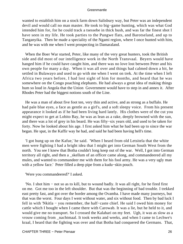wanted to establish him on a stock farm down Salisbury way, but Peter was an independent devil and would call no man master. He took to big−game hunting, which was what God intended him for, for he could track a tsessebe in thick bush, and was far the finest shot I have seen in my life. He took parties to the Pungwe flats, and Barotseland, and up to Tanganyika. Then he made a speciality of the Ngami region, where I once hunted with him, and he was with me when I went prospecting in Damaraland.

 When the Boer War started, Peter, like many of the very great hunters, took the British side and did most of our intelligence work in the North Transvaal. Beyers would have hanged him if he could have caught him, and there was no love lost between Peter and his own people for many a day. When it was all over and things had calmed down a bit, he settled in Bulawayo and used to go with me when I went on trek. At the time when I left Africa two years before, I had lost sight of him for months, and heard that he was somewhere on the Congo poaching elephants. He had always a great idea of making things hum so loud in Angola that the Union Government would have to step in and annex it. After Rhodes Peter had the biggest notions south of the Line.

 He was a man of about five foot ten, very thin and active, and as strong as a buffalo. He had pale blue eyes, a face as gentle as a girl's, and a soft sleepy voice. From his present appearance it looked as if he had been living hard lately. His clothes were of the cut you might expect to get at Lobito Bay, he was as lean as a rake, deeply browned with the sun, and there was a lot of grey in his beard. He was fifty−six years old, and used to be taken for forty. Now he looked about his age. I first asked him what he had been up to since the war began. He spat, in the Kaffir way he had, and said he had been having hell's time.

 'I got hung up on the Kafue,' he said. 'When I heard from old Letsitela that the white men were fighting I had a bright idea that I might get into German South West from the north. You see I knew that Botha couldn't long keep out of the war. Well, I got into German territory all right, and then a \_skellum of an officer came along, and commandeered all my mules, and wanted to commandeer me with them for his fool army. He was a very ugly man with a yellow face.' Peter filled a deep pipe from a kudu−skin pouch.

'Were you commandeered?' I asked.

 'No. I shot him − not so as to kill, but to wound badly. It was all right, for he fired first on me. Got me too in the left shoulder. But that was the beginning of bad trouble. I trekked east pretty fast, and got over the border among the Ovamba. I have made many journeys, but that was the worst. Four days I went without water, and six without food. Then by bad luck I fell in with 'Nkitla − you remember, the half−caste chief. He said I owed him money for cattle which I bought when I came there with Carowab. It was a lie, but he held to it, and would give me no transport. So I crossed the Kalahari on my feet. Ugh, it was as slow as a vrouw coming from \_nachtmaal. It took weeks and weeks, and when I came to Lechwe's kraal, I heard that the fighting was over and that Botha had conquered the Germans. That,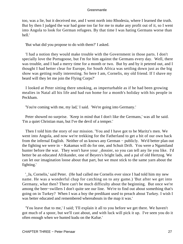too, was a lie, but it deceived me, and I went north into Rhodesia, where I learned the truth. But by then I judged the war had gone too far for me to make any profit out of it, so I went into Angola to look for German refugees. By that time I was hating Germans worse than hell.'

'But what did you propose to do with them?' I asked.

 'I had a notion they would make trouble with the Government in those parts. I don't specially love the Portugoose, but I'm for him against the Germans every day. Well, there was trouble, and I had a merry time for a month or two. But by and by it petered out, and I thought I had better clear for Europe, for South Africa was settling down just as the big show was getting really interesting. So here I am, Cornelis, my old friend. If I shave my beard will they let me join the Flying Corps?'

 I looked at Peter sitting there smoking, as imperturbable as if he had been growing mealies in Natal all his life and had run home for a month's holiday with his people in Peckham.

'You're coming with me, my lad,' I said. 'We're going into Germany.'

 Peter showed no surprise. 'Keep in mind that I don't like the Germans,' was all he said. 'I'm a quiet Christian man, but I've the devil of a temper.'

 Then I told him the story of our mission. 'You and I have got to be Maritz's men. We went into Angola, and now we're trekking for the Fatherland to get a bit of our own back from the infernal English. Neither of us knows any German − publicly. We'd better plan out the fighting we were in − Kakamas will do for one, and Schuit Drift. You were a Ngamiland hunter before the war. They won't have your \_dossier, so you can tell any lie you like. I'd better be an educated Afrikander, one of Beyers's bright lads, and a pal of old Hertzog. We can let our imagination loose about that part, but we must stick to the same yarn about the fighting.'

 '\_Ja, Cornelis,' said Peter. (He had called me Cornelis ever since I had told him my new name. He was a wonderful chap for catching on to any game.) 'But after we get into Germany, what then? There can't be much difficulty about the beginning. But once we're among the beer−swillers I don't quite see our line. We're to find out about something that's going on in Turkey? When I was a boy the predikant used to preach about Turkey. I wish I was better educated and remembered whereabouts in the map it was.'

 'You leave that to me,' I said; 'I'll explain it all to you before we get there. We haven't got much of a spoor, but we'll cast about, and with luck will pick it up. I've seen you do it often enough when we hunted kudu on the Kafue.'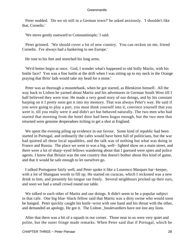Peter nodded. 'Do we sit still in a German town?' he asked anxiously. 'I shouldn't like that, Cornelis.'

'We move gently eastward to Constantinople,' I said.

 Peter grinned. 'We should cover a lot of new country. You can reckon on me, friend Cornelis. I've always had a hankering to see Europe.'

He rose to his feet and stretched his long arms.

 'We'd better begin at once. God, I wonder what's happened to old Solly Maritz, with his bottle face? Yon was a fine battle at the drift when I was sitting up to my neck in the Orange praying that Brits' lads would take my head for a stone.'

 Peter was as thorough a mountebank, when he got started, as Blenkiron himself. All the way back to Lisbon he yarned about Maritz and his adventures in German South West till I half believed they were true. He made a very good story of our doings, and by his constant harping on it I pretty soon got it into my memory. That was always Peter's way. He said if you were going to play a part, you must think yourself into it, convince yourself that you were it, till you really were it and didn't act but behaved naturally. The two men who had started that morning from the hotel door had been bogus enough, but the two men that returned were genuine desperadoes itching to get a shot at England.

 We spent the evening piling up evidence in our favour. Some kind of republic had been started in Portugal, and ordinarily the cafes would have been full of politicians, but the war had quieted all these local squabbles, and the talk was of nothing but what was doing in France and Russia. The place we went to was a big, well− lighted show on a main street, and there were a lot of sharp−eyed fellows wandering about that I guessed were spies and police agents. I knew that Britain was the one country that doesn't bother about this kind of game, and that it would be safe enough to let ourselves go.

 I talked Portuguese fairly well, and Peter spoke it like a Lourenco Marques bar−keeper, with a lot of Shangaan words to fill up. He started on curacao, which I reckoned was a new drink to him, and presently his tongue ran freely. Several neighbours pricked up their ears, and soon we had a small crowd round our table.

 We talked to each other of Maritz and our doings. It didn't seem to be a popular subject in that cafe. One big blue−black fellow said that Maritz was a dirty swine who would soon be hanged. Peter quickly caught his knife−wrist with one hand and his throat with the other, and demanded an apology. He got it. The Lisbon \_boulevardiers have not lost any lions.

 After that there was a bit of a squash in our corner. Those near to us were very quiet and polite, but the outer fringe made remarks. When Peter said that if Portugal, which he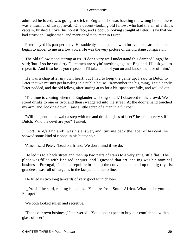admitted he loved, was going to stick to England she was backing the wrong horse, there was a murmur of disapproval. One decent−looking old fellow, who had the air of a ship's captain, flushed all over his honest face, and stood up looking straight at Peter. I saw that we had struck an Englishman, and mentioned it to Peter in Dutch.

 Peter played his part perfectly. He suddenly shut up, and, with furtive looks around him, began to jabber to me in a low voice. He was the very picture of the old stage conspirator.

 The old fellow stood staring at us. 'I don't very well understand this damned lingo,' he said; 'but if so be you dirty Dutchmen are sayin' anything against England, I'll ask you to repeat it. And if so be as you repeats it I'll take either of you on and knock the face off him.'

 He was a chap after my own heart, but I had to keep the game up. I said in Dutch to Peter that we mustn't get brawling in a public house. 'Remember the big thing,' I said darkly. Peter nodded, and the old fellow, after staring at us for a bit, spat scornfully, and walked out.

 'The time is coming when the Englander will sing small,' I observed to the crowd. We stood drinks to one or two, and then swaggered into the street. At the door a hand touched my arm, and, looking down, I saw a little scrap of a man in a fur coat.

 'Will the gentlemen walk a step with me and drink a glass of beer?' he said in very stiff Dutch. 'Who the devil are you?' I asked.

 '*Gott \_strafe* England!' was his answer, and, turning back the lapel of his coat, he showed some kind of ribbon in his buttonhole.

'Amen,' said Peter. 'Lead on, friend. We don't mind if we do.'

 He led us to a back street and then up two pairs of stairs to a very snug little flat. The place was filled with fine red lacquer, and I guessed that art−dealing was his nominal business. Portugal, since the republic broke up the convents and sold up the big royalist grandees, was full of bargains in the lacquer and curio line.

He filled us two long tankards of very good Munich beer.

 '\_Prosit,' he said, raising his glass. 'You are from South Africa. What make you in Europe?'

We both looked sullen and secretive.

 'That's our own business,' I answered. 'You don't expect to buy our confidence with a glass of beer.'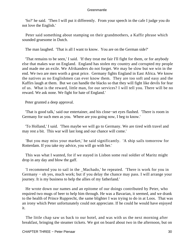'So?' he said. 'Then I will put it differently. From your speech in the cafe I judge you do not love the English.'

 Peter said something about stamping on their grandmothers, a Kaffir phrase which sounded gruesome in Dutch.

The man laughed. 'That is all I want to know. You are on the German side?'

 'That remains to be seen,' I said. 'If they treat me fair I'll fight for them, or for anybody else that makes war on England. England has stolen my country and corrupted my people and made me an exile. We Afrikanders do not forget. We may be slow but we win in the end. We two are men worth a great price. Germany fights England in East Africa. We know the natives as no Englishmen can ever know them. They are too soft and easy and the Kaffirs laugh at them. But we can handle the blacks so that they will fight like devils for fear of us. What is the reward, little man, for our services? I will tell you. There will be no reward. We ask none. We fight for hate of England.'

Peter grunted a deep approval.

 'That is good talk,' said our entertainer, and his close−set eyes flashed. 'There is room in Germany for such men as you. Where are you going now, I beg to know.'

 'To Holland,' I said. 'Then maybe we will go to Germany. We are tired with travel and may rest a bit. This war will last long and our chance will come.'

 'But you may miss your market,' he said significantly. 'A ship sails tomorrow for Rotterdam. If you take my advice, you will go with her.'

 This was what I wanted, for if we stayed in Lisbon some real soldier of Maritz might drop in any day and blow the gaff.

 'I recommend you to sail in the \_Machado,' he repeated. 'There is work for you in Germany − oh yes, much work; but if you delay the chance may pass. I will arrange your journey. It is my business to help the allies of my fatherland.'

 He wrote down our names and an epitome of our doings contributed by Peter, who required two mugs of beer to help him through. He was a Bavarian, it seemed, and we drank to the health of Prince Rupprecht, the same blighter I was trying to do in at Loos. That was an irony which Peter unfortunately could not appreciate. If he could he would have enjoyed it.

 The little chap saw us back to our hotel, and was with us the next morning after breakfast, bringing the steamer tickets. We got on board about two in the afternoon, but on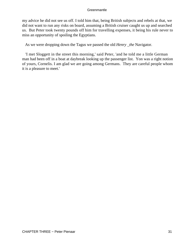my advice he did not see us off. I told him that, being British subjects and rebels at that, we did not want to run any risks on board, assuming a British cruiser caught us up and searched us. But Peter took twenty pounds off him for travelling expenses, it being his rule never to miss an opportunity of spoiling the Egyptians.

As we were dropping down the Tagus we passed the old *Henry \_the* Navigator.

 'I met Sloggett in the street this morning,' said Peter, 'and he told me a little German man had been off in a boat at daybreak looking up the passenger list. Yon was a right notion of yours, Cornelis. I am glad we are going among Germans. They are careful people whom it is a pleasure to meet.'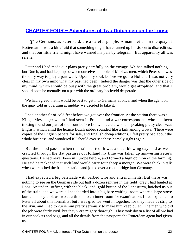## **[CHAPTER FOUR − Adventures of Two Dutchmen on the Loose](#page-207-0)**

The Germans, as Peter said, are a careful people. A man met us on the quay at Rotterdam. I was a bit afraid that something might have turned up in Lisbon to discredit us, and that our little friend might have warned his pals by telegram. But apparently all was serene.

 Peter and I had made our plans pretty carefully on the voyage. We had talked nothing but Dutch, and had kept up between ourselves the role of Maritz's men, which Peter said was the only way to play a part well. Upon my soul, before we got to Holland I was not very clear in my own mind what my past had been. Indeed the danger was that the other side of my mind, which should be busy with the great problem, would get atrophied, and that I should soon be mentally on a par with the ordinary backveld desperado.

 We had agreed that it would be best to get into Germany at once, and when the agent on the quay told us of a train at midday we decided to take it.

 I had another fit of cold feet before we got over the frontier. At the station there was a King's Messenger whom I had seen in France, and a war correspondent who had been trotting round our part of the front before Loos. I heard a woman speaking pretty clean−cut English, which amid the hoarse Dutch jabber sounded like a lark among crows. There were copies of the English papers for sale, and English cheap editions. I felt pretty bad about the whole business, and wondered if I should ever see these homely sights again.

 But the mood passed when the train started. It was a clear blowing day, and as we crawled through the flat pastures of Holland my time was taken up answering Peter's questions. He had never been in Europe before, and formed a high opinion of the farming. He said he reckoned that such land would carry four sheep a morgen. We were thick in talk when we reached the frontier station and jolted over a canal bridge into Germany.

 I had expected a big barricade with barbed wire and entrenchments. But there was nothing to see on the German side but half a dozen sentries in the field−grey I had hunted at Loos. An under− officer, with the black−and−gold button of the Landsturm, hoicked us out of the train, and we were all shepherded into a big bare waiting−room where a large stove burned. They took us two at a time into an inner room for examination. I had explained to Peter all about this formality, but I was glad we went in together, for they made us strip to the skin, and I had to curse him pretty seriously to make him keep quiet. The men who did the job were fairly civil, but they were mighty thorough. They took down a list of all we had in our pockets and bags, and all the details from the passports the Rotterdam agent had given us.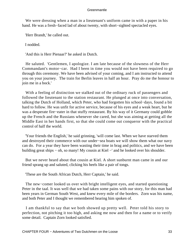We were dressing when a man in a lieutenant's uniform came in with a paper in his hand. He was a fresh−faced lad of about twenty, with short−sighted spectacled eyes.

'Herr Brandt,' he called out.

I nodded.

'And this is Herr Pienaar?' he asked in Dutch.

 He saluted. 'Gentlemen, I apologize. I am late because of the slowness of the Herr Commandant's motor−car. Had I been in time you would not have been required to go through this ceremony. We have been advised of your coming, and I am instructed to attend you on your journey. The train for Berlin leaves in half an hour. Pray do me the honour to join me in a bock.'

 With a feeling of distinction we stalked out of the ordinary ruck of passengers and followed the lieutenant to the station restaurant. He plunged at once into conversation, talking the Dutch of Holland, which Peter, who had forgotten his school−days, found a bit hard to follow. He was unfit for active service, because of his eyes and a weak heart, but he was a desperate fire−eater in that stuffy restaurant. By his way of it Germany could gobble up the French and the Russians whenever she cared, but she was aiming at getting all the Middle East in her hands first, so that she could come out conqueror with the practical control of half the world.

 'Your friends the English,' he said grinning, 'will come last. When we have starved them and destroyed their commerce with our under−sea boats we will show them what our navy can do. For a year they have been wasting their time in brag and politics, and we have been building great ships − oh, so many! My cousin at Kiel −' and he looked over his shoulder.

 But we never heard about that cousin at Kiel. A short sunburnt man came in and our friend sprang up and saluted, clicking his heels like a pair of tongs.

'These are the South African Dutch, Herr Captain,' he said.

 The new−comer looked us over with bright intelligent eyes, and started questioning Peter in the taal. It was well that we had taken some pains with our story, for this man had been years in German South West, and knew every mile of the borders. Zorn was his name, and both Peter and I thought we remembered hearing him spoken of.

 I am thankful to say that we both showed up pretty well. Peter told his story to perfection, not pitching it too high, and asking me now and then for a name or to verify some detail. Captain Zorn looked satisfied.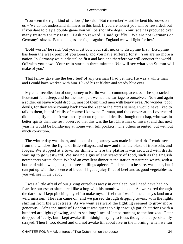'You seem the right kind of fellows,' he said. 'But remember' − and he bent his brows on us − 'we do not understand slimness in this land. If you are honest you will be rewarded, but if you dare to play a double game you will be shot like dogs. Your race has produced over many traitors for my taste.' 'I ask no reward,' I said gruffly. 'We are not Germans or Germany's slaves. But so long as she fights against England we will fight for her.'

 'Bold words,' he said; 'but you must bow your stiff necks to discipline first. Discipline has been the weak point of you Boers, and you have suffered for it. You are no more a nation. In Germany we put discipline first and last, and therefore we will conquer the world. Off with you now. Your train starts in three minutes. We will see what von Stumm will make of you.'

 That fellow gave me the best 'feel' of any German I had yet met. He was a white man and I could have worked with him. I liked his stiff chin and steady blue eyes.

 My chief recollection of our journey to Berlin was its commonplaceness. The spectacled lieutenant fell asleep, and for the most part we had the carriage to ourselves. Now and again a soldier on leave would drop in, most of them tired men with heavy eyes. No wonder, poor devils, for they were coming back from the Yser or the Ypres salient. I would have liked to talk to them, but officially of course I knew no German, and the conversation I overheard did not signify much. It was mostly about regimental details, though one chap, who was in better spirits than the rest, observed that this was the last Christmas of misery, and that next year he would be holidaying at home with full pockets. The others assented, but without much conviction.

 The winter day was short, and most of the journey was made in the dark. I could see from the window the lights of little villages, and now and then the blaze of ironworks and forges. We stopped at a town for dinner, where the platform was crowded with drafts waiting to go westward. We saw no signs of any scarcity of food, such as the English newspapers wrote about. We had an excellent dinner at the station restaurant, which, with a bottle of white wine, cost just three shillings apiece. The bread, to be sure, was poor, but I can put up with the absence of bread if I get a juicy fillet of beef and as good vegetables as you will see in the Savoy.

 I was a little afraid of our giving ourselves away in our sleep, but I need have had no fear, for our escort slumbered like a hog with his mouth wide open. As we roared through the darkness I kept pinching myself to make myself feel that I was in the enemy's land on a wild mission. The rain came on, and we passed through dripping towns, with the lights shining from the wet streets. As we went eastward the lighting seemed to grow more generous. After the murk of London it was queer to slip through garish stations with a hundred arc lights glowing, and to see long lines of lamps running to the horizon. Peter dropped off early, but I kept awake till midnight, trying to focus thoughts that persistently strayed. Then I, too, dozed and did not awake till about five in the morning, when we ran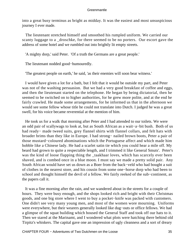into a great busy terminus as bright as midday. It was the easiest and most unsuspicious journey I ever made.

 The lieutenant stretched himself and smoothed his rumpled uniform. We carried our scanty luggage to a \_droschke, for there seemed to be no porters. Our escort gave the address of some hotel and we rumbled out into brightly lit empty streets.

'A mighty dorp,' said Peter. 'Of a truth the Germans are a great people.'

The lieutenant nodded good−humouredly.

'The greatest people on earth,' he said, 'as their enemies will soon bear witness.'

 I would have given a lot for a bath, but I felt that it would be outside my part, and Peter was not of the washing persuasion. But we had a very good breakfast of coffee and eggs, and then the lieutenant started on the telephone. He began by being dictatorial, then he seemed to be switched on to higher authorities, for he grew more polite, and at the end he fairly crawled. He made some arrangements, for he informed us that in the afternoon we would see some fellow whose title he could not translate into Dutch. I judged he was a great swell, for his voice became reverential at the mention of him.

 He took us for a walk that morning after Peter and I had attended to our toilets. We were an odd pair of scallywags to look at, but as South African as a wait−a−bit bush. Both of us had ready− made tweed suits, grey flannel shirts with flannel collars, and felt hats with broader brims than they like in Europe. I had strong− nailed brown boots, Peter a pair of those mustard−coloured abominations which the Portuguese affect and which made him hobble like a Chinese lady. He had a scarlet satin tie which you could hear a mile off. My beard had grown to quite a respectable length, and I trimmed it like General Smuts'. Peter's was the kind of loose flapping thing the \_taakhaar loves, which has scarcely ever been shaved, and is combed once in a blue moon. I must say we made a pretty solid pair. Any South African would have set us down as a Boer from the back−veld who had bought a suit of clothes in the nearest store, and his cousin from some one−horse dorp who had been to school and thought himself the devil of a fellow. We fairly reeked of the sub−continent, as the papers call it.

 It was a fine morning after the rain, and we wandered about in the streets for a couple of hours. They were busy enough, and the shops looked rich and bright with their Christmas goods, and one big store where I went to buy a pocket−knife was packed with customers. One didn't see very many young men, and most of the women wore mourning. Uniforms were everywhere, but their wearers generally looked like dug−outs or office fellows. We had a glimpse of the squat building which housed the General Staff and took off our hats to it. Then we stared at the Marinamt, and I wondered what plots were hatching there behind old Tirpitz's whiskers. The capital gave one an impression of ugly cleanness and a sort of dreary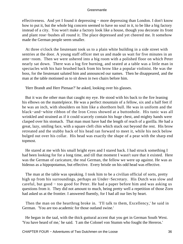effectiveness. And yet I found it depressing − more depressing than London. I don't know how to put it, but the whole big concern seemed to have no soul in it, to be like a big factory instead of a city. You won't make a factory look like a house, though you decorate its front and plant rose−bushes all round it. The place depressed and yet cheered me. It somehow made the German people seem smaller.

 At three o'clock the lieutenant took us to a plain white building in a side street with sentries at the door. A young staff officer met us and made us wait for five minutes in an ante−room. Then we were ushered into a big room with a polished floor on which Peter nearly sat down. There was a log fire burning, and seated at a table was a little man in spectacles with his hair brushed back from his brow like a popular violinist. He was the boss, for the lieutenant saluted him and announced our names. Then he disappeared, and the man at the table motioned us to sit down in two chairs before him.

'Herr Brandt and Herr Pienaar?' he asked, looking over his glasses.

 But it was the other man that caught my eye. He stood with his back to the fire leaning his elbows on the mantelpiece. He was a perfect mountain of a fellow, six and a half feet if he was an inch, with shoulders on him like a shorthorn bull. He was in uniform and the black−and−white ribbon of the Iron Cross showed at a buttonhole. His tunic was all wrinkled and strained as if it could scarcely contain his huge chest, and mighty hands were clasped over his stomach. That man must have had the length of reach of a gorilla. He had a great, lazy, smiling face, with a square cleft chin which stuck out beyond the rest. His brow retreated and the stubby back of his head ran forward to meet it, while his neck below bulged out over his collar. His head was exactly the shape of a pear with the sharp end topmost.

 He stared at me with his small bright eyes and I stared back. I had struck something I had been looking for for a long time, and till that moment I wasn't sure that it existed. Here was the German of caricature, the real German, the fellow we were up against. He was as hideous as a hippopotamus, but effective. Every bristle on his odd head was effective.

 The man at the table was speaking. I took him to be a civilian official of sorts, pretty high up from his surroundings, perhaps an Under−Secretary. His Dutch was slow and careful, but good − too good for Peter. He had a paper before him and was asking us questions from it. They did not amount to much, being pretty well a repetition of those Zorn had asked us at the frontier. I answered fluently, for I had all our lies by heart.

 Then the man on the hearthrug broke in. 'I'll talk to them, Excellency,' he said in German. 'You are too academic for those outland swine.'

 He began in the taal, with the thick guttural accent that you get in German South West. 'You have heard of me,' he said. 'I am the Colonel von Stumm who fought the Hereros.'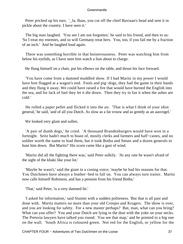Peter pricked up his ears. '\_Ja, Baas, you cut off the chief Baviaan's head and sent it in pickle about the country. I have seen it.'

 The big man laughed. 'You see I am not forgotten,' he said to his friend, and then to us: 'So I treat my enemies, and so will Germany treat hers. You, too, if you fail me by a fraction of an inch.' And he laughed loud again.

 There was something horrible in that boisterousness. Peter was watching him from below his eyelids, as I have seen him watch a lion about to charge.

He flung himself on a chair, put his elbows on the table, and thrust his face forward.

 'You have come from a damned muddled show. If I had Maritz in my power I would have him flogged at a wagon's end. Fools and pig−dogs, they had the game in their hands and they flung it away. We could have raised a fire that would have burned the English into the sea, and for lack of fuel they let it die down. Then they try to fan it when the ashes are cold.'

 He rolled a paper pellet and flicked it into the air. 'That is what I think of your idiot general,' he said, 'and of all you Dutch. As slow as a fat vrouw and as greedy as an aasvogel.'

We looked very glum and sullen.

 'A pair of dumb dogs,' he cried. 'A thousand Brandenburgers would have won in a fortnight. Seitz hadn't much to boast of, mostly clerks and farmers and half−castes, and no soldier worth the name to lead them, but it took Botha and Smuts and a dozen generals to hunt him down. But Maritz!' His scorn came like a gust of wind.

 'Maritz did all the fighting there was,' said Peter sulkily. 'At any rate he wasn't afraid of the sight of the khaki like your lot.'

 'Maybe he wasn't,' said the giant in a cooing voice; 'maybe he had his reasons for that. You Dutchmen have always a feather−bed to fall on. You can always turn traitor. Maritz now calls himself Robinson, and has a pension from his friend Botha.'

'That,' said Peter, 'is a very damned lie.'

 'I asked for information,' said Stumm with a sudden politeness. 'But that is all past and done with. Maritz matters no more than your old Cronjes and Krugers. The show is over, and you are looking for safety. For a new master perhaps? But, man, what can you bring? What can you offer? You and your Dutch are lying in the dust with the yoke on your necks. The Pretoria lawyers have talked you round. You see that map,' and he pointed to a big one on the wall. 'South Africa is coloured green. Not red for the English, or yellow for the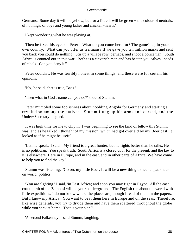Germans. Some day it will be yellow, but for a little it will be green − the colour of neutrals, of nothings, of boys and young ladies and chicken−hearts.'

I kept wondering what he was playing at.

 Then he fixed his eyes on Peter. 'What do you come here for? The game's up in your own country. What can you offer us Germans? If we gave you ten million marks and sent you back you could do nothing. Stir up a village row, perhaps, and shoot a policeman. South Africa is counted out in this war. Botha is a cleverish man and has beaten you calves'−heads of rebels. Can you deny it?'

 Peter couldn't. He was terribly honest in some things, and these were for certain his opinions.

'No,' he said, 'that is true, Baas.'

'Then what in God's name can you do?' shouted Stumm.

 Peter mumbled some foolishness about nobbling Angola for Germany and starting a revolution among the natives. Stumm flung up his arms and cursed, and the Under−Secretary laughed.

 It was high time for me to chip in. I was beginning to see the kind of fellow this Stumm was, and as he talked I thought of my mission, which had got overlaid by my Boer past. It looked as if he might be useful.

 'Let me speak,' I said. 'My friend is a great hunter, but he fights better than he talks. He is no politician. You speak truth. South Africa is a closed door for the present, and the key to it is elsewhere. Here in Europe, and in the east, and in other parts of Africa. We have come to help you to find the key.'

 Stumm was listening. 'Go on, my little Boer. It will be a new thing to hear a \_taakhaar on world−politics.'

 'You are fighting,' I said, 'in East Africa; and soon you may fight in Egypt. All the east coast north of the Zambesi will be your battle−ground. The English run about the world with little expeditions. I do not know where the places are, though I read of them in the papers. But I know my Africa. You want to beat them here in Europe and on the seas. Therefore, like wise generals, you try to divide them and have them scattered throughout the globe while you stick at home. That is your plan?'

'A second Falkenhayn,' said Stumm, laughing.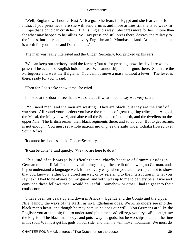'Well, England will not let East Africa go. She fears for Egypt and she fears, too, for India. If you press her there she will send armies and more armies till she is so weak in Europe that a child can crush her. That is England's way. She cares more for her Empire than for what may happen to her allies. So I say press and still press there, destroy the railway to the Lakes, burn her capital, pen up every Englishman in Mombasa island. At this moment it is worth for you a thousand Damaralands.'

The man was really interested and the Under−Secretary, too, pricked up his ears.

 'We can keep our territory,' said the former; 'but as for pressing, how the devil are we to press? The accursed English hold the sea. We cannot ship men or guns there. South are the Portuguese and west the Belgians. You cannot move a mass without a lever.' 'The lever is there, ready for you,' I said.

'Then for God's sake show it me,' he cried.

I looked at the door to see that it was shut, as if what I had to say was very secret.

 'You need men, and the men are waiting. They are black, but they are the stuff of warriors. All round your borders you have the remains of great fighting tribes, the Angoni, the Masai, the Manyumwezi, and above all the Somalis of the north, and the dwellers on the upper Nile. The British recruit their black regiments there, and so do you. But to get recruits is not enough. You must set whole nations moving, as the Zulu under Tchaka flowed over South Africa.'

'It cannot be done,' said the Under−Secretary.

'It can be done,' I said quietly. 'We two are here to do it.'

 This kind of talk was jolly difficult for me, chiefly because of Stumm's asides in German to the official. I had, above all things, to get the credit of knowing no German, and, if you understand a language well, it is not very easy when you are interrupted not to show that you know it, either by a direct answer, or by referring to the interruption in what you say next. I had to be always on my guard, and yet it was up to me to be very persuasive and convince these fellows that I would be useful. Somehow or other I had to get into their confidence.

 'I have been for years up and down in Africa − Uganda and the Congo and the Upper Nile. I know the ways of the Kaffir as no Englishman does. We Afrikanders see into the black man's heart, and though he may hate us he does our will. You Germans are like the English; you are too big folk to understand plain men. «Civilize,» you cry. «Educate,» say the English. The black man obeys and puts away his gods, but he worships them all the time in his soul. We must get his gods on our side, and then he will move mountains. We must do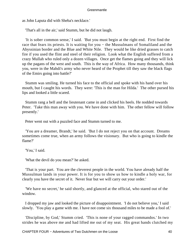as John Laputa did with Sheba's necklace.'

'That's all in the air,' said Stumm, but he did not laugh.

 'It is sober common sense,' I said. 'But you must begin at the right end. First find the race that fears its priests. It is waiting for you – the Mussulmans of Somaliland and the Abyssinian border and the Blue and White Nile. They would be like dried grasses to catch fire if you used the flint and steel of their religion. Look what the English suffered from a crazy Mullah who ruled only a dozen villages. Once get the flames going and they will lick up the pagans of the west and south. This is the way of Africa. How many thousands, think you, were in the Mahdi's army who never heard of the Prophet till they saw the black flags of the Emirs going into battle?'

 Stumm was smiling. He turned his face to the official and spoke with his hand over his mouth, but I caught his words. They were: 'This is the man for Hilda.' The other pursed his lips and looked a little scared.

 Stumm rang a bell and the lieutenant came in and clicked his heels. He nodded towards Peter. 'Take this man away with you. We have done with him. The other fellow will follow presently.'

Peter went out with a puzzled face and Stumm turned to me.

 'You are a dreamer, Brandt,' he said. 'But I do not reject you on that account. Dreams sometimes come true, when an army follows the visionary. But who is going to kindle the flame?'

'You,' I said.

'What the devil do you mean?' he asked.

 'That is your part. You are the cleverest people in the world. You have already half the Mussulman lands in your power. It is for you to show us how to kindle a holy war, for clearly you have the secret of it. Never fear but we will carry out your order.'

 'We have no secret,' he said shortly, and glanced at the official, who stared out of the window.

 I dropped my jaw and looked the picture of disappointment. 'I do not believe you,' I said slowly. 'You play a game with me. I have not come six thousand miles to be made a fool of.'

 'Discipline, by God,' Stumm cried. 'This is none of your ragged commandos.' In two strides he was above me and had lifted me out of my seat. His great hands clutched my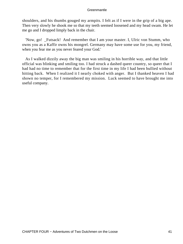shoulders, and his thumbs gouged my armpits. I felt as if I were in the grip of a big ape. Then very slowly he shook me so that my teeth seemed loosened and my head swam. He let me go and I dropped limply back in the chair.

 'Now, go! \_Futsack! And remember that I am your master. I, Ulric von Stumm, who owns you as a Kaffir owns his mongrel. Germany may have some use for you, my friend, when you fear me as you never feared your God.'

 As I walked dizzily away the big man was smiling in his horrible way, and that little official was blinking and smiling too. I had struck a dashed queer country, so queer that I had had no time to remember that for the first time in my life I had been bullied without hitting back. When I realized it I nearly choked with anger. But I thanked heaven I had shown no temper, for I remembered my mission. Luck seemed to have brought me into useful company.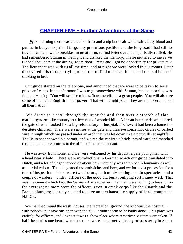## **[CHAPTER FIVE − Further Adventures of the Same](#page-207-0)**

**N**ext morning there was a touch of frost and a nip in the air which stirred my blood and put me in buoyant spirits. I forgot my precarious position and the long road I had still to travel. I came down to breakfast in great form, to find Peter's even temper badly ruffled. He had remembered Stumm in the night and disliked the memory; this he muttered to me as we rubbed shoulders at the dining−room door. Peter and I got no opportunity for private talk. The lieutenant was with us all the time, and at night we were locked in our rooms. Peter discovered this through trying to get out to find matches, for he had the bad habit of smoking in bed.

 Our guide started on the telephone, and announced that we were to be taken to see a prisoners' camp. In the afternoon I was to go somewhere with Stumm, but the morning was for sight−seeing. 'You will see,' he told us, 'how merciful is a great people. You will also see some of the hated English in our power. That will delight you. They are the forerunners of all their nation.'

 We drove in a taxi through the suburbs and then over a stretch of flat market−garden−like country to a low rise of wooded hills. After an hour's ride we entered the gate of what looked like a big reformatory or hospital. I believe it had been a home for destitute children. There were sentries at the gate and massive concentric circles of barbed wire through which we passed under an arch that was let down like a portcullis at nightfall. The lieutenant showed his permit, and we ran the car into a brick−paved yard and marched through a lot more sentries to the office of the commandant.

 He was away from home, and we were welcomed by his deputy, a pale young man with a head nearly bald. There were introductions in German which our guide translated into Dutch, and a lot of elegant speeches about how Germany was foremost in humanity as well as martial valour. Then they stood us sandwiches and beer, and we formed a procession for a tour of inspection. There were two doctors, both mild−looking men in spectacles, and a couple of warders − under−officers of the good old burly, bullying sort I knew well. That was the cement which kept the German Army together. Her men were nothing to boast of on the average; no more were the officers, even in crack corps like the Guards and the Brandenburgers; but they seemed to have an inexhaustible supply of hard, competent N.C.O.s.

We marched round the wash–houses, the recreation–ground, the kitchens, the hospital − with nobody in it save one chap with the 'flu.' It didn't seem to be badly done. This place was entirely for officers, and I expect it was a show place where American visitors were taken. If half the stories one heard were true there were some pretty ghastly prisons away in South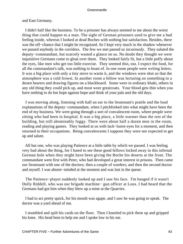and East Germany.

 I didn't half like the business. To be a prisoner has always seemed to me about the worst thing that could happen to a man. The sight of German prisoners used to give me a bad feeling inside, whereas I looked at dead Boches with nothing but satisfaction. Besides, there was the off−chance that I might be recognized. So I kept very much in the shadow whenever we passed anybody in the corridors. The few we met passed us incuriously. They saluted the deputy−commandant, but scarcely wasted a glance on us. No doubt they thought we were inquisitive Germans come to gloat over them. They looked fairly fit, but a little puffy about the eyes, like men who get too little exercise. They seemed thin, too. I expect the food, for all the commandant's talk, was nothing to boast of. In one room people were writing letters. It was a big place with only a tiny stove to warm it, and the windows were shut so that the atmosphere was a cold frowst. In another room a fellow was lecturing on something to a dozen hearers and drawing figures on a blackboard. Some were in ordinary khaki, others in any old thing they could pick up, and most wore greatcoats. Your blood gets thin when you have nothing to do but hope against hope and think of your pals and the old days.

 I was moving along, listening with half an ear to the lieutenant's prattle and the loud explanations of the deputy−commandant, when I pitchforked into what might have been the end of my business. We were going through a sort of convalescent room, where people were sitting who had been in hospital. It was a big place, a little warmer than the rest of the building, but still abominably fuggy. There were about half a dozen men in the room, reading and playing games. They looked at us with lack−lustre eyes for a moment, and then returned to their occupations. Being convalescents I suppose they were not expected to get up and salute.

 All but one, who was playing Patience at a little table by which we passed. I was feeling very bad about the thing, for I hated to see these good fellows locked away in this infernal German hole when they might have been giving the Boche his deserts at the front. The commandant went first with Peter, who had developed a great interest in prisons. Then came our lieutenant with one of the doctors; then a couple of warders; and then the second doctor and myself. I was absent−minded at the moment and was last in the queue.

 The Patience−player suddenly looked up and I saw his face. I'm hanged if it wasn't Dolly Riddell, who was our brigade machine− gun officer at Loos. I had heard that the Germans had got him when they blew up a mine at the Quarries.

 I had to act pretty quick, for his mouth was agape, and I saw he was going to speak. The doctor was a yard ahead of me.

 I stumbled and spilt his cards on the floor. Then I kneeled to pick them up and gripped his knee. His head bent to help me and I spoke low in his ear.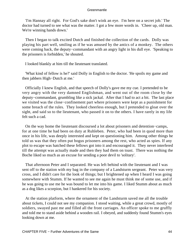'I'm Hannay all right. For God's sake don't wink an eye. I'm here on a secret job.' The doctor had turned to see what was the matter. I got a few more words in. 'Cheer up, old man. We're winning hands down.'

 Then I began to talk excited Dutch and finished the collection of the cards. Dolly was playing his part well, smiling as if he was amused by the antics of a monkey. The others were coming back, the deputy−commandant with an angry light in his dull eye. 'Speaking to the prisoners is forbidden,' he shouted.

I looked blankly at him till the lieutenant translated.

 'What kind of fellow is he?' said Dolly in English to the doctor. 'He spoils my game and then jabbers High−Dutch at me.'

 Officially I knew English, and that speech of Dolly's gave me my cue. I pretended to be very angry with the very damned Englishman, and went out of the room close by the deputy−commandant, grumbling like a sick jackal. After that I had to act a bit. The last place we visited was the close−confinement part where prisoners were kept as a punishment for some breach of the rules. They looked cheerless enough, but I pretended to gloat over the sight, and said so to the lieutenant, who passed it on to the others. I have rarely in my life felt such a cad.

 On the way home the lieutenant discoursed a lot about prisoners and detention−camps, for at one time he had been on duty at Ruhleben. Peter, who had been in quod more than once in his life, was deeply interested and kept on questioning him. Among other things he told us was that they often put bogus prisoners among the rest, who acted as spies. If any plot to escape was hatched these fellows got into it and encouraged it. They never interfered till the attempt was actually made and then they had them on toast. There was nothing the Boche liked so much as an excuse for sending a poor devil to 'solitary'.

 That afternoon Peter and I separated. He was left behind with the lieutenant and I was sent off to the station with my bag in the company of a Landsturm sergeant. Peter was very cross, and I didn't care for the look of things; but I brightened up when I heard I was going somewhere with Stumm. If he wanted to see me again he must think me of some use, and if he was going to use me he was bound to let me into his game. I liked Stumm about as much as a dog likes a scorpion, but I hankered for his society.

 At the station platform, where the ornament of the Landsturm saved me all the trouble about tickets, I could not see my companion. I stood waiting, while a great crowd, mostly of soldiers, swayed past me and filled all the front carriages. An officer spoke to me gruffly and told me to stand aside behind a wooden rail. I obeyed, and suddenly found Stumm's eyes looking down at me.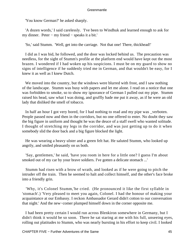'You know German?' he asked sharply.

 'A dozen words,' I said carelessly. 'I've been to Windhuk and learned enough to ask for my dinner. Peter − my friend − speaks it a bit.'

'So,' said Stumm. 'Well, get into the carriage. Not that one! There, thickhead!'

 I did as I was bid, he followed, and the door was locked behind us. The precaution was needless, for the sight of Stumm's profile at the platform end would have kept out the most brazen. I wondered if I had woken up his suspicions. I must be on my guard to show no signs of intelligence if he suddenly tried me in German, and that wouldn't be easy, for I knew it as well as I knew Dutch.

We moved into the country, but the windows were blurred with frost, and I saw nothing of the landscape. Stumm was busy with papers and let me alone. I read on a notice that one was forbidden to smoke, so to show my ignorance of German I pulled out my pipe. Stumm raised his head, saw what I was doing, and gruffly bade me put it away, as if he were an old lady that disliked the smell of tobacco.

In half an hour I got very bored, for I had nothing to read and my pipe was verboten. People passed now and then in the corridors, but no one offered to enter. No doubt they saw the big figure in uniform and thought he was the deuce of a staff swell who wanted solitude. I thought of stretching my legs in the corridor, and was just getting up to do it when somebody slid the door back and a big figure blocked the light.

 He was wearing a heavy ulster and a green felt hat. He saluted Stumm, who looked up angrily, and smiled pleasantly on us both.

 'Say, gentlemen,' he said, 'have you room in here for a little one? I guess I'm about smoked out of my car by your brave soldiers. I've gotten a delicate stomach ...'

 Stumm had risen with a brow of wrath, and looked as if he were going to pitch the intruder off the train. Then he seemed to halt and collect himself, and the other's face broke into a friendly grin.

 'Why, it's Colonel Stumm,'he cried. (He pronounced it like the first syllable in 'stomach'.) 'Very pleased to meet you again, Colonel. I had the honour of making your acquaintance at our Embassy. I reckon Ambassador Gerard didn't cotton to our conversation that night.' And the new−comer plumped himself down in the corner opposite me.

 I had been pretty certain I would run across Blenkiron somewhere in Germany, but I didn't think it would be so soon. There he sat staring at me with his full, unseeing eyes, rolling out platitudes to Stumm, who was nearly bursting in his effort to keep civil. I looked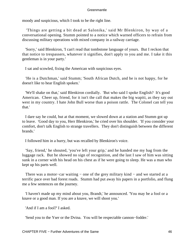moody and suspicious, which I took to be the right line.

 'Things are getting a bit dead at Salonika,' said Mr Blenkiron, by way of a conversational opening. Stumm pointed to a notice which warned officers to refrain from discussing military operations with mixed company in a railway carriage.

 'Sorry,' said Blenkiron, 'I can't read that tombstone language of yours. But I reckon that that notice to trespassers, whatever it signifies, don't apply to you and me. I take it this gentleman is in your party.'

I sat and scowled, fixing the American with suspicious eyes.

 'He is a Dutchman,' said Stumm; 'South African Dutch, and he is not happy, for he doesn't like to hear English spoken.'

 'We'll shake on that,' said Blenkiron cordially. 'But who said I spoke English? It's good American. Cheer up, friend, for it isn't the call that makes the big wapiti, as they say out west in my country. I hate John Bull worse than a poison rattle. The Colonel can tell you that.'

 I dare say he could, but at that moment, we slowed down at a station and Stumm got up to leave. 'Good day to you, Herr Blenkiron,' he cried over his shoulder. 'If you consider your comfort, don't talk English to strange travellers. They don't distinguish between the different brands.'

I followed him in a hurry, but was recalled by Blenkiron's voice.

 'Say, friend,' he shouted, 'you've left your grip,' and he handed me my bag from the luggage rack. But he showed no sign of recognition, and the last I saw of him was sitting sunk in a corner with his head on his chest as if he were going to sleep. He was a man who kept up his parts well.

There was a motor–car waiting – one of the grey military kind – and we started at a terrific pace over bad forest roads. Stumm had put away his papers in a portfolio, and flung me a few sentences on the journey.

 'I haven't made up my mind about you, Brandt,' he announced. 'You may be a fool or a knave or a good man. If you are a knave, we will shoot you.'

'And if I am a fool?' I asked.

'Send you to the Yser or the Dvina. You will be respectable cannon−fodder.'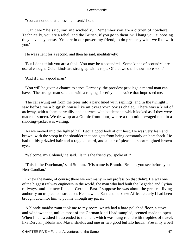'You cannot do that unless I consent,' I said.

 'Can't we?' he said, smiling wickedly. 'Remember you are a citizen of nowhere. Technically, you are a rebel, and the British, if you go to them, will hang you, supposing they have any sense. You are in our power, my friend, to do precisely what we like with you.'

He was silent for a second, and then he said, meditatively:

 'But I don't think you are a fool. You may be a scoundrel. Some kinds of scoundrel are useful enough. Other kinds are strung up with a rope. Of that we shall know more soon.'

'And if I am a good man?'

 'You will be given a chance to serve Germany, the proudest privilege a mortal man can have.' The strange man said this with a ringing sincerity in his voice that impressed me.

 The car swung out from the trees into a park lined with saplings, and in the twilight I saw before me a biggish house like an overgrown Swiss chalet. There was a kind of archway, with a sham portcullis, and a terrace with battlements which looked as if they were made of stucco. We drew up at a Gothic front door, where a thin middle−aged man in a shooting−jacket was waiting.

 As we moved into the lighted hall I got a good look at our host. He was very lean and brown, with the stoop in the shoulder that one gets from being constantly on horseback. He had untidy grizzled hair and a ragged beard, and a pair of pleasant, short−sighted brown eyes.

'Welcome, my Colonel,' he said. 'Is this the friend you spoke of ?'

 'This is the Dutchman,' said Stumm. 'His name is Brandt. Brandt, you see before you Herr Gaudian.'

 I knew the name, of course; there weren't many in my profession that didn't. He was one of the biggest railway engineers in the world, the man who had built the Baghdad and Syrian railways, and the new lines in German East. I suppose he was about the greatest living authority on tropical construction. He knew the East and he knew Africa; clearly I had been brought down for him to put me through my paces.

 A blonde maidservant took me to my room, which had a bare polished floor, a stove, and windows that, unlike most of the German kind I had sampled, seemed made to open. When I had washed I descended to the hall, which was hung round with trophies of travel, like Dervish jibbahs and Masai shields and one or two good buffalo heads. Presently a bell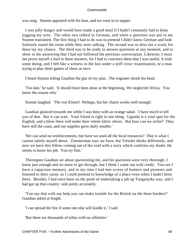was rung. Stumm appeared with his host, and we went in to supper.

 I was jolly hungry and would have made a good meal if I hadn't constantly had to keep jogging my wits. The other two talked in German, and when a question was put to me Stumm translated. The first thing I had to do was to pretend I didn't know German and look listlessly round the room while they were talking. The second was to miss not a word, for there lay my chance. The third was to be ready to answer questions at any moment, and to show in the answering that I had not followed the previous conversation. Likewise, I must not prove myself a fool in these answers, for I had to convince them that I was useful. It took some doing, and I felt like a witness in the box under a stiff cross−examination, or a man trying to play three games of chess at once.

I heard Stumm telling Gaudian the gist of my plan. The engineer shook his head.

 'Too late,' he said. 'It should have been done at the beginning. We neglected Africa. You know the reason why.'

Stumm laughed. 'The von Einem! Perhaps, but her charm works well enough.'

 Gaudian glanced towards me while I was busy with an orange salad. 'I have much to tell you of that. But it can wait. Your friend is right in one thing. Uganda is a vital spot for the English, and a blow there will make their whole fabric shiver. But how can we strike? They have still the coast, and our supplies grow daily smaller.'

 'We can send no reinforcements, but have we used all the local resources? That is what I cannot satisfy myself about. Zimmerman says we have, but Tressler thinks differently, and now we have this fellow coming out of the void with a story which confirms my doubt. He seems to know his job. You try him.'

 Thereupon Gaudian set about questioning me, and his questions were very thorough. I knew just enough and no more to get through, but I think I came out with credit. You see I have a capacious memory, and in my time I had met scores of hunters and pioneers and listened to their yarns, so I could pretend to knowledge of a place even when I hadn't been there. Besides, I had once been on the point of undertaking a job up Tanganyika way, and I had got up that country−side pretty accurately.

 'You say that with our help you can make trouble for the British on the three borders?' Gaudian asked at length.

'I can spread the fire if some one else will kindle it,' I said.

'But there are thousands of tribes with no affinities.'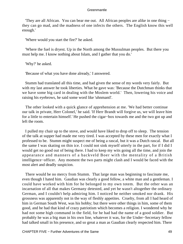'They are all African. You can bear me out. All African peoples are alike in one thing − they can go mad, and the madness of one infects the others. The English know this well enough.'

'Where would you start the fire?' he asked.

 'Where the fuel is dryest. Up in the North among the Mussulman peoples. But there you must help me. I know nothing about Islam, and I gather that you do.'

'Why?' he asked.

'Because of what you have done already,' I answered.

 Stumm had translated all this time, and had given the sense of my words very fairly. But with my last answer he took liberties. What he gave was: 'Because the Dutchman thinks that we have some big card in dealing with the Moslem world.' Then, lowering his voice and raising his eyebrows, he said some word like 'uhnmantl'.

 The other looked with a quick glance of apprehension at me. 'We had better continue our talk in private, Herr Colonel,' he said. 'If Herr Brandt will forgive us, we will leave him for a little to entertain himself.' He pushed the cigar−box towards me and the two got up and left the room.

 I pulled my chair up to the stove, and would have liked to drop off to sleep. The tension of the talk at supper had made me very tired. I was accepted by these men for exactly what I professed to be. Stumm might suspect me of being a rascal, but it was a Dutch rascal. But all the same I was skating on thin ice. I could not sink myself utterly in the part, for if I did I would get no good out of being there. I had to keep my wits going all the time, and join the appearance and manners of a backveld Boer with the mentality of a British intelligence−officer. Any moment the two parts might clash and I would be faced with the most alert and deadly suspicion.

 There would be no mercy from Stumm. That large man was beginning to fascinate me, even though I hated him. Gaudian was clearly a good fellow, a white man and a gentleman. I could have worked with him for he belonged to my own totem. But the other was an incarnation of all that makes Germany detested, and yet he wasn't altogether the ordinary German, and I couldn't help admiring him. I noticed he neither smoked nor drank. His grossness was apparently not in the way of fleshly appetites. Cruelty, from all I had heard of him in German South West, was his hobby; but there were other things in him, some of them good, and he had that kind of crazy patriotism which becomes a religion. I wondered why he had not some high command in the field, for he had had the name of a good soldier. But probably he was a big man in his own line, whatever it was, for the Under−Secretary fellow had talked small in his presence, and so great a man as Gaudian clearly respected him. There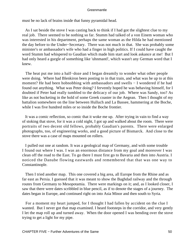must be no lack of brains inside that funny pyramidal head.

 As I sat beside the stove I was casting back to think if I had got the slightest clue to my real job. There seemed to be nothing so far. Stumm had talked of a von Einem woman who was interested in his department, perhaps the same woman as the Hilda he had mentioned the day before to the Under−Secretary. There was not much in that. She was probably some minister's or ambassador's wife who had a finger in high politics. If I could have caught the word Stumm had whispered to Gaudian which made him start and look askance at me! But I had only heard a gurgle of something like 'uhnmantl', which wasn't any German word that I knew.

The heat put me into a half-doze and I began dreamily to wonder what other people were doing. Where had Blenkiron been posting to in that train, and what was he up to at this moment? He had been hobnobbing with ambassadors and swells − I wondered if he had found out anything. What was Peter doing? I fervently hoped he was behaving himself, for I doubted if Peter had really tumbled to the delicacy of our job. Where was Sandy, too? As like as not bucketing in the hold of some Greek coaster in the Aegean. Then I thought of my battalion somewhere on the line between Hulluch and La Bassee, hammering at the Boche, while I was five hundred miles or so inside the Boche frontier.

 It was a comic reflection, so comic that it woke me up. After trying in vain to find a way of stoking that stove, for it was a cold night, I got up and walked about the room. There were portraits of two decent old fellows, probably Gaudian's parents. There were enlarged photographs, too, of engineering works, and a good picture of Bismarck. And close to the stove there was a case of maps mounted on rollers.

 I pulled out one at random. It was a geological map of Germany, and with some trouble I found out where I was. I was an enormous distance from my goal and moreover I was clean off the road to the East. To go there I must first go to Bavaria and then into Austria. I noticed the Danube flowing eastwards and remembered that that was one way to Constantinople.

 Then I tried another map. This one covered a big area, all Europe from the Rhine and as far east as Persia. I guessed that it was meant to show the Baghdad railway and the through routes from Germany to Mesopotamia. There were markings on it; and, as I looked closer, I saw that there were dates scribbled in blue pencil, as if to denote the stages of a journey. The dates began in Europe, and continued right on into Asia Minor and then south to Syria.

 For a moment my heart jumped, for I thought I had fallen by accident on the clue I wanted. But I never got that map examined. I heard footsteps in the corridor, and very gently I let the map roll up and turned away. When the door opened I was bending over the stove trying to get a light for my pipe.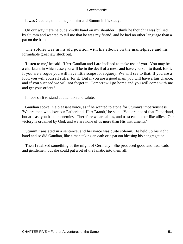It was Gaudian, to bid me join him and Stumm in his study.

 On our way there he put a kindly hand on my shoulder. I think he thought I was bullied by Stumm and wanted to tell me that he was my friend, and he had no other language than a pat on the back.

 The soldier was in his old position with his elbows on the mantelpiece and his formidable great jaw stuck out.

 'Listen to me,' he said. 'Herr Gaudian and I are inclined to make use of you. You may be a charlatan, in which case you will be in the devil of a mess and have yourself to thank for it. If you are a rogue you will have little scope for roguery. We will see to that. If you are a fool, you will yourself suffer for it. But if you are a good man, you will have a fair chance, and if you succeed we will not forget it. Tomorrow I go home and you will come with me and get your orders.'

I made shift to stand at attention and salute.

 Gaudian spoke in a pleasant voice, as if he wanted to atone for Stumm's imperiousness. 'We are men who love our Fatherland, Herr Brandt,' he said. 'You are not of that Fatherland, but at least you hate its enemies. Therefore we are allies, and trust each other like allies. Our victory is ordained by God, and we are none of us more than His instruments.'

 Stumm translated in a sentence, and his voice was quite solemn. He held up his right hand and so did Gaudian, like a man taking an oath or a parson blessing his congregation.

 Then I realized something of the might of Germany. She produced good and bad, cads and gentlemen, but she could put a bit of the fanatic into them all.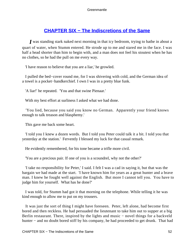# **[CHAPTER SIX − The Indiscretions of the Same](#page-207-0)**

*I* was standing stark naked next morning in that icy bedroom, trying to bathe in about a quart of water, when Stumm entered. He strode up to me and stared me in the face. I was half a head shorter than him to begin with, and a man does not feel his stoutest when he has no clothes, so he had the pull on me every way.

'I have reason to believe that you are a liar,' he growled.

 I pulled the bed−cover round me, for I was shivering with cold, and the German idea of a towel is a pocket−handkerchief. I own I was in a pretty blue funk.

'A liar!' he repeated. 'You and that swine Pienaar.'

With my best effort at surliness I asked what we had done.

 'You lied, because you said you know no German. Apparently your friend knows enough to talk treason and blasphemy.'

This gave me back some heart.

 'I told you I knew a dozen words. But I told you Peter could talk it a bit. I told you that yesterday at the station.' Fervently I blessed my luck for that casual remark.

He evidently remembered, for his tone became a trifle more civil.

'You are a precious pair. If one of you is a scoundrel, why not the other?'

 'I take no responsibility for Peter,' I said. I felt I was a cad in saying it, but that was the bargain we had made at the start. 'I have known him for years as a great hunter and a brave man. I knew he fought well against the English. But more I cannot tell you. You have to judge him for yourself. What has he done?'

 I was told, for Stumm had got it that morning on the telephone. While telling it he was kind enough to allow me to put on my trousers.

 It was just the sort of thing I might have foreseen. Peter, left alone, had become first bored and then reckless. He had persuaded the lieutenant to take him out to supper at a big Berlin restaurant. There, inspired by the lights and music – novel things for a backveld hunter − and no doubt bored stiff by his company, he had proceeded to get drunk. That had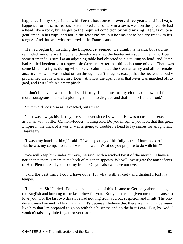happened in my experience with Peter about once in every three years, and it always happened for the same reason. Peter, bored and solitary in a town, went on the spree. He had a head like a rock, but he got to the required condition by wild mixing. He was quite a gentleman in his cups, and not in the least violent, but he was apt to be very free with his tongue. And that was what occurred at the Franciscana.

 He had begun by insulting the Emperor, it seemed. He drank his health, but said he reminded him of a wart−hog, and thereby scarified the lieutenant's soul. Then an officer − some tremendous swell at an adjoining table had objected to his talking so loud, and Peter had replied insolently in respectable German. After that things became mixed. There was some kind of a fight, during which Peter calumniated the German army and all its female ancestry. How he wasn't shot or run through I can't imagine, except that the lieutenant loudly proclaimed that he was a crazy Boer. Anyhow the upshot was that Peter was marched off to gaol, and I was left in a pretty pickle.

 'I don't believe a word of it,' I said firmly. I had most of my clothes on now and felt more courageous. 'It is all a plot to get him into disgrace and draft him off to the front.'

Stumm did not storm as I expected, but smiled.

 'That was always his destiny,' he said, 'ever since I saw him. He was no use to us except as a man with a rifle. Cannon−fodder, nothing else. Do you imagine, you fool, that this great Empire in the thick of a world−war is going to trouble its head to lay snares for an ignorant \_taakhaar?'

 'I wash my hands of him,' I said. 'If what you say of his folly is true I have no part in it. But he was my companion and I wish him well. What do you propose to do with him?'

 'We will keep him under our eye,' he said, with a wicked twist of the mouth. 'I have a notion that there is more at the back of this than appears. We will investigate the antecedents of Herr Pienaar. And you, too, my friend. On you also we have our eye.'

 I did the best thing I could have done, for what with anxiety and disgust I lost my temper.

 'Look here, Sir,' I cried, 'I've had about enough of this. I came to Germany abominating the English and burning to strike a blow for you. But you haven't given me much cause to love you. For the last two days I've had nothing from you but suspicion and insult. The only decent man I've met is Herr Gaudian. It's because I believe that there are many in Germany like him that I'm prepared to go on with this business and do the best I can. But, by God, I wouldn't raise my little finger for your sake.'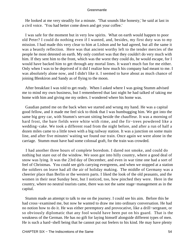He looked at me very steadily for a minute. 'That sounds like honesty,' he said at last in a civil voice. 'You had better come down and get your coffee.'

 I was safe for the moment but in very low spirits. What on earth would happen to poor old Peter? I could do nothing even if I wanted, and, besides, my first duty was to my mission. I had made this very clear to him at Lisbon and he had agreed, but all the same it was a beastly reflection. Here was that ancient worthy left to the tender mercies of the people he most detested on earth. My only comfort was that they couldn't do very much with him. If they sent him to the front, which was the worst they could do, he would escape, for I would have backed him to get through any mortal lines. It wasn't much fun for me either. Only when I was to be deprived of it did I realize how much his company had meant to me. I was absolutely alone now, and I didn't like it. I seemed to have about as much chance of joining Blenkiron and Sandy as of flying to the moon.

 After breakfast I was told to get ready. When I asked where I was going Stumm advised me to mind my own business, but I remembered that last night he had talked of taking me home with him and giving me my orders. I wondered where his home was.

 Gaudian patted me on the back when we started and wrung my hand. He was a capital good fellow, and it made me feel sick to think that I was humbugging him. We got into the same big grey car, with Stumm's servant sitting beside the chauffeur. It was a morning of hard frost, the bare fields were white with rime, and the fir−trees powdered like a wedding−cake. We took a different road from the night before, and after a run of half a dozen miles came to a little town with a big railway station. It was a junction on some main line, and after five minutes' waiting we found our train. Once again we were alone in the carriage. Stumm must have had some colossal graft, for the train was crowded.

 I had another three hours of complete boredom. I dared not smoke, and could do nothing but stare out of the window. We soon got into hilly country, where a good deal of snow was lying. It was the 23rd day of December, and even in war time one had a sort of feel of Christmas. You could see girls carrying evergreens, and when we stopped at a station the soldiers on leave had all the air of holiday making. The middle of Germany was a cheerier place than Berlin or the western parts. I liked the look of the old peasants, and the women in their neat Sunday best, but I noticed, too, how pinched they were. Here in the country, where no neutral tourists came, there was not the same stage−management as in the capital.

 Stumm made an attempt to talk to me on the journey. I could see his aim. Before this he had cross−examined me, but now he wanted to draw me into ordinary conversation. He had no notion how to do it. He was either peremptory and provocative, like a drill−sergeant, or so obviously diplomatic that any fool would have been put on his guard. That is the weakness of the German. He has no gift for laying himself alongside different types of men. He is such a hard−shell being that he cannot put out feelers to his kind. He may have plenty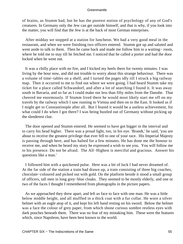of brains, as Stumm had, but he has the poorest notion of psychology of any of God's creatures. In Germany only the Jew can get outside himself, and that is why, if you look into the matter, you will find that the Jew is at the back of most German enterprises.

 After midday we stopped at a station for luncheon. We had a very good meal in the restaurant, and when we were finishing two officers entered. Stumm got up and saluted and went aside to talk to them. Then he came back and made me follow him to a waiting− room, where he told me to stay till he fetched me. I noticed that he called a porter and had the door locked when he went out.

 It was a chilly place with no fire, and I kicked my heels there for twenty minutes. I was living by the hour now, and did not trouble to worry about this strange behaviour. There was a volume of time−tables on a shelf, and I turned the pages idly till I struck a big railway map. Then it occurred to me to find out where we were going. I had heard Stumm take my ticket for a place called Schwandorf, and after a lot of searching I found it. It was away south in Bavaria, and so far as I could make out less than fifty miles from the Danube. That cheered me enormously. If Stumm lived there he would most likely start me off on my travels by the railway which I saw running to Vienna and then on to the East. It looked as if I might get to Constantinople after all. But I feared it would be a useless achievement, for what could I do when I got there? I was being hustled out of Germany without picking up the slenderest clue.

 The door opened and Stumm entered. He seemed to have got bigger in the interval and to carry his head higher. There was a proud light, too, in his eye. 'Brandt,' he said, 'you are about to receive the greatest privilege that ever fell to one of your race. His Imperial Majesty is passing through here, and has halted for a few minutes. He has done me the honour to receive me, and when he heard my story he expressed a wish to see you. You will follow me to his presence. Do not be afraid. The All−Highest is merciful and gracious. Answer his questions like a man.'

 I followed him with a quickened pulse. Here was a bit of luck I had never dreamed of. At the far side of the station a train had drawn up, a train consisting of three big coaches, chocolate−coloured and picked out with gold. On the platform beside it stood a small group of officers, tall men in long grey−blue cloaks. They seemed to be mostly elderly, and one or two of the faces I thought I remembered from photographs in the picture papers.

 As we approached they drew apart, and left us face to face with one man. He was a little below middle height, and all muffled in a thick coat with a fur collar. He wore a silver helmet with an eagle atop of it, and kept his left hand resting on his sword. Below the helmet was a face the colour of grey paper, from which shone curious sombre restless eyes with dark pouches beneath them. There was no fear of my mistaking him. These were the features which, since Napoleon, have been best known to the world.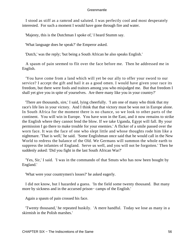I stood as stiff as a ramrod and saluted. I was perfectly cool and most desperately interested. For such a moment I would have gone through fire and water.

'Majesty, this is the Dutchman I spoke of,' I heard Stumm say.

'What language does he speak?' the Emperor asked.

'Dutch,' was the reply; 'but being a South African he also speaks English.'

 A spasm of pain seemed to flit over the face before me. Then he addressed me in English.

 'You have come from a land which will yet be our ally to offer your sword to our service? I accept the gift and hail it as a good omen. I would have given your race its freedom, but there were fools and traitors among you who misjudged me. But that freedom I shall yet give you in spite of yourselves. Are there many like you in your country?'

 'There are thousands, sire,' I said, lying cheerfully. 'I am one of many who think that my race's life lies in your victory. And I think that that victory must be won not in Europe alone. In South Africa for the moment there is no chance, so we look to other parts of the continent. You will win in Europe. You have won in the East, and it now remains to strike the English where they cannot fend the blow. If we take Uganda, Egypt will fall. By your permission I go there to make trouble for your enemies.' A flicker of a smile passed over the worn face. It was the face of one who slept little and whose thoughts rode him like a nightmare. 'That is well,' he said. 'Some Englishman once said that he would call in the New World to redress the balance of the Old. We Germans will summon the whole earth to suppress the infamies of England. Serve us well, and you will not be forgotten.' Then he suddenly asked: 'Did you fight in the last South African War?'

 'Yes, Sir,' I said. 'I was in the commando of that Smuts who has now been bought by England.'

'What were your countrymen's losses?' he asked eagerly.

 I did not know, but I hazarded a guess. 'In the field some twenty thousand. But many more by sickness and in the accursed prison− camps of the English.'

Again a spasm of pain crossed his face.

 'Twenty thousand,' he repeated huskily. 'A mere handful. Today we lose as many in a skirmish in the Polish marshes.'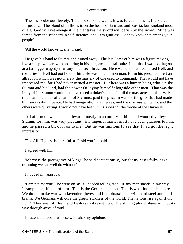Then he broke out fiercely. 'I did not seek the war ... It was forced on me ... I laboured for peace ... The blood of millions is on the heads of England and Russia, but England most of all. God will yet avenge it. He that takes the sword will perish by the sword. Mine was forced from the scabbard in self−defence, and I am guiltless. Do they know that among your people?'

'All the world knows it, sire,' I said.

 He gave his hand to Stumm and turned away. The last I saw of him was a figure moving like a sleep−walker, with no spring in his step, amid his tall suite. I felt that I was looking on at a far bigger tragedy than any I had seen in action. Here was one that had loosed Hell, and the furies of Hell had got hold of him. He was no common man, for in his presence I felt an attraction which was not merely the mastery of one used to command. That would not have impressed me, for I had never owned a master. But here was a human being who, unlike Stumm and his kind, had the power Of laying himself alongside other men. That was the irony of it. Stumm would not have cared a tinker's curse for all the massacres in history. But this man, the chief of a nation of Stumms, paid the price in war for the gifts that had made him successful in peace. He had imagination and nerves, and the one was white hot and the others were quivering. I would not have been in his shoes for the throne of the Universe ...

 All afternoon we sped southward, mostly in a country of hills and wooded valleys. Stumm, for him, was very pleasant. His imperial master must have been gracious to him, and he passed a bit of it on to me. But he was anxious to see that I had got the right impression.

'The All−Highest is merciful, as I told you,' he said.

I agreed with him.

 'Mercy is the prerogative of kings,' he said sententiously, 'but for us lesser folks it is a trimming we can well do without.'

I nodded my approval.

 'I am not merciful,' he went on, as if I needed telling that. 'If any man stands in my way I trample the life out of him. That is the German fashion. That is what has made us great. We do not make war with lavender gloves and fine phrases, but with hard steel and hard brains. We Germans will cure the green−sickness of the world. The nations rise against us. Pouf! They are soft flesh, and flesh cannot resist iron. The shining ploughshare will cut its way through acres of mud.'

I hastened to add that these were also my opinions.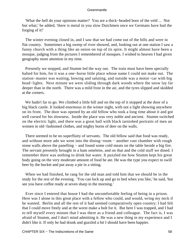'What the hell do your opinions matter? You are a thick−headed boor of the veld ... Not but what,' he added, 'there is metal in you slow Dutchmen once we Germans have had the forging of it!'

 The winter evening closed in, and I saw that we had come out of the hills and were in flat country. Sometimes a big sweep of river showed, and, looking out at one station I saw a funny church with a thing like an onion on top of its spire. It might almost have been a mosque, judging from the pictures I remembered of mosques. I wished to heaven I had given geography more attention in my time.

 Presently we stopped, and Stumm led the way out. The train must have been specially halted for him, for it was a one−horse little place whose name I could not make out. The station−master was waiting, bowing and saluting, and outside was a motor−car with big head−lights. Next minute we were sliding through dark woods where the snow lay far deeper than in the north. There was a mild frost in the air, and the tyres slipped and skidded at the corners.

We hadn't far to go. We climbed a little hill and on the top of it stopped at the door of a big black castle. It looked enormous in the winter night, with not a light showing anywhere on its front. The door was opened by an old fellow who took a long time about it and got well cursed for his slowness. Inside the place was very noble and ancient. Stumm switched on the electric light, and there was a great hall with black tarnished portraits of men an women in old−fashioned clothes, and mighty horns of deer on the walls.

 There seemed to be no superfluity of servants. The old fellow said that food was ready, and without more ado we went into the dining−room − another vast chamber with rough stone walls above the panelling − and found some cold meats on the table beside a big fire. The servant presently brought in a ham omelette, and on that and the cold stuff we dined. I remember there was nothing to drink but water. It puzzled me how Stumm kept his great body going on the very moderate amount of food he ate. He was the type you expect to swill beer by the bucket and put away a pie in a sitting.

 When we had finished, he rang for the old man and told him that we should be in the study for the rest of the evening. 'You can lock up and go to bed when you like,' he said, 'but see you have coffee ready at seven sharp in the morning.'

 Ever since I entered that house I had the uncomfortable feeling of being in a prison. Here was I alone in this great place with a fellow who could, and would, wring my neck if he wanted. Berlin and all the rest of it had seemed comparatively open country; I had felt that I could move freely and at the worst make a bolt for it. But here I was trapped, and I had to tell myself every minute that I was there as a friend and colleague. The fact is, I was afraid of Stumm, and I don't mind admitting it. He was a new thing in my experience and I didn't like it. If only he had drunk and guzzled a bit I should have been happier.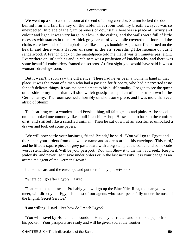We went up a staircase to a room at the end of a long corridor. Stumm locked the door behind him and laid the key on the table. That room took my breath away, it was so unexpected. In place of the grim bareness of downstairs here was a place all luxury and colour and light. It was very large, but low in the ceiling, and the walls were full of little recesses with statues in them. A thick grey carpet of velvet pile covered the floor, and the chairs were low and soft and upholstered like a lady's boudoir. A pleasant fire burned on the hearth and there was a flavour of scent in the air, something like incense or burnt sandalwood. A French clock on the mantelpiece told me that it was ten minutes past eight. Everywhere on little tables and in cabinets was a profusion of knickknacks, and there was some beautiful embroidery framed on screens. At first sight you would have said it was a woman's drawing−room.

 But it wasn't. I soon saw the difference. There had never been a woman's hand in that place. It was the room of a man who had a passion for frippery, who had a perverted taste for soft delicate things. It was the complement to his bluff brutality. I began to see the queer other side to my host, that evil side which gossip had spoken of as not unknown in the German army. The room seemed a horribly unwholesome place, and I was more than ever afraid of Stumm.

 The hearthrug was a wonderful old Persian thing, all faint greens and pinks. As he stood on it he looked uncommonly like a bull in a china−shop. He seemed to bask in the comfort of it, and sniffed like a satisfied animal. Then he sat down at an escritoire, unlocked a drawer and took out some papers.

 'We will now settle your business, friend Brandt,' he said. 'You will go to Egypt and there take your orders from one whose name and address are in this envelope. This card,' and he lifted a square piece of grey pasteboard with a big stamp at the corner and some code words stencilled on it, 'will be your passport. You will Show it to the man you seek. Keep it jealously, and never use it save under orders or in the last necessity. It is your badge as an accredited agent of the German Crown.'

I took the card and the envelope and put them in my pocket−book.

'Where do I go after Egypt?' I asked.

 'That remains to be seen. Probably you will go up the Blue Nile. Riza, the man you will meet, will direct you. Egypt is a nest of our agents who work peacefully under the nose of the English Secret Service.'

'I am willing,' I said. 'But how do I reach Egypt?'

 'You will travel by Holland and London. Here is your route,' and he took a paper from his pocket. 'Your passports are ready and will be given you at the frontier.'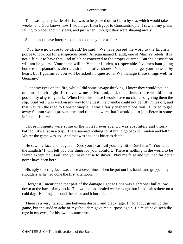This was a pretty kettle of fish. I was to be packed off to Cairo by sea, which would take weeks, and God knows how I would get from Egypt to Constantinople. I saw all my plans falling to pieces about my ears, and just when I thought they were shaping nicely.

Stumm must have interpreted the look on my face as fear.

 'You have no cause to be afraid,' he said. 'We have passed the word to the English police to look out for a suspicious South African named Brandt, one of Maritz's rebels. It is not difficult to have that kind of a hint conveyed to the proper quarter. But the description will not be yours. Your name will be Van der Linden, a respectable Java merchant going home to his plantations after a visit to his native shores. You had better get your \_dossier by heart, but I guarantee you will be asked no questions. We manage these things well in Germany.'

 I kept my eyes on the fire, while I did some savage thinking. I knew they would not let me out of their sight till they saw me in Holland, and, once there, there would be no possibility of getting back. When I left this house I would have no chance of giving them the slip. And yet I was well on my way to the East, the Danube could not be fifty miles off, and that way ran the road to Constantinople. It was a fairly desperate position. If I tried to get away Stumm would prevent me, and the odds were that I would go to join Peter in some infernal prison−camp.

 Those moments were some of the worst I ever spent. I was absolutely and utterly baffled, like a rat in a trap. There seemed nothing for it but to go back to London and tell Sir Walter the game was up. And that was about as bitter as death.

 He saw my face and laughed. 'Does your heart fail you, my little Dutchman? You funk the English? I will tell you one thing for your comfort. There is nothing in the world to be feared except me. Fail, and you have cause to shiver. Play me false and you had far better never have been born.'

 His ugly sneering face was close above mine. Then he put out his hands and gripped my shoulders as he had done the first afternoon.

 I forget if I mentioned that part of the damage I got at Loos was a shrapnel bullet low down at the back of my neck. The wound had healed well enough, but I had pains there on a cold day. His fingers found the place and it hurt like hell.

 There is a very narrow line between despair and black rage. I had about given up the game, but the sudden ache of my shoulders gave me purpose again. He must have seen the rage in my eyes, for his own became cruel.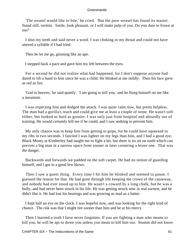'The weasel would like to bite,' he cried. 'But the poor weasel has found its master. Stand still, vermin. Smile, look pleasant, or I will make pulp of you. Do you dare to frown at me?'

 I shut my teeth and said never a word. I was choking in my throat and could not have uttered a syllable if I had tried.

Then he let me go, grinning like an ape.

I stepped back a pace and gave him my left between the eyes.

 For a second he did not realize what had happened, for I don't suppose anyone had dared to lift a hand to him since he was a child. He blinked at me mildly. Then his face grew as red as fire.

 'God in heaven,' he said quietly. 'I am going to kill you,' and he flung himself on me like a mountain.

 I was expecting him and dodged the attack. I was quite calm now, but pretty helpless. The man had a gorilla's reach and could give me at least a couple of stone. He wasn't soft either, but looked as hard as granite. I was only just from hospital and absurdly out of training. He would certainly kill me if he could, and I saw nothing to prevent him.

 My only chance was to keep him from getting to grips, for he could have squeezed in my ribs in two seconds. I fancied I was lighter on my legs than him, and I had a good eye. Black Monty at Kimberley had taught me to fight a bit, but there is no art on earth which can prevent a big man in a narrow space from sooner or later cornering a lesser one. That was the danger.

 Backwards and forwards we padded on the soft carpet. He had no notion of guarding himself, and I got in a good few blows.

 Then I saw a queer thing. Every time I hit him he blinked and seemed to pause. I guessed the reason for that. He had gone through life keeping the crown of the causeway, and nobody had ever stood up to him. He wasn't a coward by a long chalk, but he was a bully, and had never been struck in his life. He was getting struck now in real earnest, and he didn't like it. He had lost his bearings and was growing as mad as a hatter.

 I kept half an eye on the clock. I was hopeful now, and was looking for the right kind of chance. The risk was that I might tire sooner than him and be at his mercy.

 Then I learned a truth I have never forgotten. If you are fighting a man who means to kill you, he will be apt to down you unless you mean to kill him too. Stumm did not know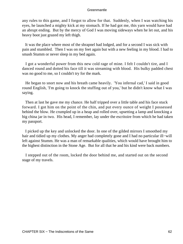any rules to this game, and I forgot to allow for that. Suddenly, when I was watching his eyes, he launched a mighty kick at my stomach. If he had got me, this yarn would have had an abrupt ending. But by the mercy of God I was moving sideways when he let out, and his heavy boot just grazed my left thigh.

 It was the place where most of the shrapnel had lodged, and for a second I was sick with pain and stumbled. Then I was on my feet again but with a new feeling in my blood. I had to smash Stumm or never sleep in my bed again.

 I got a wonderful power from this new cold rage of mine. I felt I couldn't tire, and I danced round and dotted his face till it was streaming with blood. His bulky padded chest was no good to me, so I couldn't try for the mark.

 He began to snort now and his breath came heavily. 'You infernal cad,' I said in good round English, 'I'm going to knock the stuffing out of you,' but he didn't know what I was saying.

 Then at last he gave me my chance. He half tripped over a little table and his face stuck forward. I got him on the point of the chin, and put every ounce of weight I possessed behind the blow. He crumpled up in a heap and rolled over, upsetting a lamp and knocking a big china jar in two. His head, I remember, lay under the escritoire from which he had taken my passport.

 I picked up the key and unlocked the door. In one of the gilded mirrors I smoothed my hair and tidied up my clothes. My anger had completely gone and I had no particular ill−will left against Stumm. He was a man of remarkable qualities, which would have brought him to the highest distinction in the Stone Age. But for all that he and his kind were back numbers.

 I stepped out of the room, locked the door behind me, and started out on the second stage of my travels.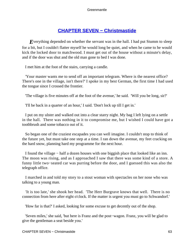## **[CHAPTER SEVEN − Christmastide](#page-207-0)**

*E*verything depended on whether the servant was in the hall. I had put Stumm to sleep for a bit, but I couldn't flatter myself he would long be quiet, and when he came to he would kick the locked door to matchwood. I must get out of the house without a minute's delay, and if the door was shut and the old man gone to bed I was done.

I met him at the foot of the stairs, carrying a candle.

 'Your master wants me to send off an important telegram. Where is the nearest office? There's one in the village, isn't there?' I spoke in my best German, the first time I had used the tongue since I crossed the frontier.

'The village is five minutes off at the foot of the avenue,' he said. 'Will you be long, sir?'

'I'll be back in a quarter of an hour,' I said. 'Don't lock up till I get in.'

 I put on my ulster and walked out into a clear starry night. My bag I left lying on a settle in the hall. There was nothing in it to compromise me, but I wished I could have got a toothbrush and some tobacco out of it.

 So began one of the craziest escapades you can well imagine. I couldn't stop to think of the future yet, but must take one step at a time. I ran down the avenue, my feet cracking on the hard snow, planning hard my programme for the next hour.

 I found the village − half a dozen houses with one biggish place that looked like an inn. The moon was rising, and as I approached I saw that there was some kind of a store. A funny little two−seated car was purring before the door, and I guessed this was also the telegraph office.

 I marched in and told my story to a stout woman with spectacles on her nose who was talking to a young man.

 'It is too late,' she shook her head. 'The Herr Burgrave knows that well. There is no connection from here after eight o'clock. If the matter is urgent you must go to Schwandorf.'

'How far is that?' I asked, looking for some excuse to get decently out of the shop.

 'Seven miles,' she said, 'but here is Franz and the post−wagon. Franz, you will be glad to give the gentleman a seat beside you.'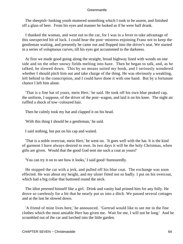The sheepish–looking youth muttered something which I took to be assent, and finished off a glass of beer. From his eyes and manner he looked as if he were half drunk.

 I thanked the woman, and went out to the car, for I was in a fever to take advantage of this unexpected bit of luck. I could hear the post−mistress enjoining Franz not to keep the gentleman waiting, and presently he came out and flopped into the driver's seat. We started in a series of voluptuous curves, till his eyes got accustomed to the darkness.

 At first we made good going along the straight, broad highway lined with woods on one side and on the other snowy fields melting into haze. Then he began to talk, and, as he talked, he slowed down. This by no means suited my book, and I seriously wondered whether I should pitch him out and take charge of the thing. He was obviously a weakling, left behind in the conscription, and I could have done it with one hand. But by a fortunate chance I left him alone.

 'That is a fine hat of yours, mein Herr,' he said. He took off his own blue peaked cap, the uniform, I suppose, of the driver of the post−wagon, and laid it on his knee. The night air ruffled a shock of tow−coloured hair.

Then he calmly took my hat and clapped it on his head.

'With this thing I should be a gentleman,' he said.

I said nothing, but put on his cap and waited.

 'That is a noble overcoat, mein Herr,' he went on. 'It goes well with the hat. It is the kind of garment I have always desired to own. In two days it will be the holy Christmas, when gifts are given. Would that the good God sent me such a coat as yours!'

'You can try it on to see how it looks,' I said good−humouredly.

 He stopped the car with a jerk, and pulled off his blue coat. The exchange was soon effected. He was about my height, and my ulster fitted not so badly. I put on his overcoat, which had a big collar that buttoned round the neck.

 The idiot preened himself like a girl. Drink and vanity had primed him for any folly. He drove so carelessly for a bit that he nearly put us into a ditch. We passed several cottages and at the last he slowed down.

 'A friend of mine lives here,' he announced. 'Gertrud would like to see me in the fine clothes which the most amiable Herr has given me. Wait for me, I will not be long.' And he scrambled out of the car and lurched into the little garden.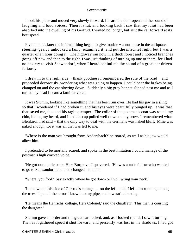I took his place and moved very slowly forward. I heard the door open and the sound of laughing and loud voices. Then it shut, and looking back I saw that my idiot had been absorbed into the dwelling of his Gertrud. I waited no longer, but sent the car forward at its best speed.

 Five minutes later the infernal thing began to give trouble − a nut loose in the antiquated steering−gear. I unhooked a lamp, examined it, and put the mischief right, but I was a quarter of an hour doing it. The highway ran now in a thick forest and I noticed branches going off now and then to the right. I was just thinking of turning up one of them, for I had no anxiety to visit Schwandorf, when I heard behind me the sound of a great car driven furiously.

 I drew in to the right side − thank goodness I remembered the rule of the road − and proceeded decorously, wondering what was going to happen. I could hear the brakes being clamped on and the car slowing down. Suddenly a big grey bonnet slipped past me and as I turned my head I heard a familiar voice.

 It was Stumm, looking like something that has been run over. He had his jaw in a sling, so that I wondered if I had broken it, and his eyes were beautifully bunged up. It was that that saved me, that and his raging temper. The collar of the postman's coat was round my chin, hiding my beard, and I had his cap pulled well down on my brow. I remembered what Blenkiron had said − that the only way to deal with the Germans was naked bluff. Mine was naked enough, for it was all that was left to me.

 'Where is the man you brought from Andersbach?' he roared, as well as his jaw would allow him.

 I pretended to be mortally scared, and spoke in the best imitation I could manage of the postman's high cracked voice.

 'He got out a mile back, Herr Burgrave,'I quavered. 'He was a rude fellow who wanted to go to Schwandorf, and then changed his mind.'

'Where, you fool? Say exactly where he got down or I will wring your neck.'

 'In the wood this side of Gertrud's cottage ... on the left hand. I left him running among the trees.' I put all the terror I knew into my pipe, and it wasn't all acting.

 'He means the Henrichs' cottage, Herr Colonel,' said the chauffeur. 'This man is courting the daughter.'

 Stumm gave an order and the great car backed, and, as I looked round, I saw it turning. Then as it gathered speed it shot forward, and presently was lost in the shadows. I had got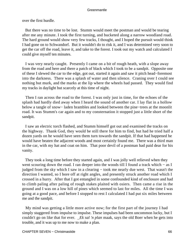over the first hurdle.

 But there was no time to be lost. Stumm would meet the postman and would be tearing after me any minute. I took the first turning, and bucketed along a narrow woodland road. The hard ground would show very few tracks, I thought, and I hoped the pursuit would think I had gone on to Schwandorf. But it wouldn't do to risk it, and I was determined very soon to get the car off the road, leave it, and take to the forest. I took out my watch and calculated I could give myself ten minutes.

 I was very nearly caught. Presently I came on a bit of rough heath, with a slope away from the road and here and there a patch of black which I took to be a sandpit. Opposite one of these I slewed the car to the edge, got out, started it again and saw it pitch head−foremost into the darkness. There was a splash of water and then silence. Craning over I could see nothing but murk, and the marks at the lip where the wheels had passed. They would find my tracks in daylight but scarcely at this time of night.

 Then I ran across the road to the forest. I was only just in time, for the echoes of the splash had hardly died away when I heard the sound of another car. I lay flat in a hollow below a tangle of snow− laden brambles and looked between the pine−trees at the moonlit road. It was Stumm's car again and to my consternation it stopped just a little short of the sandpit.

 I saw an electric torch flashed, and Stumm himself got out and examined the tracks on the highway. Thank God, they would be still there for him to find, but had he tried half a dozen yards on he would have seen them turn towards the sandpit. If that had happened he would have beaten the adjacent woods and most certainly found me. There was a third man in the car, with my hat and coat on him. That poor devil of a postman had paid dear for his vanity.

 They took a long time before they started again, and I was jolly well relieved when they went scouring down the road. I ran deeper into the woods till I found a track which − as I judged from the sky which I saw in a clearing − took me nearly due west. That wasn't the direction I wanted, so I bore off at right angles, and presently struck another road which I crossed in a hurry. After that I got entangled in some confounded kind of enclosure and had to climb paling after paling of rough stakes plaited with osiers. Then came a rise in the ground and I was on a low hill of pines which seemed to last for miles. All the time I was going at a good pace, and before I stopped to rest I calculated I had put six miles between me and the sandpit.

 My mind was getting a little more active now; for the first part of the journey I had simply staggered from impulse to impulse. These impulses had been uncommon lucky, but I couldn't go on like that for ever. *\_Ek sal 'n plan* maak, says the old Boer when he gets into trouble, and it was up to me now to make a plan.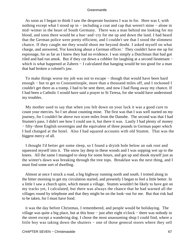As soon as I began to think I saw the desperate business I was in for. Here was I, with nothing except what I stood up in – including a coat and cap that weren't mine – alone in mid−winter in the heart of South Germany. There was a man behind me looking for my blood, and soon there would be a hue−and−cry for me up and down the land. I had heard that the German police were pretty efficient, and I couldn't see that I stood the slimmest chance. If they caught me they would shoot me beyond doubt. I asked myself on what charge, and answered, 'For knocking about a German officer.' They couldn't have me up for espionage, for as far as I knew they had no evidence. I was simply a Dutchman that had got riled and had run amok. But if they cut down a cobbler for laughing at a second lieutenant − which is what happened at Zabern – I calculated that hanging would be too good for a man that had broken a colonel's jaw.

To make things worse my job was not to escape – though that would have been hard enough − but to get to Constantinople, more than a thousand miles off, and I reckoned I couldn't get there as a tramp. I had to be sent there, and now I had flung away my chance. If I had been a Catholic I would have said a prayer to St Teresa, for she would have understood my troubles.

 My mother used to say that when you felt down on your luck it was a good cure to count your mercies. So I set about counting mine. The first was that I was well started on my journey, for I couldn't be above two score miles from the Danube. The second was that I had Stumm's pass. I didn't see how I could use it, but there it was. Lastly I had plenty of money − fifty−three English sovereigns and the equivalent of three pounds in German paper which I had changed at the hotel. Also I had squared accounts with old Stumm. That was the biggest mercy of all.

 I thought I'd better get some sleep, so I found a dryish hole below an oak root and squeezed myself into it. The snow lay deep in these woods and I was sopping wet up to the knees. All the same I managed to sleep for some hours, and got up and shook myself just as the winter's dawn was breaking through the tree tops. Breakfast was the next thing, and I must find some sort of dwelling.

 Almost at once I struck a road, a big highway running north and south. I trotted along in the bitter morning to get my circulation started, and presently I began to feel a little better. In a little I saw a church spire, which meant a village. Stumm wouldn't be likely to have got on my tracks yet, I calculated, but there was always the chance that he had warned all the villages round by telephone and that they might be on the look−out for me. But that risk had to be taken, for I must have food.

 it was the day before Christmas, I remembered, and people would be holidaying. The village was quite a big place, but at this hour − just after eight o'clock − there was nobody in the street except a wandering dog. I chose the most unassuming shop I could find, where a little boy was taking down the shutters − one of those general stores where they sell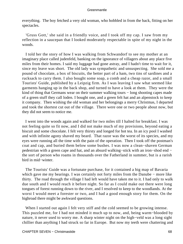everything. The boy fetched a very old woman, who hobbled in from the back, fitting on her spectacles.

 'Gruss Gott,' she said in a friendly voice, and I took off my cap. I saw from my reflection in a saucepan that I looked moderately respectable in spite of my night in the woods.

 I told her the story of how I was walking from Schwandorf to see my mother at an imaginary place called judenfeld, banking on the ignorance of villagers about any place five miles from their homes. I said my luggage had gone astray, and I hadn't time to wait for it, since my leave was short. The old lady was sympathetic and unsuspecting. She sold me a pound of chocolate, a box of biscuits, the better part of a ham, two tins of sardines and a rucksack to carry them. I also bought some soap, a comb and a cheap razor, and a small Tourists' Guide, published by a Leipzig firm. As I was leaving I saw what seemed like garments hanging up in the back shop, and turned to have a look at them. They were the kind of thing that Germans wear on their summer walking tours − long shooting capes made of a green stuff they call loden. I bought one, and a green felt hat and an alpenstock to keep it company. Then wishing the old woman and her belongings a merry Christmas, I departed and took the shortest cut out of the village. There were one or two people about now, but they did not seem to notice me.

 I went into the woods again and walked for two miles till I halted for breakfast. I was not feeling quite so fit now, and I did not make much of my provisions, beyond eating a biscuit and some chocolate. I felt very thirsty and longed for hot tea. In an icy pool I washed and with infinite agony shaved my beard. That razor was the worst of its species, and my eyes were running all the time with the pain of the operation. Then I took off the postman's coat and cap, and buried them below some bushes. I was now a clean−shaven German pedestrian with a green cape and hat, and an absurd walking−stick with an iron−shod end − the sort of person who roams in thousands over the Fatherland in summer, but is a rarish bird in mid−winter.

 The Tourists' Guide was a fortunate purchase, for it contained a big map of Bavaria which gave me my bearings. I was certainly not forty miles from the Danube − more like thirty. The road through the village I had left would have taken me to it. I had only to walk due south and I would reach it before night. So far as I could make out there were long tongues of forest running down to the river, and I resolved to keep to the woodlands. At the worst I would meet a forester or two, and I had a good enough story for them. On the highroad there might be awkward questions.

When I started out again I felt very stiff and the cold seemed to be growing intense. This puzzled me, for I had not minded it much up to now, and, being warm−blooded by nature, it never used to worry me. A sharp winter night on the high−veld was a long sight chillier than anything I had struck so far in Europe. But now my teeth were chattering and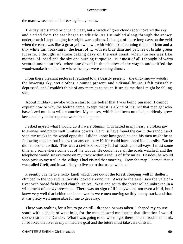the marrow seemed to be freezing in my bones.

 The day had started bright and clear, but a wrack of grey clouds soon covered the sky, and a wind from the east began to whistle. As I stumbled along through the snowy undergrowth I kept longing for bright warm places. I thought of those long days on the veld when the earth was like a great yellow bowl, with white roads running to the horizon and a tiny white farm basking in the heart of it, with its blue dam and patches of bright green lucerne. I thought of those baking days on the east coast, when the sea was like mother−of−pearl and the sky one burning turquoise. But most of all I thought of warm scented noons on trek, when one dozed in the shadow of the wagon and sniffed the wood−smoke from the fire where the boys were cooking dinner.

From these pleasant pictures I returned to the beastly present – the thick snowy woods, the lowering sky, wet clothes, a hunted present, and a dismal future. I felt miserably depressed, and I couldn't think of any mercies to count. It struck me that I might be falling sick.

 About midday I awoke with a start to the belief that I was being pursued. I cannot explain how or why the feeling came, except that it is a kind of instinct that men get who have lived much in wild countries. My senses, which had been numbed, suddenly grew keen, and my brain began to work double quick.

 I asked myself what I would do if I were Stumm, with hatred in my heart, a broken jaw to avenge, and pretty well limitless powers. He must have found the car in the sandpit and seen my tracks in the wood opposite. I didn't know how good he and his men might be at following a spoor, but I knew that any ordinary Kaffir could have nosed it out easily. But he didn't need to do that. This was a civilized country full of roads and railways. I must some time and somewhere come out of the woods. He could have all the roads watched, and the telephone would set everyone on my track within a radius of fifty miles. Besides, he would soon pick up my trail in the village I had visited that morning. From the map I learned that it was called Greif, and it was likely to live up to that name with me.

 Presently I came to a rocky knoll which rose out of the forest. Keeping well in shelter I climbed to the top and cautiously looked around me. Away to the east I saw the vale of a river with broad fields and church−spires. West and south the forest rolled unbroken in a wilderness of snowy tree−tops. There was no sign of life anywhere, not even a bird, but I knew very well that behind me in the woods were men moving swiftly on my track, and that it was pretty well impossible for me to get away.

 There was nothing for it but to go on till I dropped or was taken. I shaped my course south with a shade of west in it, for the map showed me that in that direction I would soonest strike the Danube. What I was going to do when I got there I didn't trouble to think. I had fixed the river as my immediate goal and the future must take care of itself.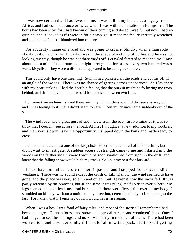I was now certain that I had fever on me. It was still in my bones, as a legacy from Africa, and had come out once or twice when I was with the battalion in Hampshire. The bouts had been short for I had known of their coming and dosed myself. But now I had no quinine, and it looked as if I were in for a heavy go. It made me feel desperately wretched and stupid, and I all but blundered into capture.

 For suddenly I came on a road and was going to cross it blindly, when a man rode slowly past on a bicycle. Luckily I was in the shade of a clump of hollies and he was not looking my way, though he was not three yards off. I crawled forward to reconnoitre. I saw about half a mile of road running straight through the forest and every two hundred yards was a bicyclist. They wore uniform and appeared to be acting as sentries.

 This could only have one meaning. Stumm had picketed all the roads and cut me off in an angle of the woods. There was no chance of getting across unobserved. As I lay there with my heart sinking, I had the horrible feeling that the pursuit might be following me from behind, and that at any moment I would be enclosed between two fires.

 For more than an hour I stayed there with my chin in the snow. I didn't see any way out, and I was feeling so ill that I didn't seem to care. Then my chance came suddenly out of the skies.

 The wind rose, and a great gust of snow blew from the east. In five minutes it was so thick that I couldn't see across the road. At first I thought it a new addition to my troubles, and then very slowly I saw the opportunity. I slipped down the bank and made ready to cross.

 I almost blundered into one of the bicyclists. He cried out and fell off his machine, but I didn't wait to investigate. A sudden access of strength came to me and I darted into the woods on the farther side. I knew I would be soon swallowed from sight in the drift, and I knew that the falling snow would hide my tracks. So I put my best foot forward.

 I must have run miles before the hot fit passed, and I stopped from sheer bodily weakness. There was no sound except the crush of falling snow, the wind seemed to have gone, and the place was very solemn and quiet. But Heavens! how the snow fell! It was partly screened by the branches, but all the same it was piling itself up deep everywhere. My legs seemed made of lead, my head burned, and there were fiery pains over all my body. I stumbled on blindly, without a notion of any direction, determined only to keep going to the last. For I knew that if I once lay down I would never rise again.

When I was a boy I was fond of fairy tales, and most of the stories I remembered had been about great German forests and snow and charcoal burners and woodmen's huts. Once I had longed to see these things, and now I was fairly in the thick of them. There had been wolves, too, and I wondered idly if I should fall in with a pack. I felt myself getting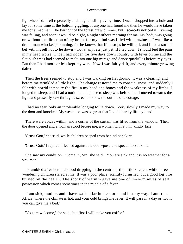light−headed. I fell repeatedly and laughed sillily every time. Once I dropped into a hole and lay for some time at the bottom giggling. If anyone had found me then he would have taken me for a madman. The twilight of the forest grew dimmer, but I scarcely noticed it. Evening was falling, and soon it would be night, a night without morning for me. My body was going on without the direction of my brain, for my mind was filled with craziness. I was like a drunk man who keeps running, for he knows that if he stops he will fall, and I had a sort of bet with myself not to lie down − not at any rate just yet. If I lay down I should feel the pain in my head worse. Once I had ridden for five days down country with fever on me and the flat bush trees had seemed to melt into one big mirage and dance quadrilles before my eyes. But then I had more or less kept my wits. Now I was fairly daft, and every minute growing dafter.

 Then the trees seemed to stop and I was walking on flat ground. it was a clearing, and before me twinkled a little light. The change restored me to consciousness, and suddenly I felt with horrid intensity the fire in my head and bones and the weakness of my limbs. I longed to sleep, and I had a notion that a place to sleep was before me. I moved towards the light and presently saw through a screen of snow the outline of a cottage.

 I had no fear, only an intolerable longing to lie down. Very slowly I made my way to the door and knocked. My weakness was so great that I could hardly lift my hand.

 There were voices within, and a corner of the curtain was lifted from the window. Then the door opened and a woman stood before me, a woman with a thin, kindly face.

'Gruss Gott,' she said, while children peeped from behind her skirts.

'Gruss Gott,' I replied. I leaned against the door−post, and speech forsook me.

 She saw my condition. 'Come in, Sir,' she said. 'You are sick and it is no weather for a sick man.'

 I stumbled after her and stood dripping in the centre of the little kitchen, while three wondering children stared at me. It was a poor place, scantily furnished, but a good log−fire burned on the hearth. The shock of warmth gave me one of those minutes of self− possession which comes sometimes in the middle of a fever.

 'I am sick, mother, and I have walked far in the storm and lost my way. I am from Africa, where the climate is hot, and your cold brings me fever. It will pass in a day or two if you can give me a bed.'

'You are welcome,' she said; 'but first I will make you coffee.'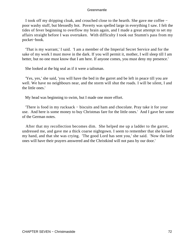I took off my dripping cloak, and crouched close to the hearth. She gave me coffee − poor washy stuff, but blessedly hot. Poverty was spelled large in everything I saw. I felt the tides of fever beginning to overflow my brain again, and I made a great attempt to set my affairs straight before I was overtaken. With difficulty I took out Stumm's pass from my pocket−book.

 'That is my warrant,' I said. 'I am a member of the Imperial Secret Service and for the sake of my work I must move in the dark. If you will permit it, mother, I will sleep till I am better, but no one must know that I am here. If anyone comes, you must deny my presence.'

She looked at the big seal as if it were a talisman.

 'Yes, yes,' she said, 'you will have the bed in the garret and be left in peace till you are well. We have no neighbours near, and the storm will shut the roads. I will be silent, I and the little ones.'

My head was beginning to swim, but I made one more effort.

 'There is food in my rucksack − biscuits and ham and chocolate. Pray take it for your use. And here is some money to buy Christmas fare for the little ones.' And I gave her some of the German notes.

 After that my recollection becomes dim. She helped me up a ladder to the garret, undressed me, and gave me a thick coarse nightgown. I seem to remember that she kissed my hand, and that she was crying. 'The good Lord has sent you,' she said. 'Now the little ones will have their prayers answered and the Christkind will not pass by our door.'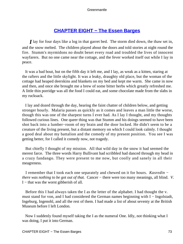## **[CHAPTER EIGHT − The Essen Barges](#page-207-0)**

*I* lay for four days like a log in that garret bed. The storm died down, the thaw set in, and the snow melted. The children played about the doors and told stories at night round the fire. Stumm's myrmidons no doubt beset every road and troubled the lives of innocent wayfarers. But no one came near the cottage, and the fever worked itself out while I lay in peace.

 It was a bad bout, but on the fifth day it left me, and I lay, as weak as a kitten, staring at the rafters and the little skylight. It was a leaky, draughty old place, but the woman of the cottage had heaped deerskins and blankets on my bed and kept me warm. She came in now and then, and once she brought me a brew of some bitter herbs which greatly refreshed me. A little thin porridge was all the food I could eat, and some chocolate made from the slabs in my rucksack.

 I lay and dozed through the day, hearing the faint chatter of children below, and getting stronger hourly. Malaria passes as quickly as it comes and leaves a man little the worse, though this was one of the sharpest turns I ever had. As I lay I thought, and my thoughts followed curious lines. One queer thing was that Stumm and his doings seemed to have been shot back into a lumber−room of my brain and the door locked. He didn't seem to be a creature of the living present, but a distant memory on which I could look calmly. I thought a good deal about my battalion and the comedy of my present position. You see I was getting better, for I called it comedy now, not tragedy.

 But chiefly I thought of my mission. All that wild day in the snow it had seemed the merest farce. The three words Harry Bullivant had scribbled had danced through my head in a crazy fandango. They were present to me now, but coolly and sanely in all their meagreness.

 I remember that I took each one separately and chewed on it for hours. *Kasredin − there was nothing to be got out of that.* Cancer – there were too many meanings, all blind. *V*. I − that was the worst gibberish of all.

 Before this I had always taken the I as the letter of the alphabet. I had thought the v. must stand for von, and I had considered the German names beginning with I – Ingolstadt, Ingeburg, Ingenohl, and all the rest of them. I had made a list of about seventy at the British Museum before I left London.

 Now I suddenly found myself taking the I as the numeral One. Idly, not thinking what I was doing, I put it into German.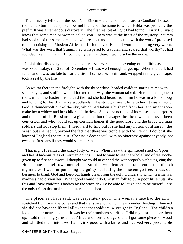Then I nearly fell out of the bed. Von Einem – the name I had heard at Gaudian's house, the name Stumm had spoken behind his hand, the name to which Hilda was probably the prefix. It was a tremendous discovery – the first real bit of light I had found. Harry Bullivant knew that some man or woman called von Einem was at the heart of the mystery. Stumm had spoken of the same personage with respect and in connection with the work I proposed to do in raising the Moslem Africans. If I found von Einem I would be getting very warm. What was the word that Stumm had whispered to Gaudian and scared that worthy? It had sounded like uhnmantl. If I could only get that clear, I would solve the riddle.

 I think that discovery completed my cure. At any rate on the evening of the fifth day − it was Wednesday, the 29th of December − I was well enough to get up. When the dark had fallen and it was too late to fear a visitor, I came downstairs and, wrapped in my green cape, took a seat by the fire.

 As we sat there in the firelight, with the three white−headed children staring at me with saucer eyes, and smiling when I looked their way, the woman talked. Her man had gone to the wars on the Eastern front, and the last she had heard from him he was in a Polish bog and longing for his dry native woodlands. The struggle meant little to her. It was an act of God, a thunderbolt out of the sky, which had taken a husband from her, and might soon make her a widow and her children fatherless. She knew nothing of its causes and purposes, and thought of the Russians as a gigantic nation of savages, heathens who had never been converted, and who would eat up German homes if the good Lord and the brave German soldiers did not stop them. I tried hard to find out if she had any notion of affairs in the West, but she hadn't, beyond the fact that there was trouble with the French. I doubt if she knew of England's share in it. She was a decent soul, with no bitterness against anybody, not even the Russians if they would spare her man.

 That night I realized the crazy folly of war. When I saw the splintered shell of Ypres and heard hideous tales of German doings, I used to want to see the whole land of the Boche given up to fire and sword. I thought we could never end the war properly without giving the Huns some of their own medicine. But that woodcutter's cottage cured me of such nightmares. I was for punishing the guilty but letting the innocent go free. It was our business to thank God and keep our hands clean from the ugly blunders to which Germany's madness had driven her. What good would it do Christian folk to burn poor little huts like this and leave children's bodies by the wayside? To be able to laugh and to be merciful are the only things that make man better than the beasts.

 The place, as I have said, was desperately poor. The woman's face had the skin stretched tight over the bones and that transparency which means under−feeding; I fancied she did not have the liberal allowance that soldiers' wives get in England. The children looked better nourished, but it was by their mother's sacrifice. I did my best to cheer them up. I told them long yarns about Africa and lions and tigers, and I got some pieces of wood and whittled them into toys. I am fairly good with a knife, and I carved very presentable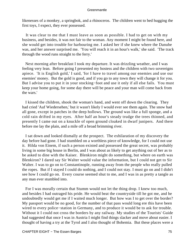likenesses of a monkey, a springbok, and a rhinoceros. The children went to bed hugging the first toys, I expect, they ever possessed.

 It was clear to me that I must leave as soon as possible. I had to get on with my business, and besides, it was not fair to the woman. Any moment I might be found here, and she would get into trouble for harbouring me. I asked her if she knew where the Danube was, and her answer surprised me. 'You will reach it in an hour's walk,' she said. 'The track through the wood runs straight to the ferry.'

 Next morning after breakfast I took my departure. It was drizzling weather, and I was feeling very lean. Before going I presented my hostess and the children with two sovereigns apiece. 'It is English gold,' I said, 'for I have to travel among our enemies and use our enemies' money. But the gold is good, and if you go to any town they will change it for you. But I advise you to put it in your stocking−foot and use it only if all else fails. You must keep your home going, for some day there will be peace and your man will come back from the wars.'

 I kissed the children, shook the woman's hand, and went off down the clearing. They had cried 'Auf Wiedersehen,' but it wasn't likely I would ever see them again. The snow had all gone, except in patches in the deep hollows. The ground was like a full sponge, and a cold rain drifted in my eyes. After half an hour's steady trudge the trees thinned, and presently I came out on a knuckle of open ground cloaked in dwarf junipers. And there before me lay the plain, and a mile off a broad brimming river.

 I sat down and looked dismally at the prospect. The exhilaration of my discovery the day before had gone. I had stumbled on a worthless piece of knowledge, for I could not use it. Hilda von Einem, if such a person existed and possessed the great secret, was probably living in some big house in Berlin, and I was about as likely to get anything out of her as to be asked to dine with the Kaiser. Blenkiron might do something, but where on earth was Blenkiron? I dared say Sir Walter would value the information, but I could not get to Sir Walter. I was to go on to Constantinople, running away from the people who really pulled the ropes. But if I stayed I could do nothing, and I could not stay. I must go on and I didn't see how I could go on. Every course seemed shut to me, and I was in as pretty a tangle as any man ever stumbled into.

 For I was morally certain that Stumm would not let the thing drop. I knew too much, and besides I had outraged his pride. He would beat the countryside till he got me, and he undoubtedly would get me if I waited much longer. But how was I to get over the border? My passport would be no good, for the number of that pass would long ere this have been wired to every police−station in Germany, and to produce it would be to ask for trouble. Without it I could not cross the borders by any railway. My studies of the Tourists' Guide had suggested that once I was in Austria I might find things slacker and move about easier. I thought of having a try at the Tyrol and I also thought of Bohemia. But these places were a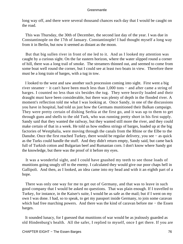long way off, and there were several thousand chances each day that I would be caught on the road.

 This was Thursday, the 30th of December, the second last day of the year. I was due in Constantinople on the 17th of January. Constantinople! I had thought myself a long way from it in Berlin, but now it seemed as distant as the moon.

 But that big sullen river in front of me led to it. And as I looked my attention was caught by a curious sight. On the far eastern horizon, where the water slipped round a corner of hill, there was a long trail of smoke. The streamers thinned out, and seemed to come from some boat well round the corner, but I could see at least two boats in view. Therefore there must be a long train of barges, with a tug in tow.

 I looked to the west and saw another such procession coming into sight. First went a big river steamer − it can't have been much less than 1,000 tons − and after came a string of barges. I counted no less than six besides the tug. They were heavily loaded and their draught must have been considerable, but there was plenty of depth in the flooded river. A moment's reflection told me what I was looking at. Once Sandy, in one of the discussions you have in hospital, had told us just how the Germans munitioned their Balkan campaign. They were pretty certain of dishing Serbia at the first go, and it was up to them to get through guns and shells to the old Turk, who was running pretty short in his first supply. Sandy said that they wanted the railway, but they wanted still more the river, and they could make certain of that in a week. He told us how endless strings of barges, loaded up at the big factories of Westphalia, were moving through the canals from the Rhine or the Elbe to the Danube. Once the first reached Turkey, there would be regular delivery, you see − as quick as the Turks could handle the stuff. And they didn't return empty, Sandy said, but came back full of Turkish cotton and Bulgarian beef and Rumanian corn. I don't know where Sandy got the knowledge, but there was the proof of it before my eyes.

 It was a wonderful sight, and I could have gnashed my teeth to see those loads of munitions going snugly off to the enemy. I calculated they would give our poor chaps hell in Gallipoli. And then, as I looked, an idea came into my head and with it an eighth part of a hope.

 There was only one way for me to get out of Germany, and that was to leave in such good company that I would be asked no questions. That was plain enough. If I travelled to Turkey, for instance, in the Kaiser's suite, I would be as safe as the mail; but if I went on my own I was done. I had, so to speak, to get my passport inside Germany, to join some caravan which had free marching powers. And there was the kind of caravan before me − the Essen barges.

 It sounded lunacy, for I guessed that munitions of war would be as jealously guarded as old Hindenburg's health. All the safer, I replied to myself, once I get there. If you are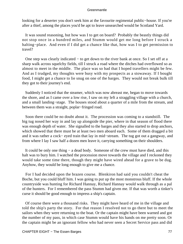looking for a deserter you don't seek him at the favourite regimental public−house. If you're after a thief, among the places you'd be apt to leave unsearched would be Scotland Yard.

 It was sound reasoning, but how was I to get on board? Probably the beastly things did not stop once in a hundred miles, and Stumm would get me long before I struck a halting−place. And even if I did get a chance like that, how was I to get permission to travel?

 One step was clearly indicated − to get down to the river bank at once. So I set off at a sharp walk across squelchy fields, till I struck a road where the ditches had overflowed so as almost to meet in the middle. The place was so bad that I hoped travellers might be few. And as I trudged, my thoughts were busy with my prospects as a stowaway. If I bought food, I might get a chance to lie snug on one of the barges. They would not break bulk till they got to their journey's end.

 Suddenly I noticed that the steamer, which was now abreast me, began to move towards the shore, and as I came over a low rise, I saw on my left a straggling village with a church, and a small landing−stage. The houses stood about a quarter of a mile from the stream, and between them was a straight, poplar−fringed road.

 Soon there could be no doubt about it. The procession was coming to a standstill. The big tug nosed her way in and lay up alongside the pier, where in that season of flood there was enough depth of water. She signalled to the barges and they also started to drop anchors, which showed that there must be at least two men aboard each. Some of them dragged a bit and it was rather a cock− eyed train that lay in mid−stream. The tug got out a gangway, and from where I lay I saw half a dozen men leave it, carrying something on their shoulders.

 It could be only one thing − a dead body. Someone of the crew must have died, and this halt was to bury him. I watched the procession move towards the village and I reckoned they would take some time there, though they might have wired ahead for a grave to be dug. Anyhow, they would be long enough to give me a chance.

 For I had decided upon the brazen course. Blenkiron had said you couldn't cheat the Boche, but you could bluff him. I was going to put up the most monstrous bluff. If the whole countryside was hunting for Richard Hannay, Richard Hannay would walk through as a pal of the hunters. For I remembered the pass Stumm had given me. If that was worth a tinker's curse it should be good enough to impress a ship's captain.

 Of course there were a thousand risks. They might have heard of me in the village and told the ship's party the story. For that reason I resolved not to go there but to meet the sailors when they were returning to the boat. Or the captain might have been warned and got the number of my pass, in which case Stumm would have his hands on me pretty soon. Or the captain might be an ignorant fellow who had never seen a Secret Service pass and did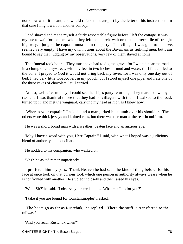not know what it meant, and would refuse me transport by the letter of his instructions. In that case I might wait on another convoy.

 I had shaved and made myself a fairly respectable figure before I left the cottage. It was my cue to wait for the men when they left the church, wait on that quarter−mile of straight highway. I judged the captain must be in the party. The village, I was glad to observe, seemed very empty. I have my own notions about the Bavarians as fighting men, but I am bound to say that, judging by my observations, very few of them stayed at home.

 That funeral took hours. They must have had to dig the grave, for I waited near the road in a clump of cherry−trees, with my feet in two inches of mud and water, till I felt chilled to the bone. I prayed to God it would not bring back my fever, for I was only one day out of bed. I had very little tobacco left in my pouch, but I stood myself one pipe, and I ate one of the three cakes of chocolate I still carried.

 At last, well after midday, I could see the ship's party returning. They marched two by two and I was thankful to see that they had no villagers with them. I walked to the road, turned up it, and met the vanguard, carrying my head as high as I knew how.

 'Where's your captain?' I asked, and a man jerked his thumb over his shoulder. The others wore thick jerseys and knitted caps, but there was one man at the rear in uniform.

He was a short, broad man with a weather−beaten face and an anxious eye.

 'May I have a word with you, Herr Captain?' I said, with what I hoped was a judicious blend of authority and conciliation.

He nodded to his companion, who walked on.

'Yes?' he asked rather impatiently.

 I proffered him my pass. Thank Heaven he had seen the kind of thing before, for his face at once took on that curious look which one person in authority always wears when he is confronted with another. He studied it closely and then raised his eyes.

'Well, Sir?' he said. 'I observe your credentials. What can I do for you?'

'I take it you are bound for Constantinople?' I asked.

 'The boats go as far as Rustchuk,' he replied. 'There the stuff is transferred to the railway.'

'And you reach Rustchuk when?'

CHAPTER EIGHT – The Essen Barges 78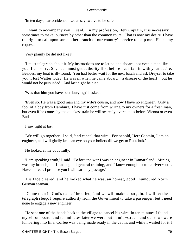'In ten days, bar accidents. Let us say twelve to be safe.'

 'I want to accompany you,' I said. 'In my profession, Herr Captain, it is necessary sometimes to make journeys by other than the common route. That is now my desire. I have the right to call upon some other branch of our country's service to help me. Hence my request.'

Very plainly he did not like it.

 'I must telegraph about it. My instructions are to let no one aboard, not even a man like you. I am sorry, Sir, but I must get authority first before I can fall in with your desire. Besides, my boat is ill−found. You had better wait for the next batch and ask Dreyser to take you. I lost Walter today. He was ill when he came aboard − a disease of the heart − but he would not be persuaded. And last night he died.'

'Was that him you have been burying?' I asked.

 'Even so. He was a good man and my wife's cousin, and now I have no engineer. Only a fool of a boy from Hamburg. I have just come from wiring to my owners for a fresh man, but even if he comes by the quickest train he will scarcely overtake us before Vienna or even Buda.'

I saw light at last.

 'We will go together,' I said, 'and cancel that wire. For behold, Herr Captain, I am an engineer, and will gladly keep an eye on your boilers till we get to Rustchuk.'

He looked at me doubtfully.

 'I am speaking truth,' I said. 'Before the war I was an engineer in Damaraland. Mining was my branch, but I had a good general training, and I know enough to run a river−boat. Have no fear. I promise you I will earn my passage.'

 His face cleared, and he looked what he was, an honest, good− humoured North German seaman.

 'Come then in God's name,' he cried, 'and we will make a bargain. I will let the telegraph sleep. I require authority from the Government to take a passenger, but I need none to engage a new engineer.'

 He sent one of the hands back to the village to cancel his wire. In ten minutes I found myself on board, and ten minutes later we were out in mid−stream and our tows were lumbering into line. Coffee was being made ready in the cabin, and while I waited for it I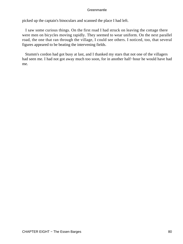picked up the captain's binoculars and scanned the place I had left.

 I saw some curious things. On the first road I had struck on leaving the cottage there were men on bicycles moving rapidly. They seemed to wear uniform. On the next parallel road, the one that ran through the village, I could see others. I noticed, too, that several figures appeared to be beating the intervening fields.

 Stumm's cordon had got busy at last, and I thanked my stars that not one of the villagers had seen me. I had not got away much too soon, for in another half−hour he would have had me.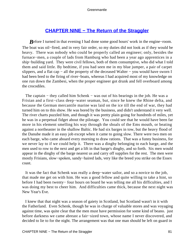## **[CHAPTER NINE − The Return of the Straggler](#page-207-0)**

*B*efore I turned in that evening I had done some good hours' work in the engine–room. The boat was oil−fired, and in very fair order, so my duties did not look as if they would be heavy. There was nobody who could be properly called an engineer; only, besides the furnace−men, a couple of lads from Hamburg who had been a year ago apprentices in a ship−building yard. They were civil fellows, both of them consumptive, who did what I told them and said little. By bedtime, if you had seen me in my blue jumper, a pair of carpet slippers, and a flat cap − all the property of the deceased Walter − you would have sworn I had been bred to the firing of river−boats, whereas I had acquired most of my knowledge on one run down the Zambesi, when the proper engineer got drunk and fell overboard among the crocodiles.

The captain – they called him Schenk – was out of his bearings in the job. He was a Frisian and a first−class deep−water seaman, but, since he knew the Rhine delta, and because the German mercantile marine was laid on the ice till the end of war, they had turned him on to this show. He was bored by the business, and didn't understand it very well. The river charts puzzled him, and though it was pretty plain going for hundreds of miles, yet he was in a perpetual fidget about the pilotage. You could see that he would have been far more in his element smelling his way through the shoals of the Ems mouth, or beating against a northeaster in the shallow Baltic. He had six barges in tow, but the heavy flood of the Danube made it an easy job except when it came to going slow. There were two men on each barge, who came aboard every morning to draw rations. That was a funny business, for we never lay to if we could help it. There was a dinghy belonging to each barge, and the men used to row to the next and get a lift in that barge's dinghy, and so forth. Six men would appear in the dinghy of the barge nearest us and carry off supplies for the rest. The men were mostly Frisians, slow−spoken, sandy−haired lads, very like the breed you strike on the Essex coast.

 It was the fact that Schenk was really a deep−water sailor, and so a novice to the job, that made me get on with him. He was a good fellow and quite willing to take a hint, so before I had been twenty− four hours on board he was telling me all his difficulties, and I was doing my best to cheer him. And difficulties came thick, because the next night was New Year's Eve.

 I knew that that night was a season of gaiety in Scotland, but Scotland wasn't in it with the Fatherland. Even Schenk, though he was in charge of valuable stores and was voyaging against time, was quite clear that the men must have permission for some kind of beano. just before darkness we came abreast a fair−sized town, whose name I never discovered, and decided to lie to for the night. The arrangement was that one man should be left on guard in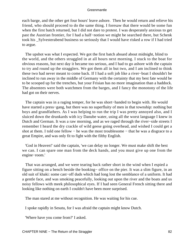each barge, and the other get four hours' leave ashore. Then he would return and relieve his friend, who should proceed to do the same thing. I foresaw that there would be some fun when the first batch returned, but I did not dare to protest. I was desperately anxious to get past the Austrian frontier, for I had a half−notion we might be searched there, but Schenk took his \_Sylvesterabend business so seriously that I would have risked a row if I had tried to argue.

 The upshot was what I expected. We got the first batch aboard about midnight, blind to the world, and the others straggled in at all hours next morning. I stuck to the boat for obvious reasons, but next day it became too serious, and I had to go ashore with the captain to try and round up the stragglers. We got them all in but two, and I am inclined to think these two had never meant to come back. If I had a soft job like a river−boat I shouldn't be inclined to run away in the middle of Germany with the certainty that my best fate would be to be scooped up for the trenches, but your Frisian has no more imagination than a haddock. The absentees were both watchmen from the barges, and I fancy the monotony of the life had got on their nerves.

 The captain was in a raging temper, for he was short−handed to begin with. He would have started a press−gang, but there was no superfluity of men in that township: nothing but boys and grandfathers. As I was helping to run the trip I was pretty annoyed also, and I sluiced down the drunkards with icy Danube water, using all the worst language I knew in Dutch and German. It was a raw morning, and as we raged through the river−side streets I remember I heard the dry crackle of wild geese going overhead, and wished I could get a shot at them. I told one fellow – he was the most troublesome – that he was a disgrace to a great Empire, and was only fit to fight with the filthy English.

 'God in Heaven!' said the captain, 'we can delay no longer. We must make shift the best we can. I can spare one man from the deck hands, and you must give up one from the engine−room.'

 That was arranged, and we were tearing back rather short in the wind when I espied a figure sitting on a bench beside the booking− office on the pier. It was a slim figure, in an old suit of khaki: some cast−off duds which had long lost the semblance of a uniform. It had a gentle face, and was smoking peacefully, looking out upon the river and the boats and us noisy fellows with meek philosophical eyes. If I had seen General French sitting there and looking like nothing on earth I couldn't have been more surprised.

The man stared at me without recognition. He was waiting for his cue.

I spoke rapidly in Sesutu, for I was afraid the captain might know Dutch.

'Where have you come from?' I asked.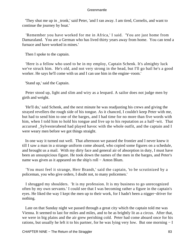'They shut me up in \_tronk,' said Peter, 'and I ran away. I am tired, Cornelis, and want to continue the journey by boat.'

 'Remember you have worked for me in Africa,' I said. 'You are just home from Damaraland. You are a German who has lived thirty years away from home. You can tend a furnace and have worked in mines.'

Then I spoke to the captain.

 'Here is a fellow who used to be in my employ, Captain Schenk. It's almighty luck we've struck him. He's old, and not very strong in the head, but I'll go bail he's a good worker. He says he'll come with us and I can use him in the engine−room.'

'Stand up,' said the Captain.

 Peter stood up, light and slim and wiry as a leopard. A sailor does not judge men by girth and weight.

 'He'll do,' said Schenk, and the next minute he was readjusting his crews and giving the strayed revellers the rough side of his tongue. As it chanced, I couldn't keep Peter with me, but had to send him to one of the barges, and I had time for no more than five words with him, when I told him to hold his tongue and live up to his reputation as a half−wit. That accursed \_Sylvesterabend had played havoc with the whole outfit, and the captain and I were weary men before we got things straight.

 In one way it turned out well. That afternoon we passed the frontier and I never knew it till I saw a man in a strange uniform come aboard, who copied some figures on a schedule, and brought us a mail. With my dirty face and general air of absorption in duty, I must have been an unsuspicious figure. He took down the names of the men in the barges, and Peter's name was given as it appeared on the ship's roll − Anton Blum.

 'You must feel it strange, Herr Brandt,' said the captain, 'to be scrutinized by a policeman, you who give orders, I doubt not, to many policemen.'

 I shrugged my shoulders. 'It is my profession. It is my business to go unrecognized often by my own servants.' I could see that I was becoming rather a figure in the captain's eyes. He liked the way I kept the men up to their work, for I hadn't been a nigger−driver for nothing.

 Late on that Sunday night we passed through a great city which the captain told me was Vienna. It seemed to last for miles and miles, and to be as brightly lit as a circus. After that, we were in big plains and the air grew perishing cold. Peter had come aboard once for his rations, but usually he left it to his partner, for he was lying very low. But one morning − I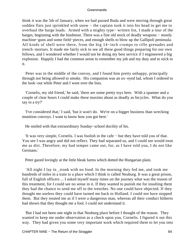think it was the 5th of January, when we had passed Buda and were moving through great sodden flats just sprinkled with snow – the captain took it into his head to get me to overhaul the barge loads. Armed with a mighty type− written list, I made a tour of the barges, beginning with the hindmost. There was a fine old stock of deadly weapons − mostly machine−guns and some field−pieces, and enough shells to blow up the Gallipoli peninsula. All kinds of shell were there, from the big 14−inch crumps to rifle grenades and trench−mortars. It made me fairly sick to see all these good things preparing for our own fellows, and I wondered whether I would not be doing my best service if I engineered a big explosion. Happily I had the common sense to remember my job and my duty and to stick to it.

 Peter was in the middle of the convoy, and I found him pretty unhappy, principally through not being allowed to smoke. His companion was an ox−eyed lad, whom I ordered to the look−out while Peter and I went over the lists.

 'Cornelis, my old friend,' he said, 'there are some pretty toys here. With a spanner and a couple of clear hours I could make these maxims about as deadly as bicycles. What do you say to a try?'

 'I've considered that,' I said, 'but it won't do. We're on a bigger business than wrecking munition convoys. I want to know how you got here.'

He smiled with that extraordinary Sunday−school docility of his.

 'It was very simple, Cornelis. I was foolish in the cafe − but they have told you of that. You see I was angry and did not reflect. They had separated us, and I could see would treat me as dirt. Therefore, my bad temper came out, for, as I have told you, I do not like Germans.'

Peter gazed lovingly at the little bleak farms which dotted the Hungarian plain.

 'All night I lay in \_tronk with no food. In the morning they fed me, and took me hundreds of miles in a train to a place which I think is called Neuburg. It was a great prison, full of English officers ... I asked myself many times on the journey what was the reason of this treatment, for I could see no sense in it. If they wanted to punish me for insulting them they had the chance to send me off to the trenches. No one could have objected. If they thought me useless they could have turned me back to Holland. I could not have stopped them. But they treated me as if I were a dangerous man, whereas all their conduct hitherto had shown that they thought me a fool. I could not understand it.

 'But I had not been one night in that Neuburg place before I thought of the reason. They wanted to keep me under observation as a check upon you, Cornelis. I figured it out this way. They had given you some very important work which required them to let you into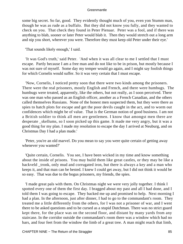some big secret. So far, good. They evidently thought much of you, even yon Stumm man, though he was as rude as a buffalo. But they did not know you fully, and they wanted to check on you. That check they found in Peter Pienaar. Peter was a fool, and if there was anything to blab, sooner or later Peter would blab it. Then they would stretch out a long arm and nip you short, wherever you were. Therefore they must keep old Peter under their eye.'

'That sounds likely enough,' I said.

 'It was God's truth,' said Peter. 'And when it was all clear to me I settled that I must escape. Partly because I am a free man and do not like to be in prison, but mostly because I was not sure of myself. Some day my temper would go again, and I might say foolish things for which Cornelis would suffer. So it was very certain that I must escape.

 'Now, Cornelis, I noticed pretty soon that there were two kinds among the prisoners. There were the real prisoners, mostly English and French, and there were humbugs. The humbugs were treated, apparently, like the others, but not really, as I soon perceived. There was one man who passed as an English officer, another as a French Canadian, and the others called themselves Russians. None of the honest men suspected them, but they were there as spies to hatch plots for escape and get the poor devils caught in the act, and to worm out confidences which might be of value. That is the German notion of good business. I am not a British soldier to think all men are gentlemen. I know that amongst men there are desperate \_skellums, so I soon picked up this game. It made me very angry, but it was a good thing for my plan. I made my resolution to escape the day I arrived at Neuburg, and on Christmas Day I had a plan made.'

 'Peter, you're an old marvel. Do you mean to say you were quite certain of getting away whenever you wanted?'

 'Quite certain, Cornelis. You see, I have been wicked in my time and know something about the inside of prisons. You may build them like great castles, or they may be like a backveld \_tronk, only mud and corrugated iron, but there is always a key and a man who keeps it, and that man can be bested. I knew I could get away, but I did not think it would be so easy. That was due to the bogus prisoners, my friends, the spies.

 'I made great pals with them. On Christmas night we were very jolly together. I think I spotted every one of them the first day. I bragged about my past and all I had done, and I told them I was going to escape. They backed me up and promised to help. Next morning I had a plan. In the afternoon, just after dinner, I had to go to the commandant's room. They treated me a little differently from the others, for I was not a prisoner of war, and I went there to be asked questions and to be cursed as a stupid Dutchman. There was no strict guard kept there, for the place was on the second floor, and distant by many yards from any staircase. In the corridor outside the commandant's room there was a window which had no bars, and four feet from the window the limb of a great tree. A man might reach that limb,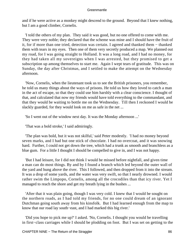and if he were active as a monkey might descend to the ground. Beyond that I knew nothing, but I am a good climber, Cornelis.

 'I told the others of my plan. They said it was good, but no one offered to come with me. They were very noble; they declared that the scheme was mine and I should have the fruit of it, for if more than one tried, detection was certain. I agreed and thanked them − thanked them with tears in my eyes. Then one of them very secretly produced a map. We planned out my road, for I was going straight to Holland. It was a long road, and I had no money, for they had taken all my sovereigns when I was arrested, but they promised to get a subscription up among themselves to start me. Again I wept tears of gratitude. This was on Sunday, the day after Christmas, and I settled to make the attempt on the Wednesday afternoon.

 'Now, Cornelis, when the lieutenant took us to see the British prisoners, you remember, he told us many things about the ways of prisons. He told us how they loved to catch a man in the act of escape, so that they could use him harshly with a clear conscience. I thought of that, and calculated that now my friends would have told everything to the commandant, and that they would be waiting to bottle me on the Wednesday. Till then I reckoned I would be slackly guarded, for they would look on me as safe in the net ...

'So I went out of the window next day. It was the Monday afternoon ...'

'That was a bold stroke,' I said admiringly.

 'The plan was bold, but it was not skilful,' said Peter modestly. 'I had no money beyond seven marks, and I had but one stick of chocolate. I had no overcoat, and it was snowing hard. Further, I could not get down the tree, which had a trunk as smooth and branchless as a blue gum. For a little I thought I should be compelled to give in, and I was not happy.

 'But I had leisure, for I did not think I would be missed before nightfall, and given time a man can do most things. By and by I found a branch which led beyond the outer wall of the yard and hung above the river. This I followed, and then dropped from it into the stream. It was a drop of some yards, and the water was very swift, so that I nearly drowned. I would rather swim the Limpopo, Cornelis, among all the crocodiles than that icy river. Yet I managed to reach the shore and get my breath lying in the bushes ...

 'After that it was plain going, though I was very cold. I knew that I would be sought on the northern roads, as I had told my friends, for no one could dream of an ignorant Dutchman going south away from his kinsfolk. But I had learned enough from the map to know that our road lay south−east, and I had marked this big river.'

 'Did you hope to pick me up?' I asked. 'No, Cornelis. I thought you would be travelling in first−class carriages while I should be plodding on foot. But I was set on getting to the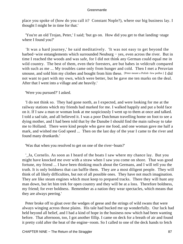place you spoke of (how do you call it? Constant Nople?), where our big business lay. I thought I might be in time for that.'

 'You're an old Trojan, Peter,' I said; 'but go on. How did you get to that landing−stage where I found you?'

 'It was a hard journey,' he said meditatively. 'It was not easy to get beyond the barbed−wire entanglements which surrounded Neuburg − yes, even across the river. But in time I reached the woods and was safe, for I did not think any German could equal me in wild country. The best of them, even their foresters, are but babes in veldcraft compared with such as me ... My troubles came only from hunger and cold. Then I met a Peruvian smouse, and sold him my clothes and bought from him these. [Peter meant a Polish−Jew pedlar.] I did not want to part with my own, which were better, but he gave me ten marks on the deal. After that I went into a village and ate heavily.'

'Were you pursued?' I asked.

 'I do not think so. They had gone north, as I expected, and were looking for me at the railway stations which my friends had marked for me. I walked happily and put a bold face on it. If I saw a man or woman look at me suspiciously I went up to them at once and talked. I told a sad tale, and all believed it. I was a poor Dutchman travelling home on foot to see a dying mother, and I had been told that by the Danube I should find the main railway to take me to Holland. There were kind people who gave me food, and one woman gave me half a mark, and wished me God speed ... Then on the last day of the year I came to the river and found many drunkards.'

'Was that when you resolved to get on one of the river−boats?'

 '\_Ja, Cornelis. As soon as I heard of the boats I saw where my chance lay. But you might have knocked me over with a straw when I saw you come on shore. That was good fortune, my friend ... I have been thinking much about the Germans, and I will tell you the truth. It is only boldness that can baffle them. They are a most diligent people. They will think of all likely difficulties, but not of all possible ones. They have not much imagination. They are like steam engines which must keep to prepared tracks. There they will hunt any man down, but let him trek for open country and they will be at a loss. Therefore boldness, my friend; for ever boldness. Remember as a nation they wear spectacles, which means that they are always peering.'

 Peter broke off to gloat over the wedges of geese and the strings of wild swans that were always winging across those plains. His tale had bucked me up wonderfully. Our luck had held beyond all belief, and I had a kind of hope in the business now which had been wanting before. That afternoon, too, I got another fillip. I came on deck for a breath of air and found it pretty cold after the heat of the engine−room. So I called to one of the deck hands to fetch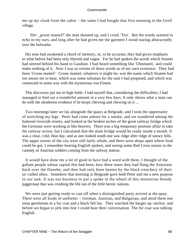me up my cloak from the cabin – the same I had bought that first morning in the Greif village.

*'Der \_grune* mantel?' the man shouted up, and I cried, 'Yes'. But the words seemed to echo in my ears, and long after he had given me the garment I stood staring abstractedly over the bulwarks.

 His tone had awakened a chord of memory, or, to be accurate, they had given emphasis to what before had been only blurred and vague. For he had spoken the words which Stumm had uttered behind his hand to Gaudian. I had heard something like 'Uhnmantl,' and could make nothing of it. Now I was as certain of those words as of my own existence. They had been '*Grune mantel'. Grune* mantel, whatever it might be, was the name which Stumm had not meant me to hear, which was some talisman for the task I had proposed, and which was connected in some way with the mysterious von Einem.

 This discovery put me in high fettle. I told myself that, considering the difficulties, I had managed to find out a wonderful amount in a very few days. It only shows what a man can do with the slenderest evidence if he keeps chewing and chewing on it ...

 Two mornings later we lay alongside the quays at Belgrade, and I took the opportunity of stretching my legs. Peter had come ashore for a smoke, and we wandered among the battered riverside streets, and looked at the broken arches of the great railway bridge which the Germans were working at like beavers. There was a big temporary pontoon affair to take the railway across, but I calculated that the main bridge would be ready inside a month. It was a clear, cold, blue day, and as one looked south one saw ridge after ridge of snowy hills. The upper streets of the city were still fairly whole, and there were shops open where food could be got. I remember hearing English spoken, and seeing some Red Cross nurses in the custody of Austrian soldiers coming from the railway station.

 It would have done me a lot of good to have had a word with them. I thought of the gallant people whose capital this had been, how three times they had flung the Austrians back over the Danube, and then had only been beaten by the black treachery of their so−called allies. Somehow that morning in Belgrade gave both Peter and me a new purpose in our task. It was our business to put a spoke in the wheel of this monstrous bloody juggernaut that was crushing the life out of the little heroic nations.

We were just getting ready to cast off when a distinguished party arrived at the quay. There were all kinds of uniforms – German, Austrian, and Bulgarian, and amid them one stout gentleman in a fur coat and a black felt hat. They watched the barges up−anchor, and before we began to jerk into line I could hear their conversation. The fur coat was talking English.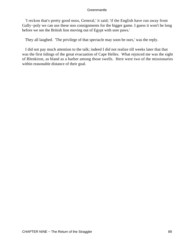'I reckon that's pretty good noos, General,' it said; 'if the English have run away from Gally−poly we can use these noo consignments for the bigger game. I guess it won't be long before we see the British lion moving out of Egypt with sore paws.'

They all laughed. 'The privilege of that spectacle may soon be ours,' was the reply.

 I did not pay much attention to the talk; indeed I did not realize till weeks later that that was the first tidings of the great evacuation of Cape Helles. What rejoiced me was the sight of Blenkiron, as bland as a barber among those swells. Here were two of the missionaries within reasonable distance of their goal.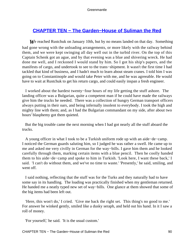# **[CHAPTER TEN − The Garden−House of Suliman the Red](#page-207-0)**

*W*e reached Rustchuk on January 10th, but by no means landed on that day. Something had gone wrong with the unloading arrangements, or more likely with the railway behind them, and we were kept swinging all day well out in the turbid river. On the top of this Captain Schenk got an ague, and by that evening was a blue and shivering wreck. He had done me well, and I reckoned I would stand by him. So I got his ship's papers, and the manifests of cargo, and undertook to see to the trans−shipment. It wasn't the first time I had tackled that kind of business, and I hadn't much to learn about steam cranes. I told him I was going on to Constantinople and would take Peter with me, and he was agreeable. He would have to wait at Rustchuk to get his return cargo, and could easily inspan a fresh engineer.

 I worked about the hardest twenty−four hours of my life getting the stuff ashore. The landing officer was a Bulgarian, quite a competent man if he could have made the railways give him the trucks he needed. There was a collection of hungry German transport officers always putting in their oars, and being infernally insolent to everybody. I took the high and mighty line with them; and, as I had the Bulgarian commandant on my side, after about two hours' blasphemy got them quieted.

 But the big trouble came the next morning when I had got nearly all the stuff aboard the trucks.

 A young officer in what I took to be a Turkish uniform rode up with an aide−de−camp. I noticed the German guards saluting him, so I judged he was rather a swell. He came up to me and asked me very civilly in German for the way−bills. I gave him them and he looked carefully through them, marking certain items with a blue pencil. Then he coolly handed them to his aide−de−camp and spoke to him in Turkish. 'Look here, I want these back,' I said. 'I can't do without them, and we've no time to waste.' 'Presently,' he said, smiling, and went off.

 I said nothing, reflecting that the stuff was for the Turks and they naturally had to have some say in its handling. The loading was practically finished when my gentleman returned. He handed me a neatly typed new set of way–bills. One glance at them showed that some of the big items had been left out.

 'Here, this won't do,' I cried. 'Give me back the right set. This thing's no good to me.' For answer he winked gently, smiled like a dusky seraph, and held out his hand. In it I saw a roll of money.

'For yourself,' he said. 'It is the usual custom.'

CHAPTER TEN − The Garden−House of Suliman the Red 90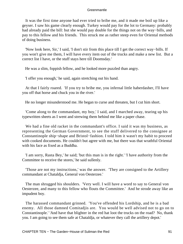It was the first time anyone had ever tried to bribe me, and it made me boil up like a geyser. I saw his game clearly enough. Turkey would pay for the lot to Germany: probably had already paid the bill: but she would pay double for the things not on the way−bills, and pay to this fellow and his friends. This struck me as rather steep even for Oriental methods of doing business.

 'Now look here, Sir,' I said, 'I don't stir from this place till I get the correct way−bills. If you won't give me them, I will have every item out of the trucks and make a new list. But a correct list I have, or the stuff stays here till Doomsday.'

He was a slim, foppish fellow, and he looked more puzzled than angry.

'I offer you enough,' he said, again stretching out his hand.

 At that I fairly roared. 'If you try to bribe me, you infernal little haberdasher, I'll have you off that horse and chuck you in the river.'

He no longer misunderstood me. He began to curse and threaten, but I cut him short.

 'Come along to the commandant, my boy,' I said, and I marched away, tearing up his typewritten sheets as I went and strewing them behind me like a paper chase.

 We had a fine old racket in the commandant's office. I said it was my business, as representing the German Government, to see the stuff delivered to the consignee at Constantinople ship−shape and Bristol−fashion. I told him it wasn't my habit to proceed with cooked documents. He couldn't but agree with me, but there was that wrathful Oriental with his face as fixed as a Buddha.

 'I am sorry, Rasta Bey,' he said; 'but this man is in the right.' 'I have authority from the Committee to receive the stores,' he said sullenly.

 'Those are not my instructions,' was the answer. 'They are consigned to the Artillery commandant at Chataldja, General von Oesterzee.'

 The man shrugged his shoulders. 'Very well. I will have a word to say to General von Oesterzee, and many to this fellow who flouts the Committee.' And he strode away like an impudent boy.

 The harassed commandant grinned. 'You've offended his Lordship, and he is a bad enemy. All those damned Comitadjis are. You would be well advised not to go on to Constantinople.' 'And have that blighter in the red hat loot the trucks on the road? No, thank you. I am going to see them safe at Chataldja, or whatever they call the artillery depot.'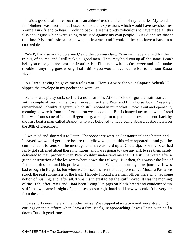I said a good deal more, but that is an abbreviated translation of my remarks. My word for 'blighter' was \_trottel, but I used some other expressions which would have ravished my Young Turk friend to hear. Looking back, it seems pretty ridiculous to have made all this fuss about guns which were going to be used against my own people. But I didn't see that at the time. My professional pride was up in arms, and I couldn't bear to have a hand in a crooked deal.

 'Well', I advise you to go armed,' said the commandant. 'You will have a guard for the trucks, of course, and I will pick you good men. They may hold you up all the same. I can't help you once you are past the frontier, but I'll send a wire to Oesterzee and he'll make trouble if anything goes wrong. I still think you would have been wiser to humour Rasta Bey.'

 As I was leaving he gave me a telegram. 'Here's a wire for your Captain Schenk.' I slipped the envelope in my pocket and went Out.

 Schenk was pretty sick, so I left a note for him. At one o'clock I got the train started, with a couple of German Landwehr in each truck and Peter and I in a horse−box. Presently I remembered Schenk's telegram, which still reposed in my pocket. I took it out and opened it, meaning to wire it from the first station we stopped at. But I changed my mind when I read it. It was from some official at Regensburg, asking him to put under arrest and send back by the first boat a man called Brandt, who was believed to have come aboard at Absthafen on the 30th of December.

 I whistled and showed it to Peter. The sooner we were at Constantinople the better, and I prayed we would get there before the fellow who sent this wire repeated it and got the commandant to send on the message and have us held up at Chataldja. For my back had fairly got stiffened about these munitions, and I was going to take any risk to see them safely delivered to their proper owner. Peter couldn't understand me at all. He still hankered after a grand destruction of the lot somewhere down the railway. But then, this wasn't the line of Peter's profession, and his pride was not at stake. We had a mortally slow journey. It was bad enough in Bulgaria, but when we crossed the frontier at a place called Mustafa Pasha we struck the real supineness of the East. Happily I found a German officer there who had some notion of hustling, and, after all, it was his interest to get the stuff moved. It was the morning of the 16th, after Peter and I had been living like pigs on black bread and condemned tin stuff, that we came in sight of a blue sea on our right hand and knew we couldn't be very far from the end.

 It was jolly near the end in another sense. We stopped at a station and were stretching our legs on the platform when I saw a familiar figure approaching. It was Rasta, with half a dozen Turkish gendarmes.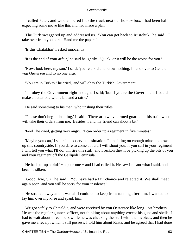I called Peter, and we clambered into the truck next our horse− box. I had been half expecting some move like this and had made a plan.

 The Turk swaggered up and addressed us. 'You can get back to Rustchuk,' he said. 'I take over from you here. Hand me the papers.'

'Is this Chataldja?' I asked innocently.

'It is the end of your affair,' he said haughtily. 'Quick, or it will be the worse for you.'

 'Now, look here, my son,' I said; 'you're a kid and know nothing. I hand over to General von Oesterzee and to no one else.'

'You are in Turkey,' he cried, 'and will obey the Turkish Government.'

 'I'll obey the Government right enough,' I said; 'but if you're the Government I could make a better one with a bib and a rattle.'

He said something to his men, who unslung their rifles.

 'Please don't begin shooting,' I said. 'There are twelve armed guards in this train who will take their orders from me. Besides, I and my friend can shoot a bit.'

'Fool!' he cried, getting very angry. 'I can order up a regiment in five minutes.'

 'Maybe you can,' I said; 'but observe the situation. I am sitting on enough toluol to blow up this countryside. If you dare to come aboard I will shoot you. If you call in your regiment I will tell you what I'll do. I'll fire this stuff, and I reckon they'll be picking up the bits of you and your regiment off the Gallipoli Peninsula.'

He had put up a bluff – a poor one – and I had called it. He saw I meant what I said, and became silken.

 'Good−bye, Sir,' he said. 'You have had a fair chance and rejected it. We shall meet again soon, and you will be sorry for your insolence.'

 He strutted away and it was all I could do to keep from running after him. I wanted to lay him over my knee and spank him.

 We got safely to Chataldja, and were received by von Oesterzee like long−lost brothers. He was the regular gunner–officer, not thinking about anything except his guns and shells. I had to wait about three hours while he was checking the stuff with the invoices, and then he gave me a receipt which I still possess. I told him about Rasta, and he agreed that I had done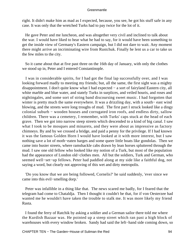right. It didn't make him as mad as I expected, because, you see, he got his stuff safe in any case. It was only that the wretched Turks had to pay twice for the lot of it.

 He gave Peter and me luncheon, and was altogether very civil and inclined to talk about the war. I would have liked to hear what he had to say, for it would have been something to get the inside view of Germany's Eastern campaign, but I did not dare to wait. Any moment there might arrive an incriminating wire from Rustchuk. Finally he lent us a car to take us the few miles to the city.

 So it came about that at five past three on the 16th day of January, with only the clothes we stood up in, Peter and I entered Constantinople.

 I was in considerable spirits, for I had got the final lap successfully over, and I was looking forward madly to meeting my friends; but, all the same, the first sight was a mighty disappointment. I don't quite know what I had expected − a sort of fairyland Eastern city, all white marble and blue water, and stately Turks in surplices, and veiled houris, and roses and nightingales, and some sort of string band discoursing sweet music. I had forgotten that winter is pretty much the same everywhere. It was a drizzling day, with a south− east wind blowing, and the streets were long troughs of mud. The first part I struck looked like a dingy colonial suburb − wooden houses and corrugated iron roofs, and endless dirty, sallow children. There was a cemetery, I remember, with Turks' caps stuck at the head of each grave. Then we got into narrow steep streets which descended to a kind of big canal. I saw what I took to be mosques and minarets, and they were about as impressive as factory chimneys. By and by we crossed a bridge, and paid a penny for the privilege. If I had known it was the famous Golden Horn I would have looked at it with more interest, but I saw nothing save a lot of moth−eaten barges and some queer little boats like gondolas. Then we came into busier streets, where ramshackle cabs drawn by lean horses spluttered through the mud. I saw one old fellow who looked like my notion of a Turk, but most of the population had the appearance of London old−clothes men. All but the soldiers, Turk and German, who seemed well−set−up fellows. Peter had paddled along at my side like a faithful dog, not saying a word, but clearly not approving of this wet and dirty metropolis.

 'Do you know that we are being followed, Cornelis?' he said suddenly, 'ever since we came into this evil−smelling dorp.'

 Peter was infallible in a thing like that. The news scared me badly, for I feared that the telegram had come to Chataldja. Then I thought it couldn't be that, for if von Oesterzee had wanted me he wouldn't have taken the trouble to stalk me. It was more likely my friend Rasta.

 I found the ferry of Ratchik by asking a soldier and a German sailor there told me where the Kurdish Bazaar was. He pointed up a steep street which ran past a high block of warehouses with every window broken. Sandy had said the left−hand side coming down, so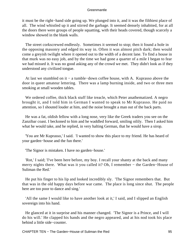it must be the right−hand side going up. We plunged into it, and it was the filthiest place of all. The wind whistled up it and stirred the garbage. It seemed densely inhabited, for at all the doors there were groups of people squatting, with their heads covered, though scarcely a window showed in the blank walls.

 The street corkscrewed endlessly. Sometimes it seemed to stop; then it found a hole in the opposing masonry and edged its way in. Often it was almost pitch dark; then would come a greyish twilight where it opened out to the width of a decent lane. To find a house in that murk was no easy job, and by the time we had gone a quarter of a mile I began to fear we had missed it. It was no good asking any of the crowd we met. They didn't look as if they understood any civilized tongue.

 At last we stumbled on it − a tumble−down coffee house, with A. Kuprasso above the door in queer amateur lettering. There was a lamp burning inside, and two or three men smoking at small wooden tables.

 We ordered coffee, thick black stuff like treacle, which Peter anathematized. A negro brought it, and I told him in German I wanted to speak to Mr Kuprasso. He paid no attention, so I shouted louder at him, and the noise brought a man out of the back parts.

 He was a fat, oldish fellow with a long nose, very like the Greek traders you see on the Zanzibar coast. I beckoned to him and he waddled forward, smiling oilily. Then I asked him what he would take, and he replied, in very halting German, that he would have a sirop.

 'You are Mr Kuprasso,' I said. 'I wanted to show this place to my friend. He has heard of your garden−house and the fun there.'

'The Signor is mistaken. I have no garden−house.'

 'Rot,' I said; 'I've been here before, my boy. I recall your shanty at the back and many merry nights there. What was it you called it? Oh, I remember – the Garden–House of Suliman the Red.'

 He put his finger to his lip and looked incredibly sly. 'The Signor remembers that. But that was in the old happy days before war came. The place is long since shut. The people here are too poor to dance and sing.'

 'All the same I would like to have another look at it,' I said, and I slipped an English sovereign into his hand.

 He glanced at it in surprise and his manner changed. 'The Signor is a Prince, and I will do his will.' He clapped his hands and the negro appeared, and at his nod took his place behind a little side−counter.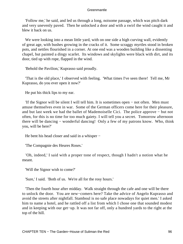'Follow me,' he said, and led us through a long, noisome passage, which was pitch dark and very unevenly paved. Then he unlocked a door and with a swirl the wind caught it and blew it back on us.

We were looking into a mean little yard, with on one side a high curving wall, evidently of great age, with bushes growing in the cracks of it. Some scraggy myrtles stood in broken pots, and nettles flourished in a corner. At one end was a wooden building like a dissenting chapel, but painted a dingy scarlet. Its windows and skylights were black with dirt, and its door, tied up with rope, flapped in the wind.

'Behold the Pavilion,' Kuprasso said proudly.

 'That is the old place,' I observed with feeling. 'What times I've seen there! Tell me, Mr Kuprasso, do you ever open it now?'

He put his thick lips to my ear.

 'If the Signor will be silent I will tell him. It is sometimes open − not often. Men must amuse themselves even in war. Some of the German officers come here for their pleasure, and but last week we had the ballet of Mademoiselle Cici. The police approve − but not often, for this is no time for too much gaiety. I will tell you a secret. Tomorrow afternoon there will be dancing − wonderful dancing! Only a few of my patrons know. Who, think you, will be here?'

He bent his head closer and said in a whisper −

'The Compagnie des Heures Roses.'

 'Oh, indeed,' I said with a proper tone of respect, though I hadn't a notion what he meant.

'Will the Signor wish to come?'

'Sure,' I said. 'Both of us. We're all for the rosy hours.'

 'Then the fourth hour after midday. Walk straight through the cafe and one will be there to unlock the door. You are new−comers here? Take the advice of Angelo Kuprasso and avoid the streets after nightfall. Stamboul is no safe place nowadays for quiet men.' I asked him to name a hotel, and he rattled off a list from which I chose one that sounded modest and in keeping with our get−up. It was not far off, only a hundred yards to the right at the top of the hill.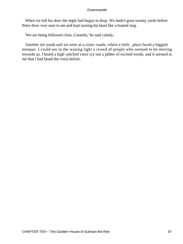When we left his door the night had begun to drop. We hadn't gone twenty yards before Peter drew very near to me and kept turning his head like a hunted stag.

'We are being followed close, Cornelis,' he said calmly.

 Another ten yards and we were at a cross−roads, where a little \_place faced a biggish mosque. I could see in the waning light a crowd of people who seemed to be moving towards us. I heard a high−pitched voice cry out a jabber of excited words, and it seemed to me that I had heard the voice before.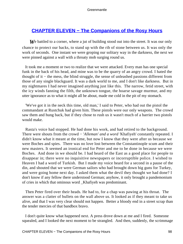## **[CHAPTER ELEVEN − The Companions of the Rosy Hours](#page-207-0)**

We battled to a corner, where a jut of building stood out into the street. It was our only chance to protect our backs, to stand up with the rib of stone between us. It was only the work of seconds. One instant we were groping our solitary way in the darkness, the next we were pinned against a wall with a throaty mob surging round us.

 It took me a moment or two to realize that we were attacked. Every man has one special funk in the back of his head, and mine was to be the quarry of an angry crowd. I hated the thought of it − the mess, the blind struggle, the sense of unleashed passions different from those of any single blackguard. It was a dark world to me, and I don't like darkness. But in my nightmares I had never imagined anything just like this. The narrow, fetid street, with the icy winds fanning the filth, the unknown tongue, the hoarse savage murmur, and my utter ignorance as to what it might all be about, made me cold in the pit of my stomach.

 'We've got it in the neck this time, old man,' I said to Peter, who had out the pistol the commandant at Rustchuk had given him. These pistols were our only weapons. The crowd saw them and hung back, but if they chose to rush us it wasn't much of a barrier two pistols would make.

 Rasta's voice had stopped. He had done his work, and had retired to the background. There were shouts from the crowd − '*Alleman' and a word '*Khafiyeh' constantly repeated. I didn't know what it meant at the time, but now I know that they were after us because we were Boches and spies. There was no love lost between the Constantinople scum and their new masters. It seemed an ironical end for Peter and me to be done in because we were Boches. And done in we should be. I had heard of the East as a good place for people to disappear in; there were no inquisitive newspapers or incorruptible police. I wished to Heaven I had a word of Turkish. But I made my voice heard for a second in a pause of the din, and shouted that we were German sailors who had brought down big guns for Turkey, and were going home next day. I asked them what the devil they thought we had done? I don't know if any fellow there understood German; anyhow, it only brought a pandemonium of cries in which that ominous word \_Khafiyeh was predominant.

 Then Peter fired over their heads. He had to, for a chap was pawing at his throat. The answer was a clatter of bullets on the wall above us. It looked as if they meant to take us alive, and that I was very clear should not happen. Better a bloody end in a street scrap than the tender mercies of that bandbox bravo.

 I don't quite know what happened next. A press drove down at me and I fired. Someone squealed, and I looked the next moment to be strangled. And then, suddenly, the scrimmage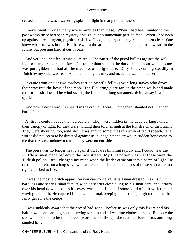ceased, and there was a wavering splash of light in that pit of darkness.

 I never went through many worse minutes than these. When I had been hunted in the past weeks there had been mystery enough, but no immediate peril to face. When I had been up against a real, urgent, physical risk, like Loos, the danger at any rate had been clear. One knew what one was in for. But here was a threat I couldn't put a name to, and it wasn't in the future, but pressing hard at our throats.

 And yet I couldn't feel it was quite real. The patter of the pistol bullets against the wall, like so many crackers, the faces felt rather than seen in the dark, the clamour which to me was pure gibberish, had all the madness of a nightmare. Only Peter, cursing steadily in Dutch by my side, was real. And then the light came, and made the scene more eerie!

 It came from one or two torches carried by wild fellows with long staves who drove their way into the heart of the mob. The flickering glare ran up the steep walls and made monstrous shadows. The wind swung the flame into long streamers, dying away in a fan of sparks.

 And now a new word was heard in the crowd. It was \_Chinganeh, shouted not in anger but in fear.

 At first I could not see the newcomers. They were hidden in the deep darkness under their canopy of light, for they were holding their torches high at the full stretch of their arms. They were shouting, too, wild shrill cries ending sometimes in a gush of rapid speech. Their words did not seem to be directed against us, but against the crowd. A sudden hope came to me that for some unknown reason they were on our side.

 The press was no longer heavy against us. It was thinning rapidly and I could hear the scuffle as men made off down the side streets. My first notion was that these were the Turkish police. But I changed my mind when the leader came out into a patch of light. He carried no torch, but a long stave with which he belaboured the heads of those who were too tightly packed to flee.

 It was the most eldritch apparition you can conceive. A tall man dressed in skins, with bare legs and sandal−shod feet. A wisp of scarlet cloth clung to his shoulders, and, drawn over his head down close to his eyes, was a skull−cap of some kind of pelt with the tail waving behind it. He capered like a wild animal, keeping up a strange high monotone that fairly gave me the creeps.

 I was suddenly aware that the crowd had gone. Before us was only this figure and his half−dozen companions, some carrying torches and all wearing clothes of skin. But only the one who seemed to be their leader wore the skull−cap; the rest had bare heads and long tangled hair.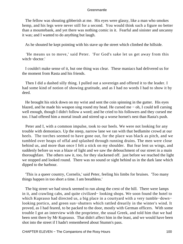The fellow was shouting gibberish at me. His eyes were glassy, like a man who smokes hemp, and his legs were never still for a second. You would think such a figure no better than a mountebank, and yet there was nothing comic in it. Fearful and sinister and uncanny it was; and I wanted to do anything but laugh.

As he shouted he kept pointing with his stave up the street which climbed the hillside.

 'He means us to move,' said Peter. 'For God's sake let us get away from this witch−doctor.'

 I couldn't make sense of it, but one thing was clear. These maniacs had delivered us for the moment from Rasta and his friends.

 Then I did a dashed silly thing. I pulled out a sovereign and offered it to the leader. I had some kind of notion of showing gratitude, and as I had no words I had to show it by deed.

 He brought his stick down on my wrist and sent the coin spinning in the gutter. His eyes blazed, and he made his weapon sing round my head. He cursed me − oh, I could tell cursing well enough, though I didn't follow a word; and he cried to his followers and they cursed me too. I had offered him a mortal insult and stirred up a worse hornet's nest than Rasta's push.

 Peter and I, with a common impulse, took to our heels. We were not looking for any trouble with demoniacs. Up the steep, narrow lane we ran with that bedlamite crowd at our heels. The torches seemed to have gone out, for the place was black as pitch, and we tumbled over heaps of offal and splashed through running drains. The men were close behind us, and more than once I felt a stick on my shoulder. But fear lent us wings, and suddenly before us was a blaze of light and we saw the debouchment of our street in a main thoroughfare. The others saw it, too, for they slackened off. just before we reached the light we stopped and looked round. There was no sound or sight behind us in the dark lane which dipped to the harbour.

 'This is a queer country, Cornelis,' said Peter, feeling his limbs for bruises. 'Too many things happen in too short a time. I am breathless.'

 The big street we had struck seemed to run along the crest of the hill. There were lamps in it, and crawling cabs, and quite civilized− looking shops. We soon found the hotel to which Kuprasso had directed us, a big place in a courtyard with a very tumble−down− looking portico, and green sun−shutters which rattled drearily in the winter's wind. It proved, as I had feared, to be packed to the door, mostly with German officers. With some trouble I got an interview with the proprietor, the usual Greek, and told him that we had been sent there by Mr Kuprasso. That didn't affect him in the least, and we would have been shot into the street if I hadn't remembered about Stumm's pass.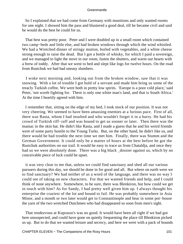So I explained that we had come from Germany with munitions and only wanted rooms for one night. I showed him the pass and blustered a good deal, till he became civil and said he would do the best he could for us.

 That best was pretty poor. Peter and I were doubled up in a small room which contained two camp−beds and little else, and had broken windows through which the wind whistled. We had a Wretched dinner of stringy mutton, boiled with vegetables, and a white cheese strong enough to raise the dead. But I got a bottle of whisky, for which I paid a sovereign, and we managed to light the stove in our room, fasten the shutters, and warm our hearts with a brew of toddy. After that we went to bed and slept like logs for twelve hours. On the road from Rustchuk we had had uneasy slumbers.

 I woke next morning and, looking out from the broken window, saw that it was snowing. With a lot of trouble I got hold of a servant and made him bring us some of the treacly Turkish coffee. We were both in pretty low spirits. 'Europe is a poor cold place,' said Peter, 'not worth fighting for. There is only one white man's land, and that is South Africa.' At the time I heartily agreed with him.

 I remember that, sitting on the edge of my bed, I took stock of our position. It was not very cheering. We seemed to have been amassing enemies at a furious pace. First of all, there was Rasta, whom I had insulted and who wouldn't forget it in a hurry. He had his crowd of Turkish riff−raff and was bound to get us sooner or later. Then there was the maniac in the skin hat. He didn't like Rasta, and I made a guess that he and his weird friends were of some party hostile to the Young Turks. But, on the other hand, he didn't like us, and there would be bad trouble the next time we met him. Finally, there was Stumm and the German Government. It could only be a matter of hours at the best before he got the Rustchuk authorities on our trail. It would be easy to trace us from Chataldja, and once they had us we were absolutely done. There was a big black \_dossier against us, which by no conceivable piece of luck could be upset.

 it was very clear to me that, unless we could find sanctuary and shed all our various pursuers during this day, we should be done in for good and all. But where on earth were we to find sanctuary? We had neither of us a word of the language, and there was no way I could see of taking on new characters. For that we wanted friends and help, and I could think of none anywhere. Somewhere, to be sure, there was Blenkiron, but how could we get in touch with him? As for Sandy, I had pretty well given him up. I always thought his enterprise the craziest of the lot and bound to fail. He was probably somewhere in Asia Minor, and a month or two later would get to Constantinople and hear in some pot−house the yarn of the two wretched Dutchmen who had disappeared so soon from men's sight.

 That rendezvous at Kuprasso's was no good. It would have been all right if we had got here unsuspected, and could have gone on quietly frequenting the place till Blenkiron picked us up. But to do that we wanted leisure and secrecy, and here we were with a pack of hounds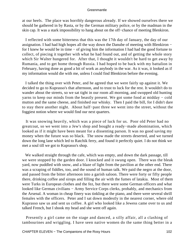at our heels. The place was horribly dangerous already. If we showed ourselves there we should be gathered in by Rasta, or by the German military police, or by the madman in the skin cap. It was a stark impossibility to hang about on the off−chance of meeting Blenkiron.

 I reflected with some bitterness that this was the 17th day of January, the day of our assignation. I had had high hopes all the way down the Danube of meeting with Blenkiron − for I knew he would be in time − of giving him the information I had had the good fortune to collect, of piecing it together with what he had found out, and of getting the whole story which Sir Walter hungered for. After that, I thought it wouldn't be hard to get away by Rumania, and to get home through Russia. I had hoped to be back with my battalion in February, having done as good a bit of work as anybody in the war. As it was, it looked as if my information would die with me, unless I could find Blenkiron before the evening.

 I talked the thing over with Peter, and he agreed that we were fairly up against it. We decided to go to Kuprasso's that afternoon, and to trust to luck for the rest. It wouldn't do to wander about the streets, so we sat tight in our room all morning, and swopped old hunting yarns to keep our minds from the beastly present. We got some food at midday − cold mutton and the same cheese, and finished our whisky. Then I paid the bill, for I didn't dare to stay there another night. About half−past three we went into the street, without the foggiest notion where we would find our next quarters.

 It was snowing heavily, which was a piece of luck for us. Poor old Peter had no greatcoat, so we went into a Jew's shop and bought a ready−made abomination, which looked as if it might have been meant for a dissenting parson. It was no good saving my money when the future was so black. The snow made the streets deserted, and we turned down the long lane which led to Ratchik ferry, and found it perfectly quiet. I do not think we met a soul till we got to Kuprasso's shop.

 We walked straight through the cafe, which was empty, and down the dark passage, till we were stopped by the garden door. I knocked and it swung open. There was the bleak yard, now puddled with snow, and a blaze of light from the pavilion at the other end. There was a scraping of fiddles, too, and the sound of human talk. We paid the negro at the door, and passed from the bitter afternoon into a garish saloon. There were forty or fifty people there, drinking coffee and sirops and filling the air with the fumes of latakia. Most of them were Turks in European clothes and the fez, but there were some German officers and what looked like German civilians − Army Service Corps clerks, probably, and mechanics from the Arsenal. A woman in cheap finery was tinkling at the piano, and there were several shrill females with the officers. Peter and I sat down modestly in the nearest corner, where old Kuprasso saw us and sent us coffee. A girl who looked like a Jewess came over to us and talked French, but I shook my head and she went off again.

 Presently a girl came on the stage and danced, a silly affair, all a clashing of tambourines and wriggling. I have seen native women do the same thing better in a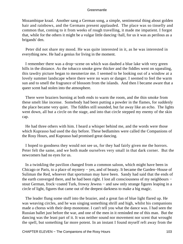Mozambique kraal. Another sang a German song, a simple, sentimental thing about golden hair and rainbows, and the Germans present applauded. The place was so tinselly and common that, coming to it from weeks of rough travelling, it made me impatient. I forgot that, while for the others it might be a vulgar little dancing−hall, for us it was as perilous as a brigands' den.

 Peter did not share my mood. He was quite interested in it, as he was interested in everything new. He had a genius for living in the moment.

 I remember there was a drop−scene on which was daubed a blue lake with very green hills in the distance. As the tobacco smoke grew thicker and the fiddles went on squealing, this tawdry picture began to mesmerize me. I seemed to be looking out of a window at a lovely summer landscape where there were no wars or danger. I seemed to feel the warm sun and to smell the fragrance of blossom from the islands. And then I became aware that a queer scent had stolen into the atmosphere.

 There were braziers burning at both ends to warm the room, and the thin smoke from these smelt like incense. Somebody had been putting a powder in the flames, for suddenly the place became very quiet. The fiddles still sounded, but far away like an echo. The lights went down, all but a circle on the stage, and into that circle stepped my enemy of the skin cap.

 He had three others with him. I heard a whisper behind me, and the words were those which Kuprasso had used the day before. These bedlamites were called the Companions of the Rosy Hours, and Kuprasso had promised great dancing.

 I hoped to goodness they would not see us, for they had fairly given me the horrors. Peter felt the same, and we both made ourselves very small in that dark corner. But the newcomers had no eyes for us.

 In a twinkling the pavilion changed from a common saloon, which might have been in Chicago or Paris, to a place of mystery − yes, and of beauty. It became the Garden−House of Suliman the Red, whoever that sportsman may have been. Sandy had said that the ends of the earth converged there, and he had been right. I lost all consciousness of my neighbours − stout German, frock−coated Turk, frowsy Jewess − and saw only strange figures leaping in a circle of light, figures that came out of the deepest darkness to make a big magic.

 The leader flung some stuff into the brazier, and a great fan of blue light flared up. He was weaving circles, and he was singing something shrill and high, whilst his companions made a chorus with their deep monotone. I can't tell you what the dance was. I had seen the Russian ballet just before the war, and one of the men in it reminded me of this man. But the dancing was the least part of it. It was neither sound nor movement nor scent that wrought the spell, but something far more potent. In an instant I found myself reft away from the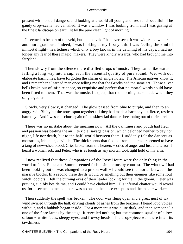present with its dull dangers, and looking at a world all young and fresh and beautiful. The gaudy drop−scene had vanished. It was a window I was looking from, and I was gazing at the finest landscape on earth, lit by the pure clean light of morning.

 It seemed to be part of the veld, but like no veld I had ever seen. It was wider and wilder and more gracious. Indeed, I was looking at my first youth. I was feeling the kind of immortal light− heartedness which only a boy knows in the dawning of his days. I had no longer any fear of these magic−makers. They were kindly wizards, who had brought me into fairyland.

 Then slowly from the silence there distilled drops of music. They came like water falling a long way into a cup, each the essential quality of pure sound. We, with our elaborate harmonies, have forgotten the charm of single notes. The African natives know it, and I remember a learned man once telling me that the Greeks had the same art. Those silver bells broke out of infinite space, so exquisite and perfect that no mortal words could have been fitted to them. That was the music, I expect, that the morning stars made when they sang together.

 Slowly, very slowly, it changed. The glow passed from blue to purple, and then to an angry red. Bit by bit the notes spun together till they had made a harmony − a fierce, restless harmony. And I was conscious again of the skin−clad dancers beckoning out of their circle.

 There was no mistake about the meaning now. All the daintiness and youth had fled, and passion was beating the air − terrible, savage passion, which belonged neither to day nor night, life nor death, but to the half−world between them. I suddenly felt the dancers as monstrous, inhuman, devilish. The thick scents that floated from the brazier seemed to have a tang of new−shed blood. Cries broke from the hearers − cries of anger and lust and terror. I heard a woman sob, and Peter, who is as tough as any mortal, took tight hold of my arm.

 I now realized that these Companions of the Rosy Hours were the only thing in the world to fear. Rasta and Stumm seemed feeble simpletons by contrast. The window I had been looking out of was changed to a prison wall − I could see the mortar between the massive blocks. In a second these devils would be smelling out their enemies like some foul witch−doctors. I felt the burning eyes of their leader looking for me in the gloom. Peter was praying audibly beside me, and I could have choked him. His infernal chatter would reveal us, for it seemed to me that there was no one in the place except us and the magic−workers.

 Then suddenly the spell was broken. The door was flung open and a great gust of icy wind swirled through the hall, driving clouds of ashes from the braziers. I heard loud voices without, and a hubbub began inside. For a moment it was quite dark, and then someone lit one of the flare lamps by the stage. It revealed nothing but the common squalor of a low saloon − white faces, sleepy eyes, and frowsy heads. The drop−piece was there in all its tawdriness.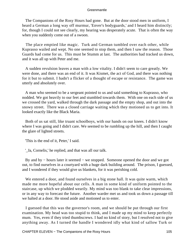The Companions of the Rosy Hours had gone. But at the door stood men in uniform, I heard a German a long way off murmur, 'Enver's bodyguards,' and I heard him distinctly; for, though I could not see clearly, my hearing was desperately acute. That is often the way when you suddenly come out of a swoon.

 The place emptied like magic. Turk and German tumbled over each other, while Kuprasso wailed and wept. No one seemed to stop them, and then I saw the reason. Those Guards had come for us. This must be Stumm at last. The authorities had tracked us down, and it was all up with Peter and me.

 A sudden revulsion leaves a man with a low vitality. I didn't seem to care greatly. We were done, and there was an end of it. It was Kismet, the act of God, and there was nothing for it but to submit. I hadn't a flicker of a thought of escape or resistance. The game was utterly and absolutely over.

 A man who seemed to be a sergeant pointed to us and said something to Kuprasso, who nodded. We got heavily to our feet and stumbled towards them. With one on each side of us we crossed the yard, walked through the dark passage and the empty shop, and out into the snowy street. There was a closed carriage waiting which they motioned us to get into. It looked exactly like the Black Maria.

 Both of us sat still, like truant schoolboys, with our hands on our knees. I didn't know where I was going and I didn't care. We seemed to be rumbling up the hill, and then I caught the glare of lighted streets.

'This is the end of it, Peter,' I said.

'\_Ja, Cornelis,' he replied, and that was all our talk.

 By and by − hours later it seemed − we stopped. Someone opened the door and we got out, to find ourselves in a courtyard with a huge dark building around. The prison, I guessed, and I wondered if they would give us blankets, for it was perishing cold.

 We entered a door, and found ourselves in a big stone hall. It was quite warm, which made me more hopeful about our cells. A man in some kind of uniform pointed to the staircase, up which we plodded wearily. My mind was too blank to take clear impressions, or in any way to forecast the future. Another warder met us and took us down a passage till we halted at a door. He stood aside and motioned us to enter.

 I guessed that this was the governor's room, and we should be put through our first examination. My head was too stupid to think, and I made up my mind to keep perfectly mum. Yes, even if they tried thumbscrews. I had no kind of story, but I resolved not to give anything away. As I turned the handle I wondered idly what kind of sallow Turk or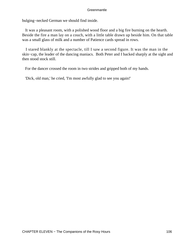bulging−necked German we should find inside.

 It was a pleasant room, with a polished wood floor and a big fire burning on the hearth. Beside the fire a man lay on a couch, with a little table drawn up beside him. On that table was a small glass of milk and a number of Patience cards spread in rows.

 I stared blankly at the spectacle, till I saw a second figure. It was the man in the skin−cap, the leader of the dancing maniacs. Both Peter and I backed sharply at the sight and then stood stock still.

For the dancer crossed the room in two strides and gripped both of my hands.

'Dick, old man,' he cried, 'I'm most awfully glad to see you again!'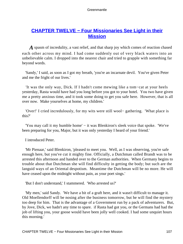# **[CHAPTER TWELVE − Four Missionaries See Light in their](#page-207-0) [Mission](#page-207-0)**

*A* spasm of incredulity, a vast relief, and that sharp joy which comes of reaction chased each other across my mind. I had come suddenly out of very black waters into an unbelievable calm. I dropped into the nearest chair and tried to grapple with something far beyond words.

 'Sandy,' I said, as soon as I got my breath, 'you're an incarnate devil. You've given Peter and me the fright of our lives.'

 'It was the only way, Dick. If I hadn't come mewing like a tom−cat at your heels yesterday, Rasta would have had you long before you got to your hotel. You two have given me a pretty anxious time, and it took some doing to get you safe here. However, that is all over now. Make yourselves at home, my children.'

 'Over!' I cried incredulously, for my wits were still wool− gathering. 'What place is this?'

 'You may call it my humble home' − it was Blenkiron's sleek voice that spoke. 'We've been preparing for you, Major, but it was only yesterday I heard of your friend.'

I introduced Peter.

 'Mr Pienaar,' said Blenkiron, 'pleased to meet you. Well, as I was observing, you're safe enough here, but you've cut it mighty fine. Officially, a Dutchman called Brandt was to be arrested this afternoon and handed over to the German authorities. When Germany begins to trouble about that Dutchman she will find difficulty in getting the body; but such are the languid ways of an Oriental despotism. Meantime the Dutchman will be no more. He will have ceased upon the midnight without pain, as your poet sings.'

'But I don't understand,' I stammered. 'Who arrested us?'

 'My men,' said Sandy. 'We have a bit of a graft here, and it wasn't difficult to manage it. Old Moellendorff will be nosing after the business tomorrow, but he will find the mystery too deep for him. That is the advantage of a Government run by a pack of adventurers. But, by Jove, Dick, we hadn't any time to spare. if Rasta had got you, or the Germans had had the job of lifting you, your goose would have been jolly well cooked. I had some unquiet hours this morning.'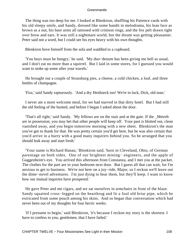The thing was too deep for me. I looked at Blenkiron, shuffling his Patience cards with his old sleepy smile, and Sandy, dressed like some bandit in melodrama, his lean face as brown as a nut, his bare arms all tattooed with crimson rings, and the fox pelt drawn tight over brow and ears. It was still a nightmare world, but the dream was getting pleasanter. Peter said not a word, but I could see his eyes heavy with his own thoughts.

Blenkiron hove himself from the sofa and waddled to a cupboard.

 'You boys must be hungry,' he said. 'My duo−denum has been giving me hell as usual, and I don't eat no more than a squirrel. But I laid in some stores, for I guessed you would want to stoke up some after your travels.'

 He brought out a couple of Strassburg pies, a cheese, a cold chicken, a loaf, and three bottles of champagne.

'Fizz,' said Sandy rapturously. 'And a dry Heidsieck too! We're in luck, Dick, old man.'

 I never ate a more welcome meal, for we had starved in that dirty hotel. But I had still the old feeling of the hunted, and before I began I asked about the door.

 'That's all right,' said Sandy. 'My fellows are on the stair and at the gate. If the \_Metreb are in possession, you may bet that other people will keep off. Your past is blotted out, clean vanished away, and you begin tomorrow morning with a new sheet. Blenkiron's the man you've got to thank for that. He was pretty certain you'd get here, but he was also certain that you'd arrive in a hurry with a good many inquirers behind you. So he arranged that you should leak away and start fresh.'

 'Your name is Richard Hanau,' Blenkiron said, 'born in Cleveland, Ohio, of German parentage on both sides. One of our brightest mining− engineers, and the apple of Guggenheim's eye. You arrived this afternoon from Constanza, and I met you at the packet. The clothes for the part are in your bedroom next door. But I guess all that can wait, for I'm anxious to get to business. We're not here on a joy−ride, Major, so I reckon we'll leave out the dime−novel adventures. I'm just dying to hear them, but they'll keep. I want to know how our mutual inquiries have prospered.'

 He gave Peter and me cigars, and we sat ourselves in armchairs in front of the blaze. Sandy squatted cross−legged on the hearthrug and lit a foul old briar pipe, which he extricated from some pouch among his skins. And so began that conversation which had never been out of my thoughts for four hectic weeks.

 'If I presume to begin,' said Blenkiron, 'it's because I reckon my story is the shortest. I have to confess to you, gentlemen, that I have failed.'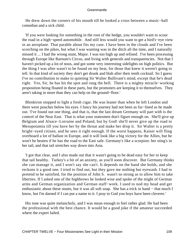He drew down the corners of his mouth till he looked a cross between a music−hall comedian and a sick child.

 'If you were looking for something in the root of the hedge, you wouldn't want to scour the road in a high−speed automobile. And still less would you want to get a bird's−eye view in an aeroplane. That parable about fits my case. I have been in the clouds and I've been scorching on the pikes, but what I was wanting was in the ditch all the time, and I naturally missed it ... I had the wrong stunt, Major. I was too high up and refined. I've been processing through Europe like Barnum's Circus, and living with generals and transparencies. Not that I haven't picked up a lot of noos, and got some very interesting sidelights on high politics. But the thing I was after wasn't to be found on my beat, for those that knew it weren't going to tell. In that kind of society they don't get drunk and blab after their tenth cocktail. So I guess I've no contribution to make to quieting Sir Walter Bullivant's mind, except that he's dead right. Yes, Sir, he has hit the spot and rung the bell. There is a mighty miracle−working proposition being floated in these parts, but the promoters are keeping it to themselves. They aren't taking in more than they can help on the ground−floor.'

 Blenkiron stopped to light a fresh cigar. He was leaner than when he left London and there were pouches below his eyes. I fancy his journey had not been as fur−lined as he made out. 'I've found out one thing, and that is, that the last dream Germany will part with is the control of the Near East. That is what your statesmen don't figure enough on. She'll give up Belgium and Alsace−Lorraine and Poland, but by God! she'll never give up the road to Mesopotamia till you have her by the throat and make her drop it. Sir Walter is a pretty bright−eyed citizen, and he sees it right enough. If the worst happens, Kaiser will fling overboard a lot of ballast in Europe, and it will look like a big victory for the Allies, but he won't be beaten if he has the road to the East safe. Germany's like a scorpion: her sting's in her tail, and that tail stretches way down into Asia.

 'I got that clear, and I also made out that it wasn't going to be dead easy for her to keep that tail healthy. Turkey's a bit of an anxiety, as you'll soon discover. But Germany thinks she can manage it, and I won't say she can't. It depends on the hand she holds, and she reckons it a good one. I tried to find out, but they gave me nothing but eyewash. I had to pretend to be satisfied, for the position of John S. wasn't so strong as to allow him to take liberties. If I asked one of the highbrows he looked wise and spoke of the might of German arms and German organization and German staff−work. I used to nod my head and get enthusiastic about these stunts, but it was all soft soap. She has a trick in hand − that much I know, but I'm darned if I can put a name to it. I pray to God you boys have been cleverer.'

 His tone was quite melancholy, and I was mean enough to feel rather glad. He had been the professional with the best chance. It would be a good joke if the amateur succeeded where the expert failed.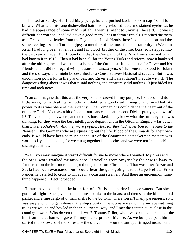I looked at Sandy. He filled his pipe again, and pushed back his skin cap from his brows. What with his long dishevelled hair, his high−boned face, and stained eyebrows he had the appearance of some mad mullah. 'I went straight to Smyrna,' he said. 'It wasn't difficult, for you see I had laid down a good many lines in former travels. I reached the town as a Greek money−lender from the Fayum, but I had friends there I could count on, and the same evening I was a Turkish gipsy, a member of the most famous fraternity in Western Asia. I had long been a member, and I'm blood−brother of the chief boss, so I stepped into the part ready made. But I found out that the Company of the Rosy Hours was not what I had known it in 1910. Then it had been all for the Young Turks and reform; now it hankered after the old regime and was the last hope of the Orthodox. It had no use for Enver and his friends, and it did not regard with pleasure the *beaux* yeux of the Teuton. It stood for Islam and the old ways, and might be described as a Conservative− Nationalist caucus. But it was uncommon powerful in the provinces, and Enver and Talaat daren't meddle with it. The dangerous thing about it was that it said nothing and apparently did nothing. It just bided its time and took notes.

 'You can imagine that this was the very kind of crowd for my purpose. I knew of old its little ways, for with all its orthodoxy it dabbled a good deal in magic, and owed half its power to its atmosphere of the uncanny. The Companions could dance the heart out of the ordinary Turk. You saw a bit of one of our dances this afternoon, Dick − pretty good, wasn't it? They could go anywhere, and no questions asked. They knew what the ordinary man was thinking, for they were the best intelligence department in the Ottoman Empire − far better than Enver's *Khafiyeh. And they were popular, too, for they had never bowed the knee to the* Nemseh – the Germans who are squeezing out the life–blood of the Osmanli for their own ends. It would have been as much as the life of the Committee or its German masters was worth to lay a hand on us, for we clung together like leeches and we were not in the habit of sticking at trifles.

 'Well, you may imagine it wasn't difficult for me to move where I wanted. My dress and the pass−word franked me anywhere. I travelled from Smyrna by the new railway to Panderma on the Marmora, and got there just before Christmas. That was after Anzac and Suvla had been evacuated, but I could hear the guns going hard at Cape Helles. From Panderma I started to cross to Thrace in a coasting steamer. And there an uncommon funny thing happened − I got torpedoed.

 'It must have been about the last effort of a British submarine in those waters. But she got us all right. She gave us ten minutes to take to the boats, and then sent the blighted old packet and a fine cargo of 6−inch shells to the bottom. There weren't many passengers, so it was easy enough to get ashore in the ship's boats. The submarine sat on the surface watching us, as we wailed and howled in the true Oriental way, and I saw the captain quite close in the conning−tower. Who do you think it was? Tommy Elliot, who lives on the other side of the hill from me at home. 'I gave Tommy the surprise of his life. As we bumped past him, I started the «Flowers of the Forest» – the old version – on the antique stringed instrument I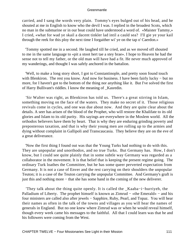carried, and I sang the words very plain. Tommy's eyes bulged out of his head, and he shouted at me in English to know who the devil I was. I replied in the broadest Scots, which no man in the submarine or in our boat could have understood a word of. «Maister Tammy,» I cried, «what for wad ye skail a dacent tinkler lad intil a cauld sea? I'll gie ye your kail through the reek for this ploy the next time I forgaither wi' ye on the tap o' Caerdon.»

 'Tommy spotted me in a second. He laughed till he cried, and as we moved off shouted to me in the same language to «pit a stoot hert tae a stey brae». I hope to Heaven he had the sense not to tell my father, or the old man will have had a fit. He never much approved of my wanderings, and thought I was safely anchored in the battalion.

 'Well, to make a long story short, I got to Constantinople, and pretty soon found touch with Blenkiron. The rest you know. And now for business. I have been fairly lucky – but no more, for I haven't got to the bottom of the thing nor anything like it. But I've solved the first of Harry Bullivant's riddles. I know the meaning of \_Kasredin.

 'Sir Walter was right, as Blenkiron has told us. There's a great stirring in Islam, something moving on the face of the waters. They make no secret of it. Those religious revivals come in cycles, and one was due about now. And they are quite clear about the details. A seer has arisen of the blood of the Prophet, who will restore the Khalifate to its old glories and Islam to its old purity. His sayings are everywhere in the Moslem world. All the orthodox believers have them by heart. That is why they are enduring grinding poverty and preposterous taxation, and that is why their young men are rolling up to the armies and dying without complaint in Gallipoli and Transcaucasia. They believe they are on the eve of a great deliverance.

 'Now the first thing I found out was that the Young Turks had nothing to do with this. They are unpopular and unorthodox, and no true Turks. But Germany has. How, I don't know, but I could see quite plainly that in some subtle way Germany was regarded as a collaborator in the movement. It is that belief that is keeping the present regime going. The ordinary Turk loathes the Committee, but he has some queer perverted expectation from Germany. It is not a case of Enver and the rest carrying on their shoulders the unpopular Teuton; it is a case of the Teuton carrying the unpopular Committee. And Germany's graft is just this and nothing more − that she has some hand in the coming of the new deliverer.

 'They talk about the thing quite openly. It is called the \_Kaaba−i−hurriyeh, the Palladium of Liberty. The prophet himself is known as Zimrud − «the Emerald» − and his four ministers are called also after jewels − Sapphire, Ruby, Pearl, and Topaz. You will hear their names as often in the talk of the towns and villages as you will hear the names of generals in England. But no one knew where Zimrud was or when he would reveal himself, though every week came his messages to the faithful. All that I could learn was that he and his followers were coming from the West.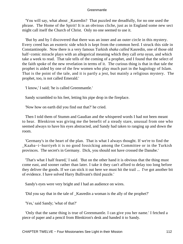'You will say, what about \_Kasredin? That puzzled me dreadfully, for no one used the phrase. The Home of the Spirit! It is an obvious cliche, just as in England some new sect might call itself the Church of Christ. Only no one seemed to use it.

 'But by and by I discovered that there was an inner and an outer circle in this mystery. Every creed has an esoteric side which is kept from the common herd. I struck this side in Constantinople. Now there is a very famous Turkish *shaka called* Kasredin, one of those old half−comic miracle plays with an allegorical meaning which they call *orta* oyun, and which take a week to read. That tale tells of the coming of a prophet, and I found that the select of the faith spoke of the new revelation in terms of it. The curious thing is that in that tale the prophet is aided by one of the few women who play much part in the hagiology of Islam. That is the point of the tale, and it is partly a jest, but mainly a religious mystery. The prophet, too, is not called Emerald.'

'I know,' I said; 'he is called Greenmantle.'

Sandy scrambled to his feet, letting his pipe drop in the fireplace.

'Now how on earth did you find out that?' he cried.

 Then I told them of Stumm and Gaudian and the whispered words I had not been meant to hear. Blenkiron was giving me the benefit of a steady stare, unusual from one who seemed always to have his eyes abstracted, and Sandy had taken to ranging up and down the room.

 'Germany's in the heart of the plan. That is what I always thought. If we're to find the \_Kaaba−i−hurriyeh it is no good fossicking among the Committee or in the Turkish provinces. The secret's in Germany. Dick, you should not have crossed the Danube.'

 'That's what I half feared,' I said. 'But on the other hand it is obvious that the thing must come east, and sooner rather than later. I take it they can't afford to delay too long before they deliver the goods. If we can stick it out here we must hit the trail ... I've got another bit of evidence. I have solved Harry Bullivant's third puzzle.'

Sandy's eyes were very bright and I had an audience on wires.

'Did you say that in the tale of \_Kasredin a woman is the ally of the prophet?'

'Yes,' said Sandy; 'what of that?'

 'Only that the same thing is true of Greenmantle. I can give you her name.' I fetched a piece of paper and a pencil from Blenkiron's desk and handed it to Sandy.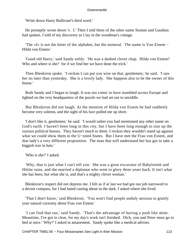'Write down Harry Bullivant's third word.'

 He promptly wrote down '*v.* I.' Then I told them of the other name Stumm and Gaudian had spoken. I told of my discovery as I lay in the woodman's cottage.

 'The «I» is not the letter of the alphabet, but the numeral. The name is Von Einem − Hilda von Einem.'

 'Good old Harry,' said Sandy softly. 'He was a dashed clever chap. Hilda von Einem? Who and where is she? for if we find her we have done the trick.'

 Then Blenkiron spoke. 'I reckon I can put you wise on that, gentlemen,' he said. 'I saw her no later than yesterday. She is a lovely lady. She happens also to be the owner of this house.'

 Both Sandy and I began to laugh. It was too comic to have stumbled across Europe and lighted on the very headquarters of the puzzle we had set out to unriddle.

 But Blenkiron did not laugh. At the mention of Hilda von Einem he had suddenly become very solemn, and the sight of his face pulled me up short.

 'I don't like it, gentlemen,' he said. 'I would rather you had mentioned any other name on God's earth. I haven't been long in this city, but I have been long enough to size up the various political bosses. They haven't much to them. I reckon they wouldn't stand up against what we could show them in the U−nited States. But I have met the Frau von Einem, and that lady's a very different proposition. The man that will understand her has got to take a biggish size in hats.'

'Who is she?' I asked.

 'Why, that is just what I can't tell you. She was a great excavator of Babylonish and Hittite ruins, and she married a diplomat who went to glory three years back. It isn't what she has been, but what she is, and that's a mighty clever woman.'

 Blenkiron's respect did not depress me. I felt as if at last we had got our job narrowed to a decent compass, for I had hated casting about in the dark. I asked where she lived.

 'That I don't know,' said Blenkiron. 'You won't find people unduly anxious to gratify your natural curiosity about Frau von Einem.'

 'I can find that out,' said Sandy. 'That's the advantage of having a push like mine. Meantime, I've got to clear, for my day's work isn't finished. Dick, you and Peter must go to bed at once.' 'Why?' I asked in amazement. Sandy spoke like a medical adviser.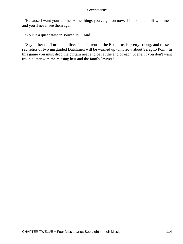'Because I want your clothes − the things you've got on now. I'll take them off with me and you'll never see them again.'

'You've a queer taste in souvenirs,' I said.

 'Say rather the Turkish police. The current in the Bosporus is pretty strong, and these sad relics of two misguided Dutchmen will be washed up tomorrow about Seraglio Point. In this game you must drop the curtain neat and pat at the end of each Scene, if you don't want trouble later with the missing heir and the family lawyer.'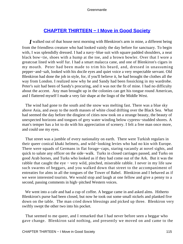# **[CHAPTER THIRTEEN − I Move in Good Society](#page-207-0)**

*I* walked out of that house next morning with Blenkiron's arm in mine, a different being from the friendless creature who had looked vainly the day before for sanctuary. To begin with, I was splendidly dressed. I had a navy–blue suit with square padded shoulders, a neat black bow−tie, shoes with a hump at the toe, and a brown bowler. Over that I wore a greatcoat lined with wolf fur. I had a smart malacca cane, and one of Blenkiron's cigars in my mouth. Peter had been made to trim his beard, and, dressed in unassuming pepper−and−salt, looked with his docile eyes and quiet voice a very respectable servant. Old Blenkiron had done the job in style, for, if you'll believe it, he had brought the clothes all the way from London. I realized now why he and Sandy had been fossicking in my wardrobe. Peter's suit had been of Sandy's procuring, and it was not the fit of mine. I had no difficulty about the accent. Any man brought up in the colonies can get his tongue round American, and I flattered myself I made a very fair shape at the lingo of the Middle West.

 The wind had gone to the south and the snow was melting fast. There was a blue sky above Asia, and away to the north masses of white cloud drifting over the Black Sea. What had seemed the day before the dingiest of cities now took on a strange beauty, the beauty of unexpected horizons and tongues of grey water winding below cypress−studded shores. A man's temper has a lot to do with his appreciation of scenery. I felt a free man once more, and could use my eyes.

 That street was a jumble of every nationality on earth. There were Turkish regulars in their queer conical khaki helmets, and wild−looking levies who had no kin with Europe. There were squads of Germans in flat forage−caps, staring vacantly at novel sights, and quick to salute any officer on the side−walk. Turks in closed carriages passed, and Turks on good Arab horses, and Turks who looked as if they had come out of the Ark. But it was the rabble that caught the eye − very wild, pinched, miserable rabble. I never in my life saw such swarms of beggars, and you walked down that street to the accompaniment of entreaties for alms in all the tongues of the Tower of Babel. Blenkiron and I behaved as if we were interested tourists. We would stop and laugh at one fellow and give a penny to a second, passing comments in high−pitched Western voices.

 We went into a cafe and had a cup of coffee. A beggar came in and asked alms. Hitherto Blenkiron's purse had been closed, but now he took out some small nickels and planked five down on the table. The man cried down blessings and picked up three. Blenkiron very swiftly swept the other two into his pocket.

 That seemed to me queer, and I remarked that I had never before seen a beggar who gave change. Blenkiron said nothing, and presently we moved on and came to the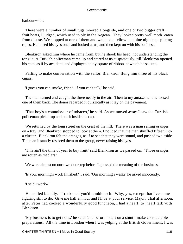harbour−side.

There were a number of small tugs moored alongside, and one or two bigger craft − fruit boats, I judged, which used to ply in the Aegean. They looked pretty well moth−eaten from disuse. We stopped at one of them and watched a fellow in a blue nightcap splicing ropes. He raised his eyes once and looked at us, and then kept on with his business.

 Blenkiron asked him where he came from, but he shook his head, not understanding the tongue. A Turkish policeman came up and stared at us suspiciously, till Blenkiron opened his coat, as if by accident, and displayed a tiny square of ribbon, at which he saluted.

 Failing to make conversation with the sailor, Blenkiron flung him three of his black cigars.

'I guess you can smoke, friend, if you can't talk,' he said.

 The man turned and caught the three neatly in the air. Then to my amazement he tossed one of them back. The donor regarded it quizzically as it lay on the pavement.

 'That boy's a connoisseur of tobacco,' he said. As we moved away I saw the Turkish policeman pick it up and put it inside his cap.

We returned by the long street on the crest of the hill. There was a man selling oranges on a tray, and Blenkiron stopped to look at them. I noticed that the man shuffled fifteen into a cluster. Blenkiron felt the oranges, as if to see that they were sound, and pushed two aside. The man instantly restored them to the group, never raising his eyes.

 'This ain't the time of year to buy fruit,' said Blenkiron as we passed on. 'Those oranges are rotten as medlars.'

We were almost on our own doorstep before I guessed the meaning of the business.

'Is your morning's work finished?' I said. 'Our morning's walk?' he asked innocently.

'I said «work».'

 He smiled blandly. 'I reckoned you'd tumble to it. Why, yes, except that I've some figuring still to do. Give me half an hour and I'll be at your service, Major.' That afternoon, after Peter had cooked a wonderfully good luncheon, I had a heart−to−heart talk with Blenkiron.

 'My business is to get noos,' he said; 'and before I start on a stunt I make considerable preparations. All the time in London when I was yelping at the British Government, I was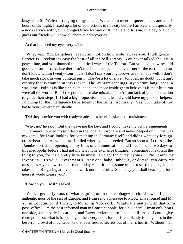busy with Sir Walter arranging things ahead. We used to meet in queer places and at all hours of the night. I fixed up a lot of connections in this city before I arrived, and especially a noos service with your Foreign Office by way of Rumania and Russia. In a day or two I guess our friends will know all about our discoveries.'

At that I opened my eyes very wide.

 'Why, yes. You Britishers haven't any notion how wide−awake your Intelligence Service is. I reckon it's easy the best of all the belligerents. You never talked about it in peace time, and you shunned the theatrical ways of the Teuton. But you had the wires laid good and sure. I calculate there isn't much that happens in any corner of the earth that you don't know within twenty−four hours. I don't say your highbrows use the noos well. I don't take much stock in your political push. They're a lot of silver−tongues, no doubt, but it ain't oratory that is wanted in this racket. The William Jennings Bryan stunt languishes in war−time. Politics is like a chicken−coop, and those inside get to behave as if their little run were all the world. But if the politicians make mistakes it isn't from lack of good instruction to guide their steps. If I had a big proposition to handle and could have my pick of helpers I'd plump for the Intelligence Department of the British Admiralty. Yes, Sir, I take off my hat to your Government sleuths.'

'Did they provide you with ready−made spies here?' I asked in astonishment.

 'Why, no,' he said. 'But they gave me the key, and I could make my own arrangements. In Germany I buried myself deep in the local atmosphere and never peeped out. That was my game, for I was looking for something in Germany itself, and didn't want any foreign cross−bearings. As you know, I failed where you succeeded. But so soon as I crossed the Danube I set about opening up my lines of communication, and I hadn't been two days in this metropolis before I had got my telephone exchange buzzing. Sometime I'll explain the thing to you, for it's a pretty little business. I've got the cutest cypher ... No, it ain't my invention. It's your Government's. Any one, babe, imbecile, or dotard, can carry my messages − you saw some of them today − but it takes some mind to set the piece, and it takes a lot of figuring at my end to work out the results. Some day you shall hear it all, for I guess it would please you.'

'How do you use it?' I asked.

 'Well, I get early noos of what is going on in this cabbage−patch. Likewise I get authentic noos of the rest of Europe, and I can send a message to Mr X. in Petrograd and Mr Y. in London, or, if I wish, to Mr Z. in Noo York. What's the matter with that for a post−office? I'm the best informed man in Constantinople, for old General Liman only hears one side, and mostly lies at that, and Enver prefers not to listen at all. Also, I could give them points on what is happening at their very door, for our friend Sandy is a big boss in the best−run crowd of mountebanks that ever fiddled secrets out of men's hearts. Without their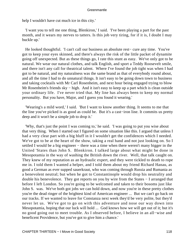help I wouldn't have cut much ice in this city.'

 'I want you to tell me one thing, Blenkiron,' I said. 'I've been playing a part for the past month, and it wears my nerves to tatters. Is this job very tiring, for if it is, I doubt I may buckle up.'

 He looked thoughtful. 'I can't call our business an absolute rest− cure any time. You've got to keep your eyes skinned, and there's always the risk of the little packet of dynamite going off unexpected. But as these things go, I rate this stunt as easy. We've only got to be natural. We wear our natural clothes, and talk English, and sport a Teddy Roosevelt smile, and there isn't any call for theatrical talent. Where I've found the job tight was when I had got to be natural, and my naturalness was the same brand as that of everybody round about, and all the time I had to do unnatural things. It isn't easy to be going down town to business and taking cocktails with Mr Carl Rosenheim, and next hour being engaged trying to blow Mr Rosenheim's friends sky – high. And it isn't easy to keep up a part which is clean outside your ordinary life. I've never tried that. My line has always been to keep my normal personality. But you have, Major, and I guess you found it wearing.'

 'Wearing's a mild word,' I said. 'But I want to know another thing. It seems to me that the line you've picked is as good as could be. But it's a cast−iron line. It commits us pretty deep and it won't be a simple job to drop it.'

 'Why, that's just the point I was coming to,' he said. 'I was going to put you wise about that very thing. When I started out I figured on some situation like this. I argued that unless I had a very clear part with a big bluff in it I wouldn't get the confidences which I needed. We've got to be at the heart of the show, taking a real hand and not just looking on. So I settled I would be a big engineer – there was a time when there weren't many bigger in the United 'States than John S. Blenkiron. I talked large about what might be done in Mesopotamia in the way of washing the British down the river. Well, that talk caught on. They knew of my reputation as an hydraulic expert, and they were tickled to death to rope me in. I told them I wanted a helper, and I told them about my friend Richard Hanau, as good a German as ever supped sauerkraut, who was coming through Russia and Rumania as a benevolent neutral; but when he got to Constantinople would drop his neutrality and double his benevolence. They got reports on you by wire from the States − I arranged that before I left London. So you're going to be welcomed and taken to their bosoms just like John S. was. We've both got jobs we can hold down, and now you're in these pretty clothes you're the dead ringer of the brightest kind of American engineer ... But we can't go back on our tracks. If we wanted to leave for Constanza next week they'd be very polite, but they'd never let us. We've got to go on with this adventure and nose our way down into Mesopotamia, hoping that our luck will hold ... God knows how we will get out of it; but it's no good going out to meet trouble. As I observed before, I believe in an all−wise and beneficent Providence, but you've got to give him a chance.'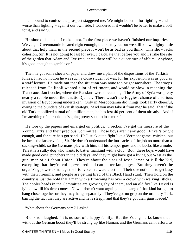I am bound to confess the prospect staggered me. We might be let in for fighting − and worse than fighting − against our own side. I wondered if it wouldn't be better to make a bolt for it, and said SO.

 He shook his head. 'I reckon not. In the first place we haven't finished our inquiries. We've got Greenmantle located right enough, thanks to you, but we still know mighty little about that holy man. in the second place it won't be as bad as you think. This show lacks cohesion, Sir. It is not going to last for ever. I calculate that before you and I strike the site of the garden that Adam and Eve frequented there will be a queer turn of affairs. Anyhow, it's good enough to gamble on.'

 Then he got some sheets of paper and drew me a plan of the dispositions of the Turkish forces. I had no notion he was such a close student of war, for his exposition was as good as a staff lecture. He made out that the situation was none too bright anywhere. The troops released from Gallipoli wanted a lot of refitment, and would be slow in reaching the Transcaucasian frontier, where the Russians were threatening. The Army of Syria was pretty nearly a rabble under the lunatic Djemal. There wasn't the foggiest chance of a serious invasion of Egypt being undertaken. Only in Mesopotamia did things look fairly cheerful, owing to the blunders of British strategy. 'And you may take it from me,' he said, 'that if the old Turk mobilized a total of a million men, he has lost 40 per cent of them already. And if I'm anything of a prophet he's going pretty soon to lose more.'

 He tore up the papers and enlarged on politics. 'I reckon I've got the measure of the Young Turks and their precious Committee. Those boys aren't any good. Enver's bright enough, and for sure he's got sand. He'll stick out a fight like a Vermont game−chicken, but he lacks the larger vision, Sir. He doesn't understand the intricacies of the job no more than a sucking−child, so the Germans play with him, till his temper goes and he bucks like a mule. Talaat is a sulky dog who wants to batter mankind with a club. Both these boys would have made good cow−punchers in the old days, and they might have got a living out West as the gun−men of a Labour Union. They're about the class of Jesse James or Bill the Kid, excepting that they're college−reared and can patter languages. But they haven't the organizing power to manage the Irish vote in a ward election. Their one notion is to get busy with their firearms, and people are getting tired of the Black Hand stunt. Their hold on the country is just the hold that a man with a Browning has over a crowd with walking−sticks. The cooler heads in the Committee are growing shy of them, and an old fox like David is lying low till his time comes. Now it doesn't want arguing that a gang of that kind has got to hang close together or they may hang separately. They've got no grip on the ordinary Turk, barring the fact that they are active and he is sleepy, and that they've got their guns loaded.'

'What about the Germans here?' I asked.

 Blenkiron laughed. 'It is no sort of a happy family. But the Young Turks know that without the German boost they'll be strung up like Haman, and the Germans can't afford to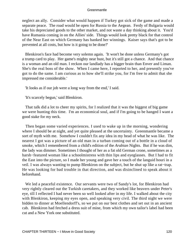neglect an ally. Consider what would happen if Turkey got sick of the game and made a separate peace. The road would be open for Russia to the Aegean. Ferdy of Bulgaria would take his depreciated goods to the other market, and not waste a day thinking about it. You'd have Rumania coming in on the Allies' side. Things would look pretty black for that control of the Near East on which Germany has banked her winnings. Kaiser says that's got to be prevented at all costs, but how is it going to be done?'

 Blenkiron's face had become very solemn again. 'It won't be done unless Germany's got a trump card to play. Her game's mighty near bust, but it's still got a chance. And that chance is a woman and an old man. I reckon our landlady has a bigger brain than Enver and Liman. She's the real boss of the show. When I came here, I reported to her, and presently you've got to do the same. I am curious as to how she'll strike you, for I'm free to admit that she impressed me considerable.'

'It looks as if our job were a long way from the end,' I said.

'It's scarcely begun,' said Blenkiron.

 That talk did a lot to cheer my spirits, for I realized that it was the biggest of big game we were hunting this time. I'm an economical soul, and if I'm going to be hanged I want a good stake for my neck.

 Then began some varied experiences. I used to wake up in the morning, wondering where I should be at night, and yet quite pleased at the uncertainty. Greenmantle became a sort of myth with me. Somehow I couldn't fix any idea in my head of what he was like. The nearest I got was a picture of an old man in a turban coming out of a bottle in a cloud of smoke, which I remembered from a child's edition of the *Arabian* Nights. But if he was dim, the lady was dimmer. Sometimes I thought of her as a fat old German crone, sometimes as a harsh−featured woman like a schoolmistress with thin lips and eyeglasses. But I had to fit the East into the picture, so I made her young and gave her a touch of the languid houri in a veil. I was always wanting to pump Blenkiron on the subject, but he shut up like a rat−trap. He was looking for bad trouble in that direction, and was disinclined to speak about it beforehand.

 We led a peaceful existence. Our servants were two of Sandy's lot, for Blenkiron had very rightly cleared out the Turkish caretakers, and they worked like beavers under Peter's eye, till I reflected I had never been so well looked after in my life. I walked about the city with Blenkiron, keeping my eyes open, and speaking very civil. The third night we were bidden to dinner at Moellendorff's, so we put on our best clothes and set out in an ancient cab. Blenkiron had fetched a dress suit of mine, from which my own tailor's label had been cut and a New York one substituted.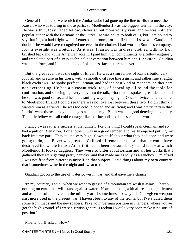General Liman and Metternich the Ambassador had gone up the line to Nish to meet the Kaiser, who was touring in those parts, so Moellendorff was the biggest German in the city. He was a thin, foxy–faced fellow, cleverish but monstrously vain, and he was not very popular either with the Germans or the Turks. He was polite to both of us, but I am bound to say that I got a bad fright when I entered the room, for the first man I saw was Gaudian. I doubt if he would have recognized me even in the clothes I had worn in Stumm's company, for his eyesight was wretched. As it was, I ran no risk in dress−clothes, with my hair brushed back and a fine American accent. I paid him high compliments as a fellow engineer, and translated part of a very technical conversation between him and Blenkiron. Gaudian was in uniform, and I liked the look of his honest face better than ever.

 But the great event was the sight of Enver. He was a slim fellow of Rasta's build, very foppish and precise in his dress, with a smooth oval face like a girl's, and rather fine straight black eyebrows. He spoke perfect German, and had the best kind of manners, neither pert nor overbearing. He had a pleasant trick, too, of appealing all round the table for confirmation, and so bringing everybody into the talk. Not that he spoke a great deal, but all he said was good sense, and he had a smiling way of saying it. Once or twice he ran counter to Moellendorff, and I could see there was no love lost between these two. I didn't think I wanted him as a friend − he was too cold−blooded and artificial; and I was pretty certain that I didn't want those steady black eyes as an enemy. But it was no good denying his quality. The little fellow was all cold courage, like the fine polished blue steel of a sword.

 I fancy I was rather a success at that dinner. For one thing I could speak German, and so had a pull on Blenkiron. For another I was in a good temper, and really enjoyed putting my back into my part. They talked very high−flown stuff about what they had done and were going to do, and Enver was great on Gallipoli. I remember he said that he could have destroyed the whole British Army if it hadn't been for somebody's cold feet − at which Moellendorff looked daggers. They were so bitter about Britain and all her works that I gathered they were getting pretty panicky, and that made me as jolly as a sandboy. I'm afraid I was not free from bitterness myself on that subject. I said things about my own country that I sometimes wake in the night and sweat to think of.

Gaudian got on to the use of water power in war, and that gave me a chance.

 'In my country,' I said, 'when we want to get rid of a mountain we wash it away. There's nothing on earth that will stand against water. Now, speaking with all respect, gentlemen, and as an absolute novice in the military art, I sometimes ask why this God−given weapon isn't more used in the present war. I haven't been to any of the fronts, but I've studied them some from maps and the newspapers. Take your German position in Flanders, where you've got the high ground. If I were a British general I reckon I would very soon make it no sort of position.'

Moellendorff asked, 'How?'

CHAPTER THIRTEEN – I Move in Good Society 121 and 121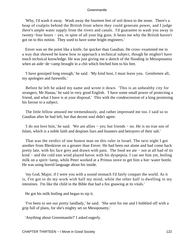'Why, I'd wash it away. Wash away the fourteen feet of soil down to the stone. There's a heap of coalpits behind the British front where they could generate power, and I judge there's ample water supply from the rivers and canals. I'd guarantee to wash you away in twenty−four hours − yes, in spite of all your big guns. It beats me why the British haven't got on to this notion. They used to have some bright engineers.'

 Enver was on the point like a knife, far quicker than Gaudian. He cross−examined me in a way that showed he knew how to approach a technical subject, though he mightn't have much technical knowledge. He was just giving me a sketch of the flooding in Mesopotamia when an aide−de−camp brought in a chit which fetched him to his feet.

 'I have gossiped long enough,' he said. 'My kind host, I must leave you. Gentlemen all, my apologies and farewells.'

 Before he left he asked my name and wrote it down. 'This is an unhealthy city for strangers, Mr Hanau,' he said in very good English. 'I have some small power of protecting a friend, and what I have is at your disposal.' This with the condescension of a king promising his favour to a subject.

 The little fellow amused me tremendously, and rather impressed me too. I said so to Gaudian after he had left, but that decent soul didn't agree.

 'I do not love him,' he said. 'We are allies − yes; but friends − no. He is no true son of Islam, which is a noble faith and despises liars and boasters and betrayers of their salt.'

 That was the verdict of one honest man on this ruler in Israel. The next night I got another from Blenkiron on a greater than Enver. He had been out alone and had come back pretty late, with his face grey and drawn with pain. The food we ate − not at all bad of its kind − and the cold east wind played havoc with his dyspepsia. I can see him yet, boiling milk on a spirit−lamp, while Peter worked at a Primus stove to get him a hot−water bottle. He was using horrid language about his inside.

 'my God, Major, if I were you with a sound stomach I'd fairly conquer the world. As it is, I've got to do my work with half my mind, while the other half is dwelling in my intestines. I'm like the child in the Bible that had a fox gnawing at its vitals.'

He got his milk boiling and began to sip it.

 'I've been to see our pretty landlady,' he said. 'She sent for me and I hobbled off with a grip full of plans, for she's mighty set on Mesopotamy.'

'Anything about Greenmantle?' I asked eagerly.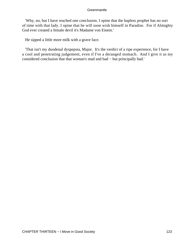'Why, no, but I have reached one conclusion. I opine that the hapless prophet has no sort of time with that lady. I opine that he will soon wish himself in Paradise. For if Almighty God ever created a female devil it's Madame von Einem.'

He sipped a little more milk with a grave face.

 'That isn't my duodenal dyspepsia, Major. It's the verdict of a ripe experience, for I have a cool and penetrating judgement, even if I've a deranged stomach. And I give it as my considered conclusion that that woman's mad and bad − but principally bad.'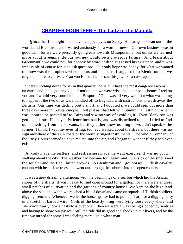# **[CHAPTER FOURTEEN − The Lady of the Mantilla](#page-207-0)**

*S*ince that first night I had never clapped eyes on Sandy. He had gone clean out of the world, and Blenkiron and I waited anxiously for a word of news. Our own business was in good trim, for we were presently going east towards Mesopotamia, but unless we learned more about Greenmantle our journey would be a grotesque failure. And learn about Greenmantle we could not, for nobody by word or deed suggested his existence, and it was impossible of course for us to ask questions. Our only hope was Sandy, for what we wanted to know was the prophet's whereabouts and his plans. I suggested to Blenkiron that we might do more to cultivate Frau von Einem, but he shut his jaw like a rat−trap.

 'There's nothing doing for us in that quarter,' he said. 'That's the most dangerous woman on earth; and if she got any kind of notion that we were wise about her pet schemes I reckon you and I would very soon be in the Bosporus.' This was all very well; but what was going to happen if the two of us were bundled off to Baghdad with instructions to wash away the British? Our time was getting pretty short, and I doubted if we could spin out more than three days more in Constantinople. I felt just as I had felt with Stumm that last night when I was about to be packed off to Cairo and saw no way of avoiding it. Even Blenkiron was getting anxious. He played Patience incessantly, and was disinclined to talk. I tried to find out something from the servants, but they either knew nothing or wouldn't speak − the former, I think. I kept my eyes lifting, too, as I walked about the streets, but there was no sign anywhere of the skin coats or the weird stringed instruments. The whole Company of the Rosy Hours seemed to have melted into the air, and I began to wonder if they had ever existed.

 Anxiety made me restless, and restlessness made me want exercise. It was no good walking about the city. The weather had become foul again, and I was sick of the smells and the squalor and the flea− bitten crowds. So Blenkiron and I got horses, Turkish cavalry mounts with heads like trees, and went out through the suburbs into the open country.

 It was a grey drizzling afternoon, with the beginnings of a sea fog which hid the Asiatic shores of the straits. It wasn't easy to find open ground for a gallop, for there were endless small patches of cultivation and the gardens of country houses. We kept on the high land above the sea, and when we reached a bit of downland came on squads of Turkish soldiers digging trenches. Whenever we let the horses go we had to pull up sharp for a digging party or a stretch of barbed wire. Coils of the beastly thing were lying loose everywhere, and Blenkiron nearly took a nasty toss over one. Then we were always being stopped by sentries and having to show our passes. Still the ride did us good and shook up our livers, and by the time we turned for home I was feeling more like a white man.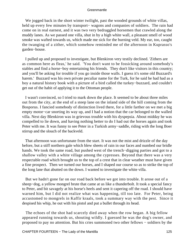We jogged back in the short winter twilight, past the wooded grounds of white villas, held up every few minutes by transport− wagons and companies of soldiers. The rain had come on in real earnest, and it was two very bedraggled horsemen that crawled along the muddy lanes. As we passed one villa, shut in by a high white wall, a pleasant smell of wood smoke was wafted towards us, which made me sick for the burning veld. My ear, too, caught the twanging of a zither, which somehow reminded me of the afternoon in Kuprasso's garden−house.

 I pulled up and proposed to investigate, but Blenkiron very testily declined. 'Zithers are as common here as fleas,' he said. 'You don't want to be fossicking around somebody's stables and find a horse−boy entertaining his friends. They don't like visitors in this country; and you'll be asking for trouble if you go inside those walls. I guess it's some old Buzzard's harem.' Buzzard was his own private peculiar name for the Turk, for he said he had had as a boy a natural history book with a picture of a bird called the turkey−buzzard, and couldn't get out of the habit of applying it to the Ottoman people.

 I wasn't convinced, so I tried to mark down the place. It seemed to be about three miles out from the city, at the end of a steep lane on the inland side of the hill coming from the Bosporus. I fancied somebody of distinction lived there, for a little farther on we met a big empty motor−car snorting its way up, and I had a notion that the car belonged to the walled villa. Next day Blenkiron was in grievous trouble with his dyspepsia. About midday he was compelled to lie down, and having nothing better to do I had out the horses again and took Peter with me. It was funny to see Peter in a Turkish army−saddle, riding with the long Boer stirrup and the slouch of the backveld.

 That afternoon was unfortunate from the start. It was not the mist and drizzle of the day before, but a stiff northern gale which blew sheets of rain in our faces and numbed our bridle hands. We took the same road, but pushed west of the trench−digging parties and got to a shallow valley with a white village among the cypresses. Beyond that there was a very respectable road which brought us to the top of a crest that in clear weather must have given a fine prospect. Then we turned our horses, and I shaped our course so as to strike the top of the long lane that abutted on the down. I wanted to investigate the white villa.

 But we hadn't gone far on our road back before we got into trouble. It arose out of a sheep−dog, a yellow mongrel brute that came at us like a thunderbolt. It took a special fancy to Peter, and bit savagely at his horse's heels and sent it capering off the road. I should have warned him, but I did not realize what was happening, till too late. For Peter, being accustomed to mongrels in Kaffir kraals, took a summary way with the pest. Since it despised his whip, he out with his pistol and put a bullet through its head.

 The echoes of the shot had scarcely died away when the row began. A big fellow appeared running towards us, shouting wildly. I guessed he was the dog's owner, and proposed to pay no attention. But his cries summoned two other fellows − soldiers by the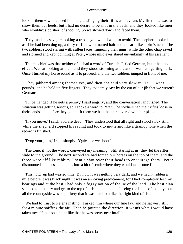look of them − who closed in on us, unslinging their rifles as they ran. My first idea was to show them our heels, but I had no desire to be shot in the back, and they looked like men who wouldn't stop short of shooting. So we slowed down and faced them.

 They made as savage−looking a trio as you would want to avoid. The shepherd looked as if he had been dug up, a dirty ruffian with matted hair and a beard like a bird's nest. The two soldiers stood staring with sullen faces, fingering their guns, while the other chap raved and stormed and kept pointing at Peter, whose mild eyes stared unwinkingly at his assailant.

 The mischief was that neither of us had a word of Turkish. I tried German, but it had no effect. We sat looking at them and they stood storming at us, and it was fast getting dark. Once I turned my horse round as if to proceed, and the two soldiers jumped in front of me.

 They jabbered among themselves, and then one said very slowly: 'He ... want ... pounds,' and he held up five fingers. They evidently saw by the cut of our jib that we weren't Germans.

 'I'll be hanged if he gets a penny,' I said angrily, and the conversation languished. The situation was getting serious, so I spoke a word to Peter. The soldiers had their rifles loose in their hands, and before they could lift them we had the pair covered with our pistols.

 'If you move,' I said, 'you are dead.' They understood that all right and stood stock still, while the shepherd stopped his raving and took to muttering like a gramophone when the record is finished.

'Drop your guns,' I said sharply. 'Quick, or we shoot.'

 The tone, if not the words, conveyed my meaning. Still staring at us, they let the rifles slide to the ground. The next second we had forced our horses on the top of them, and the three were off like rabbits. I sent a shot over their heads to encourage them. Peter dismounted and tossed the guns into a bit of scrub where they would take some finding.

 This hold−up had wasted time. By now it was getting very dark, and we hadn't ridden a mile before it was black night. It was an annoying predicament, for I had completely lost my bearings and at the best I had only a foggy notion of the lie of the land. The best plan seemed to be to try and get to the top of a rise in the hope of seeing the lights of the city, but all the countryside was so pockety that it was hard to strike the right kind of rise.

We had to trust to Peter's instinct. I asked him where our line lay, and he sat very still for a minute sniffing the air. Then he pointed the direction. It wasn't what I would have taken myself, but on a point like that he was pretty near infallible.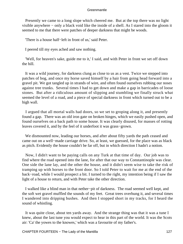Presently we came to a long slope which cheered me. But at the top there was no light visible anywhere − only a black void like the inside of a shell. As I stared into the gloom it seemed to me that there were patches of deeper darkness that might be woods.

'There is a house half−left in front of us,' said Peter.

I peered till my eyes ached and saw nothing.

 'Well, for heaven's sake, guide me to it,' I said, and with Peter in front we set off down the hill.

 It was a wild journey, for darkness clung as close to us as a vest. Twice we stepped into patches of bog, and once my horse saved himself by a hair from going head forward into a gravel pit. We got tangled up in strands of wire, and often found ourselves rubbing our noses against tree trunks. Several times I had to get down and make a gap in barricades of loose stones. But after a ridiculous amount of slipping and stumbling we finally struck what seemed the level of a road, and a piece of special darkness in front which turned out to be a high wall.

 I argued that all mortal walls had doors, so we set to groping along it, and presently found a gap. There was an old iron gate on broken hinges, which we easily pushed open, and found ourselves on a back path to some house. It was clearly disused, for masses of rotting leaves covered it, and by the feel of it underfoot it was grass−grown.

 We dismounted now, leading our horses, and after about fifty yards the path ceased and came out on a well−made carriage drive. So, at least, we guessed, for the place was as black as pitch. Evidently the house couldn't be far off, but in which direction I hadn't a notion.

 Now, I didn't want to be paying calls on any Turk at that time of day. Our job was to find where the road opened into the lane, for after that our way to Constantinople was clear. One side the lane lay, and the other the house, and it didn't seem wise to take the risk of tramping up with horses to the front door. So I told Peter to wait for me at the end of the back−road, while I would prospect a bit. I turned to the right, my intention being if I saw the light of a house to return, and with Peter take the other direction.

 I walked like a blind man in that nether−pit of darkness. The road seemed well kept, and the soft wet gravel muffled the sounds of my feet. Great trees overhung it, and several times I wandered into dripping bushes. And then I stopped short in my tracks, for I heard the sound of whistling.

 It was quite close, about ten yards away. And the strange thing was that it was a tune I knew, about the last tune you would expect to hear in this part of the world. It was the Scots air: 'Ca' the yowes to the knowes,' which was a favourite of my father's.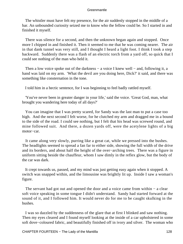The whistler must have felt my presence, for the air suddenly stopped in the middle of a bar. An unbounded curiosity seized me to know who the fellow could be. So I started in and finished it myself.

 There was silence for a second, and then the unknown began again and stopped. Once more I chipped in and finished it. Then it seemed to me that he was coming nearer. The air in that dank tunnel was very still, and I thought I heard a light foot. I think I took a step backward. Suddenly there was a flash of an electric torch from a yard off, so quick that I could see nothing of the man who held it.

Then a low voice spoke out of the darkness – a voice I knew well – and, following it, a hand was laid on my arm. 'What the devil are you doing here, Dick?' it said, and there was something like consternation in the tone.

I told him in a hectic sentence, for I was beginning to feel badly rattled myself.

 'You've never been in greater danger in your life,' said the voice. 'Great God, man, what brought you wandering here today of all days?'

 You can imagine that I was pretty scared, for Sandy was the last man to put a case too high. And the next second I felt worse, for he clutched my arm and dragged me in a bound to the side of the road. I could see nothing, but I felt that his head was screwed round, and mine followed suit. And there, a dozen yards off, were the acetylene lights of a big motor−car.

 It came along very slowly, purring like a great cat, while we pressed into the bushes. The headlights seemed to spread a fan far to either side, showing the full width of the drive and its borders, and about half the height of the over−arching trees. There was a figure in uniform sitting beside the chauffeur, whom I saw dimly in the reflex glow, but the body of the car was dark.

 It crept towards us, passed, and my mind was just getting easy again when it stopped. A switch was snapped within, and the limousine was brightly lit up. Inside I saw a woman's figure.

 The servant had got out and opened the door and a voice came from within − a clear soft voice speaking in some tongue I didn't understand. Sandy had started forward at the sound of it, and I followed him. It would never do for me to be caught skulking in the bushes.

 I was so dazzled by the suddenness of the glare that at first I blinked and saw nothing. Then my eyes cleared and I found myself looking at the inside of a car upholstered in some soft dove−coloured fabric, and beautifully finished off in ivory and silver. The woman who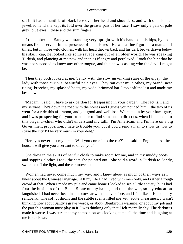sat in it had a mantilla of black lace over her head and shoulders, and with one slender jewelled hand she kept its fold over the greater part of her face. I saw only a pair of pale grey−blue eyes − these and the slim fingers.

 I remember that Sandy was standing very upright with his hands on his hips, by no means like a servant in the presence of his mistress. He was a fine figure of a man at all times, but in those wild clothes, with his head thrown back and his dark brows drawn below his skull−cap, he looked like some savage king out of an older world. He was speaking Turkish, and glancing at me now and then as if angry and perplexed. I took the hint that he was not supposed to know any other tongue, and that he was asking who the devil I might be.

 Then they both looked at me, Sandy with the slow unwinking stare of the gipsy, the lady with those curious, beautiful pale eyes. They ran over my clothes, my brand−new riding−breeches, my splashed boots, my wide−brimmed hat. I took off the last and made my best bow.

 'Madam,' I said, 'I have to ask pardon for trespassing in your garden. The fact is, I and my servant − he's down the road with the horses and I guess you noticed him − the two of us went for a ride this afternoon, and got good and well lost. We came in by your back gate, and I was prospecting for your front door to find someone to direct us, when I bumped into this brigand−chief who didn't understand my talk. I'm American, and I'm here on a big Government proposition. I hate to trouble you, but if you'd send a man to show us how to strike the city I'd be very much in your debt.'

 Her eyes never left my face. 'Will you come into the car?' she said in English. 'At the house I will give you a servant to direct you.'

 She drew in the skirts of her fur cloak to make room for me, and in my muddy boots and sopping clothes I took the seat she pointed out. She said a word in Turkish to Sandy, switched off the light, and the car moved on.

 Women had never come much my way, and I knew about as much of their ways as I knew about the Chinese language. All my life I had lived with men only, and rather a rough crowd at that. When I made my pile and came home I looked to see a little society, but I had first the business of the Black Stone on my hands, and then the war, so my education languished. I had never been in a motor−car with a lady before, and I felt like a fish on a dry sandbank. The soft cushions and the subtle scents filled me with acute uneasiness. I wasn't thinking now about Sandy's grave words, or about Blenkiron's warning, or about my job and the part this woman must play in it. I was thinking only that I felt mortally shy. The darkness made it worse. I was sure that my companion was looking at me all the time and laughing at me for a clown.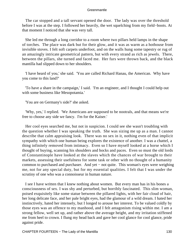The car stopped and a tall servant opened the door. The lady was over the threshold before I was at the step. I followed her heavily, the wet squelching from my field−boots. At that moment I noticed that she was very tall.

 She led me through a long corridor to a room where two pillars held lamps in the shape of torches. The place was dark but for their glow, and it was as warm as a hothouse from invisible stoves. I felt soft carpets underfoot, and on the walls hung some tapestry or rug of an amazingly intricate geometrical pattern, but with every strand as rich as jewels. There, between the pillars, she turned and faced me. Her furs were thrown back, and the black mantilla had slipped down to her shoulders.

 'I have heard of you,' she said. 'You are called Richard Hanau, the American. Why have you come to this land?'

 'To have a share in the campaign,' I said. 'I'm an engineer, and I thought I could help out with some business like Mesopotamia.'

'You are on Germany's side?' she asked.

 'Why, yes,' I replied. 'We Americans are supposed to be nootrals, and that means we're free to choose any side we fancy. I'm for the Kaiser.'

 Her cool eyes searched me, but not in suspicion. I could see she wasn't troubling with the question whether I was speaking the truth. She was sizing me up as a man. I cannot describe that calm appraising look. There was no sex in it, nothing even of that implicit sympathy with which one human being explores the existence of another. I was a chattel, a thing infinitely removed from intimacy. Even so I have myself looked at a horse which I thought of buying, scanning his shoulders and hocks and paces. Even so must the old lords of Constantinople have looked at the slaves which the chances of war brought to their markets, assessing their usefulness for some task or other with no thought of a humanity common to purchased and purchaser. And yet − not quite. This woman's eyes were weighing me, not for any special duty, but for my essential qualities. I felt that I was under the scrutiny of one who was a connoisseur in human nature.

 I see I have written that I knew nothing about women. But every man has in his bones a consciousness of sex. I was shy and perturbed, but horribly fascinated. This slim woman, poised exquisitely like some statue between the pillared lights, with her fair cloud of hair, her long delicate face, and her pale bright eyes, had the glamour of a wild dream. I hated her instinctively, hated her intensely, but I longed to arouse her interest. To be valued coldly by those eyes was an offence to my manhood, and I felt antagonism rising within me. I am a strong fellow, well set up, and rather above the average height, and my irritation stiffened me from heel to crown. I flung my head back and gave her cool glance for cool glance, pride against pride.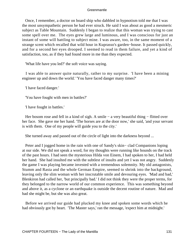Once, I remember, a doctor on board ship who dabbled in hypnotism told me that I was the most unsympathetic person he had ever struck. He said I was about as good a mesmeric subject as Table Mountain. Suddenly I began to realize that this woman was trying to cast some spell over me. The eyes grew large and luminous, and I was conscious for just an instant of some will battling to subject mine. I was aware, too, in the same moment of a strange scent which recalled that wild hour in Kuprasso's garden−house. It passed quickly, and for a second her eyes drooped. I seemed to read in them failure, and yet a kind of satisfaction, too, as if they had found more in me than they expected.

'What life have you led?' the soft voice was saying.

 I was able to answer quite naturally, rather to my surprise. 'I have been a mining engineer up and down the world.' 'You have faced danger many times?'

'I have faced danger.'

'You have fought with men in battles?'

'I have fought in battles.'

Her bosom rose and fell in a kind of sigh. A smile – a very beautiful thing – flitted over her face. She gave me her hand. 'The horses are at the door now,' she said, 'and your servant is with them. One of my people will guide you to the city.'

She turned away and passed out of the circle of light into the darkness beyond ...

 Peter and I jogged home in the rain with one of Sandy's skin− clad Companions loping at our side. We did not speak a word, for my thoughts were running like hounds on the track of the past hours. I had seen the mysterious Hilda von Einem, I had spoken to her, I had held her hand. She had insulted me with the subtlest of insults and yet I was not angry. Suddenly the game I was playing became invested with a tremendous solemnity. My old antagonists, Stumm and Rasta and the whole German Empire, seemed to shrink into the background, leaving only the slim woman with her inscrutable smile and devouring eyes. 'Mad and bad,' Blenkiron had called her, 'but principally bad.' I did not think they were the proper terms, for they belonged to the narrow world of our common experience. This was something beyond and above it, as a cyclone or an earthquake is outside the decent routine of nature. Mad and bad she might be, but she was also great.

 Before we arrived our guide had plucked my knee and spoken some words which he had obviously got by heart. 'The Master says,' ran the message, 'expect him at midnight.'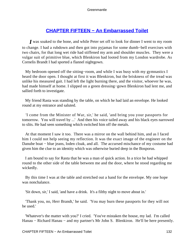# **[CHAPTER FIFTEEN − An Embarrassed Toilet](#page-207-0)**

*I* was soaked to the bone, and while Peter set off to look for dinner I went to my room to change. I had a rubdown and then got into pyjamas for some dumb−bell exercises with two chairs, for that long wet ride had stiffened my arm and shoulder muscles. They were a vulgar suit of primitive blue, which Blenkiron had looted from my London wardrobe. As Cornelis Brandt I had sported a flannel nightgown.

 My bedroom opened off the sitting−room, and while I was busy with my gymnastics I heard the door open. I thought at first it was Blenkiron, but the briskness of the tread was unlike his measured gait. I had left the light burning there, and the visitor, whoever he was, had made himself at home. I slipped on a green dressing−gown Blenkiron had lent me, and sallied forth to investigate.

 My friend Rasta was standing by the table, on which he had laid an envelope. He looked round at my entrance and saluted.

 'I come from the Minister of War, sir,' he said, 'and bring you your passports for tomorrow. You will travel by ...' And then his voice tailed away and his black eyes narrowed to slits. He had seen something which switched him off the metals.

 At that moment I saw it too. There was a mirror on the wall behind him, and as I faced him I could not help seeing my reflection. It was the exact image of the engineer on the Danube boat – blue jeans, loden cloak, and all. The accursed mischance of my costume had given him the clue to an identity which was otherwise buried deep in the Bosporus.

 I am bound to say for Rasta that he was a man of quick action. In a trice he had whipped round to the other side of the table between me and the door, where he stood regarding me wickedly.

 By this time I was at the table and stretched out a hand for the envelope. My one hope was nonchalance.

'Sit down, sir,' I said, 'and have a drink. It's a filthy night to move about in.'

 'Thank you, no, Herr Brandt,' he said. 'You may burn these passports for they will not be used.'

 'Whatever's the matter with you?' I cried. 'You've mistaken the house, my lad. I'm called Hanau − Richard Hanau − and my partner's Mr John S. Blenkiron. He'll be here presently.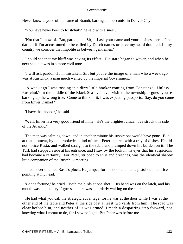Never knew anyone of the name of Brandt, barring a tobacconist in Denver City.'

'You have never been to Rustchuk?' he said with a sneer.

 'Not that I know of. But, pardon me, Sir, if I ask your name and your business here. I'm darned if I'm accustomed to be called by Dutch names or have my word doubted. In my country we consider that impolite as between gentlemen.'

 I could see that my bluff was having its effect. His stare began to waver, and when he next spoke it was in a more civil tone.

 'I will ask pardon if I'm mistaken, Sir, but you're the image of a man who a week ago was at Rustchuk, a man much wanted by the Imperial Government.'

 'A week ago I was tossing in a dirty little hooker coming from Constanza. Unless Rustchuk's in the middle of the Black Sea I've never visited the township. I guess you're barking up the wrong tree. Come to think of it, I was expecting passports. Say, do you come from Enver Damad?'

'I have that honour,' he said.

 'Well, Enver is a very good friend of mine. He's the brightest citizen I've struck this side of the Atlantic.'

 The man was calming down, and in another minute his suspicions would have gone. But at that moment, by the crookedest kind of luck, Peter entered with a tray of dishes. He did not notice Rasta, and walked straight to the table and plumped down his burden on it. The Turk had stepped aside at his entrance, and I saw by the look in his eyes that his suspicions had become a certainty. For Peter, stripped to shirt and breeches, was the identical shabby little companion of the Rustchuk meeting.

 I had never doubted Rasta's pluck. He jumped for the door and had a pistol out in a trice pointing at my head.

 '*Bonne* fortune,' he cried. 'Both the birds at one shot.' His hand was on the latch, and his mouth was open to cry. I guessed there was an orderly waiting on the stairs.

 He had what you call the strategic advantage, for he was at the door while I was at the other end of the table and Peter at the side of it at least two yards from him. The road was clear before him, and neither of us was armed. I made a despairing step forward, not knowing what I meant to do, for I saw no light. But Peter was before me.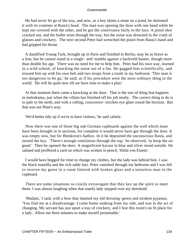He had never let go of the tray, and now, as a boy skims a stone on a pond, he skimmed it with its contents at Rasta's head. The man was opening the door with one hand while he kept me covered with the other, and he got the contrivance fairly in the face. A pistol shot cracked out, and the bullet went through the tray, but the noise was drowned in the crash of glasses and crockery. The next second Peter had wrenched the pistol from Rasta's hand and had gripped his throat.

 A dandified Young Turk, brought up in Paris and finished in Berlin, may be as brave as a lion, but he cannot stand in a rough− and−tumble against a backveld hunter, though more than double his age. There was no need for me to help him. Peter had his own way, learned in a wild school, of knocking the sense out of a foe. He gagged him scientifically, and trussed him up with his own belt and two straps from a trunk in my bedroom. 'This man is too dangerous to let go,' he said, as if his procedure were the most ordinary thing in the world. 'He will be quiet now till we have time to make a plan.'

 At that moment there came a knocking at the door. That is the sort of thing that happens in melodrama, just when the villain has finished off his job neatly. The correct thing to do is to pale to the teeth, and with a rolling, conscience−stricken eye glare round the horizon. But that was not Peter's way.

'We'd better tidy up if we're to have visitors,' he said calmly.

 Now there was one of those big oak German cupboards against the wall which must have been brought in in sections, for complete it would never have got through the door. It was empty now, but for Blenkiron's hatbox. In it he deposited the unconscious Rasta, and turned the key. 'There's enough ventilation through the top,' he observed, 'to keep the air good.' Then he opened the door. A magnificent kavass in blue and silver stood outside. He saluted and proffered a card on which was written in pencil, 'Hilda von Einem'.

 I would have begged for time to change my clothes, but the lady was behind him. I saw the black mantilla and the rich sable furs. Peter vanished through my bedroom and I was left to receive my guest in a room littered with broken glass and a senseless man in the cupboard.

 There are some situations so crazily extravagant that they key up the spirit to meet them. I was almost laughing when that stately lady stepped over my threshold.

 'Madam,' I said, with a bow that shamed my old dressing−gown and strident pyjamas. 'You find me at a disadvantage. I came home soaking from my ride, and was in the act of changing. My servant has just upset a tray of crockery, and I fear this room's no fit place for a lady. Allow me three minutes to make myself presentable.'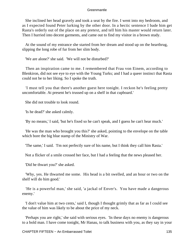She inclined her head gravely and took a seat by the fire. I went into my bedroom, and as I expected found Peter lurking by the other door. In a hectic sentence I bade him get Rasta's orderly out of the place on any pretext, and tell him his master would return later. Then I hurried into decent garments, and came out to find my visitor in a brown study.

 At the sound of my entrance she started from her dream and stood up on the hearthrug, slipping the long robe of fur from her slim body.

'We are alone?' she said. 'We will not be disturbed?'

 Then an inspiration came to me. I remembered that Frau von Einem, according to Blenkiron, did not see eye to eye with the Young Turks; and I had a queer instinct that Rasta could not be to her liking. So I spoke the truth.

 'I must tell you that there's another guest here tonight. I reckon he's feeling pretty uncomfortable. At present he's trussed up on a shelf in that cupboard.'

She did not trouble to look round.

'Is he dead?' she asked calmly.

'By no means,' I said, 'but he's fixed so he can't speak, and I guess he can't hear much.'

 'He was the man who brought you this?' she asked, pointing to the envelope on the table which bore the big blue stamp of the Ministry of War.

'The same,' I said. 'I'm not perfectly sure of his name, but I think they call him Rasta.'

Not a flicker of a smile crossed her face, but I had a feeling that the news pleased her.

'Did he thwart you?' she asked.

 'Why, yes. He thwarted me some. His head is a bit swelled, and an hour or two on the shelf will do him good.'

 'He is a powerful man,' she said, 'a jackal of Enver's. You have made a dangerous enemy.'

 'I don't value him at two cents,' said I, though I thought grimly that as far as I could see the value of him was likely to be about the price of my neck.

 'Perhaps you are right,' she said with serious eyes. 'In these days no enemy is dangerous to a bold man. I have come tonight, Mr Hanau, to talk business with you, as they say in your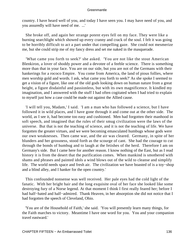country. I have heard well of you, and today I have seen you. I may have need of you, and you assuredly will have need of me. ...'

 She broke off, and again her strange potent eyes fell on my face. They were like a burning searchlight which showed up every cranny and crack of the soul. I felt it was going to be horribly difficult to act a part under that compelling gaze. She could not mesmerize me, but she could strip me of my fancy dress and set me naked in the masquerade.

 'What came you forth to seek?' she asked. 'You are not like the stout American Blenkiron, a lover of shoddy power and a devotee of a feeble science. There is something more than that in your face. You are on our side, but you are not of the Germans with their hankerings for a rococo Empire. You come from America, the land of pious follies, where men worship gold and words. I ask, what came you forth to seek?' As she spoke I seemed to get a vision of a figure, like one of the old gods looking down on human nature from a great height, a figure disdainful and passionless, but with its own magnificence. It kindled my imagination, and I answered with the stuff I had often cogitated when I had tried to explain to myself just how a case could be made out against the Allied cause.

 'I will tell you, Madam,' I said. 'I am a man who has followed a science, but I have followed it in wild places, and I have gone through it and come out at the other side. The world, as I see it, had become too easy and cushioned. Men had forgotten their manhood in soft speech, and imagined that the rules of their smug civilization were the laws of the universe. But that is not the teaching of science, and it is not the teaching of life. We have forgotten the greater virtues, and we were becoming emasculated humbugs whose gods were our own weaknesses. Then came war, and the air was cleared. Germany, in spite of her blunders and her grossness, stood forth as the scourge of cant. She had the courage to cut through the bonds of humbug and to laugh at the fetishes of the herd. Therefore I am on Germany's side. But I came here for another reason. I know nothing of the East, but as I read history it is from the desert that the purification comes. When mankind is smothered with shams and phrases and painted idols a wind blows out of the wild to cleanse and simplify life. The world needs space and fresh air. The civilization we have boasted of is a toy−shop and a blind alley, and I hanker for the open country.'

 This confounded nonsense was well received. Her pale eyes had the cold light of the fanatic. With her bright hair and the long exquisite oval of her face she looked like some destroying fury of a Norse legend. At that moment I think I first really feared her; before I had half−hated and half−admired. Thank Heaven, in her absorption she did not notice that I had forgotten the speech of Cleveland, Ohio.

 'You are of the Household of Faith,' she said. 'You will presently learn many things, for the Faith marches to victory. Meantime I have one word for you. You and your companion travel eastward.'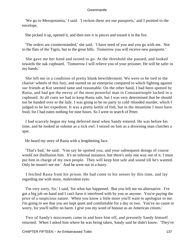'We go to Mesopotamia,' I said. 'I reckon these are our passports,' and I pointed to the envelope.

She picked it up, opened it, and then tore it in pieces and tossed it in the fire.

 'The orders are countermanded,' she said. 'I have need of you and you go with me. Not to the flats of the Tigris, but to the great hills. Tomorrow you will receive new passports.'

 She gave me her hand and turned to go. At the threshold she paused, and looked towards the oak cupboard. 'Tomorrow I will relieve you of your prisoner. He will be safer in my hands.'

 She left me in a condition of pretty blank bewilderment. We were to be tied to the chariot−wheels of this fury, and started on an enterprise compared to which fighting against our friends at Kut seemed tame and reasonable. On the other hand, I had been spotted by Rasta, and had got the envoy of the most powerful man in Constantinople locked in a cupboard. At all costs we had to keep Rasta safe, but I was very determined that he should not be handed over to the lady. I was going to be no party to cold−blooded murder, which I judged to be her expedient. It was a pretty kettle of fish, but in the meantime I must have food, for I had eaten nothing for nine hours. So I went in search of Peter.

 I had scarcely begun my long deferred meal when Sandy entered. He was before his time, and he looked as solemn as a sick owl. I seized on him as a drowning man clutches a spar.

He heard my story of Rasta with a lengthening face.

 'That's bad,' he said. 'You say he spotted you, and your subsequent doings of course would not disillusion him. It's an infernal nuisance, but there's only one way out of it. I must put him in charge of my own people. They will keep him safe and sound till he's wanted. Only he mustn't see me.' And he went out in a hurry.

 I fetched Rasta from his prison. He had come to his senses by this time, and lay regarding me with stony, malevolent eyes.

 'I'm very sorry, Sir,' I said, 'for what has happened. But you left me no alternative. I've got a big job on hand and I can't have it interfered with by you or anyone. You're paying the price of a suspicious nature. When you know a little more you'll want to apologize to me. I'm going to see that you are kept quiet and comfortable for a day or two. You've no cause to worry, for you'll suffer no harm. I give you my word of honour as an American citizen.'

 Two of Sandy's miscreants came in and bore him off, and presently Sandy himself returned. When I asked him where he was being taken, Sandy said he didn't know. 'They've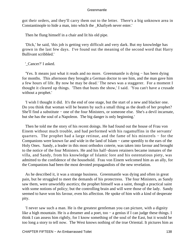got their orders, and they'll carry them out to the letter. There's a big unknown area in Constantinople to hide a man, into which the \_Khafiyeh never enter.'

Then he flung himself in a chair and lit his old pipe.

 'Dick,' he said, 'this job is getting very difficult and very dark. But my knowledge has grown in the last few days. I've found out the meaning of the second word that Harry Bullivant scribbled.'

'\_Cancer?' I asked.

 'Yes. It means just what it reads and no more. Greenmantle is dying − has been dying for months. This afternoon they brought a German doctor to see him, and the man gave him a few hours of life. By now he may be dead.' The news was a staggerer. For a moment I thought it cleared up things. 'Then that busts the show,' I said. 'You can't have a crusade without a prophet.'

 'I wish I thought it did. It's the end of one stage, but the start of a new and blacker one. Do you think that woman will be beaten by such a small thing as the death of her prophet? She'll find a substitute − one of the four Ministers, or someone else. She's a devil incarnate, but she has the soul of a Napoleon. The big danger is only beginning.'

 Then he told me the story of his recent doings. He had found out the house of Frau von Einem without much trouble, and had performed with his ragamuffins in the servants' quarters. The prophet had a large retinue, and the fame of his minstrels – for the Companions were known far and wide in the land of Islam − came speedily to the ears of the Holy Ones. Sandy, a leader in this most orthodox coterie, was taken into favour and brought to the notice of the four Ministers. He and his half−dozen retainers became inmates of the villa, and Sandy, from his knowledge of Islamic lore and his ostentatious piety, was admitted to the confidence of the household. Frau von Einem welcomed him as an ally, for the Companions had been the most devoted propagandists of the new revelation.

 As he described it, it was a strange business. Greenmantle was dying and often in great pain, but he struggled to meet the demands of his protectress. The four Ministers, as Sandy saw them, were unworldly ascetics; the prophet himself was a saint, though a practical saint with some notions of policy; but the controlling brain and will were those of the lady. Sandy seemed to have won his favour, even his affection. He spoke of him with a kind of desperate pity.

 'I never saw such a man. He is the greatest gentleman you can picture, with a dignity like a high mountain. He is a dreamer and a poet, too − a genius if I can judge these things. I think I can assess him rightly, for I know something of the soul of the East, but it would be too long a story to tell now. The West knows nothing of the true Oriental. It pictures him as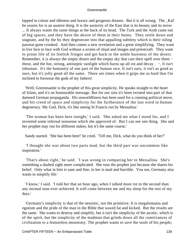lapped in colour and idleness and luxury and gorgeous dreams. But it is all wrong. The Kaf he yearns for is an austere thing. It is the austerity of the East that is its beauty and its terror ... It always wants the same things at the back of its head. The Turk and the Arab came out of big spaces, and they have the desire of them in their bones. They settle down and stagnate, and by the by they degenerate into that appalling subtlety which is their ruling passion gone crooked. And then comes a new revelation and a great simplifying. They want to live face to face with God without a screen of ritual and images and priestcraft. They want to prune life of its foolish fringes and get back to the noble bareness of the desert. Remember, it is always the empty desert and the empty sky that cast their spell over them − these, and the hot, strong, antiseptic sunlight which burns up all rot and decay . −. It isn't inhuman. It's the humanity of one part of the human race. It isn't ours, it isn't as good as ours, but it's jolly good all the same. There are times when it grips me so hard that I'm inclined to forswear the gods of my fathers!

 'Well, Greenmantle is the prophet of this great simplicity. He speaks straight to the heart of Islam, and it's an honourable message. But for our sins it's been twisted into part of that damned German propaganda. His unworldliness has been used for a cunning political move, and his creed of space and simplicity for the furtherance of the last word in human degeneracy. My God, Dick, it's like seeing St Francis run by Messalina.'

 'The woman has been here tonight,' I said. 'She asked me what I stood for, and I invented some infernal nonsense which she approved of. But I can see one thing. She and her prophet may run for different stakes, but it's the same course.'

Sandy started. 'She has been here!' he cried. 'Tell me, Dick, what do you think of her?'

 'I thought she was about two parts mad, but the third part was uncommon like inspiration.'

 'That's about right,' he said. 'I was wrong in comparing her to Messalina. She's something a dashed sight more complicated. She runs the prophet just because she shares his belief. Only what in him is sane and fine, in her is mad and horrible. You see, Germany also wants to simplify life.'

 'I know,' I said. 'I told her that an hour ago, when I talked more rot to the second than any normal man ever achieved. It will come between me and my sleep for the rest of my days.'

 'Germany's simplicity is that of the neurotic, not the primitive. It is megalomania and egotism and the pride of the man in the Bible that waxed fat and kicked. But the results are the same. She wants to destroy and simplify; but it isn't the simplicity of the ascetic, which is of the spirit, but the simplicity of the madman that grinds down all the contrivances of civilization to a featureless monotony. The prophet wants to save the souls of his people;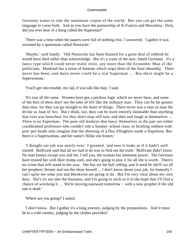Germany wants to rule the inanimate corpse of the world. But you can get the same language to cover both. And so you have the partnership of St Francis and Messalina. Dick, did you ever hear of a thing called the Superman?'

 'There was a time when the papers were full of nothing else,' I answered. 'I gather it was invented by a sportsman called Nietzsche.'

 'Maybe,' said Sandy. 'Old Nietzsche has been blamed for a great deal of rubbish he would have died rather than acknowledge. But it's a craze of the new, fatted Germany. It's a fancy type which could never really exist, any more than the Economic Man of the politicians. Mankind has a sense of humour which stops short of the final absurdity. There never has been, and there never could be a real Superman ... But there might be a Superwoman.'

'You'll get into trouble, my lad, if you talk like that,' I said.

 'It's true all the same. Women have got a perilous logic which we never have, and some of the best of them don't see the joke of life like the ordinary man. They can be far greater than men, for they can go straight to the heart of things. There never was a man so near the divine as Joan of Arc. But I think, too, they can be more entirely damnable than anything that ever was breeched, for they don't stop still now and then and laugh at themselves ... There is no Superman. The poor old donkeys that fancy themselves in the part are either crackbrained professors who couldn't rule a Sunday−school class, or bristling soldiers with pint−pot heads who imagine that the shooting of a Duc d'Enghien made a Napoleon. But there is a Superwoman, and her name's Hilda von Einem.'

 'I thought our job was nearly over,' I groaned, 'and now it looks as if it hadn't well started. Bullivant said that all we had to do was to find out the truth.' 'Bullivant didn't know. No man knows except you and me. I tell you, the woman has immense power. The Germans have trusted her with their trump card, and she's going to play it for all she is worth. There's no crime that will stand in her way. She has set the ball rolling, and if need be she'll cut all her prophets' throats and run the show herself ... I don't know about your job, for honestly I can't quite see what you and Blenkiron are going to do. But I'm very clear about my own duty. She's let me into the business, and I'm going to stick to it in the hope that I'll find a chance of wrecking it ... We're moving eastward tomorrow − with a new prophet if the old one is dead.'

'Where are you going?' I asked.

 'I don't know. But I gather it's a long journey, judging by the preparations. And it must be to a cold country, judging by the clothes provided.'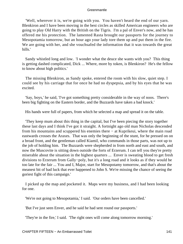'Well, wherever it is, we're going with you. You haven't heard the end of our yarn. Blenkiron and I have been moving in the best circles as skilled American engineers who are going to play Old Harry with the British on the Tigris. I'm a pal of Enver's now, and he has offered me his protection. The lamented Rasta brought our passports for the journey to Mesopotamia tomorrow, but an hour ago your lady tore them up and put them in the fire. We are going with her, and she vouchsafed the information that it was towards the great hills.'

 Sandy whistled long and low. 'I wonder what the deuce she wants with you? This thing is getting dashed complicated, Dick ... Where, more by token, is Blenkiron? He's the fellow to know about high politics.'

 The missing Blenkiron, as Sandy spoke, entered the room with his slow, quiet step. I could see by his carriage that for once he had no dyspepsia, and by his eyes that he was excited.

 'Say, boys,' he said, 'I've got something pretty considerable in the way of noos. There's been big fighting on the Eastern border, and the Buzzards have taken a bad knock.'

His hands were full of papers, from which he selected a map and spread it on the table.

 'They keep mum about this thing in the capital, but I've been piecing the story together these last days and I think I've got it straight. A fortnight ago old man Nicholas descended from his mountains and scuppered his enemies there − at Kuprikeui, where the main road eastwards crosses the Araxes. That was only the beginning of the stunt, for he pressed on on a broad front, and the gentleman called Kiamil, who commands in those parts, was not up to the job of holding him. The Buzzards were shepherded in from north and east and south, and now the Muscovite is sitting down outside the forts of Erzerum. I can tell you they're pretty miserable about the situation in the highest quarters ... Enver is sweating blood to get fresh divisions to Erzerum from Gally−poly, but it's a long road and it looks as if they would be too late for the fair ... You and I, Major, start for Mesopotamy tomorrow, and that's about the meanest bit of bad luck that ever happened to John S. We're missing the chance of seeing the goriest fight of this campaign.'

 I picked up the map and pocketed it. Maps were my business, and I had been looking for one.

'We're not going to Mesopotamia,' I said. 'Our orders have been cancelled.'

'But I've just seen Enver, and he said he had sent round our passports.'

'They're in the fire,' I said. 'The right ones will come along tomorrow morning.'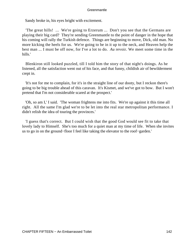Sandy broke in, his eyes bright with excitement.

 'The great hills! ... We're going to Erzerum ... Don't you see that the Germans are playing their big card? They're sending Greenmantle to the point of danger in the hope that his coming will rally the Turkish defence. Things are beginning to move, Dick, old man. No more kicking the heels for us. We're going to be in it up to the neck, and Heaven help the best man ... I must be off now, for I've a lot to do. *Au* revoir. We meet some time in the hills.'

 Blenkiron still looked puzzled, till I told him the story of that night's doings. As he listened, all the satisfaction went out of his face, and that funny, childish air of bewilderment crept in.

 'It's not for me to complain, for it's in the straight line of our dooty, but I reckon there's going to be big trouble ahead of this caravan. It's Kismet, and we've got to bow. But I won't pretend that I'm not considerable scared at the prospect.'

 'Oh, so am I,' I said. 'The woman frightens me into fits. We're up against it this time all right. All the same I'm glad we're to be let into the real star metropolitan performance. I didn't relish the idea of touring the provinces.'

 'I guess that's correct. But I could wish that the good God would see fit to take that lovely lady to Himself. She's too much for a quiet man at my time of life. When she invites us to go in on the ground−floor I feel like taking the elevator to the roof−garden.'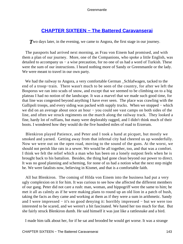# **[CHAPTER SIXTEEN − The Battered Caravanserai](#page-207-0)**

**T**wo days later, in the evening, we came to Angora, the first stage in our journey.

 The passports had arrived next morning, as Frau von Einem had promised, and with them a plan of our journey. More, one of the Companions, who spoke a little English, was detailed to accompany us – a wise precaution, for no one of us had a word of Turkish. These were the sum of our instructions. I heard nothing more of Sandy or Greenmantle or the lady. We were meant to travel in our own party.

We had the railway to Angora, a very comfortable German \_Schlafwagen, tacked to the end of a troop−train. There wasn't much to be seen of the country, for after we left the Bosporus we ran into scuds of snow, and except that we seemed to be climbing on to a big plateau I had no notion of the landscape. It was a marvel that we made such good time, for that line was congested beyond anything I have ever seen. The place was crawling with the Gallipoli troops, and every siding was packed with supply trucks. When we stopped – which we did on an average about once an hour – you could see vast camps on both sides of the line, and often we struck regiments on the march along the railway track. They looked a fine, hardy lot of ruffians, but many were deplorably ragged, and I didn't think much of their boots. I wondered how they would do the five hundred miles of road to Erzerum.

 Blenkiron played Patience, and Peter and I took a hand at picquet, but mostly we smoked and yarned. Getting away from that infernal city had cheered us up wonderfully. Now we were out on the open road, moving to the sound of the guns. At the worst, we should not perish like rats in a sewer. We would be all together, too, and that was a comfort. I think we felt the relief which a man who has been on a lonely outpost feels when he is brought back to his battalion. Besides, the thing had gone clean beyond our power to direct. It was no good planning and scheming, for none of us had a notion what the next step might be. We were fatalists now, believing in Kismet, and that is a comfortable faith.

 All but Blenkiron. The coming of Hilda von Einem into the business had put a very ugly complexion on it for him. It was curious to see how she affected the different members of our gang. Peter did not care a rush: man, woman, and hippogriff were the same to him; he met it all as calmly as if he were making plans to round up an old lion in a patch of bush, taking the facts as they came and working at them as if they were a sum in arithmetic. Sandy and I were impressed − it's no good denying it: horribly impressed − but we were too interested to be scared, and we weren't a bit fascinated. We hated her too much for that. But she fairly struck Blenkiron dumb. He said himself it was just like a rattlesnake and a bird.

I made him talk about her, for if he sat and brooded he would get worse. It was a strange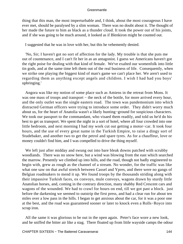thing that this man, the most imperturbable and, I think, about the most courageous I have ever met, should be paralysed by a slim woman. There was no doubt about it. The thought of her made the future to him as black as a thunder cloud. It took the power out of his joints, and if she was going to be much around, it looked as if Blenkiron might be counted out.

I suggested that he was in love with her, but this he vehemently denied.

 'No, Sir; I haven't got no sort of affection for the lady. My trouble is that she puts me out of countenance, and I can't fit her in as an antagonist. I guess we Americans haven't got the right poise for dealing with that kind of female. We've exalted our womenfolk into little tin gods, and at the same time left them out of the real business of life. Consequently, when we strike one playing the biggest kind of man's game we can't place her. We aren't used to regarding them as anything except angels and children. I wish I had had you boys' upbringing.'

 Angora was like my notion of some place such as Amiens in the retreat from Mons. It was one mass of troops and transport – the neck of the bottle, for more arrived every hour, and the only outlet was the single eastern road. The town was pandemonium into which distracted German officers were trying to introduce some order. They didn't worry much about us, for the heart of Anatolia wasn't a likely hunting−ground for suspicious characters. We took our passport to the commandant, who visaed them readily, and told us he'd do his best to get us transport. We spent the night in a sort of hotel, where all four crowded into one little bedroom, and next morning I had my work cut out getting a motor−car. It took four hours, and the use of every great name in the Turkish Empire, to raise a dingy sort of Studebaker, and another two to get the petrol and spare tyres. As for a chauffeur, love or money couldn't find him, and I was compelled to drive the thing myself.

 We left just after midday and swung out into bare bleak downs patched with scrubby woodlands. There was no snow here, but a wind was blowing from the east which searched the marrow. Presently we climbed up into hills, and the road, though not badly engineered to begin with, grew as rough as the channel of a stream. No wonder, for the traffic was like what one saw on that awful stretch between Cassel and Ypres, and there were no gangs of Belgian roadmakers to mend it up. We found troops by the thousands striding along with their impassive Turkish faces, ox convoys, mule convoys, wagons drawn by sturdy little Anatolian horses, and, coming in the contrary direction, many shabby Red Crescent cars and wagons of the wounded. We had to crawl for hours on end, till we got past a block. just before the darkening we seemed to outstrip the first press, and had a clear run for about ten miles over a low pass in the hills. I began to get anxious about the car, for it was a poor one at the best, and the road was guaranteed sooner or later to knock even a Rolls−Royce into scrap iron.

 All the same it was glorious to be out in the open again. Peter's face wore a new look, and he sniffed the bitter air like a stag. There floated up from little wayside camps the odour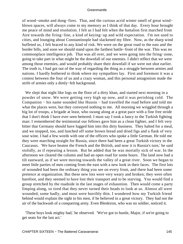of wood−smoke and dung−fires. That, and the curious acrid winter smell of great wind− blown spaces, will always come to my memory as I think of that day. Every hour brought me peace of mind and resolution. I felt as I had felt when the battalion first marched from Aire towards the firing−line, a kind of keying−up and wild expectation. I'm not used to cities, and lounging about Constantinople had slackened my fibre. Now, as the sharp wind buffeted us, I felt braced to any kind of risk. We were on the great road to the east and the border hills, and soon we should stand upon the farthest battle−front of the war. This was no commonplace intelligence job. That was all over, and we were going into the firing−zone, going to take part in what might be the downfall of our enemies. I didn't reflect that we were among those enemies, and would probably share their downfall if we were not shot earlier. The truth is, I had got out of the way of regarding the thing as a struggle between armies and nations. I hardly bothered to think where my sympathies lay. First and foremost it was a contest between the four of us and a crazy woman, and this personal antagonism made the strife of armies only a dimly−felt background.

 We slept that night like logs on the floor of a dirty khan, and started next morning in a powder of snow. We were getting very high up now, and it was perishing cold. The Companion − his name sounded like Hussin − had travelled the road before and told me what the places were, but they conveyed nothing to me. All morning we wriggled through a big lot of troops, a brigade at least, who swung along at a great pace with a fine free stride that I don't think I have ever seen bettered. I must say I took a fancy to the Turkish fighting man: I remembered the testimonial our fellows gave him as a clean fighter, and I felt very bitter that Germany should have lugged him into this dirty business. They halted for a meal, and we stopped, too, and lunched off some brown bread and dried figs and a flask of very sour wine. I had a few words with one of the officers who spoke a little German. He told me they were marching straight for Russia, since there had been a great Turkish victory in the Caucasus. 'We have beaten the French and the British, and now it is Russia's turn,' he said stolidly, as if repeating a lesson. But he added that he was mortally sick of war. In the afternoon we cleared the column and had an open road for some hours. The land now had a tilt eastward, as if we were moving towards the valley of a great river. Soon we began to meet little parties of men coming from the east with a new look in their faces. The first lots of wounded had been the ordinary thing you see on every front, and there had been some pretence at organization. But these new lots were very weary and broken; they were often barefoot, and they seemed to have lost their transport and to be starving. You would find a group stretched by the roadside in the last stages of exhaustion. Then would come a party limping along, so tired that they never turned their heads to look at us. Almost all were wounded, some badly, and most were horribly thin. I wondered how my Turkish friend behind would explain the sight to his men, if he believed in a great victory. They had not the air of the backwash of a conquering army. Even Blenkiron, who was no soldier, noticed it.

 'These boys look mighty bad,' he observed. 'We've got to hustle, Major, if we're going to get seats for the last act.'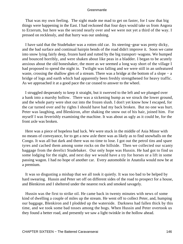That was my own feeling. The sight made me mad to get on faster, for I saw that big things were happening in the East. I had reckoned that four days would take us from Angora to Erzerum, but here was the second nearly over and we were not yet a third of the way. I pressed on recklessly, and that hurry was our undoing.

 I have said that the Studebaker was a rotten old car. Its steering−gear was pretty dicky, and the bad surface and continual hairpin bends of the road didn't improve it. Soon we came into snow lying fairly deep, frozen hard and rutted by the big transport−wagons. We bumped and bounced horribly, and were shaken about like peas in a bladder. I began to be acutely anxious about the old boneshaker, the more as we seemed a long way short of the village I had proposed to spend the night in. Twilight was falling and we were still in an unfeatured waste, crossing the shallow glen of a stream. There was a bridge at the bottom of a slope − a bridge of logs and earth which had apparently been freshly strengthened for heavy traffic. As we approached it at a good pace the car ceased to answer to the wheel.

 I struggled desperately to keep it straight, but it swerved to the left and we plunged over a bank into a marshy hollow. There was a sickening bump as we struck the lower ground, and the whole party were shot out into the frozen slush. I don't yet know how I escaped, for the car turned over and by rights I should have had my back broken. But no one was hurt. Peter was laughing, and Blenkiron, after shaking the snow out of his hair, joined him. For myself I was feverishly examining the machine. It was about as ugly as it could be, for the front axle was broken.

 Here was a piece of hopeless bad luck. We were stuck in the middle of Asia Minor with no means of conveyance, for to get a new axle there was as likely as to find snowballs on the Congo. It was all but dark and there was no time to lose. I got out the petrol tins and spare tyres and cached them among some rocks on the hillside. Then we collected our scanty baggage from the derelict Studebaker. Our only hope was Hussin. He had got to find us some lodging for the night, and next day we would have a try for horses or a lift in some passing wagon. I had no hope of another car. Every automobile in Anatolia would now be at a premium.

 It was so disgusting a mishap that we all took it quietly. It was too bad to be helped by hard swearing. Hussin and Peter set off on different sides of the road to prospect for a house, and Blenkiron and I sheltered under the nearest rock and smoked savagely.

 Hussin was the first to strike oil. He came back in twenty minutes with news of some kind of dwelling a couple of miles up the stream. He went off to collect Peter, and, humping our baggage, Blenkiron and I plodded up the waterside. Darkness had fallen thick by this time, and we took some bad tosses among the bogs. When Hussin and Peter overtook us they found a better road, and presently we saw a light twinkle in the hollow ahead.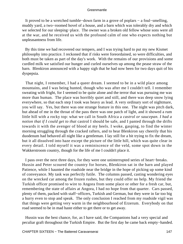It proved to be a wretched tumble−down farm in a grove of poplars − a foul−smelling, muddy yard, a two−roomed hovel of a house, and a barn which was tolerably dry and which we selected for our sleeping−place. The owner was a broken old fellow whose sons were all at the war, and he received us with the profound calm of one who expects nothing but unpleasantness from life.

 By this time we had recovered our tempers, and I was trying hard to put my new Kismet philosophy into practice. I reckoned that if risks were foreordained, so were difficulties, and both must be taken as part of the day's work. With the remains of our provisions and some curdled milk we satisfied our hunger and curled ourselves up among the pease straw of the barn. Blenkiron announced with a happy sigh that he had now been for two days quit of his dyspepsia.

 That night, I remember, I had a queer dream. I seemed to be in a wild place among mountains, and I was being hunted, though who was after me I couldn't tell. I remember sweating with fright, for I seemed to be quite alone and the terror that was pursuing me was more than human. The place was horribly quiet and still, and there was deep snow lying everywhere, so that each step I took was heavy as lead. A very ordinary sort of nightmare, you will say. Yes, but there was one strange feature in this one. The night was pitch dark, but ahead of me in the throat of the pass there was one patch of light, and it showed a rum little hill with a rocky top: what we call in South Africa a *castrol or saucepan. I had a notion that if I could get to that* castrol I should be safe, and I panted through the drifts towards it with the avenger of blood at my heels. I woke, gasping, to find the winter morning struggling through the cracked rafters, and to hear Blenkiron say cheerily that his duodenum had behaved all night like a gentleman. I lay still for a bit trying to fix the dream, but it all dissolved into haze except the picture of the little hill, which was quite clear in every detail. I told myself it was a reminiscence of the veld, some spot down in the Wakkerstroom country, though for the life of me I couldn't place it.

 I pass over the next three days, for they were one uninterrupted series of heart−breaks. Hussin and Peter scoured the country for horses, Blenkiron sat in the barn and played Patience, while I haunted the roadside near the bridge in the hope of picking up some kind of conveyance. My task was perfectly futile. The columns passed, casting wondering eyes on the wrecked car among the frozen rushes, but they could offer no help. My friend the Turkish officer promised to wire to Angora from some place or other for a fresh car, but, remembering the state of affairs at Angora, I had no hope from that quarter. Cars passed, plenty of them, packed with staff−officers, Turkish and German, but they were in far too big a hurry even to stop and speak. The only conclusion I reached from my roadside vigil was that things were getting very warm in the neighbourhood of Erzerum. Everybody on that road seemed to be in mad haste either to get there or to get away.

 Hussin was the best chance, for, as I have said, the Companions had a very special and peculiar graft throughout the Turkish Empire. But the first day he came back empty−handed.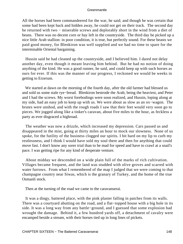All the horses had been commandeered for the war, he said; and though he was certain that some had been kept back and hidden away, he could not get on their track. The second day he returned with two – miserable screws and deplorably short in the wind from a diet of beans. There was no decent corn or hay left in the countryside. The third day he picked up a nice little Arab stallion: in poor condition, it is true, but perfectly sound. For these beasts we paid good money, for Blenkiron was well supplied and we had no time to spare for the interminable Oriental bargaining.

 Hussin said he had cleaned up the countryside, and I believed him. I dared not delay another day, even though it meant leaving him behind. But he had no notion of doing anything of the kind. He was a good runner, he said, and could keep up with such horses as ours for ever. If this was the manner of our progress, I reckoned we would be weeks in getting to Erzerum.

 We started at dawn on the morning of the fourth day, after the old farmer had blessed us and sold us some stale rye−bread. Blenkiron bestrode the Arab, being the heaviest, and Peter and I had the screws. My worst forebodings were soon realized, and Hussin, loping along at my side, had an easy job to keep up with us. We were about as slow as an ox−wagon. The brutes were unshod, and with the rough roads I saw that their feet would very soon go to pieces. We jogged along like a tinker's caravan, about five miles to the hour, as feckless a party as ever disgraced a highroad.

 The weather was now a drizzle, which increased my depression. Cars passed us and disappeared in the mist, going at thirty miles an hour to mock our slowness. None of us spoke, for the futility of the business clogged our spirits. I bit hard on my lip to curb my restlessness, and I think I would have sold my soul there and then for anything that could move fast. I don't know any sorer trial than to be mad for speed and have to crawl at a snail's pace. I was getting ripe for any kind of desperate venture.

 About midday we descended on a wide plain full of the marks of rich cultivation. Villages became frequent, and the land was studded with olive groves and scarred with water furrows. From what I remembered of the map I judged that we were coming to that champagne country near Siwas, which is the granary of Turkey, and the home of the true Osmanli stock.

Then at the turning of the road we came to the caravanserai.

 It was a dingy, battered place, with the pink plaster falling in patches from its walls. There was a courtyard abutting on the road, and a flat−topped house with a big hole in its side. It was a long way from any battle−ground, and I guessed that some explosion had wrought the damage. Behind it, a few hundred yards off, a detachment of cavalry were encamped beside a stream, with their horses tied up in long lines of pickets.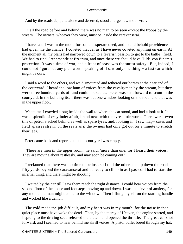And by the roadside, quite alone and deserted, stood a large new motor−car.

 In all the road before and behind there was no man to be seen except the troops by the stream. The owners, whoever they were, must be inside the caravanserai.

 I have said I was in the mood for some desperate deed, and lo and behold providence had given me the chance! I coveted that car as I have never coveted anything on earth. At the moment all my plans had narrowed down to a feverish passion to get to the battle− field. We had to find Greenmantle at Erzerum, and once there we should have Hilda von Einem's protection. It was a time of war, and a front of brass was the surest safety. But, indeed, I could not figure out any plan worth speaking of. I saw only one thing − a fast car which might be ours.

 I said a word to the others, and we dismounted and tethered our horses at the near end of the courtyard. I heard the low hum of voices from the cavalrymen by the stream, but they were three hundred yards off and could not see us. Peter was sent forward to scout in the courtyard. In the building itself there was but one window looking on the road, and that was in the upper floor.

 Meantime I crawled along beside the wall to where the car stood, and had a look at it. It was a splendid six−cylinder affair, brand new, with the tyres little worn. There were seven tins of petrol stacked behind as well as spare tyres, and, looking in, I saw map− cases and field−glasses strewn on the seats as if the owners had only got out for a minute to stretch their legs.

Peter came back and reported that the courtyard was empty.

 'There are men in the upper room,' he said; 'more than one, for I heard their voices. They are moving about restlessly, and may soon be coming out.'

 I reckoned that there was no time to be lost, so I told the others to slip down the road fifty yards beyond the caravanserai and be ready to climb in as I passed. I had to start the infernal thing, and there might be shooting.

 I waited by the car till I saw them reach the right distance. I could hear voices from the second floor of the house and footsteps moving up and down. I was in a fever of anxiety, for any moment a man might come to the window. Then I flung myself on the starting handle and worked like a demon.

 The cold made the job difficult, and my heart was in my mouth, for the noise in that quiet place must have woke the dead. Then, by the mercy of Heaven, the engine started, and I sprang to the driving seat, released the clutch, and opened the throttle. The great car shot forward, and I seemed to hear behind me shrill voices. A pistol bullet bored through my hat,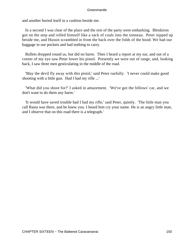and another buried itself in a cushion beside me.

 In a second I was clear of the place and the rest of the party were embarking. Blenkiron got on the step and rolled himself like a sack of coals into the tonneau. Peter nipped up beside me, and Hussin scrambled in from the back over the folds of the hood. We had our baggage in our pockets and had nothing to carry.

 Bullets dropped round us, but did no harm. Then I heard a report at my ear, and out of a corner of my eye saw Peter lower his pistol. Presently we were out of range, and, looking back, I saw three men gesticulating in the middle of the road.

 'May the devil fly away with this pistol,' said Peter ruefully. 'I never could make good shooting with a little gun. Had I had my rifle ...'

 'What did you shoot for?' I asked in amazement. 'We've got the fellows' car, and we don't want to do them any harm.'

 'It would have saved trouble had I had my rifle,' said Peter, quietly. 'The little man you call Rasta was there, and he knew you. I heard him cry your name. He is an angry little man, and I observe that on this road there is a telegraph.'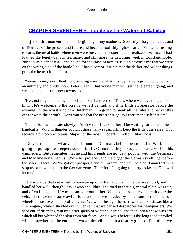# **[CHAPTER SEVENTEEN − Trouble by The Waters of Babylon](#page-207-0)**

*F*rom that moment I date the beginning of my madness. Suddenly I forgot all cares and difficulties of the present and future and became foolishly light−hearted. We were rushing towards the great battle where men were busy at my proper trade. I realized how much I had loathed the lonely days in Germany, and still more the dawdling week in Constantinople. Now I was clear of it all, and bound for the clash of armies. It didn't trouble me that we were on the wrong side of the battle line. I had a sort of instinct that the darker and wilder things grew the better chance for us.

 'Seems to me,' said Blenkiron, bending over me, 'that this joy− ride is going to come to an untimely end pretty soon. Peter's right. That young man will set the telegraph going, and we'll be held up at the next township.'

 'He's got to get to a telegraph office first,' I answered. 'That's where we have the pull on him. He's welcome to the screws we left behind, and if he finds an operator before the evening I'm the worst kind of a Dutchman. I'm going to break all the rules and bucket this car for what she's worth. Don't you see that the nearer we get to Erzerum the safer we are?'

 'I don't follow,' he said slowly. 'At Erzerum I reckon they'll be waiting for us with the handcuffs. Why in thunder couldn't those hairy ragamuffins keep the little cuss safe? Your record's a bit too precipitous, Major, for the most innocent−minded military boss.'

 'Do you remember what you said about the Germans being open to bluff? Well, I'm going to put up the steepest sort of bluff. Of course they'll stop us. Rasta will do his damnedest. But remember that he and his friends are not very popular with the Germans, and Madame von Einem is. We're her proteges, and the bigger the German swell I get before the safer I'll feel. We've got our passports and our orders, and he'll be a bold man that will stop us once we get into the German zone. Therefore I'm going to hurry as fast as God will let me.'

 It was a ride that deserved to have an epic written about it. The car was good, and I handled her well, though I say it who shouldn't. The road in that big central plain was fair, and often I knocked fifty miles an hour out of her. We passed troops by a circuit over the veld, where we took some awful risks, and once we skidded by some transport with our off wheels almost over the lip of a ravine. We went through the narrow streets of Siwas like a fire−engine, while I shouted out in German that we carried despatches for headquarters. We shot out of drizzling rain into brief spells of winter sunshine, and then into a snow blizzard which all but whipped the skin from our faces. And always before us the long road unrolled, with somewhere at the end of it two armies clinched in a death−grapple. That night we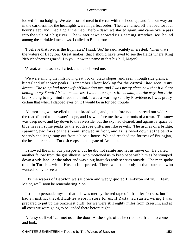looked for no lodging. We ate a sort of meal in the car with the hood up, and felt our way on in the darkness, for the headlights were in perfect order. Then we turned off the road for four hours' sleep, and I had a go at the map. Before dawn we started again, and came over a pass into the vale of a big river. The winter dawn showed its gleaming stretches, ice−bound among the sprinkled meadows. I called to Blenkiron:

 'I believe that river is the Euphrates,' I said. 'So,' he said, acutely interested. 'Then that's the waters of Babylon. Great snakes, that I should have lived to see the fields where King Nebuchadnezzar grazed! Do you know the name of that big hill, Major?'

'Ararat, as like as not,' I cried, and he believed me.

We were among the hills now, great, rocky, black slopes, and, seen through side glens, a hinterland of snowy peaks. I remember I kept looking for the *castrol I had seen in my dream. The thing had never left off haunting me, and I was pretty clear now that it did not belong to my South African memories. I am not a superstitious man, but the way that little* kranz clung to my mind made me think it was a warning sent by Providence. I was pretty certain that when I clapped eyes on it I would be in for bad trouble.

 All morning we travelled up that broad vale, and just before noon it spread out wider, the road dipped to the water's edge, and I saw before me the white roofs of a town. The snow was deep now, and lay down to the riverside, but the sky had cleared, and against a space of blue heaven some peaks to the south rose glittering like jewels. The arches of a bridge, spanning two forks of the stream, showed in front, and as I slowed down at the bend a sentry's challenge rang out from a block−house. We had reached the fortress of Erzingjan, the headquarters of a Turkish corps and the gate of Armenia.

 I showed the man our passports, but he did not salute and let us move on. He called another fellow from the guardhouse, who motioned us to keep pace with him as he stumped down a side lane. At the other end was a big barracks with sentries outside. The man spoke to us in Turkish, which Hussin interpreted. There was somebody in that barracks who wanted badly to see us.

 'By the waters of Babylon we sat down and wept,' quoted Blenkiron softly. 'I fear, Major, we'll soon be remembering Zion.'

 I tried to persuade myself that this was merely the red tape of a frontier fortress, but I had an instinct that difficulties were in store for us. If Rasta had started wiring I was prepared to put up the brazenest bluff, for we were still eighty miles from Erzerum, and at all costs we were going to be landed there before night.

 A fussy staff−officer met us at the door. At the sight of us he cried to a friend to come and look.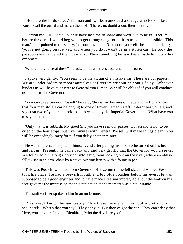'Here are the birds safe. A fat man and two lean ones and a savage who looks like a Kurd. Call the guard and march them off. There's no doubt about their identity.'

 'Pardon me, Sir,' I said, 'but we have no time to spare and we'd like to be in Erzerum before the dark. I would beg you to get through any formalities as soon as possible. This man,' and I pointed to the sentry, 'has our passports.' 'Compose yourself,' he said impudently; 'you're not going on just yet, and when you do it won't be in a stolen car.' He took the passports and fingered them casually. Then something he saw there made him cock his eyebrows.

'Where did you steal these?' he asked, but with less assurance in his tone.

 I spoke very gently. 'You seem to be the victim of a mistake, sir. These are our papers. We are under orders to report ourselves at Erzerum without an hour's delay. Whoever hinders us will have to answer to General von Liman. We will be obliged if you will conduct us at once to the Governor.'

 'You can't see General Posselt,' he said; 'this is my business. I have a wire from Siwas that four men stole a car belonging to one of Enver Damad's staff. It describes you all, and says that two of you are notorious spies wanted by the Imperial Government. What have you to say to that?'

 'Only that it is rubbish. My good Sir, you have seen our passes. Our errand is not to be cried on the housetops, but five minutes with General Posselt will make things clear. You will be exceedingly sorry for it if you delay another minute.'

 He was impressed in spite of himself, and after pulling his moustache turned on his heel and left us. Presently he came back and said very gruffly that the Governor would see us. We followed him along a corridor into a big room looking out on the river, where an oldish fellow sat in an arm−chair by a stove, writing letters with a fountain pen.

 This was Posselt, who had been Governor of Erzerum till he fell sick and Ahmed Fevzi took his place. He had a peevish mouth and big blue pouches below his eyes. He was supposed to be a good engineer and to have made Erzerum impregnable, but the look on his face gave me the impression that his reputation at the moment was a bit unstable.

The staff−officer spoke to him in an undertone.

 'Yes, yes, I know,' he said testily. 'Are these the men? They look a pretty lot of scoundrels. What's that you say? They deny it. But they've got the car. They can't deny that. Here, you,' and he fixed on Blenkiron, 'who the devil are you?'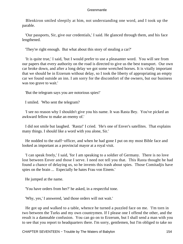Blenkiron smiled sleepily at him, not understanding one word, and I took up the parable.

 'Our passports, Sir, give our credentials,' I said. He glanced through them, and his face lengthened.

'They're right enough. But what about this story of stealing a car?'

 'It is quite true,' I said, 'but I would prefer to use a pleasanter word. You will see from our papers that every authority on the road is directed to give us the best transport. Our own car broke down, and after a long delay we got some wretched horses. It is vitally important that we should be in Erzerum without delay, so I took the liberty of appropriating an empty car we found outside an inn. I am sorry for the discomfort of the owners, but our business was too grave to wait.'

'But the telegram says you are notorious spies!'

I smiled. 'Who sent the telegram?

 'I see no reason why I shouldn't give you his name. It was Rasta Bey. You've picked an awkward fellow to make an enemy of.'

 I did not smile but laughed. 'Rasta!' I cried. 'He's one of Enver's satellites. That explains many things. I should like a word with you alone, Sir.'

He nodded to the staff–officer, and when he had gone I put on my most Bible face and looked as important as a provincial mayor at a royal visit.

 'I can speak freely,' I said, 'for I am speaking to a soldier of Germany. There is no love lost between Enver and those I serve. I need not tell you that. This Rasta thought he had found a chance of delaying us, so he invents this trash about spies. Those Comitadjis have spies on the brain ... Especially he hates Frau von Einem.'

He jumped at the name.

'You have orders from her?' he asked, in a respectful tone.

'Why, yes,' I answered, 'and those orders will not wait.'

 He got up and walked to a table, whence he turned a puzzled face on me. 'I'm torn in two between the Turks and my own countrymen. If I please one I offend the other, and the result is a damnable confusion. You can go on to Erzerum, but I shall send a man with you to see that you report to headquarters there. I'm sorry, gentlemen, but I'm obliged to take no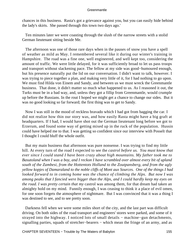chances in this business. Rasta's got a grievance against you, but you can easily hide behind the lady's skirts. She passed through this town two days ago.'

 Ten minutes later we were coasting through the slush of the narrow streets with a stolid German lieutenant sitting beside Me.

 The afternoon was one of those rare days when in the pauses of snow you have a spell of weather as mild as May. I remembered several like it during our winter's training in Hampshire. The road was a fine one, well engineered, and well kept too, considering the amount of traffic. We were little delayed, for it was sufficiently broad to let us pass troops and transport without slackening pace. The fellow at my side was good−humoured enough, but his presence naturally put the lid on our conversation. I didn't want to talk, however. I was trying to piece together a plan, and making very little of it, for I had nothing to go upon. We must find Hilda von Einem and Sandy, and between us we must wreck the Greenmantle business. That done, it didn't matter so much what happened to us. As I reasoned it out, the Turks must be in a bad way, and, unless they got a fillip from Greenmantle, would crumple up before the Russians. In the rout I hoped we might get a chance to change our sides. But it was no good looking so far forward; the first thing was to get to Sandy.

 Now I was still in the mood of reckless bravado which I had got from bagging the car. I did not realize how thin our story was, and how easily Rasta might have a big graft at headquarters. If I had, I would have shot out the German lieutenant long before we got to Erzerum, and found some way of getting mixed up in the ruck of the population. Hussin could have helped me to that. I was getting so confident since our interview with Posselt that I thought I could bluff the whole outfit.

 But my main business that afternoon was pure nonsense. I was trying to find my little hill. At every turn of the road I expected to see the *castrol before us. You must know that ever since I could stand I have been crazy about high mountains. My father took me to Basutoland when I was a boy, and I reckon I have scrambled over almost every bit of upland south of the Zambesi, from the Hottentots Holland to the Zoutpansberg, and from the ugly yellow kopjes of Damaraland to the noble cliffs of Mont aux Sources. One of the things I had looked forward to in coming home was the chance of climbing the Alps. But now I was among peaks that I fancied were bigger than the Alps, and I could hardly keep my eyes on the road. I was pretty certain that my* castrol was among them, for that dream had taken an almighty hold on my mind. Funnily enough, I was ceasing to think it a place of evil omen, for one soon forgets the atmosphere of nightmare. But I was convinced that it was a thing I was destined to see, and to see pretty soon.

 Darkness fell when we were some miles short of the city, and the last part was difficult driving. On both sides of the road transport and engineers' stores were parked, and some of it strayed into the highway. I noticed lots of small details − machine−gun detachments, signalling parties, squads of stretcher–bearers – which mean the fringe of an army, and as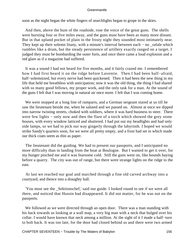soon as the night began the white fingers of searchlights began to grope in the skies.

 And then, above the hum of the roadside, rose the voice of the great guns. The shells were bursting four or five miles away, and the guns must have been as many more distant. But in that upland pocket of plain in the frosty night they sounded most intimately near. They kept up their solemn litany, with a minute's interval between each – no \_rafale which rumbles like a drum, but the steady persistence of artillery exactly ranged on a target. I judged they must be bombarding the outer forts, and once there came a loud explosion and a red glare as if a magazine had suffered.

 It was a sound I had not heard for five months, and it fairly crazed me. I remembered how I had first heard it on the ridge before Laventie. Then I had been half−afraid, half−solemnized, but every nerve had been quickened. Then it had been the new thing in my life that held me breathless with anticipation; now it was the old thing, the thing I had shared with so many good fellows, my proper work, and the only task for a man. At the sound of the guns I felt that I was moving in natural air once more. I felt that I was coming home.

 We were stopped at a long line of ramparts, and a German sergeant stared at us till he saw the lieutenant beside me, when he saluted and we passed on. Almost at once we dipped into narrow twisting streets, choked with soldiers, where it was hard business to steer. There were few lights – only now and then the flare of a torch which showed the grey stone houses, with every window latticed and shuttered. I had put out my headlights and had only side lamps, so we had to pick our way gingerly through the labyrinth. I hoped we would strike Sandy's quarters soon, for we were all pretty empty, and a frost had set in which made our thick coats seem as thin as paper.

 The lieutenant did the guiding. We had to present our passports, and I anticipated no more difficulty than in landing from the boat at Boulogne. But I wanted to get it over, for my hunger pinched me and it was fearsome cold. Still the guns went on, like hounds baying before a quarry. The city was out of range, but there were strange lights on the ridge to the east.

 At last we reached our goal and marched through a fine old carved archway into a courtyard, and thence into a draughty hall.

 'You must see the \_Sektionschef,' said our guide. I looked round to see if we were all there, and noticed that Hussin had disappeared. It did not matter, for he was not on the passports.

 We followed as we were directed through an open door. There was a man standing with his back towards us looking at a wall map, a very big man with a neck that bulged over his collar. I would have known that neck among a million. At the sight of it I made a half−turn to bolt back. It was too late, for the door had closed behind us and there were two armed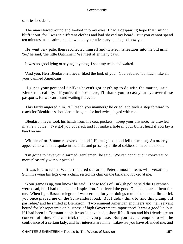sentries beside it.

 The man slewed round and looked into my eyes. I had a despairing hope that I might bluff it out, for I was in different clothes and had shaved my beard. But you cannot spend ten minutes in a death− grapple without your adversary getting to know you.

 He went very pale, then recollected himself and twisted his features into the old grin. 'So,' he said, 'the little Dutchmen! We meet after many days.'

It was no good lying or saying anything. I shut my teeth and waited.

 'And you, Herr Blenkiron? I never liked the look of you. You babbled too much, like all your damned Americans.'

 'I guess your personal dislikes haven't got anything to do with the matter,' said Blenkiron, calmly. 'If you're the boss here, I'll thank you to cast your eye over these passports, for we can't stand waiting for ever.'

 This fairly angered him. 'I'll teach you manners,' he cried, and took a step forward to reach for Blenkiron's shoulder – the game he had twice played with me.

 Blenkiron never took his hands from his coat pockets. 'Keep your distance,' he drawled in a new voice. 'I've got you covered, and I'll make a hole in your bullet head if you lay a hand on me.'

 With an effort Stumm recovered himself. He rang a bell and fell to smiling. An orderly appeared to whom he spoke in Turkish, and presently a file of soldiers entered the room.

 'I'm going to have you disarmed, gentlemen,' he said. 'We can conduct our conversation more pleasantly without pistols.'

 It was idle to resist. We surrendered our arms, Peter almost in tears with vexation. Stumm swung his legs over a chair, rested his chin on the back and looked at me.

 'Your game is up, you know,' he said. 'These fools of Turkish police said the Dutchmen were dead, but I had the happier inspiration. I believed the good God had spared them for me. When I got Rasta's telegram I was certain, for your doings reminded me of a little trick you once played me on the Schwandorf road. But I didn't think to find this plump old partridge,' and he smiled at Blenkiron. 'Two eminent American engineers and their servant bound for Mesopotamia on business of high Government importance! It was a good lie; but if I had been in Constantinople it would have had a short life. Rasta and his friends are no concern of mine. You can trick them as you please. But you have attempted to win the confidence of a certain lady, and her interests are mine. Likewise you have offended me, and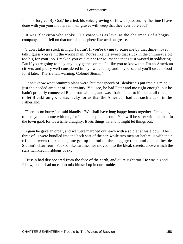I do not forgive. By God,' he cried, his voice growing shrill with passion, 'by the time I have done with you your mothers in their graves will weep that they ever bore you!'

 It was Blenkiron who spoke. His voice was as level as the chairman's of a bogus company, and it fell on that turbid atmosphere like acid on grease.

 'I don't take no stock in high−falutin'. If you're trying to scare me by that dime−novel talk I guess you've hit the wrong man. You're like the sweep that stuck in the chimney, a bit too big for your job. I reckon you've a talent for ro−mance that's just wasted in soldiering. But if you're going to play any ugly games on me I'd like you to know that I'm an American citizen, and pretty well considered in my own country and in yours, and you'll sweat blood for it later. That's a fair warning, Colonel Stumm.'

 I don't know what Stumm's plans were, but that speech of Blenkiron's put into his mind just the needed amount of uncertainty. You see, he had Peter and me right enough, but he hadn't properly connected Blenkiron with us, and was afraid either to hit out at all three, or to let Blenkiron go. It was lucky for us that the American had cut such a dash in the Fatherland.

 'There is no hurry,' he said blandly. 'We shall have long happy hours together. I'm going to take you all home with me, for I am a hospitable soul. You will be safer with me than in the town gaol, for it's a trifle draughty. It lets things in, and it might let things out.'

 Again he gave an order, and we were marched out, each with a soldier at his elbow. The three of us were bundled into the back seat of the car, while two men sat before us with their rifles between their knees, one got up behind on the baggage rack, and one sat beside Stumm's chauffeur. Packed like sardines we moved into the bleak streets, above which the stars twinkled in ribbons of sky.

 Hussin had disappeared from the face of the earth, and quite right too. He was a good fellow, but he had no call to mix himself up in our troubles.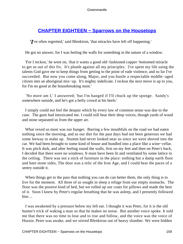# **[CHAPTER EIGHTEEN − Sparrows on the Housetops](#page-207-0)**

*'I*'ve often regretted,' said Blenkiron, 'that miracles have left off happening.'

He got no answer, for I was feeling the walls for something in the nature of a window.

 'For I reckon,' he went on, 'that it wants a good old−fashioned copper−bottomed miracle to get us out of this fix. It's plumb against all my principles. I've spent my life using the talents God gave me to keep things from getting to the point of rude violence, and so far I've succeeded. But now you come along, Major, and you hustle a respectable middle−aged citizen into an aboriginal mix−up. It's mighty indelicate. I reckon the next move is up to you, for I'm no good at the housebreaking stunt.'

 'No more am I,' I answered; 'but I'm hanged if I'll chuck up the sponge. Sandy's somewhere outside, and he's got a hefty crowd at his heels.'

 I simply could not feel the despair which by every law of common sense was due to the case. The guns had intoxicated me. I could still hear their deep voices, though yards of wood and stone separated us from the upper air.

 What vexed us most was our hunger. Barring a few mouthfuls on the road we had eaten nothing since the morning, and as our diet for the past days had not been generous we had some leeway to make up. Stumm had never looked near us since we were shoved into the car. We had been brought to some kind of house and bundled into a place like a wine−cellar. It was pitch dark, and after feeling round the walls, first on my feet and then on Peter's back, I decided that there were no windows. It must have been lit and ventilated by some lattice in the ceiling. There was not a stick of furniture in the place: nothing but a damp earth floor and bare stone sides, The door was a relic of the Iron Age, and I could hear the paces of a sentry outside it.

When things get to the pass that nothing you can do can better them, the only thing is to live for the moment. All three of us sought in sleep a refuge from our empty stomachs. The floor was the poorest kind of bed, but we rolled up our coats for pillows and made the best of it. Soon I knew by Peter's regular breathing that he was asleep, and I presently followed him ...

 I was awakened by a pressure below my left ear. I thought it was Peter, for it is the old hunter's trick of waking a man so that he makes no noise. But another voice spoke. It told me that there was no time to lose and to rise and follow, and the voice was the voice of Hussin. Peter was awake, and we stirred Blenkiron out of heavy slumber. We were bidden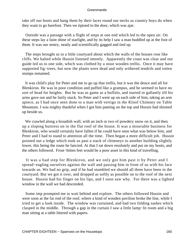take off our boots and hang them by their laces round our necks as country boys do when they want to go barefoot. Then we tiptoed to the door, which was ajar.

 Outside was a passage with a flight of steps at one end which led to the open air. On these steps lay a faint shine of starlight, and by its help I saw a man huddled up at the foot of them. It was our sentry, neatly and scientifically gagged and tied up.

 The steps brought us to a little courtyard about which the walls of the houses rose like cliffs. We halted while Hussin listened intently. Apparently the coast was clear and our guide led us to one side, which was clothed by a stout wooden trellis. Once it may have supported fig−trees, but now the plants were dead and only withered tendrils and rotten stumps remained.

 It was child's play for Peter and me to go up that trellis, but it was the deuce and all for Blenkiron. He was in poor condition and puffed like a grampus, and he seemed to have no sort of head for heights. But he was as game as a buffalo, and started in gallantly till his arms gave out and he fairly stuck. So Peter and I went up on each side of him, taking an arm apiece, as I had once seen done to a man with vertigo in the Kloof Chimney on Table Mountain. I was mighty thankful when I got him panting on the top and Hussin had shinned up beside us.

We crawled along a broadish wall, with an inch or two of powdery snow on it, and then up a sloping buttress on to the flat roof of the house. It was a miserable business for Blenkiron, who would certainly have fallen if he could have seen what was below him, and Peter and I had to stand to attention all the time. Then began a more difficult job. Hussin pointed out a ledge which took us past a stack of chimneys to another building slightly lower, this being the route he fancied. At that I sat down resolutely and put on my boots, and the others followed. Frost−bitten feet would be a poor asset in this kind of travelling.

 It was a bad step for Blenkiron, and we only got him past it by Peter and I spread−eagling ourselves against the wall and passing him in front of us with his face towards us. We had no grip, and if he had stumbled we should all three have been in the courtyard. But we got it over, and dropped as softly as possible on to the roof of the next house. Hussin had his finger on his lips, and I soon saw why. For there was a lighted window in the wall we had descended.

 Some imp prompted me to wait behind and explore. The others followed Hussin and were soon at the far end of the roof, where a kind of wooden pavilion broke the line, while I tried to get a look inside. The window was curtained, and had two folding sashes which clasped in the middle. Through a gap in the curtain I saw a little lamp−lit room and a big man sitting at a table littered with papers.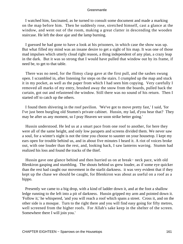I watched him, fascinated, as he turned to consult some document and made a marking on the map before him. Then he suddenly rose, stretched himself, cast a glance at the window, and went out of the room, making a great clatter in descending the wooden staircase. He left the door ajar and the lamp burning.

 I guessed he had gone to have a look at his prisoners, in which case the show was up. But what filled my mind was an insane desire to get a sight of his map. It was one of those mad impulses which utterly cloud right reason, a thing independent of any plan, a crazy leap in the dark. But it was so strong that I would have pulled that window out by its frame, if need be, to get to that table.

 There was no need, for the flimsy clasp gave at the first pull, and the sashes swung open. I scrambled in, after listening for steps on the stairs. I crumpled up the map and stuck it in my pocket, as well as the paper from which I had seen him copying. Very carefully I removed all marks of my entry, brushed away the snow from the boards, pulled back the curtain, got out and refastened the window. Still there was no sound of his return. Then I started off to catch up the others.

 I found them shivering in the roof pavilion. 'We've got to move pretty fast,' I said, 'for I've just been burgling old Stumm's private cabinet. Hussin, my lad, d'you hear that? They may be after us any moment, so I pray Heaven we soon strike better going.'

 Hussin understood. He led us at a smart pace from one roof to another, for here they were all of the same height, and only low parapets and screens divided them. We never saw a soul, for a winter's night is not the time you choose to saunter on your housetop. I kept my ears open for trouble behind us, and in about five minutes I heard it. A riot of voices broke out, with one louder than the rest, and, looking back, I saw lanterns waving. Stumm had realized his loss and found the tracks of the thief.

 Hussin gave one glance behind and then hurried us on at break− neck pace, with old Blenkiron gasping and stumbling. The shouts behind us grew louder, as if some eye quicker than the rest had caught our movement in the starlit darkness. it was very evident that if they kept up the chase we should be caught, for Blenkiron was about as useful on a roof as a hippo.

 Presently we came to a big drop, with a kind of ladder down it, and at the foot a shallow ledge running to the left into a pit of darkness. Hussin gripped my arm and pointed down it. 'Follow it,' he whispered, 'and you will reach a roof which spans a street. Cross it, and on the other side is a mosque. Turn to the right there and you will find easy going for fifty metres, well screened from the higher roofs. For Allah's sake keep in the shelter of the screen. Somewhere there I will join you.'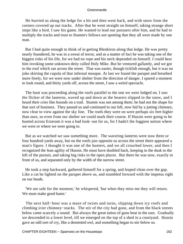He hurried us along the ledge for a bit and then went back, and with snow from the corners covered up our tracks. After that he went straight on himself, taking strange short steps like a bird. I saw his game. He wanted to lead our pursuers after him, and he had to multiply the tracks and trust to Stumm's fellows not spotting that they all were made by one man.

 But I had quite enough to think of in getting Blenkiron along that ledge. He was pretty nearly foundered, he was in a sweat of terror, and as a matter of fact he was taking one of the biggest risks of his life, for we had no rope and his neck depended on himself. I could hear him invoking some unknown deity called Holy Mike. But he ventured gallantly, and we got to the roof which ran across the street. That was easier, though ticklish enough, but it was no joke skirting the cupola of that infernal mosque. At last we found the parapet and breathed more freely, for we were now under shelter from the direction of danger. I spared a moment to look round, and thirty yards off, across the street, I saw a weird spectacle.

 The hunt was proceeding along the roofs parallel to the one we were lodged on. I saw the flicker of the lanterns, waved up and down as the bearers slipped in the snow, and I heard their cries like hounds on a trail. Stumm was not among them: he had not the shape for that sort of business. They passed us and continued to our left, now hid by a jutting chimney, now clear to view against the sky line. The roofs they were on were perhaps six feet higher than ours, so even from our shelter we could mark their course. If Hussin were going to be hunted across Erzerum it was a bad look−out for us, for I hadn't the foggiest notion where we were or where we were going to.

 But as we watched we saw something more. The wavering lanterns were now three or four hundred yards away, but on the roofs just opposite us across the street there appeared a man's figure. I thought it was one of the hunters, and we all crouched lower, and then I recognized the lean agility of Hussin. He must have doubled back, keeping in the dusk to the left of the pursuit, and taking big risks in the open places. But there he was now, exactly in front of us, and separated only by the width of the narrow street.

 He took a step backward, gathered himself for a spring, and leaped clean over the gap. Like a cat he lighted on the parapet above us, and stumbled forward with the impetus right on our heads.

 'We are safe for the moment,' he whispered, 'but when they miss me they will return. We must make good haste.'

 The next half−hour was a maze of twists and turns, slipping down icy roofs and climbing icier chimney−stacks. The stir of the city had gone, and from the black streets below came scarcely a sound. But always the great tattoo of guns beat in the east. Gradually we descended to a lower level, till we emerged on the top of a shed in a courtyard. Hussin gave an odd sort of cry, like a demented owl, and something began to stir below us.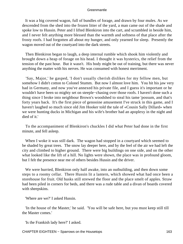It was a big covered wagon, full of bundles of forage, and drawn by four mules. As we descended from the shed into the frozen litter of the yard, a man came out of the shade and spoke low to Hussin. Peter and I lifted Blenkiron into the cart, and scrambled in beside him, and I never felt anything more blessed than the warmth and softness of that place after the frosty roofs. I had forgotten all about my hunger, and only yearned for sleep. Presently the wagon moved out of the courtyard into the dark streets.

 Then Blenkiron began to laugh, a deep internal rumble which shook him violently and brought down a heap of forage on his head. I thought it was hysterics, the relief from the tension of the past hour. But it wasn't. His body might be out of training, but there was never anything the matter with his nerves. He was consumed with honest merriment.

 'Say, Major,' he gasped, 'I don't usually cherish dislikes for my fellow men, but somehow I didn't cotton to Colonel Stumm. But now I almost love him. You hit his jaw very bad in Germany, and now you've annexed his private file, and I guess it's important or he wouldn't have been so mighty set on steeple−chasing over those roofs. I haven't done such a thing since I broke into neighbour Brown's woodshed to steal his tame 'possum, and that's forty years back. It's the first piece of genooine amusement I've struck in this game, and I haven't laughed so much since old Jim Hooker told the tale of «Cousin Sally Dillard» when we were hunting ducks in Michigan and his wife's brother had an apoplexy in the night and died of it.'

 To the accompaniment of Blenkiron's chuckles I did what Peter had done in the first minute, and fell asleep.

When I woke it was still dark. The wagon had stopped in a courtyard which seemed to be shaded by great trees. The snow lay deeper here, and by the feel of the air we had left the city and climbed to higher ground. There were big buildings on one side, and on the other what looked like the lift of a hill. No lights were shown, the place was in profound gloom, but I felt the presence near me of others besides Hussin and the driver.

 We were hurried, Blenkiron only half awake, into an outbuilding, and then down some steps to a roomy cellar. There Hussin lit a lantern, which showed what had once been a storehouse for fruit. Old husks still strewed the floor and the place smelt of apples. Straw had been piled in corners for beds, and there was a rude table and a divan of boards covered with sheepskins.

'Where are we?' I asked Hussin.

 'In the house of the Master,' he said. 'You will be safe here, but you must keep still till the Master comes.'

'Is the Frankish lady here?' I asked.

CHAPTER EIGHTEEN – Sparrows on the Housetops 163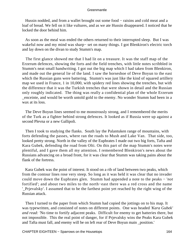Hussin nodded, and from a wallet brought out some food – raisins and cold meat and a loaf of bread. We fell on it like vultures, and as we ate Hussin disappeared. I noticed that he locked the door behind him.

 As soon as the meal was ended the others returned to their interrupted sleep. But I was wakeful now and my mind was sharp− set on many things. I got Blenkiron's electric torch and lay down on the divan to study Stumm's map.

 The first glance showed me that I had lit on a treasure. It was the staff map of the Erzerum defences, showing the forts and the field trenches, with little notes scribbled in Stumm's neat small handwriting. I got out the big map which I had taken from Blenkiron, and made out the general lie of the land. I saw the horseshoe of Deve Boyun to the east which the Russian guns were battering. Stumm's was just like the kind of squared artillery map we used in France, 1 in 10,000, with spidery red lines showing the trenches, but with the difference that it was the Turkish trenches that were shown in detail and the Russian only roughly indicated. The thing was really a confidential plan of the whole Erzerum \_enceinte, and would be worth untold gold to the enemy. No wonder Stumm had been in a wax at its loss.

 The Deve Boyun lines seemed to me monstrously strong, and I remembered the merits of the Turk as a fighter behind strong defences. It looked as if Russia were up against a second Plevna or a new Gallipoli.

 Then I took to studying the flanks. South lay the Palantuken range of mountains, with forts defending the passes, where ran the roads to Mush and Lake Van. That side, too, looked pretty strong. North in the valley of the Euphrates I made out two big forts, Tafta and Kara Gubek, defending the road from Olti. On this part of the map Stumm's notes were plentiful, and I gave them all my attention. I remembered Blenkiron's news about the Russians advancing on a broad front, for it was clear that Stumm was taking pains about the flank of the fortress.

 Kara Gubek was the point of interest. It stood on a rib of land between two peaks, which from the contour lines rose very steep. So long as it was held it was clear that no invader could move down the Euphrates glen. Stumm had appended a note to the peaks − '*not* fortified'; and about two miles to the north−east there was a red cross and the name '\_Prjevalsky'. I assumed that to be the farthest point yet reached by the right wing of the Russian attack.

 Then I turned to the paper from which Stumm had copied the jottings on to his map. It was typewritten, and consisted of notes on different points. One was headed '*Kara Gubek' and read: '*No time to fortify adjacent peaks. Difficult for enemy to get batteries there, but not impossible. This the real point of danger, for if Prjevalsky wins the Peaks Kara Gubek and Tafta must fall, and enemy will be on left rear of Deve Boyun main \_position.'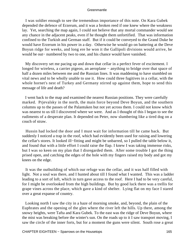I was soldier enough to see the tremendous importance of this note. On Kara Gubek depended the defence of Erzerum, and it was a broken reed if one knew where the weakness lay. Yet, searching the map again, I could not believe that any mortal commander would see any chance in the adjacent peaks, even if he thought them unfortified. That was information confined to the Turkish and German staff. But if it could be conveyed to the Grand Duke he would have Erzerum in his power in a day. Otherwise he would go on battering at the Deve Boyun ridge for weeks, and long ere he won it the Gallipoli divisions would arrive, he would be out− numbered by two to one, and his chance would have vanished.

 My discovery set me pacing up and down that cellar in a perfect fever of excitement. I longed for wireless, a carrier pigeon, an aeroplane − anything to bridge over that space of half a dozen miles between me and the Russian lines. It was maddening to have stumbled on vital news and to be wholly unable to use it. How could three fugitives in a cellar, with the whole hornet's nest of Turkey and Germany stirred up against them, hope to send this message of life and death?

 I went back to the map and examined the nearest Russian positions. They were carefully marked. Prjevalsky in the north, the main force beyond Deve Boyun, and the southern columns up to the passes of the Palantuken but not yet across them. I could not know which was nearest to us till I discovered where we were. And as I thought of this I began to see the rudiments of a desperate plan. It depended on Peter, now slumbering like a tired dog on a couch of straw.

 Hussin had locked the door and I must wait for information till he came back. But suddenly I noticed a trap in the roof, which had evidently been used for raising and lowering the cellar's stores. It looked ill−fitting and might be unbarred, so I pulled the table below it, and found that with a little effort I could raise the flap. I knew I was taking immense risks, but I was so keen on my plan that I disregarded them. After some trouble I got the thing prised open, and catching the edges of the hole with my fingers raised my body and got my knees on the edge.

 It was the outbuilding of which our refuge was the cellar, and it was half filled with light. Not a soul was there, and I hunted about till I found what I wanted. This was a ladder leading to a sort of loft, which in turn gave access to the roof. Here I had to be very careful, for I might be overlooked from the high buildings. But by good luck there was a trellis for grape vines across the place, which gave a kind of shelter. Lying flat on my face I stared over a great expanse of country.

 Looking north I saw the city in a haze of morning smoke, and, beyond, the plain of the Euphrates and the opening of the glen where the river left the hills. Up there, among the snowy heights, were Tafta and Kara Gubek. To the east was the ridge of Deve Boyun, where the mist was breaking before the winter's sun. On the roads up to it I saw transport moving, I saw the circle of the inner forts, but for a moment the guns were silent. South rose a great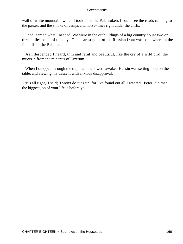wall of white mountain, which I took to be the Palantuken. I could see the roads running to the passes, and the smoke of camps and horse−lines right under the cliffs.

 I had learned what I needed. We were in the outbuildings of a big country house two or three miles south of the city. The nearest point of the Russian front was somewhere in the foothills of the Palantuken.

 As I descended I heard, thin and faint and beautiful, like the cry of a wild bird, the muezzin from the minarets of Erzerum.

 When I dropped through the trap the others were awake. Hussin was setting food on the table, and viewing my descent with anxious disapproval.

 'It's all right,' I said; 'I won't do it again, for I've found out all I wanted. Peter, old man, the biggest job of your life is before you!'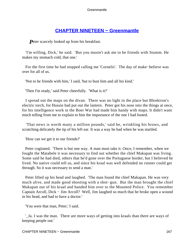# **[CHAPTER NINETEEN − Greenmantle](#page-207-0)**

**P**eter scarcely looked up from his breakfast.

 'I'm willing, Dick,' he said. 'But you mustn't ask me to be friends with Stumm. He makes my stomach cold, that one.'

 For the first time he had stopped calling me 'Cornelis'. The day of make−believe was over for all of us.

'Not to be friends with him,' I said, 'but to bust him and all his kind.'

'Then I'm ready,' said Peter cheerfully. 'What is it?'

 I spread out the maps on the divan. There was no light in the place but Blenkiron's electric torch, for Hussin had put out the lantern. Peter got his nose into the things at once, for his intelligence work in the Boer War had made him handy with maps. It didn't want much telling from me to explain to him the importance of the one I had looted.

 'That news is worth many a million pounds,' said he, wrinkling his brows, and scratching delicately the tip of his left ear. It was a way he had when he was startled.

'How can we get it to our friends?'

 Peter cogitated. 'There is but one way. A man must take it. Once, I remember, when we fought the Matabele it was necessary to find out whether the chief Makapan was living. Some said he had died, others that he'd gone over the Portuguese border, but I believed he lived. No native could tell us, and since his kraal was well defended no runner could get through. So it was necessary to send a man.'

 Peter lifted up his head and laughed. 'The man found the chief Makapan. He was very much alive, and made good shooting with a shot−gun. But the man brought the chief Makapan out of his kraal and handed him over to the Mounted Police. You remember Captain Arcoll, Dick − Jim Arcoll? Well, Jim laughed so much that he broke open a wound in his head, and had to have a doctor.'

'You were that man, Peter,' I said.

 '\_Ja. I was the man. There are more ways of getting into kraals than there are ways of keeping people out.'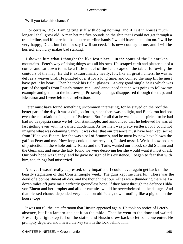'Will you take this chance?'

 'For certain, Dick. I am getting stiff with doing nothing, and if I sit in houses much longer I shall grow old. A man bet me five pounds on the ship that I could not get through a trench−line, and if there had been a trench−line handy I would have taken him on. I will be very happy, Dick, but I do not say I will succeed. It is new country to me, and I will be hurried, and hurry makes bad stalking.'

 I showed him what I thought the likeliest place − in the spurs of the Palantuken mountains. Peter's way of doing things was all his own. He scraped earth and plaster out of a corner and sat down to make a little model of the landscape on the table, following the contours of the map. He did it extraordinarily neatly, for, like all great hunters, he was as deft as a weaver bird. He puzzled over it for a long time, and conned the map till he must have got it by heart. Then he took his field–glasses – a very good single Zeiss which was part of the spoils from Rasta's motor−car − and announced that he was going to follow my example and get on to the house−top. Presently his legs disappeared through the trap, and Blenkiron and I were left to our reflections.

 Peter must have found something uncommon interesting, for he stayed on the roof the better part of the day. It was a dull job for us, since there was no light, and Blenkiron had not even the consolation of a game of Patience. But for all that he was in good spirits, for he had had no dyspepsia since we left Constantinople, and announced that he believed he was at last getting even with his darned duodenum. As for me I was pretty restless, for I could not imagine what was detaining Sandy. It was clear that our presence must have been kept secret from Hilda von Einem, for she was a pal of Stumm's, and he must by now have blown the gaff on Peter and me. How long could this secrecy last, I asked myself. We had now no sort of protection in the whole outfit. Rasta and the Turks wanted our blood: so did Stumm and the Germans; and once the lady found we were deceiving her she would want it most of all. Our only hope was Sandy, and he gave no sign of his existence. I began to fear that with him, too, things had miscarried.

 And yet I wasn't really depressed, only impatient. I could never again get back to the beastly stagnation of that Constantinople week. The guns kept me cheerful. There was the devil of a bombardment all day, and the thought that our Allies were thundering there half a dozen miles off gave me a perfectly groundless hope. If they burst through the defence Hilda von Einem and her prophet and all our enemies would be overwhelmed in the deluge. And that blessed chance depended very much on old Peter, now brooding like a pigeon on the house−tops.

 It was not till the late afternoon that Hussin appeared again. He took no notice of Peter's absence, but lit a lantern and set it on the table. Then he went to the door and waited. Presently a light step fell on the stairs, and Hussin drew back to let someone enter. He promptly departed and I heard the key turn in the lock behind him.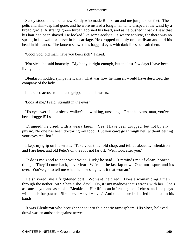Sandy stood there, but a new Sandy who made Blenkiron and me jump to our feet. The pelts and skin−cap had gone, and he wore instead a long linen tunic clasped at the waist by a broad girdle. A strange green turban adorned his head, and as he pushed it back I saw that his hair had been shaved. He looked like some acolyte − a weary acolyte, for there was no spring in his walk or nerve in his carriage. He dropped numbly on the divan and laid his head in his hands. The lantern showed his haggard eyes with dark lines beneath them.

'Good God, old man, have you been sick?' I cried.

 'Not sick,' he said hoarsely. 'My body is right enough, but the last few days I have been living in hell.'

 Blenkiron nodded sympathetically. That was how he himself would have described the company of the lady.

I marched across to him and gripped both his wrists.

'Look at me,' I said, 'straight in the eyes.'

 His eyes were like a sleep−walker's, unwinking, unseeing. 'Great heavens, man, you've been drugged!' I said.

 'Drugged,' he cried, with a weary laugh. 'Yes, I have been drugged, but not by any physic. No one has been doctoring my food. But you can't go through hell without getting your eyes red−hot.'

 I kept my grip on his wrists. 'Take your time, old chap, and tell us about it. Blenkiron and I are here, and old Peter's on the roof not far off. We'll look after you.'

 'It does me good to hear your voice, Dick,' he said. 'It reminds me of clean, honest things.' 'They'll come back, never fear. We're at the last lap now. One more spurt and it's over. You've got to tell me what the new snag is. Is it that woman?'

 He shivered like a frightened colt. 'Woman!' he cried. 'Does a woman drag a man through the nether−pit? She's a she−devil. Oh, it isn't madness that's wrong with her. She's as sane as you and as cool as Blenkiron. Her life is an infernal game of chess, and she plays with souls for pawns. She is evil − evil − evil.' And once more he buried his head in his hands.

 It was Blenkiron who brought sense into this hectic atmosphere. His slow, beloved drawl was an antiseptic against nerves.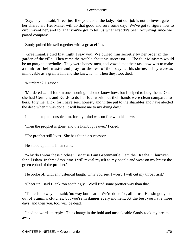'Say, boy,' he said, 'I feel just like you about the lady. But our job is not to investigate her character. Her Maker will do that good and sure some day. We've got to figure how to circumvent her, and for that you've got to tell us what exactly's been occurring since we parted company.'

Sandy pulled himself together with a great effort.

 'Greenmantle died that night I saw you. We buried him secretly by her order in the garden of the villa. Then came the trouble about his successor ... The four Ministers would be no party to a swindle. They were honest men, and vowed that their task now was to make a tomb for their master and pray for the rest of their days at his shrine. They were as immovable as a granite hill and she knew it. ... Then they, too, died.'

'Murdered?' I gasped.

 'Murdered ... all four in one morning. I do not know how, but I helped to bury them. Oh, she had Germans and Kurds to do her foul work, but their hands were clean compared to hers. Pity me, Dick, for I have seen honesty and virtue put to the shambles and have abetted the deed when it was done. It will haunt me to my dying day.'

I did not stop to console him, for my mind was on fire with his news.

'Then the prophet is gone, and the humbug is over,' I cried.

'The prophet still lives. She has found a successor.'

He stood up in his linen tunic.

 'Why do I wear these clothes? Because I am Greenmantle. I am the \_Kaaba−i−hurriyeh for all Islam. In three days' time I will reveal myself to my people and wear on my breast the green ephod of the prophet.'

He broke off with an hysterical laugh. 'Only you see, I won't. I will cut my throat first.'

'Cheer up!' said Blenkiron soothingly. 'We'll find some prettier way than that.'

 'There is no way,' he said; 'no way but death. We're done for, all of us. Hussin got you out of Stumm's clutches, but you're in danger every moment. At the best you have three days, and then you, too, will be dead.'

 I had no words to reply. This change in the bold and unshakeable Sandy took my breath away.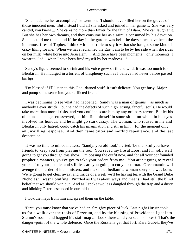'She made me her accomplice,' he went on. 'I should have killed her on the graves of those innocent men. But instead I did all she asked and joined in her game ... She was very candid, you know ... She cares no more than Enver for the faith of Islam. She can laugh at it. But she has her own dreams, and they consume her as a saint is consumed by his devotion. She has told me them, and if the day in the garden was hell, the days since have been the innermost fires of Tophet. I think − it is horrible to say it − that she has got some kind of crazy liking for me. When we have reclaimed the East I am to be by her side when she rides on her milk−white horse into Jerusalem ... And there have been moments − only moments, I swear to God − when I have been fired myself by her madness ...'

 Sandy's figure seemed to shrink and his voice grew shrill and wild. It was too much for Blenkiron. He indulged in a torrent of blasphemy such as I believe had never before passed his lips.

 'I'm blessed if I'll listen to this God−darned stuff. It isn't delicate. You get busy, Major, and pump some sense into your afflicted friend.'

 I was beginning to see what had happened. Sandy was a man of genius − as much as anybody I ever struck − but he had the defects of such high−strung, fanciful souls. He would take more than mortal risks, and you couldn't scare him by any ordinary terror. But let his old conscience get cross−eyed, let him find himself in some situation which in his eyes involved his honour, and he might go stark crazy. The woman, who roused in me and Blenkiron only hatred, could catch his imagination and stir in him − for the moment only − an unwilling response. And then came bitter and morbid repentance, and the last desperation.

 It was no time to mince matters. 'Sandy, you old fool,' I cried, 'be thankful you have friends to keep you from playing the fool. You saved my life at Loos, and I'm jolly well going to get you through this show. I'm bossing the outfit now, and for all your confounded prophetic manners, you've got to take your orders from me. You aren't going to reveal yourself to your people, and still less are you going to cut your throat. Greenmantle will avenge the murder of his ministers, and make that bedlamite woman sorry she was born. We're going to get clear away, and inside of a week we'll be having tea with the Grand Duke Nicholas.' I wasn't bluffing. Puzzled as I was about ways and means I had still the blind belief that we should win out. And as I spoke two legs dangled through the trap and a dusty and blinking Peter descended in our midst.

I took the maps from him and spread them on the table.

 'First, you must know that we've had an almighty piece of luck. Last night Hussin took us for a walk over the roofs of Erzerum, and by the blessing of Providence I got into Stumm's room, and bagged his staff map ... Look there ... d'you see his notes? That's the danger−point of the whole defence. Once the Russians get that fort, Kara Gubek, they've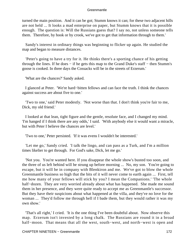turned the main position. And it can be got; Stumm knows it can; for these two adjacent hills are not held ... It looks a mad enterprise on paper, but Stumm knows that it is possible enough. The question is: Will the Russians guess that? I say no, not unless someone tells them. Therefore, by hook or by crook, we've got to get that information through to them.'

 Sandy's interest in ordinary things was beginning to flicker up again. He studied the map and began to measure distances.

 'Peter's going to have a try for it. He thinks there's a sporting chance of his getting through the lines. If he does − if he gets this map to the Grand Duke's staff − then Stumm's goose is cooked. In three days the Cossacks will be in the streets of Erzerum.'

'What are the chances?' Sandy asked.

 I glanced at Peter. 'We're hard−bitten fellows and can face the truth. I think the chances against success are about five to one.'

 'Two to one,' said Peter modestly. 'Not worse than that. I don't think you're fair to me, Dick, my old friend.'

 I looked at that lean, tight figure and the gentle, resolute face, and I changed my mind. 'I'm hanged if I think there are any odds,' I said. 'With anybody else it would want a miracle, but with Peter I believe the chances are level.'

'Two to one,' Peter persisted. 'If it was evens I wouldn't be interested.'

 'Let me go,' Sandy cried. 'I talk the lingo, and can pass as a Turk, and I'm a million times likelier to get through. For God's sake, Dick, let me go.'

 'Not you. You're wanted here. If you disappear the whole show's busted too soon, and the three of us left behind will be strung up before morning ... No, my son. You're going to escape, but it will be in company with Blenkiron and me. We've got to blow the whole Greenmantle business so high that the bits of it will never come to earth again ... First, tell me how many of your fellows will stick by you? I mean the Companions.' 'The whole half−dozen. They are very worried already about what has happened. She made me sound them in her presence, and they were quite ready to accept me as Greenmantle's successor. But they have their suspicions about what happened at the villa, and they've no love for the woman ... They'd follow me through hell if I bade them, but they would rather it was my own show.'

 'That's all right,' I cried. 'It is the one thing I've been doubtful about. Now observe this map. Erzerum isn't invested by a long chalk. The Russians are round it in a broad half−moon. That means that all the west, south−west, and north−west is open and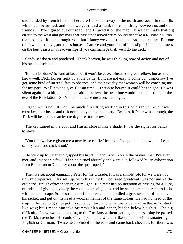undefended by trench lines. There are flanks far away to the north and south in the hills which can be turned, and once we get round a flank there's nothing between us and our friends ... I've figured out our road,' and I traced it on the map. 'If we can make that big circuit to the west and get over that pass unobserved we're bound to strike a Russian column the next day. It'll be a rough road, but I fancy we've all ridden as bad in our time. But one thing we must have, and that's horses. Can we and your six ruffians slip off in the darkness on the best beasts in this township? If you can manage that, we'll do the trick.'

 Sandy sat down and pondered. Thank heaven, he was thinking now of action and not of his own conscience.

 'It must be done,' he said at last, 'but it won't be easy. Hussin's a great fellow, but as you know well, Dick, horses right up at the battle−front are not easy to come by. Tomorrow I've got some kind of infernal fast to observe, and the next day that woman will be coaching me for my part. We'll have to give Hussin time ... I wish to heaven it could be tonight.' He was silent again for a bit, and then he said: 'I believe the best time would be the third night, the eve of the Revelation. She's bound to leave me alone that night.'

 'Right−o,' I said. 'It won't be much fun sitting waiting in this cold sepulchre; but we must keep our heads and risk nothing by being in a hurry. Besides, if Peter wins through, the Turk will be a busy man by the day after tomorrow.'

 The key turned in the door and Hussin stole in like a shade. It was the signal for Sandy to leave.

 'You fellows have given me a new lease of life,' he said. 'I've got a plan now, and I can set my teeth and stick it out.'

 He went up to Peter and gripped his hand. 'Good luck. You're the bravest man I've ever met, and I've seen a few.' Then he turned abruptly and went out, followed by an exhortation from Blenkiron to 'Get busy about the quadrupeds.'

 Then we set about equipping Peter for his crusade. It was a simple job, for we were not rich in properties. His get−up, with his thick fur−collared greatcoat, was not unlike the ordinary Turkish officer seen in a dim light. But Peter had no intention of passing for a Turk, or indeed of giving anybody the chance of seeing him, and he was more concerned to fit in with the landscape. So he stripped off the greatcoat and pulled a grey sweater of mine over his jacket, and put on his head a woollen helmet of the same colour. He had no need of the map for he had long since got his route by heart, and what was once fixed in that mind stuck like wax; but I made him take Stumm's plan and paper, hidden below his shirt. The big difficulty, I saw, would be getting to the Russians without getting shot, assuming he passed the Turkish trenches. He could only hope that he would strike someone with a smattering of English or German. Twice he ascended to the roof and came back cheerful, for there was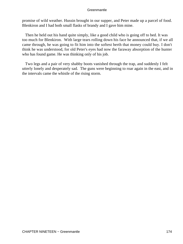promise of wild weather. Hussin brought in our supper, and Peter made up a parcel of food. Blenkiron and I had both small flasks of brandy and I gave him mine.

 Then he held out his hand quite simply, like a good child who is going off to bed. It was too much for Blenkiron. With large tears rolling down his face he announced that, if we all came through, he was going to fit him into the softest berth that money could buy. I don't think he was understood, for old Peter's eyes had now the faraway absorption of the hunter who has found game. He was thinking only of his job.

 Two legs and a pair of very shabby boots vanished through the trap, and suddenly I felt utterly lonely and desperately sad. The guns were beginning to roar again in the east, and in the intervals came the whistle of the rising storm.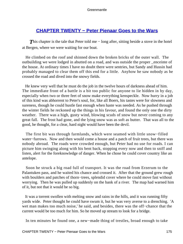# **[CHAPTER TWENTY − Peter Pienaar Goes to the Wars](#page-207-0)**

**This chapter is the tale that Peter told me – long after, sitting beside a stove in the hotel** at Bergen, where we were waiting for our boat.

 He climbed on the roof and shinned down the broken bricks of the outer wall. The outbuilding we were lodged in abutted on a road, and was outside the proper \_enceinte of the house. At ordinary times I have no doubt there were sentries, but Sandy and Hussin had probably managed to clear them off this end for a little. Anyhow he saw nobody as he crossed the road and dived into the snowy fields.

 He knew very well that he must do the job in the twelve hours of darkness ahead of him. The immediate front of a battle is a bit too public for anyone to lie hidden in by day, especially when two or three feet of snow make everything kenspeckle. Now hurry in a job of this kind was abhorrent to Peter's soul, for, like all Boers, his tastes were for slowness and sureness, though he could hustle fast enough when haste was needed. As he pushed through the winter fields he reckoned up the things in his favour, and found the only one the dirty weather. There was a high, gusty wind, blowing scuds of snow but never coming to any great fall. The frost had gone, and the lying snow was as soft as butter. That was all to the good, he thought, for a clear, hard night would have been the devil.

 The first bit was through farmlands, which were seamed with little snow−filled water−furrows. Now and then would come a house and a patch of fruit trees, but there was nobody abroad. The roads were crowded enough, but Peter had no use for roads. I can picture him swinging along with his bent back, stopping every now and then to sniff and listen, alert for the foreknowledge of danger. When he chose he could cover country like an antelope.

 Soon he struck a big road full of transport. It was the road from Erzerum to the Palantuken pass, and he waited his chance and crossed it. After that the ground grew rough with boulders and patches of thorn−trees, splendid cover where he could move fast without worrying. Then he was pulled up suddenly on the bank of a river. The map had warned him of it, but not that it would be so big.

 It was a torrent swollen with melting snow and rains in the hills, and it was running fifty yards wide. Peter thought he could have swum it, but he was very averse to a drenching. 'A wet man makes too much noise,' he said, and besides, there was the off−chance that the current would be too much for him. So he moved up stream to look for a bridge.

In ten minutes he found one, a new−made thing of trestles, broad enough to take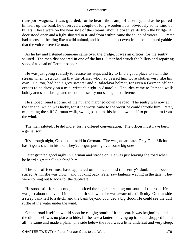transport wagons. It was guarded, for he heard the tramp of a sentry, and as he pulled himself up the bank he observed a couple of long wooden huts, obviously some kind of billets. These were on the near side of the stream, about a dozen yards from the bridge. A door stood open and a light showed in it, and from within came the sound of voices. ... Peter had a sense of hearing like a wild animal, and he could detect even from the confused gabble that the voices were German.

 As he lay and listened someone came over the bridge. It was an officer, for the sentry saluted. The man disappeared in one of the huts. Peter had struck the billets and repairing shop of a squad of German sappers.

 He was just going ruefully to retrace his steps and try to find a good place to swim the stream when it struck him that the officer who had passed him wore clothes very like his own. He, too, had had a grey sweater and a Balaclava helmet, for even a German officer ceases to be dressy on a mid−winter's night in Anatolia. The idea came to Peter to walk boldly across the bridge and trust to the sentry not seeing the difference.

 He slipped round a corner of the hut and marched down the road. The sentry was now at the far end, which was lucky, for if the worst came to the worst he could throttle him. Peter, mimicking the stiff German walk, swung past him, his head down as if to protect him from the wind.

 The man saluted. He did more, for he offered conversation. The officer must have been a genial soul.

 'It's a rough night, Captain,' he said in German. 'The wagons are late. Pray God, Michael hasn't got a shell in his lot. They've begun putting over some big ones.'

 Peter grunted good night in German and strode on. He was just leaving the road when he heard a great halloo behind him.

 The real officer must have appeared on his heels, and the sentry's doubts had been stirred. A whistle was blown, and, looking back, Peter saw lanterns waving in the gale. They were coming out to look for the duplicate.

 He stood still for a second, and noticed the lights spreading out south of the road. He was just about to dive off it on the north side when he was aware of a difficulty. On that side a steep bank fell to a ditch, and the bank beyond bounded a big flood. He could see the dull ruffle of the water under the wind.

 On the road itself he would soon be caught; south of it the search was beginning; and the ditch itself was no place to hide, for he saw a lantern moving up it. Peter dropped into it all the same and made a plan. The side below the road was a little undercut and very steep.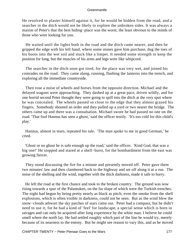He resolved to plaster himself against it, for he would be hidden from the road, and a searcher in the ditch would not be likely to explore the unbroken sides. It was always a maxim of Peter's that the best hiding−place was the worst, the least obvious to the minds of those who were looking for you.

 He waited until the lights both in the road and the ditch came nearer, and then he gripped the edge with his left hand, where some stones gave him purchase, dug the toes of his boots into the wet soil and stuck like a limpet. It needed some strength to keep the position for long, but the muscles of his arms and legs were like whipcord.

 The searcher in the ditch soon got tired, for the place was very wet, and joined his comrades on the road. They came along, running, flashing the lanterns into the trench, and exploring all the immediate countryside.

 Then rose a noise of wheels and horses from the opposite direction. Michael and the delayed wagons were approaching. They dashed up at a great pace, driven wildly, and for one horrid second Peter thought they were going to spill into the ditch at the very spot where he was concealed. The wheels passed so close to the edge that they almost grazed his fingers. Somebody shouted an order and they pulled up a yard or two nearer the bridge. The others came up and there was a consultation. Michael swore he had passed no one on the road. 'That fool Hannus has seen a ghost,' said the officer testily. 'It's too cold for this child's play.'

 Hannus, almost in tears, repeated his tale. 'The man spoke to me in good German,' he cried.

 'Ghost or no ghost he is safe enough up the road,' said the officer. 'Kind God, that was a big one!' He stopped and stared at a shell−burst, for the bombardment from the east was growing fiercer.

 They stood discussing the fire for a minute and presently moved off. Peter gave them two minutes' law and then clambered back to the highway and set off along it at a run. The noise of the shelling and the wind, together with the thick darkness, made it safe to hurry.

 He left the road at the first chance and took to the broken country. The ground was now rising towards a spur of the Palantuken, on the far slope of which were the Turkish trenches. The night had begun by being pretty nearly as black as pitch; even the smoke from the shell explosions, which is often visible in darkness, could not be seen. But as the wind blew the snow−clouds athwart the sky patches of stars came out. Peter had a compass, but he didn't need to use it, for he had a kind of 'feel' for landscape, a special sense which is born in savages and can only be acquired after long experience by the white man. I believe he could smell where the north lay. He had settled roughly which part of the line he would try, merely because of its nearness to the enemy. But he might see reason to vary this, and as he moved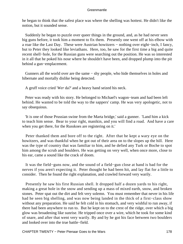he began to think that the safest place was where the shelling was hottest. He didn't like the notion, but it sounded sense.

 Suddenly he began to puzzle over queer things in the ground, and, as he had never seen big guns before, it took him a moment to fix them. Presently one went off at his elbow with a roar like the Last Day. These were Austrian howitzers − nothing over eight−inch, I fancy, but to Peter they looked like leviathans. Here, too, he saw for the first time a big and quite recent shell−hole, for the Russian guns were searching out the position. He was so interested in it all that he poked his nose where he shouldn't have been, and dropped plump into the pit behind a gun−emplacement.

 Gunners all the world over are the same − shy people, who hide themselves in holes and hibernate and mortally dislike being detected.

A gruff voice cried '*Wer* da?' and a heavy hand seized his neck.

 Peter was ready with his story. He belonged to Michael's wagon−team and had been left behind. He wanted to be told the way to the sappers' camp. He was very apologetic, not to say obsequious.

 'It is one of those Prussian swine from the Marta bridge,' said a gunner. 'Land him a kick to teach him sense. Bear to your right, manikin, and you will find a road. And have a care when you get there, for the Russkoes are registering on it.'

 Peter thanked them and bore off to the right. After that he kept a wary eye on the howitzers, and was thankful when he got out of their area on to the slopes up the hill. Here was the type of country that was familiar to him, and he defied any Turk or Boche to spot him among the scrub and boulders. He was getting on very well, when once more, close to his ear, came a sound like the crack of doom.

 It was the field−guns now, and the sound of a field−gun close at hand is bad for the nerves if you aren't expecting it. Peter thought he had been hit, and lay flat for a little to consider. Then he found the right explanation, and crawled forward very warily.

 Presently he saw his first Russian shell. It dropped half a dozen yards to his right, making a great hole in the snow and sending up a mass of mixed earth, snow, and broken stones. Peter spat out the dirt and felt very solemn. You must remember that never in his life had he seen big shelling, and was now being landed in the thick of a first−class show without any preparation. He said he felt cold in his stomach, and very wishful to run away, if there had been anywhere to run to. But he kept on to the crest of the ridge, over which a big glow was broadening like sunrise. He tripped once over a wire, which he took for some kind of snare, and after that went very warily. By and by he got his face between two boulders and looked over into the true battle−field.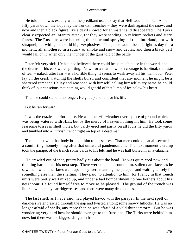He told me it was exactly what the predikant used to say that Hell would be like. About fifty yards down the slope lay the Turkish trenches − they were dark against the snow, and now and then a black figure like a devil showed for an instant and disappeared. The Turks clearly expected an infantry attack, for they were sending up calcium rockets and Very flares. The Russians were battering their line and spraying all the hinterland, not with shrapnel, but with good, solid high−explosives. The place would be as bright as day for a moment, all smothered in a scurry of smoke and snow and debris, and then a black pall would fall on it, when only the thunder of the guns told of the battle.

 Peter felt very sick. He had not believed there could be so much noise in the world, and the drums of his ears were splitting. Now, for a man to whom courage is habitual, the taste of fear − naked, utter fear − is a horrible thing. It seems to wash away all his manhood. Peter lay on the crest, watching the shells burst, and confident that any moment he might be a shattered remnant. He lay and reasoned with himself, calling himself every name he could think of, but conscious that nothing would get rid of that lump of ice below his heart.

Then he could stand it no longer. He got up and ran for his life.

But he ran forward.

 It was the craziest performance. He went hell−for−leather over a piece of ground which was being watered with H.E., but by the mercy of heaven nothing hit him. He took some fearsome tosses in shell−holes, but partly erect and partly on all fours he did the fifty yards and tumbled into a Turkish trench right on top of a dead man.

 The contact with that body brought him to his senses. That men could die at all seemed a comforting, homely thing after that unnatural pandemonium. The next moment a crump took the parapet of the trench some yards to his left, and he was half buried in an avalanche.

 He crawled out of that, pretty badly cut about the head. He was quite cool now and thinking hard about his next step. There were men all around him, sullen dark faces as he saw them when the flares went up. They were manning the parapets and waiting tensely for something else than the shelling. They paid no attention to him, for I fancy in that trench units were pretty well mixed up, and under a bad bombardment no one bothers about his neighbour. He found himself free to move as he pleased. The ground of the trench was littered with empty cartridge−cases, and there were many dead bodies.

 The last shell, as I have said, had played havoc with the parapet. In the next spell of darkness Peter crawled through the gap and twisted among some snowy hillocks. He was no longer afraid of shells, any more than he was afraid of a veld thunderstorm. But he was wondering very hard how he should ever get to the Russians. The Turks were behind him now, but there was the biggest danger in front.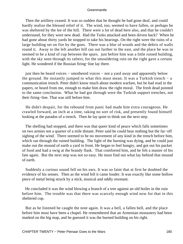Then the artillery ceased. It was so sudden that he thought he had gone deaf, and could hardly realize the blessed relief of it. The wind, too, seemed to have fallen, or perhaps he was sheltered by the lee of the hill. There were a lot of dead here also, and that he couldn't understand, for they were new dead. Had the Turks attacked and been driven back? When he had gone about thirty yards he stopped to take his bearings. On the right were the ruins of a large building set on fire by the guns. There was a blur of woods and the debris of walls round it. Away to the left another hill ran out farther to the east, and the place he was in seemed to be a kind of cup between the spurs. just before him was a little ruined building, with the sky seen through its rafters, for the smouldering ruin on the right gave a certain light. He wondered if the Russian firing−line lay there.

 just then he heard voices − smothered voices − not a yard away and apparently below the ground. He instantly jumped to what this must mean. It was a Turkish trench  $-$  a communication trench. Peter didn't know much about modern warfare, but he had read in the papers, or heard from me, enough to make him draw the right moral. The fresh dead pointed to the same conclusion. What he had got through were the Turkish support trenches, not their firing−line. That was still before him.

 He didn't despair, for the rebound from panic had made him extra courageous. He crawled forward, an inch at a time, taking no sort of risk, and presently found himself looking at the parados of a trench. Then he lay quiet to think out the next step.

 The shelling had stopped, and there was that queer kind of peace which falls sometimes on two armies not a quarter of a mile distant. Peter said he could hear nothing but the far−off sighing of the wind. There seemed to be no movement of any kind in the trench before him, which ran through the ruined building. The light of the burning was dying, and he could just make out the mound of earth a yard in front. He began to feel hungry, and got out his packet of food and had a swig at the brandy flask. That comforted him, and he felt a master of his fate again. But the next step was not so easy. He must find out what lay behind that mound of earth.

 Suddenly a curious sound fell on his ears. It was so faint that at first he doubted the evidence of his senses. Then as the wind fell it came louder. It was exactly like some hollow piece of metal being struck by a stick, musical and oddly resonant.

 He concluded it was the wind blowing a branch of a tree against an old boiler in the ruin before him. The trouble was that there was scarcely enough wind now for that in this sheltered cup.

 But as he listened he caught the note again. It was a bell, a fallen bell, and the place before him must have been a chapel. He remembered that an Armenian monastery had been marked on the big map, and he guessed it was the burned building on his right.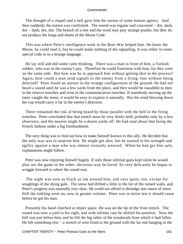The thought of a chapel and a bell gave him the notion of some human agency. And then suddenly the notion was confirmed. The sound was regular and concerted − dot, dash, dot − dash, dot, dot. The branch of a tree and the wind may play strange pranks, but they do not produce the longs and shorts of the Morse Code.

 This was where Peter's intelligence work in the Boer War helped him. He knew the Morse, he could read it, but he could make nothing of the signalling. It was either in some special code or in a strange language.

 He lay still and did some calm thinking. There was a man in front of him, a Turkish soldier, who was in the enemy's pay. Therefore he could fraternize with him, for they were on the same side. But how was he to approach him without getting shot in the process? Again, how could a man send signals to the enemy from a firing−line without being detected? Peter found an answer in the strange configuration of the ground. He had not heard a sound until he was a few yards from the place, and they would be inaudible to men in the reserve trenches and even in the communication trenches. If somebody moving up the latter caught the noise, it would be easy to explain it naturally. But the wind blowing down the cup would carry it far in the enemy's direction.

 There remained the risk of being heard by those parallel with the bell in the firing trenches. Peter concluded that that trench must be very thinly held, probably only by a few observers, and the nearest might be a dozen yards off. He had read about that being the French fashion under a big bombardment.

 The next thing was to find out how to make himself known to this ally. He decided that the only way was to surprise him. He might get shot, but he trusted to his strength and agility against a man who was almost certainly wearied. When he had got him safe, explanations might follow.

 Peter was now enjoying himself hugely. If only those infernal guns kept silent he would play out the game in the sober, decorous way he loved. So very delicately he began to wriggle forward to where the sound was.

 The night was now as black as ink around him, and very quiet, too, except for soughings of the dying gale. The snow had drifted a little in the lee of the ruined walls, and Peter's progress was naturally very slow. He could not afford to dislodge one ounce of snow. Still the tinkling went on, now in greater volume. Peter was in terror lest it should cease before he got his man.

 Presently his hand clutched at empty space. He was on the lip of the front trench. The sound was now a yard to his right, and with infinite care he shifted his position. Now the bell was just below him, and he felt the big rafter of the woodwork from which it had fallen. He felt something else – a stretch of wire fixed in the ground with the far end hanging in the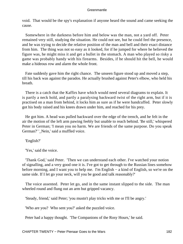void. That would be the spy's explanation if anyone heard the sound and came seeking the cause.

 Somewhere in the darkness before him and below was the man, not a yard off. Peter remained very still, studying the situation. He could not see, but he could feel the presence, and he was trying to decide the relative position of the man and bell and their exact distance from him. The thing was not so easy as it looked, for if he jumped for where he believed the figure was, he might miss it and get a bullet in the stomach. A man who played so risky a game was probably handy with his firearms. Besides, if he should hit the bell, he would make a hideous row and alarm the whole front.

 Fate suddenly gave him the right chance. The unseen figure stood up and moved a step, till his back was against the parados. He actually brushed against Peter's elbow, who held his breath.

 There is a catch that the Kaffirs have which would need several diagrams to explain. It is partly a neck hold, and partly a paralysing backward twist of the right arm, but if it is practised on a man from behind, it locks him as sure as if he were handcuffed. Peter slowly got his body raised and his knees drawn under him, and reached for his prey.

 He got him. A head was pulled backward over the edge of the trench, and he felt in the air the motion of the left arm pawing feebly but unable to reach behind. 'Be still,' whispered Peter in German; 'I mean you no harm. We are friends of the same purpose. Do you speak German?' '\_Nein,' said a muffled voice.

'English?'

'Yes,' said the voice.

 'Thank God,' said Peter. 'Then we can understand each other. I've watched your notion of signalling, and a very good one it is. I've got to get through to the Russian lines somehow before morning, and I want you to help me. I'm English − a kind of English, so we're on the same side. If I let go your neck, will you be good and talk reasonably?'

 The voice assented. Peter let go, and in the same instant slipped to the side. The man wheeled round and flung out an arm but gripped vacancy.

'Steady, friend,' said Peter; 'you mustn't play tricks with me or I'll be angry.'

'Who are you? Who sent you?' asked the puzzled voice.

Peter had a happy thought. 'The Companions of the Rosy Hours,' he said.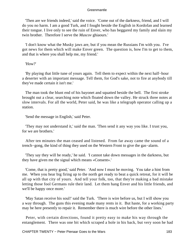'Then are we friends indeed,' said the voice. 'Come out of the darkness, friend, and I will do you no harm. I am a good Turk, and I fought beside the English in Kordofan and learned their tongue. I live only to see the ruin of Enver, who has beggared my family and slain my twin brother. Therefore I serve the *Muscov* ghiaours.'

 'I don't know what the Musky jaws are, but if you mean the Russians I'm with you. I've got news for them which will make Enver green. The question is, how I'm to get to them, and that is where you shall help me, my friend.'

'How?'

 'By playing that little tune of yours again. Tell them to expect within the next half−hour a deserter with an important message. Tell them, for God's sake, not to fire at anybody till they've made certain it isn't me.'

 The man took the blunt end of his bayonet and squatted beside the bell. The first stroke brought out a clear, searching note which floated down the valley. He struck three notes at slow intervals. For all the world, Peter said, he was like a telegraph operator calling up a station.

'Send the message in English,' said Peter.

 'They may not understand it,' said the man. 'Then send it any way you like. I trust you, for we are brothers.'

 After ten minutes the man ceased and listened. From far away came the sound of a trench−gong, the kind of thing they used on the Western Front to give the gas−alarm.

 'They say they will be ready,' he said. 'I cannot take down messages in the darkness, but they have given me the signal which means «Consent».'

 'Come, that is pretty good,' said Peter. 'And now I must be moving. You take a hint from me. When you hear big firing up to the north get ready to beat a quick retreat, for it will be all up with that city of yours. And tell your folk, too, that they're making a bad mistake letting those fool Germans rule their land. Let them hang Enver and his little friends, and we'll be happy once more.'

 'May Satan receive his soul!' said the Turk. 'There is wire before us, but I will show you a way through. The guns this evening made many rents in it. But haste, for a working party may be here presently to repair it. Remember there is much wire before the other lines.'

 Peter, with certain directions, found it pretty easy to make his way through the entanglement. There was one bit which scraped a hole in his back, but very soon he had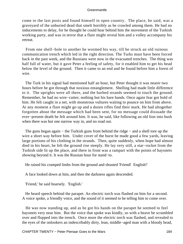come to the last posts and found himself in open country. The place, he said, was a graveyard of the unburied dead that smelt horribly as he crawled among them. He had no inducements to delay, for he thought he could hear behind him the movement of the Turkish working party, and was in terror that a flare might reveal him and a volley accompany his retreat.

 From one shell−hole to another he wormed his way, till he struck an old ruinous communication trench which led in the right direction. The Turks must have been forced back in the past week, and the Russians were now in the evacuated trenches. The thing was half full of water, but it gave Peter a feeling of safety, for it enabled him to get his head below the level of the ground. Then it came to an end and he found before him a forest of wire.

 The Turk in his signal had mentioned half an hour, but Peter thought it was nearer two hours before he got through that noxious entanglement. Shelling had made little difference to it. The uprights were all there, and the barbed strands seemed to touch the ground. Remember, he had no wire−cutter; nothing but his bare hands. Once again fear got hold of him. He felt caught in a net, with monstrous vultures waiting to pounce on him from above. At any moment a flare might go up and a dozen rifles find their mark. He had altogether forgotten about the message which had been sent, for no message could dissuade the ever−present death he felt around him. It was, he said, like following an old lion into bush when there was but one narrow way in, and no road out.

The guns began again – the Turkish guns from behind the ridge – and a shell tore up the wire a short way before him. Under cover of the burst he made good a few yards, leaving large portions of his clothing in the strands. Then, quite suddenly, when hope had almost died in his heart, he felt the ground rise steeply. He lay very still, a star−rocket from the Turkish side lit up the place, and there in front was a rampart with the points of bayonets showing beyond it. It was the Russian hour for stand−to.

He raised his cramped limbs from the ground and shouted 'Friend! English!'

A face looked down at him, and then the darkness again descended.

'Friend,' he said hoarsely. 'English.'

 He heard speech behind the parapet. An electric torch was flashed on him for a second. A voice spoke, a friendly voice, and the sound of it seemed to be telling him to come over.

 He was now standing up, and as he got his hands on the parapet he seemed to feel bayonets very near him. But the voice that spoke was kindly, so with a heave he scrambled over and flopped into the trench. Once more the electric torch was flashed, and revealed to the eyes of the onlookers an indescribably dirty, lean, middle−aged man with a bloody head,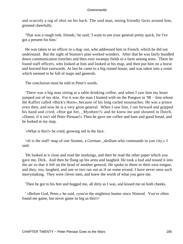and scarcely a rag of shirt on his back. The said man, seeing friendly faces around him, grinned cheerfully.

 'That was a rough trek, friends,' he said; 'I want to see your general pretty quick, for I've got a present for him.'

 He was taken to an officer in a dug−out, who addressed him in French, which he did not understand. But the sight of Stumm's plan worked wonders. After that he was fairly bundled down communication trenches and then over swampy fields to a farm among trees. There he found staff officers, who looked at him and looked at his map, and then put him on a horse and hurried him eastwards. At last he came to a big ruined house, and was taken into a room which seemed to be full of maps and generals.

The conclusion must be told in Peter's words.

 'There was a big man sitting at a table drinking coffee, and when I saw him my heart jumped out of my skin. For it was the man I hunted with on the Pungwe in '98 − him whom the Kaffirs called «Buck's Horn», because of his long curled moustaches. He was a prince even then, and now he is a very great general. When I saw him, I ran forward and gripped his hand and cried, «Hoe gat het, Mynheer?» and he knew me and shouted in Dutch, «Damn, if it isn't old Peter Pienaar!» Then he gave me coffee and ham and good bread, and he looked at my map.

'«What is this?» he cried, growing red in the face.

 '«It is the staff−map of one Stumm, a German \_skellum who commands in yon city,» I said.

 'He looked at it close and read the markings, and then he read the other paper which you gave me, Dick. And then he flung up his arms and laughed. He took a loaf and tossed it into the air so that it fell on the head of another general. He spoke to them in their own tongue, and they, too, laughed, and one or two ran out as if on some errand. I have never seen such merrymaking. They were clever men, and knew the worth of what you gave me.

'Then he got to his feet and hugged me, all dirty as I was, and kissed me on both cheeks.

 ' «Before God, Peter,» he said, «you're the mightiest hunter since Nimrod. You've often found me game, but never game so big as this!»'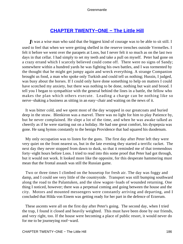## **[CHAPTER TWENTY−ONE − The Little Hill](#page-208-0)**

<span id="page-186-0"></span>*I*t was a wise man who said that the biggest kind of courage was to be able to sit still. I used to feel that when we were getting shelled in the reserve trenches outside Vermelles. I felt it before we went over the parapets at Loos, but I never felt it so much as on the last two days in that cellar. I had simply to set my teeth and take a pull on myself. Peter had gone on a crazy errand which I scarcely believed could come off. There were no signs of Sandy; somewhere within a hundred yards he was fighting his own battles, and I was tormented by the thought that he might get jumpy again and wreck everything. A strange Companion brought us food, a man who spoke only Turkish and could tell us nothing; Hussin, I judged, was busy about the horses. If I could only have done something to help on matters I could have scotched my anxiety, but there was nothing to be done, nothing but wait and brood. I tell you I began to sympathize with the general behind the lines in a battle, the fellow who makes the plan which others execute. Leading a charge can be nothing like so nerve−shaking a business as sitting in an easy−chair and waiting on the news of it.

 It was bitter cold, and we spent most of the day wrapped in our greatcoats and buried deep in the straw. Blenkiron was a marvel. There was no light for him to play Patience by, but he never complained. He slept a lot of the time, and when he was awake talked as cheerily as if he were starting out on a holiday. He had one great comfort, his dyspepsia was gone. He sang hymns constantly to the benign Providence that had squared his duodenum.

 My only occupation was to listen for the guns. The first day after Peter left they were very quiet on the front nearest us, but in the late evening they started a terrific racket. The next day they never stopped from dawn to dusk, so that it reminded me of that tremendous forty−eight hours before Loos. I tried to read into this some proof that Peter had got through, but it would not work. It looked more like the opposite, for this desperate hammering must mean that the frontal assault was still the Russian game.

 Two or three times I climbed on the housetop for fresh air. The day was foggy and damp, and I could see very little of the countryside. Transport was still bumping southward along the road to the Palantuken, and the slow wagon−loads of wounded returning. One thing I noticed, however; there was a perpetual coming and going between the house and the city. Motors and mounted messengers were constantly arriving and departing, and I concluded that Hilda von Einem was getting ready for her part in the defence of Erzerum.

 These ascents were all on the first day after Peter's going. The second day, when I tried the trap, I found it closed and heavily weighted. This must have been done by our friends, and very right, too. If the house were becoming a place of public resort, it would never do for me to be journeying roof−ward.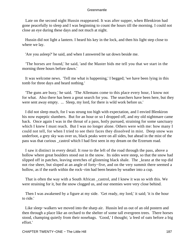Late on the second night Hussin reappeared. It was after supper, when Blenkiron had gone peacefully to sleep and I was beginning to count the hours till the morning. I could not close an eye during these days and not much at night.

 Hussin did not light a lantern. I heard his key in the lock, and then his light step close to where we lay.

'Are you asleep?' he said, and when I answered he sat down beside me.

 'The horses are found,' he said, 'and the Master bids me tell you that we start in the morning three hours before dawn.'

 It was welcome news. 'Tell me what is happening,' I begged; 'we have been lying in this tomb for three days and heard nothing.'

 'The guns are busy,' he said. 'The Allemans come to this place every hour, I know not for what. Also there has been a great search for you. The searchers have been here, but they were sent away empty. ... Sleep, my lord, for there is wild work before us.'

 I did not sleep much, for I was strung too high with expectation, and I envied Blenkiron his now eupeptic slumbers. But for an hour or so I dropped off, and my old nightmare came back. Once again I was in the throat of a pass, hotly pursued, straining for some sanctuary which I knew I must reach. But I was no longer alone. Others were with me: how many I could not tell, for when I tried to see their faces they dissolved in mist. Deep snow was underfoot, a grey sky was over us, black peaks were on all sides, but ahead in the mist of the pass was that curious \_castrol which I had first seen in my dream on the Erzerum road.

 I saw it distinct in every detail. It rose to the left of the road through the pass, above a hollow where great boulders stood out in the snow. Its sides were steep, so that the snow had slipped off in patches, leaving stretches of glistening black shale. The \_kranz at the top did not rise sheer, but sloped at an angle of forty−five, and on the very summit there seemed a hollow, as if the earth within the rock−rim had been beaten by weather into a cup.

 That is often the way with a South African \_castrol, and I knew it was so with this. We were straining for it, but the snow clogged us, and our enemies were very close behind.

 Then I was awakened by a figure at my side. 'Get ready, my lord,' it said; 'it is the hour to ride.'

 Like sleep−walkers we moved into the sharp air. Hussin led us out of an old postern and then through a place like an orchard to the shelter of some tall evergreen trees. There horses stood, champing quietly from their nosebags. 'Good,' I thought; 'a feed of oats before a big effort.'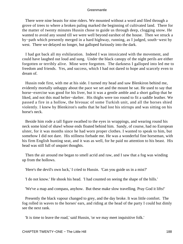There were nine beasts for nine riders. We mounted without a word and filed through a grove of trees to where a broken paling marked the beginning of cultivated land. There for the matter of twenty minutes Hussin chose to guide us through deep, clogging snow. He wanted to avoid any sound till we were well beyond earshot of the house. Then we struck a by−path which presently merged in a hard highway, running, as I judged, south−west by west. There we delayed no longer, but galloped furiously into the dark.

 I had got back all my exhilaration. Indeed I was intoxicated with the movement, and could have laughed out loud and sung. Under the black canopy of the night perils are either forgotten or terribly alive. Mine were forgotten. The darkness I galloped into led me to freedom and friends. Yes, and success, which I had not dared to hope and scarcely even to dream of.

 Hussin rode first, with me at his side. I turned my head and saw Blenkiron behind me, evidently mortally unhappy about the pace we set and the mount he sat. He used to say that horse−exercise was good for his liver, but it was a gentle amble and a short gallop that he liked, and not this mad helter−skelter. His thighs were too round to fit a saddle leather. We passed a fire in a hollow, the bivouac of some Turkish unit, and all the horses shied violently. I knew by Blenkiron's oaths that he had lost his stirrups and was sitting on his horse's neck.

 Beside him rode a tall figure swathed to the eyes in wrappings, and wearing round his neck some kind of shawl whose ends floated behind him. Sandy, of course, had no European ulster, for it was months since he had worn proper clothes. I wanted to speak to him, but somehow I did not dare. His stillness forbade me. He was a wonderful fine horseman, with his firm English hunting seat, and it was as well, for he paid no attention to his beast. His head was still full of unquiet thoughts.

 Then the air around me began to smell acrid and raw, and I saw that a fog was winding up from the hollows.

'Here's the devil's own luck,' I cried to Hussin. 'Can you guide us in a mist?'

'I do not know.' He shook his head. 'I had counted on seeing the shape of the hills.'

'We've a map and compass, anyhow. But these make slow travelling. Pray God it lifts!'

 Presently the black vapour changed to grey, and the day broke. It was little comfort. The fog rolled in waves to the horses' ears, and riding at the head of the party I could but dimly see the next rank.

'It is time to leave the road,' said Hussin, 'or we may meet inquisitive folk.'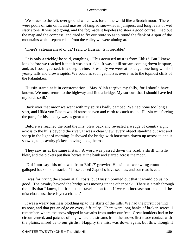We struck to the left, over ground which was for all the world like a Scotch moor. There were pools of rain on it, and masses of tangled snow−laden junipers, and long reefs of wet slaty stone. It was bad going, and the fog made it hopeless to steer a good course. I had out the map and the compass, and tried to fix our route so as to round the flank of a spur of the mountains which separated us from the valley we were aiming at.

'There's a stream ahead of us,' I said to Hussin. 'Is it fordable?'

 'It is only a trickle,' he said, coughing. 'This accursed mist is from Eblis.' But I knew long before we reached it that it was no trickle. It was a hill stream coming down in spate, and, as I soon guessed, in a deep ravine. Presently we were at its edge, one long whirl of yeasty falls and brown rapids. We could as soon get horses over it as to the topmost cliffs of the Palantuken.

 Hussin stared at it in consternation. 'May Allah forgive my folly, for I should have known. We must return to the highway and find a bridge. My sorrow, that I should have led my lords so ill.'

 Back over that moor we went with my spirits badly damped. We had none too long a start, and Hilda von Einem would rouse heaven and earth to catch us up. Hussin was forcing the pace, for his anxiety was as great as mine.

 Before we reached the road the mist blew back and revealed a wedge of country right across to the hills beyond the river. It was a clear view, every object standing out wet and sharp in the light of morning. It showed the bridge with horsemen drawn up across it, and it showed, too, cavalry pickets moving along the road.

 They saw us at the same instant. A word was passed down the road, a shrill whistle blew, and the pickets put their horses at the bank and started across the moor.

 'Did I not say this mist was from Eblis?' growled Hussin, as we swung round and galloped back on our tracks. 'These cursed Zaptiehs have seen us, and our road is cut.'

 I was for trying the stream at all costs, but Hussin pointed out that it would do us no good. The cavalry beyond the bridge was moving up the other bank. 'There is a path through the hills that I know, but it must be travelled on foot. If we can increase our lead and the mist cloaks us, there is yet a chance.'

 It was a weary business plodding up to the skirts of the hills. We had the pursuit behind us now, and that put an edge on every difficulty. There were long banks of broken screes, I remember, where the snow slipped in wreaths from under our feet. Great boulders had to be circumvented, and patches of bog, where the streams from the snows first made contact with the plains, mired us to our girths. Happily the mist was down again, but this, though it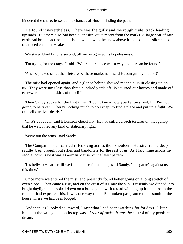hindered the chase, lessened the chances of Hussin finding the path.

 He found it nevertheless. There was the gully and the rough mule−track leading upwards. But there also had been a landslip, quite recent from the marks. A large scar of raw earth had broken across the hillside, which with the snow above it looked like a slice cut out of an iced chocolate−cake.

We stared blankly for a second, till we recognized its hopelessness.

'I'm trying for the crags,' I said. 'Where there once was a way another can be found.'

'And be picked off at their leisure by these marksmen,' said Hussin grimly. 'Look!'

 The mist had opened again, and a glance behind showed me the pursuit closing up on us. They were now less than three hundred yards off. We turned our horses and made off east−ward along the skirts of the cliffs.

 Then Sandy spoke for the first time. 'I don't know how you fellows feel, but I'm not going to be taken. There's nothing much to do except to find a place and put up a fight. We can sell our lives dearly.'

 'That's about all,' said Blenkiron cheerfully. He had suffered such tortures on that gallop that he welcomed any kind of stationary fight.

'Serve out the arms,' said Sandy.

 The Companions all carried rifles slung across their shoulders. Hussin, from a deep saddle−bag, brought out rifles and bandoliers for the rest of us. As I laid mine across my saddle−bow I saw it was a German Mauser of the latest pattern.

 'It's hell−for−leather till we find a place for a stand,' said Sandy. 'The game's against us this time.'

 Once more we entered the mist, and presently found better going on a long stretch of even slope. Then came a rise, and on the crest of it I saw the sun. Presently we dipped into bright daylight and looked down on a broad glen, with a road winding up it to a pass in the range. I had expected this. It was one way to the Palantuken pass, some miles south of the house where we had been lodged.

 And then, as I looked southward, I saw what I had been watching for for days. A little hill split the valley, and on its top was a *kranz of rocks. It was the* castrol of my persistent dream.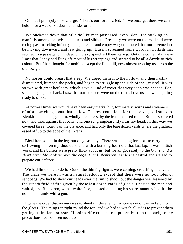On that I promptly took charge. 'There's our fort,' I cried. 'If we once get there we can hold it for a week. Sit down and ride for it.'

 We bucketed down that hillside like men possessed, even Blenkiron sticking on manfully among the twists and turns and slithers. Presently we were on the road and were racing past marching infantry and gun teams and empty wagons. I noted that most seemed to be moving downward and few going up. Hussin screamed some words in Turkish that secured us a passage, but indeed our crazy speed left them staring. Out of a corner of my eye I saw that Sandy had flung off most of his wrappings and seemed to be all a dazzle of rich colour. But I had thought for nothing except the little hill, now almost fronting us across the shallow glen.

 No horses could breast that steep. We urged them into the hollow, and then hastily dismounted, humped the packs, and began to struggle up the side of the \_castrol. It was strewn with great boulders, which gave a kind of cover that very soon was needed. For, snatching a glance back, I saw that our pursuers were on the road above us and were getting ready to shoot.

 At normal times we would have been easy marks, but, fortunately, wisps and streamers of mist now clung about that hollow. The rest could fend for themselves, so I stuck to Blenkiron and dragged him, wholly breathless, by the least exposed route. Bullets spattered now and then against the rocks, and one sang unpleasantly near my head. In this way we covered three−fourths of the distance, and had only the bare dozen yards where the gradient eased off up to the edge of the \_kranz.

 Blenkiron got hit in the leg, our only casualty. There was nothing for it but to carry him, so I swung him on my shoulders, and with a bursting heart did that last lap. It was hottish work, and the bullets were pretty thick about us, but we all got safely to the *kranz, and a short scramble took us over the edge. I laid Blenkiron inside the* castrol and started to prepare our defence.

We had little time to do it. Out of the thin fog figures were coming, crouching in cover. The place we were in was a natural redoubt, except that there were no loopholes or sandbags. We had to show our heads over the rim to shoot, but the danger was lessened by the superb field of fire given by those last dozen yards of glacis. I posted the men and waited, and Blenkiron, with a white face, insisted on taking his share, announcing that he used to be handy with a gun.

 I gave the order that no man was to shoot till the enemy had come out of the rocks on to the glacis. The thing ran right round the top, and we had to watch all sides to prevent them getting us in flank or rear. Hussin's rifle cracked out presently from the back, so my precautions had not been needless.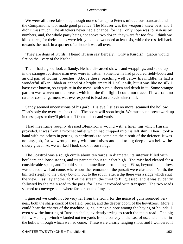We were all three fair shots, though none of us up to Peter's miraculous standard, and the Companions, too, made good practice. The Mauser was the weapon I knew best, and I didn't miss much. The attackers never had a chance, for their only hope was to rush us by numbers, and, the whole party being not above two dozen, they were far too few. I think we killed three, for their bodies were left lying, and wounded at least six, while the rest fell back towards the road. In a quarter of an hour it was all over.

 'They are dogs of Kurds,' I heard Hussin say fiercely. 'Only a Kurdish \_giaour would fire on the livery of the Kaaba.'

 Then I had a good look at Sandy. He had discarded shawls and wrappings, and stood up in the strangest costume man ever wore in battle. Somehow he had procured field−boots and an old pair of riding−breeches. Above these, reaching well below his middle, he had a wonderful silken jibbah or ephod of a bright emerald. I cal it silk, but it was like no silk I have ever known, so exquisite in the mesh, with such a sheen and depth in it. Some strange pattern was woven on the breast, which in the dim light I could not trace. I'll warrant no rarer or costlier garment was ever exposed to lead on a bleak winter hill.

 Sandy seemed unconscious of his garb. His eye, listless no more, scanned the hollow. 'That's only the overture,' he cried. 'The opera will soon begin. We must put a breastwork up in these gaps or they'll pick us off from a thousand yards.'

 I had meantime roughly dressed Blenkiron's wound with a linen rag which Hussin provided. It was from a ricochet bullet which had chipped into his left shin. Then I took a hand with the others in getting up earthworks to complete the circuit of the defence. It was no easy job, for we wrought only with our knives and had to dig deep down below the snowy gravel. As we worked I took stock of our refuge.

 The \_castrol was a rough circle about ten yards in diameter, its interior filled with boulders and loose stones, and its parapet about four feet high. The mist had cleared for a considerable space, and I could see the immediate surroundings. West, beyond the hollow, was the road we had come, where now the remnants of the pursuit were clustered. North, the hill fell steeply to the valley bottom, but to the south, after a dip there was a ridge which shut the view. East lay another fork of the stream, the chief fork I guessed, and it was evidently followed by the main road to the pass, for I saw it crowded with transport. The two roads seemed to converge somewhere farther south of my sight.

 I guessed we could not be very far from the front, for the noise of guns sounded very near, both the sharp crack of the field−pieces, and the deeper boom of the howitzers. More, I could hear the chatter of the machine−guns, a magpie note among the baying of hounds. I even saw the bursting of Russian shells, evidently trying to reach the main road. One big fellow − an eight−inch − landed not ten yards from a convoy to the east of us, and another in the hollow through which we had come. These were clearly ranging shots, and I wondered if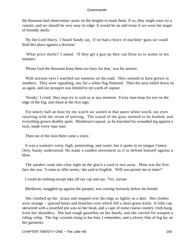the Russians had observation−posts on the heights to mark them. If so, they might soon try a curtain, and we should be very near its edge. It would be an odd irony if we were the target of friendly shells.

 'By the Lord Harry,' I heard Sandy say, 'if we had a brace of machine−guns we could hold this place against a division.'

 'What price shells?' I asked. 'If they get a gun up they can blow us to atoms in ten minutes.'

'Please God the Russians keep them too busy for that,' was his answer.

With anxious eyes I watched our enemies on the road. They seemed to have grown in numbers. They were signalling, too, for a white flag fluttered. Then the mist rolled down on us again, and our prospect was limited to ten yards of vapour.

 'Steady,' I cried; 'they may try to rush us at any moment. Every man keep his eye on the edge of the fog, and shoot at the first sign.'

 For nearly half an hour by my watch we waited in that queer white world, our eyes smarting with the strain of peering. The sound of the guns seemed to be hushed, and everything grown deathly quiet. Blenkiron's squeal, as he knocked his wounded leg against a rock, made every man start.

Then out of the mist there came a voice.

 It was a woman's voice, high, penetrating, and sweet, but it spoke in no tongue I knew. Only Sandy understood. He made a sudden movement as if to defend himself against a blow.

 The speaker came into clear sight on the glacis a yard or two away. Mine was the first face she saw. 'I come to offer terms,' she said in English. 'Will you permit me to enter?'

I could do nothing except take off my cap and say, 'Yes, ma'am.'

Blenkiron, snuggled up against the parapet, was cursing furiously below his breath.

 She climbed up the \_kranz and stepped over the edge as lightly as a deer. Her clothes were strange − spurred boots and breeches over which fell a short green kirtle. A little cap skewered with a jewelled pin was on her head, and a cape of some coarse country cloth hung from her shoulders. She had rough gauntlets on her hands, and she carried for weapon a riding−whip. The fog−crystals clung to her hair, I remember, and a silvery film of fog lay on her garments.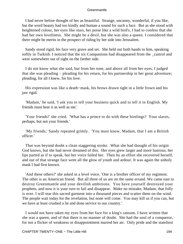I had never before thought of her as beautiful. Strange, uncanny, wonderful, if you like, but the word beauty had too kindly and human a sound for such a face. But as she stood with heightened colour, her eyes like stars, her poise like a wild bird's, I had to confess that she had her own loveliness. She might be a devil, but she was also a queen. I considered that there might be merits in the prospect of riding by her side into Jerusalem.

 Sandy stood rigid, his face very grave and set. She held out both hands to him, speaking softly in Turkish. I noticed that the six Companions had disappeared from the \_castrol and were somewhere out of sight on the farther side.

 I do not know what she said, but from her tone, and above all from her eyes, I judged that she was pleading − pleading for his return, for his partnership in her great adventure; pleading, for all I knew, for his love.

 His expression was like a death−mask, his brows drawn tight in a little frown and his jaw rigid.

 'Madam,' he said, 'I ask you to tell your business quick and to tell it in English. My friends must hear it as well as me.'

 'Your friends!' she cried. 'What has a prince to do with these hirelings? Your slaves, perhaps, but not your friends.'

 'My friends,' Sandy repeated grimly. 'You must know, Madam, that I am a British officer.'

 That was beyond doubt a clean staggering stroke. What she had thought of his origin God knows, but she had never dreamed of this. Her eyes grew larger and more lustrous, her lips parted as if to speak, but her voice failed her. Then by an effort she recovered herself, and out of that strange face went all the glow of youth and ardour. It was again the unholy mask I had first known.

 'And these others?' she asked in a level voice. 'One is a brother officer of my regiment. The other is an American friend. But all three of us are on the same errand. We came east to destroy Greenmantle and your devilish ambitions. You have yourself destroyed your prophets, and now it is your turn to fail and disappear. Make no mistake, Madam; that folly is over. I will tear this sacred garment into a thousand pieces and scatter them on the wind. The people wait today for the revelation, but none will come. You may kill us if you can, but we have at least crushed a lie and done service to our country.'

 I would not have taken my eyes from her face for a king's ransom. I have written that she was a queen, and of that there is no manner of doubt. She had the soul of a conqueror, for not a flicker of weakness or disappointment marred her air. Only pride and the stateliest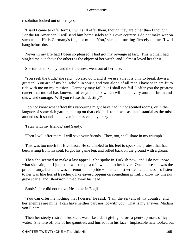resolution looked out of her eyes.

 'I said I came to offer terms. I will still offer them, though they are other than I thought. For the fat American, I will send him home safely to his own country. I do not make war on such as he. He is Germany's foe, not mine. You,' she said, turning fiercely on me, 'I will hang before dusk.'

 Never in my life had I been so pleased. I had got my revenge at last. This woman had singled me out above the others as the object of her wrath, and I almost loved her for it.

She turned to Sandy, and the fierceness went out of her face.

 'You seek the truth,' she said. 'So also do I, and if we use a lie it is only to break down a greater. You are of my household in spirit, and you alone of all men I have seen are fit to ride with me on my mission. Germany may fail, but I shall not fail. I offer you the greatest career that mortal has known. I offer you a task which will need every atom of brain and sinew and courage. Will you refuse that destiny?'

 I do not know what effect this vapouring might have had in hot scented rooms, or in the languor of some rich garden; but up on that cold hill−top it was as unsubstantial as the mist around us. It sounded not even impressive, only crazy.

'I stay with my friends,' said Sandy.

'Then I will offer more. I will save your friends. They, too, shall share in my triumph.'

 This was too much for Blenkiron. He scrambled to his feet to speak the protest that had been wrung from his soul, forgot his game leg, and rolled back on the ground with a groan.

 Then she seemed to make a last appeal. She spoke in Turkish now, and I do not know what she said, but I judged it was the plea of a woman to her lover. Once more she was the proud beauty, but there was a tremor in her pride − I had almost written tenderness. To listen to her was like horrid treachery, like eavesdropping on something pitiful. I know my cheeks grew scarlet and Blenkiron turned away his head.

Sandy's face did not move. He spoke in English.

 'You can offer me nothing that I desire,' he said. 'I am the servant of my country, and her enemies are mine. I can have neither part nor lot with you. That is my answer, Madam von Einem.'

 Then her steely restraint broke. It was like a dam giving before a pent−up mass of icy water. She tore off one of her gauntlets and hurled it in his face. Implacable hate looked out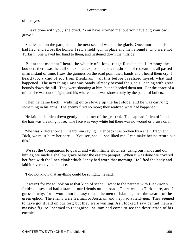of her eyes.

 'I have done with you,' she cried. 'You have scorned me, but you have dug your own grave.'

 She leaped on the parapet and the next second was on the glacis. Once more the mist had fled, and across the hollow I saw a field−gun in place and men around it who were not Turkish. She waved her hand to them, and hastened down the hillside.

 But at that moment I heard the whistle of a long−range Russian shell. Among the boulders there was the dull shock of an explosion and a mushroom of red earth. It all passed in an instant of time: I saw the gunners on the road point their hands and I heard them cry; I heard too, a kind of sob from Blenkiron – all this before I realized myself what had happened. The next thing I saw was Sandy, already beyond the glacis, leaping with great bounds down the hill. They were shooting at him, but he heeded them not. For the space of a minute he was out of sight, and his whereabouts was shown only by the patter of bullets.

Then he came back – walking quite slowly up the last slope, and he was carrying something in his arms. The enemy fired no more; they realized what had happened.

 He laid his burden down gently in a corner of the \_castrol. The cap had fallen off, and the hair was breaking loose. The face was very white but there was no wound or bruise on it.

 'She was killed at once,' I heard him saying. 'Her back was broken by a shell−fragment. Dick, we must bury her here ... You see, she ... she liked me. I can make her no return but this.'

 We set the Companions to guard, and with infinite slowness, using our hands and our knives, we made a shallow grave below the eastern parapet. When it was done we covered her face with the linen cloak which Sandy had worn that morning. He lifted the body and laid it reverently in its place.

'I did not know that anything could be so light,' he said.

 It wasn't for me to look on at that kind of scene. I went to the parapet with Blenkiron's field−glasses and had a stare at our friends on the road. There was no Turk there, and I guessed why, for it would not be easy to use the men of Islam against the wearer of the green ephod. The enemy were German or Austrian, and they had a field−gun. They seemed to have got it laid on our fort; but they were waiting. As I looked I saw behind them a massive figure I seemed to recognize. Stumm had come to see the destruction of his enemies.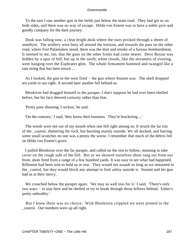To the east I saw another gun in the fields just below the main road. They had got us on both sides, and there was no way of escape. Hilda von Einem was to have a noble pyre and goodly company for the dark journey.

 Dusk was falling now, a clear bright dusk where the stars pricked through a sheen of amethyst. The artillery were busy all around the horizon, and towards the pass on the other road, where Fort Palantuken stood, there was the dust and smoke of a furious bombardment. It seemed to me, too, that the guns on the other fronts had come nearer. Deve Boyun was hidden by a spur of hill, but up in the north, white clouds, like the streamers of evening, were hanging over the Euphrates glen. The whole firmament hummed and twanged like a taut string that has been struck ...

 As I looked, the gun to the west fired − the gun where Stumm was. The shell dropped ten yards to our right. A second later another fell behind us.

 Blenkiron had dragged himself to the parapet. I don't suppose he had ever been shelled before, but his face showed curiosity rather than fear.

'Pretty poor shooting, I reckon,' he said.

'On the contrary,' I said, 'they know their business. They're bracketing ...'

 The words were not out of my mouth when one fell right among us. It struck the far rim of the \_castrol, shattering the rock, but bursting mainly outside. We all ducked, and barring some small scratches no one was a penny the worse. I remember that much of the debris fell on Hilda von Einem's grave.

 I pulled Blenkiron over the far parapet, and called on the rest to follow, meaning to take cover on the rough side of the hill. But as we showed ourselves shots rang out from our front, shots fired from a range of a few hundred yards. It was easy to see what had happened. Riflemen had been sent to hold us in rear. They would not assault so long as we remained in the \_castrol, but they would block any attempt to find safety outside it. Stumm and his gun had us at their mercy.

We crouched below the parapet again. 'We may as well toss for it,' I said. 'There's only two ways − to stay here and be shelled or try to break through those fellows behind. Either's pretty unhealthy.'

 But I knew there was no choice. With Blenkiron crippled we were pinned to the \_castrol. Our numbers were up all right.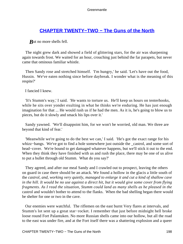## <span id="page-198-0"></span>**[CHAPTER TWENTY−TWO − The Guns of the North](#page-208-0)**

*But no more shells fell.* 

 The night grew dark and showed a field of glittering stars, for the air was sharpening again towards frost. We waited for an hour, crouching just behind the far parapets, but never came that ominous familiar whistle.

 Then Sandy rose and stretched himself. 'I'm hungry,' he said. 'Let's have out the food, Hussin. We've eaten nothing since before daybreak. I wonder what is the meaning of this respite?'

I fancied I knew.

 'It's Stumm's way,' I said. 'He wants to torture us. He'll keep us hours on tenterhooks, while he sits over yonder exulting in what he thinks we're enduring. He has just enough imagination for that ... He would rush us if he had the men. As it is, he's going to blow us to pieces, but do it slowly and smack his lips over it.'

 Sandy yawned. 'We'll disappoint him, for we won't be worried, old man. We three are beyond that kind of fear.'

 'Meanwhile we're going to do the best we can,' I said. 'He's got the exact range for his whizz−bangs. We've got to find a hole somewhere just outside the \_castrol, and some sort of head−cover. We're bound to get damaged whatever happens, but we'll stick it out to the end. When they think they have finished with us and rush the place, there may be one of us alive to put a bullet through old Stumm. What do you say?'

 They agreed, and after our meal Sandy and I crawled out to prospect, leaving the others on guard in case there should be an attack. We found a hollow in the glacis a little south of the *castrol, and, working very quietly, managed to enlarge it and cut a kind of shallow cave in the hill. It would be no use against a direct hit, but it would give some cover from flying fragments. As I read the situation, Stumm could land as many shells as he pleased in the* castrol and wouldn't bother to attend to the flanks. When the bad shelling began there would be shelter for one or two in the cave.

 Our enemies were watchful. The riflemen on the east burnt Very flares at intervals, and Stumm's lot sent up a great star−rocket. I remember that just before midnight hell broke loose round Fort Palantuken. No more Russian shells came into our hollow, but all the road to the east was under fire, and at the Fort itself there was a shattering explosion and a queer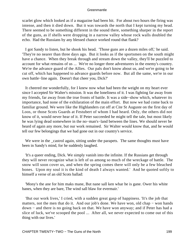scarlet glow which looked as if a magazine had been hit. For about two hours the firing was intense, and then it died down. But it was towards the north that I kept turning my head. There seemed to be something different in the sound there, something sharper in the report of the guns, as if shells were dropping in a narrow valley whose rock walls doubled the echo. Had the Russians by any blessed chance worked round that flank?

 I got Sandy to listen, but he shook his head. 'Those guns are a dozen miles off,' he said. 'They're no nearer than three days ago. But it looks as if the sportsmen on the south might have a chance. When they break through and stream down the valley, they'll be puzzled to account for what remains of us ... We're no longer three adventurers in the enemy's country. We're the advance guard of the Allies. Our pals don't know about us, and we're going to be cut off, which has happened to advance guards before now. But all the same, we're in our own battle−line again. Doesn't that cheer you, Dick?'

 It cheered me wonderfully, for I knew now what had been the weight on my heart ever since I accepted Sir Walter's mission. It was the loneliness of it. I was fighting far away from my friends, far away from the true fronts of battle. It was a side−show which, whatever its importance, had none of the exhilaration of the main effort. But now we had come back to familiar ground. We were like the Highlanders cut off at Cite St Auguste on the first day of Loos, or those Scots Guards at Festubert of whom I had heard. Only, the others did not know of it, would never hear of it. If Peter succeeded he might tell the tale, but most likely he was lying dead somewhere in the no−man's−land between the lines. We should never be heard of again any more, but our work remained. Sir Walter would know that, and he would tell our few belongings that we had gone out in our country's service.

We were in the \_castrol again, sitting under the parapets. The same thoughts must have been in Sandy's mind, for he suddenly laughed.

 'It's a queer ending, Dick. We simply vanish into the infinite. If the Russians get through they will never recognize what is left of us among so much of the wreckage of battle. The snow will soon cover us, and when the spring comes there will only be a few bleached bones. Upon my soul it is the kind of death I always wanted.' And he quoted softly to himself a verse of an old Scots ballad:

 'Mony's the ane for him maks mane, But nane sall ken whar he is gane. Ower his white banes, when they are bare, The wind sall blaw for evermair.'

 'But our work lives,' I cried, with a sudden great gasp of happiness. 'It's the job that matters, not the men that do it. And our job's done. We have won, old chap − won hands down − and there is no going back on that. We have won anyway; and if Peter has had a slice of luck, we've scooped the pool ... After all, we never expected to come out of this thing with our lives.'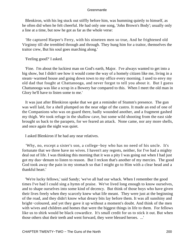Blenkiron, with his leg stuck out stiffly before him, was humming quietly to himself, as he often did when he felt cheerful. He had only one song, 'John Brown's Body'; usually only a line at a time, but now he got as far as the whole verse:

 'He captured Harper's Ferry, with his nineteen men so true, And he frightened old Virginny till she trembled through and through. They hung him for a traitor, themselves the traitor crew, But his soul goes marching along.'

'Feeling good?' I asked.

 'Fine. I'm about the luckiest man on God's earth, Major. I've always wanted to get into a big show, but I didn't see how it would come the way of a homely citizen like me, living in a steam−warmed house and going down town to my office every morning. I used to envy my old dad that fought at Chattanooga, and never forgot to tell you about it. But I guess Chattanooga was like a scrap in a Bowery bar compared to this. When I meet the old man in Glory he'll have to listen some to me.'

 It was just after Blenkiron spoke that we got a reminder of Stumm's presence. The gun was well laid, for a shell plumped on the near edge of the castro. It made an end of one of the Companions who was on guard there, badly wounded another, and a fragment gashed my thigh. We took refuge in the shallow cave, but some wild shooting from the east side brought us back to the parapets, for we feared an attack. None came, nor any more shells, and once again the night was quiet.

I asked Blenkiron if he had any near relatives.

 'Why, no, except a sister's son, a college−boy who has no need of his uncle. It's fortunate that we three have no wives. I haven't any regrets, neither, for I've had a mighty deal out of life. I was thinking this morning that it was a pity I was going out when I had just got my duo−denum to listen to reason. But I reckon that's another of my mercies. The good God took away the pain in my stomach so that I might go to Him with a clear head and a thankful heart.'

 'We're lucky fellows,' said Sandy; 'we've all had our whack. When I remember the good times I've had I could sing a hymn of praise. We've lived long enough to know ourselves, and to shape ourselves into some kind of decency. But think of those boys who have given their lives freely when they scarcely knew what life meant. They were just at the beginning of the road, and they didn't know what dreary bits lay before them. It was all sunshiny and bright−coloured, and yet they gave it up without a moment's doubt. And think of the men with wives and children and homes that were the biggest things in life to them. For fellows like us to shirk would be black cowardice. It's small credit for us to stick it out. But when those others shut their teeth and went forward, they were blessed heroes. ...'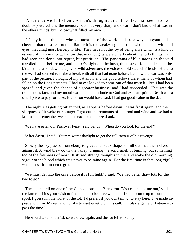After that we fell silent. A man's thoughts at a time like that seem to be double−powered, and the memory becomes very sharp and clear. I don't know what was in the others' minds, but I know what filled my own ...

 I fancy it isn't the men who get most out of the world and are always buoyant and cheerful that most fear to die. Rather it is the weak−engined souls who go about with dull eyes, that cling most fiercely to life. They have not the joy of being alive which is a kind of earnest of immortality ... I know that my thoughts were chiefly about the jolly things that I had seen and done; not regret, but gratitude. The panorama of blue noons on the veld unrolled itself before me, and hunter's nights in the bush, the taste of food and sleep, the bitter stimulus of dawn, the joy of wild adventure, the voices of old staunch friends. Hitherto the war had seemed to make a break with all that had gone before, but now the war was only part of the picture. I thought of my battalion, and the good fellows there, many of whom had fallen on the Loos parapets. I had never looked to come out of that myself. But I had been spared, and given the chance of a greater business, and I had succeeded. That was the tremendous fact, and my mood was humble gratitude to God and exultant pride. Death was a small price to pay for it. As Blenkiron would have said, I had got good value in the deal.

 The night was getting bitter cold, as happens before dawn. It was frost again, and the sharpness of it woke our hunger. I got out the remnants of the food and wine and we had a last meal. I remember we pledged each other as we drank.

'We have eaten our Passover Feast,' said Sandy. 'When do you look for the end?'

'After dawn,' I said. 'Stumm wants daylight to get the full savour of his revenge.'

 Slowly the sky passed from ebony to grey, and black shapes of hill outlined themselves against it. A wind blew down the valley, bringing the acrid smell of burning, but something too of the freshness of morn. It stirred strange thoughts in me, and woke the old morning vigour of the blood which was never to be mine again. For the first time in that long vigil I was torn with a sudden regret.

 'We must get into the cave before it is full light,' I said. 'We had better draw lots for the two to go.'

 The choice fell on one of the Companions and Blenkiron. 'You can count me out,' said the latter. 'If it's your wish to find a man to be alive when our friends come up to count their spoil, I guess I'm the worst of the lot. I'd prefer, if you don't mind, to stay here. I've made my peace with my Maker, and I'd like to wait quietly on His call. I'll play a game of Patience to pass the time.'

He would take no denial, so we drew again, and the lot fell to Sandy.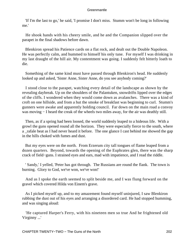'If I'm the last to go,' he said, 'I promise I don't miss. Stumm won't be long in following me.'

 He shook hands with his cheery smile, and he and the Companion slipped over the parapet in the final shadows before dawn.

 Blenkiron spread his Patience cards on a flat rock, and dealt out the Double Napoleon. He was perfectly calm, and hummed to himself his only tune. For myself I was drinking in my last draught of the hill air. My contentment was going. I suddenly felt bitterly loath to die.

 Something of the same kind must have passed through Blenkiron's head. He suddenly looked up and asked, 'Sister Anne, Sister Anne, do you see anybody coming?'

 I stood close to the parapet, watching every detail of the landscape as shown by the revealing daybreak. Up on the shoulders of the Palantuken, snowdrifts lipped over the edges of the cliffs. I wondered when they would come down as avalanches. There was a kind of croft on one hillside, and from a hut the smoke of breakfast was beginning to curl. Stumm's gunners were awake and apparently holding council. Far down on the main road a convoy was moving − I heard the creak of the wheels two miles away, for the air was deathly still.

 Then, as if a spring had been loosed, the world suddenly leaped to a hideous life. With a growl the guns opened round all the horizon. They were especially fierce to the south, where a \_rafale beat as I had never heard it before. The one glance I cast behind me showed the gap in the hills choked with fumes and dust.

 But my eyes were on the north. From Erzerum city tall tongues of flame leaped from a dozen quarters. Beyond, towards the opening of the Euphrates glen, there was the sharp crack of field−guns. I strained eyes and ears, mad with impatience, and I read the riddle.

 ' Sandy,' I yelled, 'Peter has got through. The Russians are round the flank. The town is burning. Glory to God, we've won, we've won!'

 And as I spoke the earth seemed to split beside me, and I was flung forward on the gravel which covered Hilda von Einem's grave.

 As I picked myself up, and to my amazement found myself uninjured, I saw Blenkiron rubbing the dust out of his eyes and arranging a disordered card. He had stopped humming, and was singing aloud:

 'He captured Harper's Ferry, with his nineteen men so true And he frightened old Virginny ...'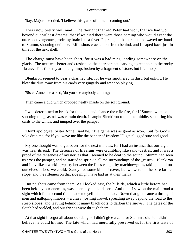'Say, Major,' he cried, 'I believe this game of mine is coming out.'

 I was now pretty well mad. The thought that old Peter had won, that we had won beyond our wildest dreams, that if we died there were those coming who would exact the uttermost vengeance, rode my brain like a fever. I sprang on the parapet and waved my hand to Stumm, shouting defiance. Rifle shots cracked out from behind, and I leaped back just in time for the next shell.

 The charge must have been short, for it was a bad miss, landing somewhere on the glacis. The next was better and crashed on the near parapet, carving a great hole in the rocky \_kranz. This time my arm hung limp, broken by a fragment of stone, but I felt no pain.

 Blenkiron seemed to bear a charmed life, for he was smothered in dust, but unhurt. He blew the dust away from his cards very gingerly and went on playing.

'Sister Anne,' he asked, 'do you see anybody coming?'

Then came a dud which dropped neatly inside on the soft ground.

 I was determined to break for the open and chance the rifle fire, for if Stumm went on shooting the \_castrol was certain death. I caught Blenkiron round the middle, scattering his cards to the winds, and jumped over the parapet.

 'Don't apologize, Sister Anne,' said he. 'The game was as good as won. But for God's sake drop me, for if you wave me like the banner of freedom I'll get plugged sure and good.'

 My one thought was to get cover for the next minutes, for I had an instinct that our vigil was near its end. The defences of Erzerum were crumbling like sand−castles, and it was a proof of the tenseness of my nerves that I seemed to be deaf to the sound. Stumm had seen us cross the parapet, and he started to sprinkle all the surroundings of the \_castrol. Blenkiron and I lay like a working−party between the lines caught by machine−guns, taking a pull on ourselves as best we could. Sandy had some kind of cover, but we were on the bare farther slope, and the riflemen on that side might have had us at their mercy.

 But no shots came from them. As I looked east, the hillside, which a little before had been held by our enemies, was as empty as the desert. And then I saw on the main road a sight which for a second time made me yell like a maniac. Down that glen came a throng of men and galloping limbers – a crazy, jostling crowd, spreading away beyond the road to the steep slopes, and leaving behind it many black dots to darken the snows. The gates of the South had yielded, and our friends were through them.

 At that sight I forgot all about our danger. I didn't give a cent for Stumm's shells. I didn't believe he could hit me. The fate which had mercifully preserved us for the first taste of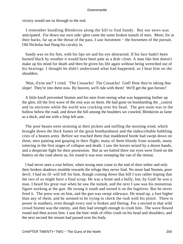victory would see us through to the end.

 I remember bundling Blenkiron along the hill to find Sandy. But our news was anticipated. For down our own side−glen came the same broken tumult of men. More; for at their backs, far up at the throat of the pass, I saw horsemen − the horsemen of the pursuit. Old Nicholas had flung his cavalry in.

 Sandy was on his feet, with his lips set and his eye abstracted. If his face hadn't been burned black by weather it would have been pale as a dish−clout. A man like him doesn't make up his mind for death and then be given his life again without being wrenched out of his bearings. I thought he didn't understand what had happened, so I beat him on the shoulders.

 'Man, d'you see?' I cried. 'The Cossacks! The Cossacks! God! How they're taking that slope! They're into them now. By heaven, we'll ride with them! We'll get the gun horses!'

 A little knoll prevented Stumm and his men from seeing what was happening farther up the glen, till the first wave of the rout was on them. He had gone on bombarding the \_castrol and its environs while the world was cracking over his head. The gun team was in the hollow below the road, and down the hill among the boulders we crawled, Blenkiron as lame as a duck, and me with a limp left arm.

 The poor beasts were straining at their pickets and sniffing the morning wind, which brought down the thick fumes of the great bombardment and the indescribable babbling cries of a beaten army. Before we reached them that maddened horde had swept down on them, men panting and gasping in their flight, many of them bloody from wounds, many tottering in the first stages of collapse and death. I saw the horses seized by a dozen hands, and a desperate fight for their possession. But as we halted there our eyes were fixed on the battery on the road above us, for round it was now sweeping the van of the retreat.

 I had never seen a rout before, when strong men come to the end of their tether and only their broken shadows stumble towards the refuge they never find. No more had Stumm, poor devil. I had no ill−will left for him, though coming down that hill I was rather hoping that the two of us might have a final scrap. He was a brute and a bully, but, by God! he was a man. I heard his great roar when he saw the tumult, and the next I saw was his monstrous figure working at the gun. He swung it south and turned it on the fugitives. But he never fired it. The press was on him, and the gun was swept sideways. He stood up, a foot higher than any of them, and he seemed to be trying to check the rush with his pistol. There is power in numbers, even though every unit is broken and fleeing. For a second to that wild crowd Stumm was the enemy, and they had strength enough to crush him. The wave flowed round and then across him. I saw the butt−ends of rifles crash on his head and shoulders, and the next second the stream had passed over his body.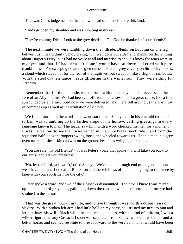That was God's judgement on the man who had set himself above his kind.

Sandy gripped my shoulder and was shouting in my ear:

'They're coming, Dick. Look at the grey devils ... Oh, God be thanked, it's our friends!'

 The next minute we were tumbling down the hillside, Blenkiron hopping on one leg between us. I heard dimly Sandy crying, 'Oh, well done our side!' and Blenkiron declaiming about Harper's Ferry, but I had no voice at all and no wish to shout. I know the tears were in my eyes, and that if I had been left alone I would have sat down and cried with pure thankfulness. For sweeping down the glen came a cloud of grey cavalry on little wiry horses, a cloud which stayed not for the rear of the fugitives, but swept on like a flight of rainbows, with the steel of their lance−heads glittering in the winter sun. They were riding for Erzerum.

 Remember that for three months we had been with the enemy and had never seen the face of an Ally in arms. We had been cut off from the fellowship of a great cause, like a fort surrounded by an army. And now we were delivered, and there fell around us the warm joy of comradeship as well as the exultation of victory.

 We flung caution to the winds, and went stark mad. Sandy, still in his emerald coat and turban, was scrambling up the farther slope of the hollow, yelling greetings in every language known to man. The leader saw him, with a word checked his men for a moment − it was marvellous to see the horses reined in in such a break−neck ride − and from the squadron half a dozen troopers swung loose and wheeled towards us. Then a man in a grey overcoat and a sheepskin cap was on the ground beside us wringing our hands.

 'You are safe, my old friends' − it was Peter's voice that spoke − 'I will take you back to our army, and get you breakfast.'

 'No, by the Lord, you won't,' cried Sandy. 'We've had the rough end of the job and now we'll have the fun. Look after Blenkiron and these fellows of mine. I'm going to ride knee by knee with your sportsmen for the city.'

 Peter spoke a word, and two of the Cossacks dismounted. The next I knew I was mixed up in the cloud of greycoats, galloping down the road up which the morning before we had strained to the castrol.

 That was the great hour of my life, and to live through it was worth a dozen years of slavery. With a broken left arm I had little hold on my beast, so I trusted my neck to him and let him have his will. Black with dirt and smoke, hatless, with no kind of uniform, I was a wilder figure than any Cossack. I soon was separated from Sandy, who had two hands and a better horse, and seemed resolute to press forward to the very van. That would have been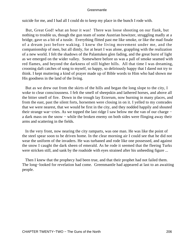suicide for me, and I had all I could do to keep my place in the bunch I rode with.

 But, Great God! what an hour it was! There was loose shooting on our flank, but nothing to trouble us, though the gun team of some Austrian howitzer, struggling madly at a bridge, gave us a bit of a tussle. Everything flitted past me like smoke, or like the mad finale of a dream just before waking. I knew the living movement under me, and the companionship of men, but all dimly, for at heart I was alone, grappling with the realization of a new world. I felt the shadows of the Palantuken glen fading, and the great burst of light as we emerged on the wider valley. Somewhere before us was a pall of smoke seamed with red flames, and beyond the darkness of still higher hills. All that time I was dreaming, crooning daft catches of song to myself, so happy, so deliriously happy that I dared not try to think. I kept muttering a kind of prayer made up of Bible words to Him who had shown me His goodness in the land of the living.

 But as we drew out from the skirts of the hills and began the long slope to the city, I woke to clear consciousness. I felt the smell of sheepskin and lathered horses, and above all the bitter smell of fire. Down in the trough lay Erzerum, now burning in many places, and from the east, past the silent forts, horsemen were closing in on it. I yelled to my comrades that we were nearest, that we would be first in the city, and they nodded happily and shouted their strange war−cries. As we topped the last ridge I saw below me the van of our charge − a dark mass on the snow − while the broken enemy on both sides were flinging away their arms and scattering in the fields.

In the very front, now nearing the city ramparts, was one man. He was like the point of the steel spear soon to be driven home. In the clear morning air I could see that he did not wear the uniform of the invaders. He was turbaned and rode like one possessed, and against the snow I caught the dark sheen of emerald. As he rode it seemed that the fleeing Turks were stricken still, and sank by the roadside with eyes strained after his unheeding figure ...

 Then I knew that the prophecy had been true, and that their prophet had not failed them. The long–looked for revelation had come. Greenmantle had appeared at last to an awaiting people.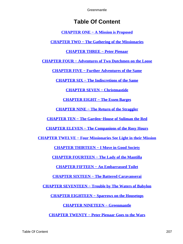# **Table Of Content**

**[CHAPTER ONE − A Mission is Proposed](#page-3-0)**

**[CHAPTER TWO − The Gathering of the Missionaries](#page-11-0)**

**[CHAPTER THREE − Peter Pienaar](#page-23-0)**

**[CHAPTER FOUR − Adventures of Two Dutchmen on the Loose](#page-32-0)**

**[CHAPTER FIVE − Further Adventures of the Same](#page-42-0)**

**[CHAPTER SIX − The Indiscretions of the Same](#page-52-0)**

**[CHAPTER SEVEN − Christmastide](#page-63-0)**

**[CHAPTER EIGHT − The Essen Barges](#page-73-0)**

**[CHAPTER NINE − The Return of the Straggler](#page-81-0)**

**[CHAPTER TEN − The Garden−House of Suliman the Red](#page-90-0)**

**[CHAPTER ELEVEN − The Companions of the Rosy Hours](#page-98-0)**

**[CHAPTER TWELVE − Four Missionaries See Light in their Mission](#page-107-0)**

**[CHAPTER THIRTEEN − I Move in Good Society](#page-115-0)**

**[CHAPTER FOURTEEN − The Lady of the Mantilla](#page-124-0)**

**[CHAPTER FIFTEEN − An Embarrassed Toilet](#page-132-0)**

**[CHAPTER SIXTEEN − The Battered Caravanserai](#page-143-0)**

**[CHAPTER SEVENTEEN − Trouble by The Waters of Babylon](#page-151-0)**

**[CHAPTER EIGHTEEN − Sparrows on the Housetops](#page-159-0)**

**[CHAPTER NINETEEN − Greenmantle](#page-167-0)**

**[CHAPTER TWENTY − Peter Pienaar Goes to the Wars](#page-175-0)**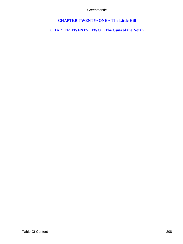**[CHAPTER TWENTY−ONE − The Little Hill](#page-186-0)**

<span id="page-208-0"></span>**[CHAPTER TWENTY−TWO − The Guns of the North](#page-198-0)**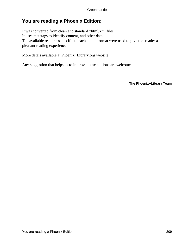## **You are reading a Phoenix Edition:**

It was converted from clean and standard xhtml/xml files. It uses metatags to identify content, and other data. The available resources specific to each ebook format were used to give the reader a pleasant reading experience.

More detais available at Phoenix−Library.org website.

Any suggestion that helps us to improve these editions are welcome.

**The Phoenix−Library Team**